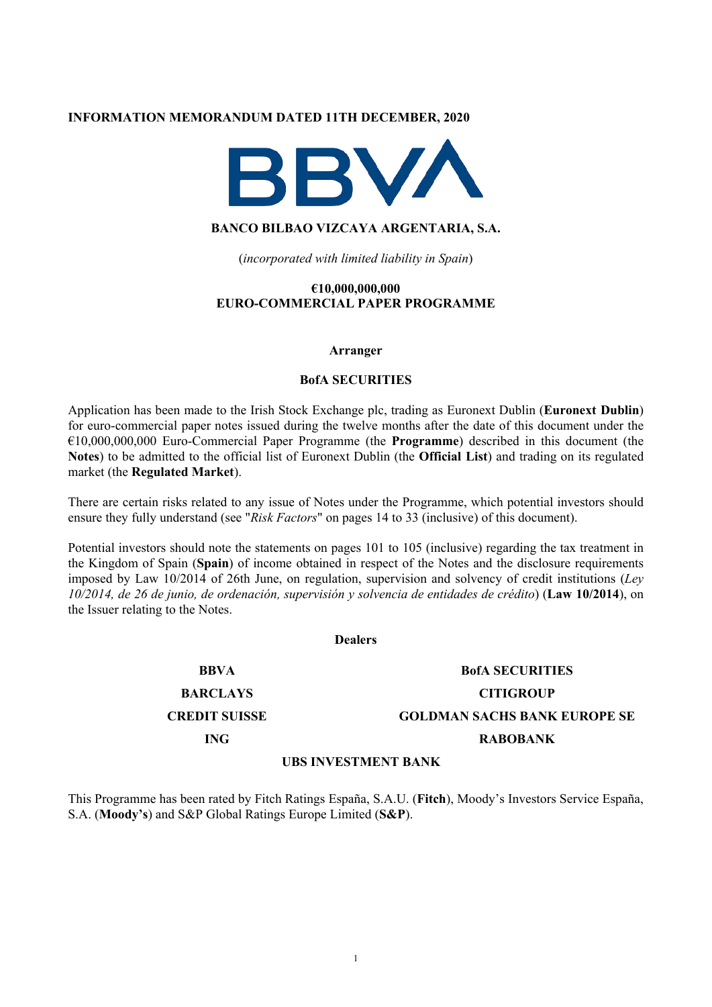#### **INFORMATION MEMORANDUM DATED 11TH DECEMBER, 2020**



# **BANCO BILBAO VIZCAYA ARGENTARIA, S.A.**

(*incorporated with limited liability in Spain*)

#### **€10,000,000,000 EURO-COMMERCIAL PAPER PROGRAMME**

#### **Arranger**

#### **BofA SECURITIES**

Application has been made to the Irish Stock Exchange plc, trading as Euronext Dublin (**Euronext Dublin**) for euro-commercial paper notes issued during the twelve months after the date of this document under the €10,000,000,000 Euro-Commercial Paper Programme (the **Programme**) described in this document (the **Notes**) to be admitted to the official list of Euronext Dublin (the **Official List**) and trading on its regulated market (the **Regulated Market**).

There are certain risks related to any issue of Notes under the Programme, which potential investors should ensure they fully understand (see "*Risk Factors*" on pages 14 to 33 (inclusive) of this document).

Potential investors should note the statements on pages 101 to 105 (inclusive) regarding the tax treatment in the Kingdom of Spain (**Spain**) of income obtained in respect of the Notes and the disclosure requirements imposed by Law 10/2014 of 26th June, on regulation, supervision and solvency of credit institutions (*Ley 10/2014, de 26 de junio, de ordenación, supervisión y solvencia de entidades de crédito*) (**Law 10/2014**), on the Issuer relating to the Notes.

#### **Dealers**

**BBVA BofA SECURITIES BARCLAYS CITIGROUP CREDIT SUISSE GOLDMAN SACHS BANK EUROPE SE ING RABOBANK**

#### **UBS INVESTMENT BANK**

This Programme has been rated by Fitch Ratings España, S.A.U. (**Fitch**), Moody's Investors Service España, S.A. (**Moody's**) and S&P Global Ratings Europe Limited (**S&P**).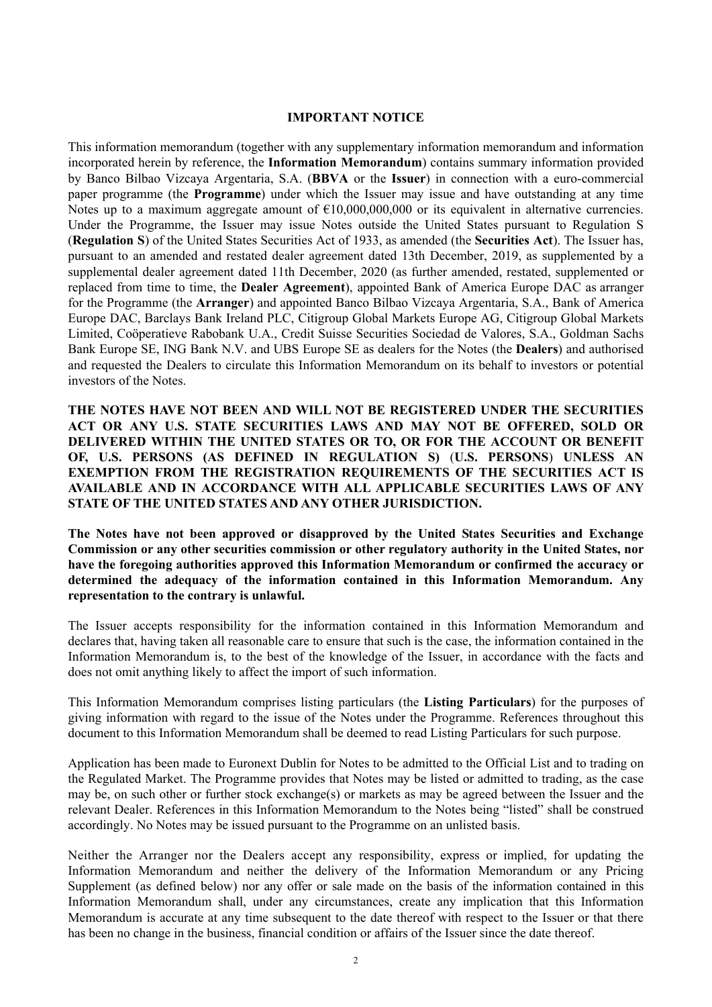#### **IMPORTANT NOTICE**

This information memorandum (together with any supplementary information memorandum and information incorporated herein by reference, the **Information Memorandum**) contains summary information provided by Banco Bilbao Vizcaya Argentaria, S.A. (**BBVA** or the **Issuer**) in connection with a euro-commercial paper programme (the **Programme**) under which the Issuer may issue and have outstanding at any time Notes up to a maximum aggregate amount of  $\epsilon$ 10,000,000,000 or its equivalent in alternative currencies. Under the Programme, the Issuer may issue Notes outside the United States pursuant to Regulation S (**Regulation S**) of the United States Securities Act of 1933, as amended (the **Securities Act**). The Issuer has, pursuant to an amended and restated dealer agreement dated 13th December, 2019, as supplemented by a supplemental dealer agreement dated 11th December, 2020 (as further amended, restated, supplemented or replaced from time to time, the **Dealer Agreement**), appointed Bank of America Europe DAC as arranger for the Programme (the **Arranger**) and appointed Banco Bilbao Vizcaya Argentaria, S.A., Bank of America Europe DAC, Barclays Bank Ireland PLC, Citigroup Global Markets Europe AG, Citigroup Global Markets Limited, Coöperatieve Rabobank U.A., Credit Suisse Securities Sociedad de Valores, S.A., Goldman Sachs Bank Europe SE, ING Bank N.V. and UBS Europe SE as dealers for the Notes (the **Dealers**) and authorised and requested the Dealers to circulate this Information Memorandum on its behalf to investors or potential investors of the Notes.

**THE NOTES HAVE NOT BEEN AND WILL NOT BE REGISTERED UNDER THE SECURITIES ACT OR ANY U.S. STATE SECURITIES LAWS AND MAY NOT BE OFFERED, SOLD OR DELIVERED WITHIN THE UNITED STATES OR TO, OR FOR THE ACCOUNT OR BENEFIT OF, U.S. PERSONS (AS DEFINED IN REGULATION S)** (**U.S. PERSONS**) **UNLESS AN EXEMPTION FROM THE REGISTRATION REQUIREMENTS OF THE SECURITIES ACT IS AVAILABLE AND IN ACCORDANCE WITH ALL APPLICABLE SECURITIES LAWS OF ANY STATE OF THE UNITED STATES AND ANY OTHER JURISDICTION.** 

**The Notes have not been approved or disapproved by the United States Securities and Exchange Commission or any other securities commission or other regulatory authority in the United States, nor have the foregoing authorities approved this Information Memorandum or confirmed the accuracy or determined the adequacy of the information contained in this Information Memorandum. Any representation to the contrary is unlawful.**

The Issuer accepts responsibility for the information contained in this Information Memorandum and declares that, having taken all reasonable care to ensure that such is the case, the information contained in the Information Memorandum is, to the best of the knowledge of the Issuer, in accordance with the facts and does not omit anything likely to affect the import of such information.

This Information Memorandum comprises listing particulars (the **Listing Particulars**) for the purposes of giving information with regard to the issue of the Notes under the Programme. References throughout this document to this Information Memorandum shall be deemed to read Listing Particulars for such purpose.

Application has been made to Euronext Dublin for Notes to be admitted to the Official List and to trading on the Regulated Market. The Programme provides that Notes may be listed or admitted to trading, as the case may be, on such other or further stock exchange(s) or markets as may be agreed between the Issuer and the relevant Dealer. References in this Information Memorandum to the Notes being "listed" shall be construed accordingly. No Notes may be issued pursuant to the Programme on an unlisted basis.

Neither the Arranger nor the Dealers accept any responsibility, express or implied, for updating the Information Memorandum and neither the delivery of the Information Memorandum or any Pricing Supplement (as defined below) nor any offer or sale made on the basis of the information contained in this Information Memorandum shall, under any circumstances, create any implication that this Information Memorandum is accurate at any time subsequent to the date thereof with respect to the Issuer or that there has been no change in the business, financial condition or affairs of the Issuer since the date thereof.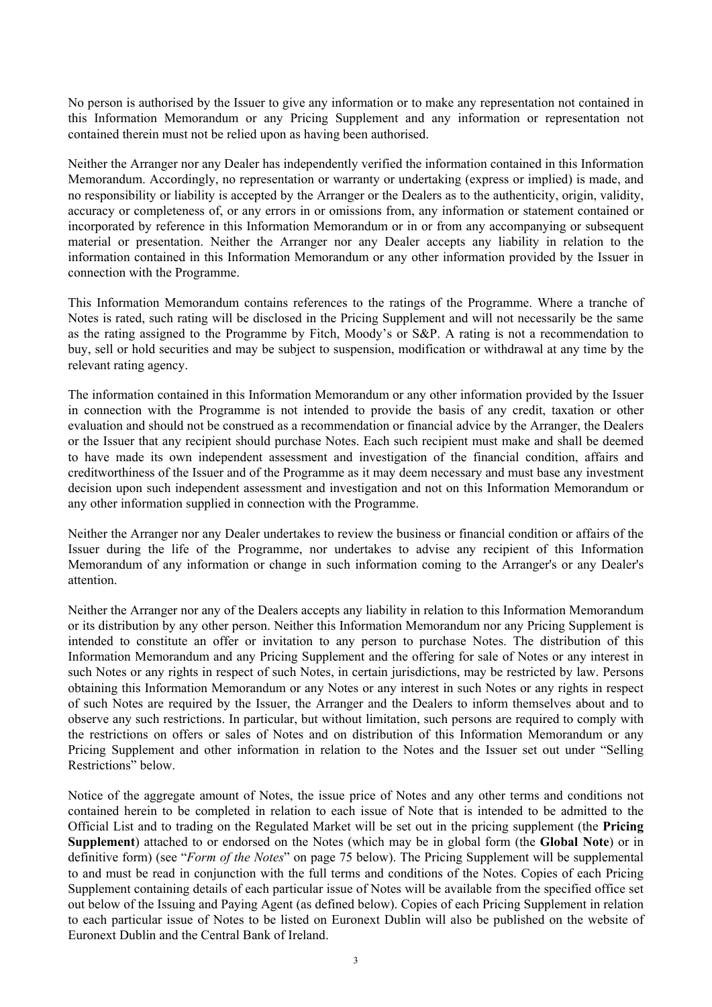No person is authorised by the Issuer to give any information or to make any representation not contained in this Information Memorandum or any Pricing Supplement and any information or representation not contained therein must not be relied upon as having been authorised.

Neither the Arranger nor any Dealer has independently verified the information contained in this Information Memorandum. Accordingly, no representation or warranty or undertaking (express or implied) is made, and no responsibility or liability is accepted by the Arranger or the Dealers as to the authenticity, origin, validity, accuracy or completeness of, or any errors in or omissions from, any information or statement contained or incorporated by reference in this Information Memorandum or in or from any accompanying or subsequent material or presentation. Neither the Arranger nor any Dealer accepts any liability in relation to the information contained in this Information Memorandum or any other information provided by the Issuer in connection with the Programme.

This Information Memorandum contains references to the ratings of the Programme. Where a tranche of Notes is rated, such rating will be disclosed in the Pricing Supplement and will not necessarily be the same as the rating assigned to the Programme by Fitch, Moody's or S&P. A rating is not a recommendation to buy, sell or hold securities and may be subject to suspension, modification or withdrawal at any time by the relevant rating agency.

The information contained in this Information Memorandum or any other information provided by the Issuer in connection with the Programme is not intended to provide the basis of any credit, taxation or other evaluation and should not be construed as a recommendation or financial advice by the Arranger, the Dealers or the Issuer that any recipient should purchase Notes. Each such recipient must make and shall be deemed to have made its own independent assessment and investigation of the financial condition, affairs and creditworthiness of the Issuer and of the Programme as it may deem necessary and must base any investment decision upon such independent assessment and investigation and not on this Information Memorandum or any other information supplied in connection with the Programme.

Neither the Arranger nor any Dealer undertakes to review the business or financial condition or affairs of the Issuer during the life of the Programme, nor undertakes to advise any recipient of this Information Memorandum of any information or change in such information coming to the Arranger's or any Dealer's attention.

Neither the Arranger nor any of the Dealers accepts any liability in relation to this Information Memorandum or its distribution by any other person. Neither this Information Memorandum nor any Pricing Supplement is intended to constitute an offer or invitation to any person to purchase Notes. The distribution of this Information Memorandum and any Pricing Supplement and the offering for sale of Notes or any interest in such Notes or any rights in respect of such Notes, in certain jurisdictions, may be restricted by law. Persons obtaining this Information Memorandum or any Notes or any interest in such Notes or any rights in respect of such Notes are required by the Issuer, the Arranger and the Dealers to inform themselves about and to observe any such restrictions. In particular, but without limitation, such persons are required to comply with the restrictions on offers or sales of Notes and on distribution of this Information Memorandum or any Pricing Supplement and other information in relation to the Notes and the Issuer set out under "Selling Restrictions" below.

Notice of the aggregate amount of Notes, the issue price of Notes and any other terms and conditions not contained herein to be completed in relation to each issue of Note that is intended to be admitted to the Official List and to trading on the Regulated Market will be set out in the pricing supplement (the **Pricing Supplement**) attached to or endorsed on the Notes (which may be in global form (the **Global Note**) or in definitive form) (see "*Form of the Notes*" on page 75 below). The Pricing Supplement will be supplemental to and must be read in conjunction with the full terms and conditions of the Notes. Copies of each Pricing Supplement containing details of each particular issue of Notes will be available from the specified office set out below of the Issuing and Paying Agent (as defined below). Copies of each Pricing Supplement in relation to each particular issue of Notes to be listed on Euronext Dublin will also be published on the website of Euronext Dublin and the Central Bank of Ireland.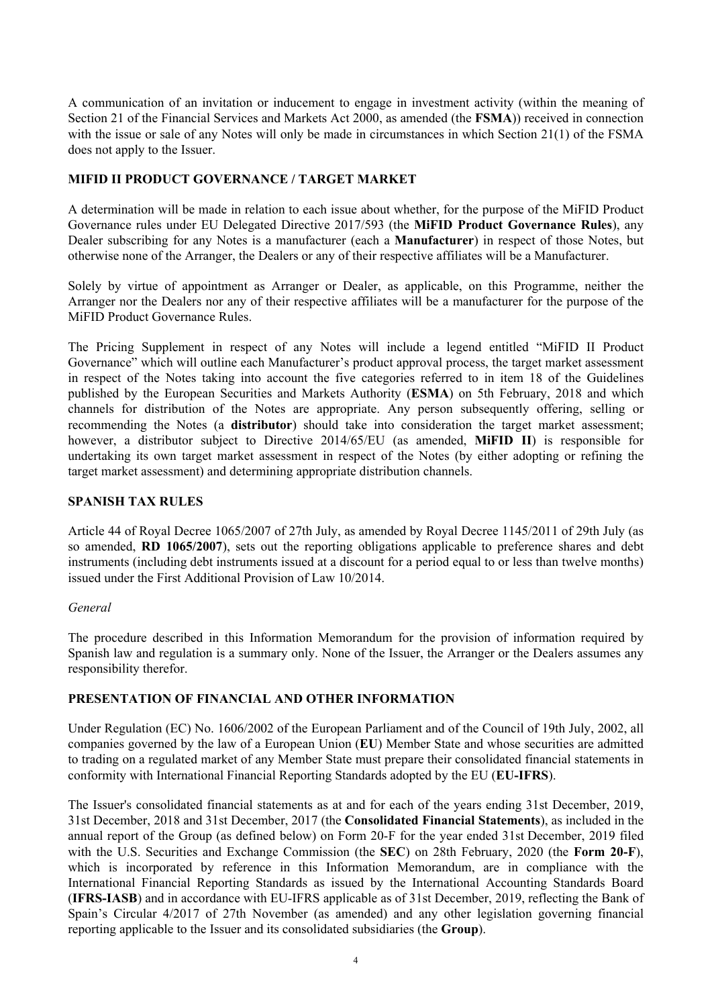A communication of an invitation or inducement to engage in investment activity (within the meaning of Section 21 of the Financial Services and Markets Act 2000, as amended (the **FSMA**)) received in connection with the issue or sale of any Notes will only be made in circumstances in which Section 21(1) of the FSMA does not apply to the Issuer.

# **MIFID II PRODUCT GOVERNANCE / TARGET MARKET**

A determination will be made in relation to each issue about whether, for the purpose of the MiFID Product Governance rules under EU Delegated Directive 2017/593 (the **MiFID Product Governance Rules**), any Dealer subscribing for any Notes is a manufacturer (each a **Manufacturer**) in respect of those Notes, but otherwise none of the Arranger, the Dealers or any of their respective affiliates will be a Manufacturer.

Solely by virtue of appointment as Arranger or Dealer, as applicable, on this Programme, neither the Arranger nor the Dealers nor any of their respective affiliates will be a manufacturer for the purpose of the MiFID Product Governance Rules.

The Pricing Supplement in respect of any Notes will include a legend entitled "MiFID II Product Governance" which will outline each Manufacturer's product approval process, the target market assessment in respect of the Notes taking into account the five categories referred to in item 18 of the Guidelines published by the European Securities and Markets Authority (**ESMA**) on 5th February, 2018 and which channels for distribution of the Notes are appropriate. Any person subsequently offering, selling or recommending the Notes (a **distributor**) should take into consideration the target market assessment; however, a distributor subject to Directive 2014/65/EU (as amended, **MiFID II**) is responsible for undertaking its own target market assessment in respect of the Notes (by either adopting or refining the target market assessment) and determining appropriate distribution channels.

## **SPANISH TAX RULES**

Article 44 of Royal Decree 1065/2007 of 27th July, as amended by Royal Decree 1145/2011 of 29th July (as so amended, **RD 1065/2007**), sets out the reporting obligations applicable to preference shares and debt instruments (including debt instruments issued at a discount for a period equal to or less than twelve months) issued under the First Additional Provision of Law 10/2014.

### *General*

The procedure described in this Information Memorandum for the provision of information required by Spanish law and regulation is a summary only. None of the Issuer, the Arranger or the Dealers assumes any responsibility therefor.

### **PRESENTATION OF FINANCIAL AND OTHER INFORMATION**

Under Regulation (EC) No. 1606/2002 of the European Parliament and of the Council of 19th July, 2002, all companies governed by the law of a European Union (**EU**) Member State and whose securities are admitted to trading on a regulated market of any Member State must prepare their consolidated financial statements in conformity with International Financial Reporting Standards adopted by the EU (**EU-IFRS**).

The Issuer's consolidated financial statements as at and for each of the years ending 31st December, 2019, 31st December, 2018 and 31st December, 2017 (the **Consolidated Financial Statements**), as included in the annual report of the Group (as defined below) on Form 20-F for the year ended 31st December, 2019 filed with the U.S. Securities and Exchange Commission (the **SEC**) on 28th February, 2020 (the **Form 20-F**), which is incorporated by reference in this Information Memorandum, are in compliance with the International Financial Reporting Standards as issued by the International Accounting Standards Board (**IFRS-IASB**) and in accordance with EU-IFRS applicable as of 31st December, 2019, reflecting the Bank of Spain's Circular 4/2017 of 27th November (as amended) and any other legislation governing financial reporting applicable to the Issuer and its consolidated subsidiaries (the **Group**).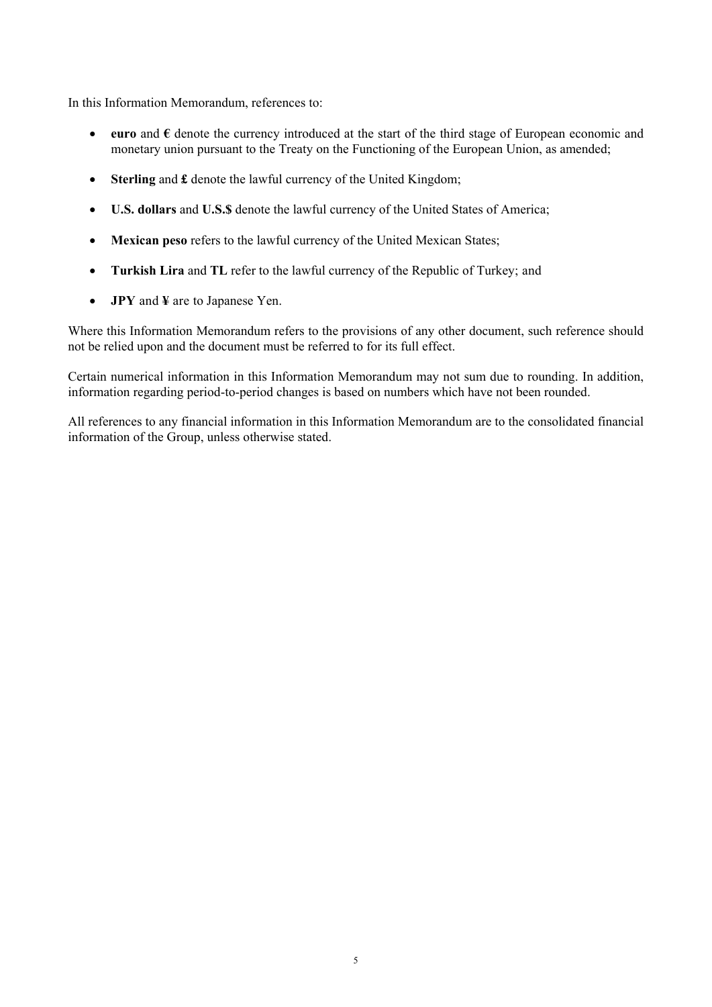In this Information Memorandum, references to:

- **euro** and **€** denote the currency introduced at the start of the third stage of European economic and monetary union pursuant to the Treaty on the Functioning of the European Union, as amended;
- **Sterling** and **£** denote the lawful currency of the United Kingdom;
- **U.S. dollars** and **U.S.\$** denote the lawful currency of the United States of America;
- **Mexican peso** refers to the lawful currency of the United Mexican States;
- **Turkish Lira** and **TL** refer to the lawful currency of the Republic of Turkey; and
- **JPY** and **¥** are to Japanese Yen.

Where this Information Memorandum refers to the provisions of any other document, such reference should not be relied upon and the document must be referred to for its full effect.

Certain numerical information in this Information Memorandum may not sum due to rounding. In addition, information regarding period-to-period changes is based on numbers which have not been rounded.

All references to any financial information in this Information Memorandum are to the consolidated financial information of the Group, unless otherwise stated.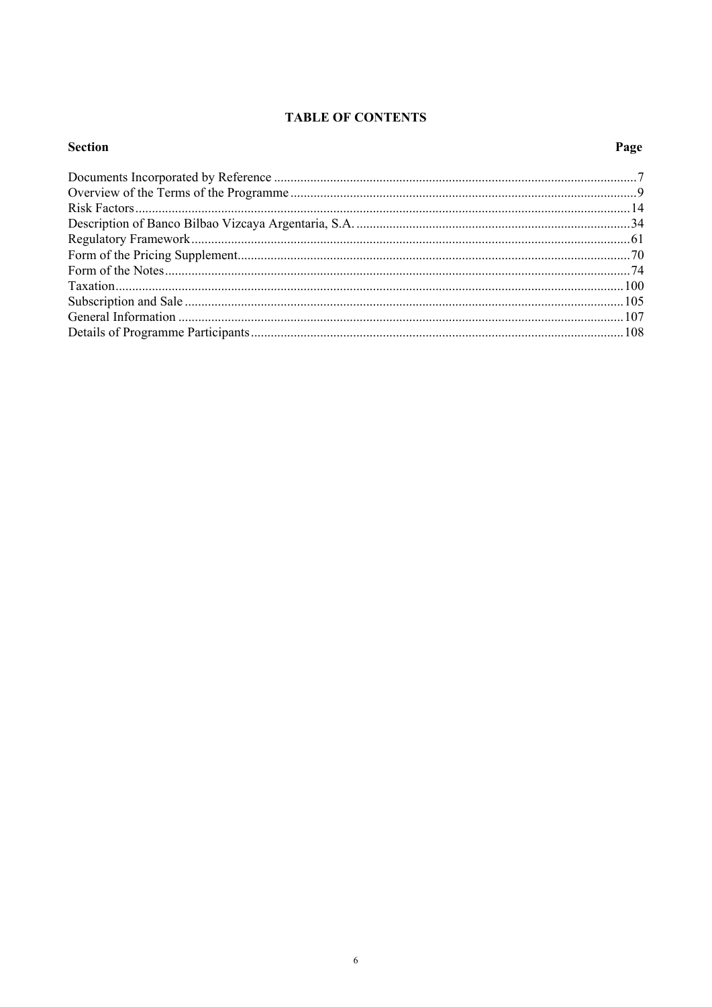# **TABLE OF CONTENTS**

# **Section**

# Page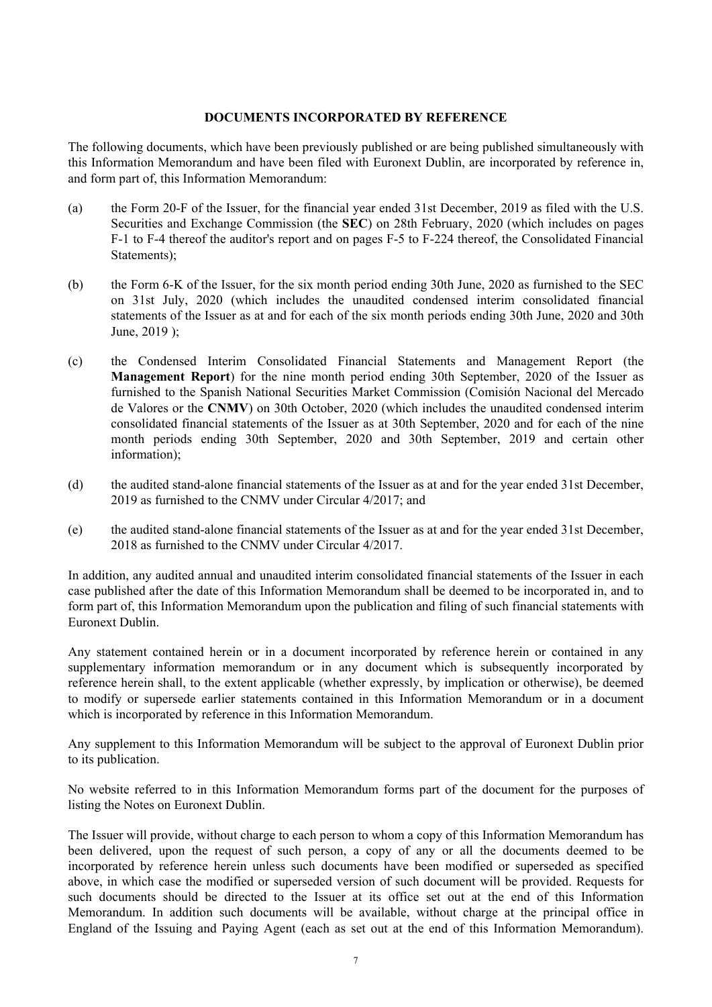#### **DOCUMENTS INCORPORATED BY REFERENCE**

The following documents, which have been previously published or are being published simultaneously with this Information Memorandum and have been filed with Euronext Dublin, are incorporated by reference in, and form part of, this Information Memorandum:

- (a) the Form 20-F of the Issuer, for the financial year ended 31st December, 2019 as filed with the U.S. Securities and Exchange Commission (the **SEC**) on 28th February, 2020 (which includes on pages F-1 to F-4 thereof the auditor's report and on pages F-5 to F-224 thereof, the Consolidated Financial Statements);
- (b) the Form 6-K of the Issuer, for the six month period ending 30th June, 2020 as furnished to the SEC on 31st July, 2020 (which includes the unaudited condensed interim consolidated financial statements of the Issuer as at and for each of the six month periods ending 30th June, 2020 and 30th June, 2019 );
- (c) the Condensed Interim Consolidated Financial Statements and Management Report (the **Management Report**) for the nine month period ending 30th September, 2020 of the Issuer as furnished to the Spanish National Securities Market Commission (Comisión Nacional del Mercado de Valores or the **CNMV**) on 30th October, 2020 (which includes the unaudited condensed interim consolidated financial statements of the Issuer as at 30th September, 2020 and for each of the nine month periods ending 30th September, 2020 and 30th September, 2019 and certain other information);
- (d) the audited stand-alone financial statements of the Issuer as at and for the year ended 31st December, 2019 as furnished to the CNMV under Circular 4/2017; and
- (e) the audited stand-alone financial statements of the Issuer as at and for the year ended 31st December, 2018 as furnished to the CNMV under Circular 4/2017.

In addition, any audited annual and unaudited interim consolidated financial statements of the Issuer in each case published after the date of this Information Memorandum shall be deemed to be incorporated in, and to form part of, this Information Memorandum upon the publication and filing of such financial statements with Euronext Dublin.

Any statement contained herein or in a document incorporated by reference herein or contained in any supplementary information memorandum or in any document which is subsequently incorporated by reference herein shall, to the extent applicable (whether expressly, by implication or otherwise), be deemed to modify or supersede earlier statements contained in this Information Memorandum or in a document which is incorporated by reference in this Information Memorandum.

Any supplement to this Information Memorandum will be subject to the approval of Euronext Dublin prior to its publication.

No website referred to in this Information Memorandum forms part of the document for the purposes of listing the Notes on Euronext Dublin.

The Issuer will provide, without charge to each person to whom a copy of this Information Memorandum has been delivered, upon the request of such person, a copy of any or all the documents deemed to be incorporated by reference herein unless such documents have been modified or superseded as specified above, in which case the modified or superseded version of such document will be provided. Requests for such documents should be directed to the Issuer at its office set out at the end of this Information Memorandum. In addition such documents will be available, without charge at the principal office in England of the Issuing and Paying Agent (each as set out at the end of this Information Memorandum).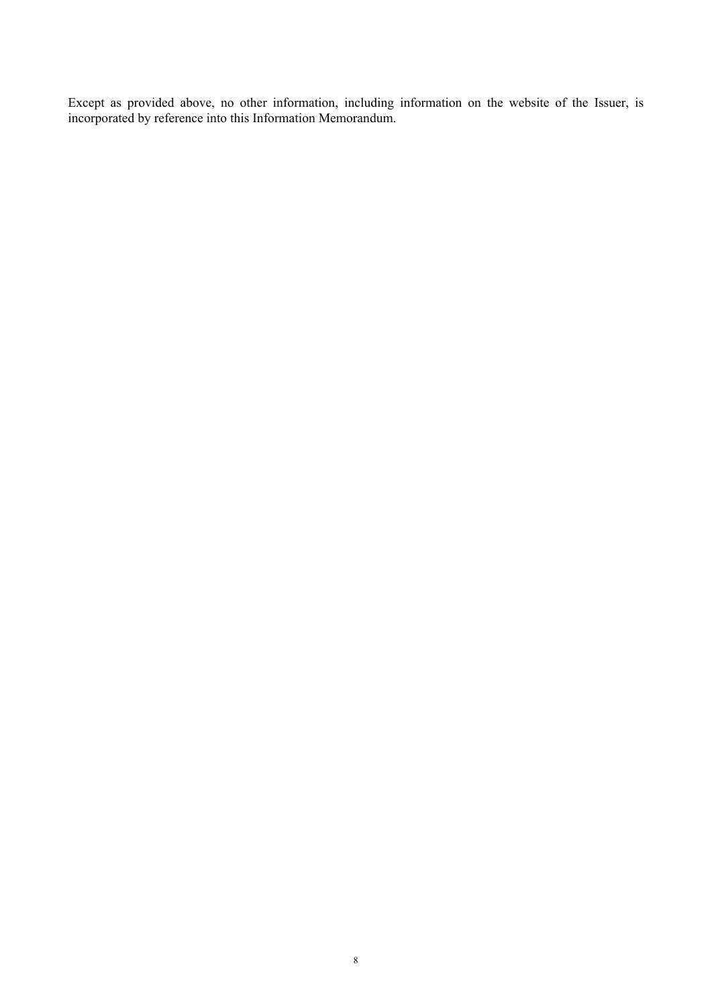Except as provided above, no other information, including information on the website of the Issuer, is incorporated by reference into this Information Memorandum.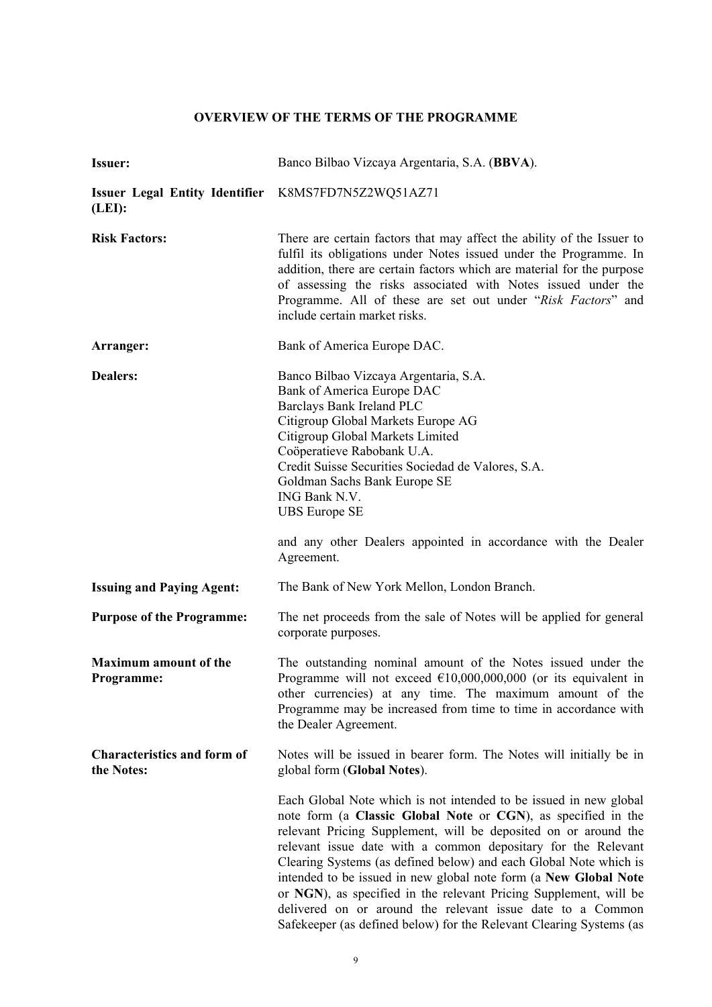# **OVERVIEW OF THE TERMS OF THE PROGRAMME**

| <b>Issuer:</b>                                                | Banco Bilbao Vizcaya Argentaria, S.A. (BBVA).                                                                                                                                                                                                                                                                                                                                                                                                                                                                                                                                                                             |
|---------------------------------------------------------------|---------------------------------------------------------------------------------------------------------------------------------------------------------------------------------------------------------------------------------------------------------------------------------------------------------------------------------------------------------------------------------------------------------------------------------------------------------------------------------------------------------------------------------------------------------------------------------------------------------------------------|
| Issuer Legal Entity Identifier K8MS7FD7N5Z2WQ51AZ71<br>(LEI): |                                                                                                                                                                                                                                                                                                                                                                                                                                                                                                                                                                                                                           |
| <b>Risk Factors:</b>                                          | There are certain factors that may affect the ability of the Issuer to<br>fulfil its obligations under Notes issued under the Programme. In<br>addition, there are certain factors which are material for the purpose<br>of assessing the risks associated with Notes issued under the<br>Programme. All of these are set out under "Risk Factors" and<br>include certain market risks.                                                                                                                                                                                                                                   |
| Arranger:                                                     | Bank of America Europe DAC.                                                                                                                                                                                                                                                                                                                                                                                                                                                                                                                                                                                               |
| <b>Dealers:</b>                                               | Banco Bilbao Vizcaya Argentaria, S.A.<br>Bank of America Europe DAC<br>Barclays Bank Ireland PLC<br>Citigroup Global Markets Europe AG<br>Citigroup Global Markets Limited<br>Coöperatieve Rabobank U.A.<br>Credit Suisse Securities Sociedad de Valores, S.A.<br>Goldman Sachs Bank Europe SE<br>ING Bank N.V.<br><b>UBS</b> Europe SE<br>and any other Dealers appointed in accordance with the Dealer                                                                                                                                                                                                                  |
|                                                               | Agreement.                                                                                                                                                                                                                                                                                                                                                                                                                                                                                                                                                                                                                |
| <b>Issuing and Paying Agent:</b>                              | The Bank of New York Mellon, London Branch.                                                                                                                                                                                                                                                                                                                                                                                                                                                                                                                                                                               |
| <b>Purpose of the Programme:</b>                              | The net proceeds from the sale of Notes will be applied for general<br>corporate purposes.                                                                                                                                                                                                                                                                                                                                                                                                                                                                                                                                |
| <b>Maximum amount of the</b><br>Programme:                    | The outstanding nominal amount of the Notes issued under the<br>Programme will not exceed $\text{\textsterling}10,000,000,000$ (or its equivalent in<br>other currencies) at any time. The maximum amount of the<br>Programme may be increased from time to time in accordance with<br>the Dealer Agreement.                                                                                                                                                                                                                                                                                                              |
| <b>Characteristics and form of</b><br>the Notes:              | Notes will be issued in bearer form. The Notes will initially be in<br>global form (Global Notes).                                                                                                                                                                                                                                                                                                                                                                                                                                                                                                                        |
|                                                               | Each Global Note which is not intended to be issued in new global<br>note form (a Classic Global Note or CGN), as specified in the<br>relevant Pricing Supplement, will be deposited on or around the<br>relevant issue date with a common depositary for the Relevant<br>Clearing Systems (as defined below) and each Global Note which is<br>intended to be issued in new global note form (a New Global Note<br>or NGN), as specified in the relevant Pricing Supplement, will be<br>delivered on or around the relevant issue date to a Common<br>Safekeeper (as defined below) for the Relevant Clearing Systems (as |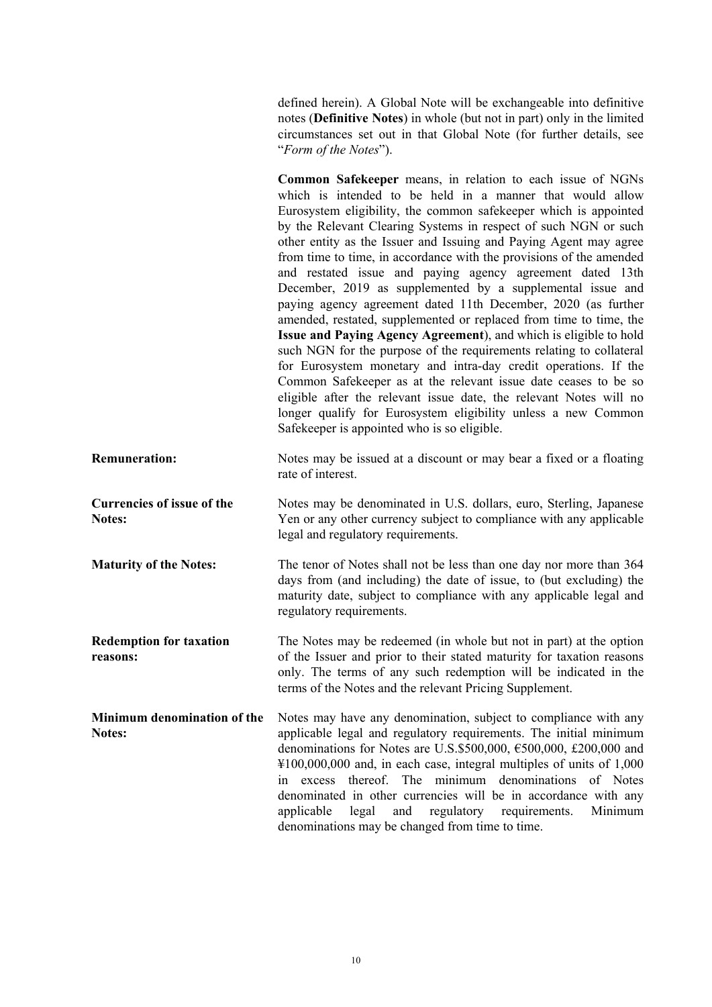defined herein). A Global Note will be exchangeable into definitive notes (**Definitive Notes**) in whole (but not in part) only in the limited circumstances set out in that Global Note (for further details, see "*Form of the Notes*").

**Common Safekeeper** means, in relation to each issue of NGNs which is intended to be held in a manner that would allow Eurosystem eligibility, the common safekeeper which is appointed by the Relevant Clearing Systems in respect of such NGN or such other entity as the Issuer and Issuing and Paying Agent may agree from time to time, in accordance with the provisions of the amended and restated issue and paying agency agreement dated 13th December, 2019 as supplemented by a supplemental issue and paying agency agreement dated 11th December, 2020 (as further amended, restated, supplemented or replaced from time to time, the **Issue and Paying Agency Agreement**), and which is eligible to hold such NGN for the purpose of the requirements relating to collateral for Eurosystem monetary and intra-day credit operations. If the Common Safekeeper as at the relevant issue date ceases to be so eligible after the relevant issue date, the relevant Notes will no longer qualify for Eurosystem eligibility unless a new Common Safekeeper is appointed who is so eligible. **Remuneration:** Notes may be issued at a discount or may bear a fixed or a floating rate of interest. **Currencies of issue of the Notes:**  Notes may be denominated in U.S. dollars, euro, Sterling, Japanese Yen or any other currency subject to compliance with any applicable legal and regulatory requirements. **Maturity of the Notes:** The tenor of Notes shall not be less than one day nor more than 364 days from (and including) the date of issue, to (but excluding) the maturity date, subject to compliance with any applicable legal and regulatory requirements. **Redemption for taxation reasons:**  The Notes may be redeemed (in whole but not in part) at the option of the Issuer and prior to their stated maturity for taxation reasons only. The terms of any such redemption will be indicated in the terms of the Notes and the relevant Pricing Supplement. **Minimum denomination of the Notes:**  Notes may have any denomination, subject to compliance with any applicable legal and regulatory requirements. The initial minimum denominations for Notes are U.S.\$500,000, €500,000, £200,000 and ¥100,000,000 and, in each case, integral multiples of units of 1,000 in excess thereof. The minimum denominations of Notes denominated in other currencies will be in accordance with any applicable legal and regulatory requirements. Minimum denominations may be changed from time to time.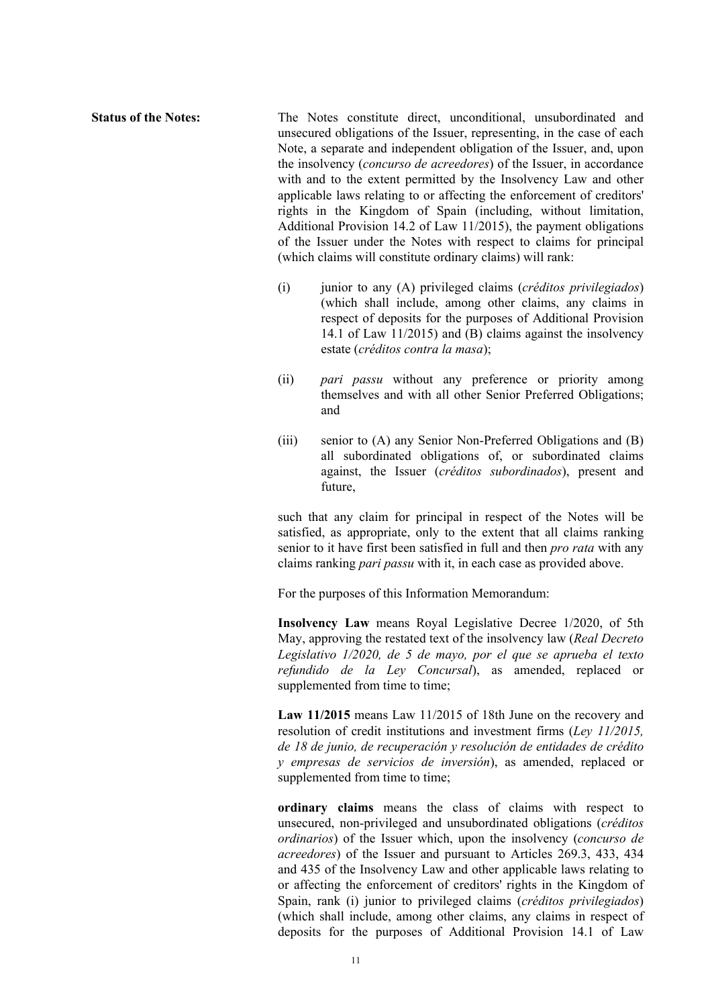**Status of the Notes:** The Notes constitute direct, unconditional, unsubordinated and unsecured obligations of the Issuer, representing, in the case of each Note, a separate and independent obligation of the Issuer, and, upon the insolvency (*concurso de acreedores*) of the Issuer, in accordance with and to the extent permitted by the Insolvency Law and other applicable laws relating to or affecting the enforcement of creditors' rights in the Kingdom of Spain (including, without limitation, Additional Provision 14.2 of Law 11/2015), the payment obligations of the Issuer under the Notes with respect to claims for principal (which claims will constitute ordinary claims) will rank:

- (i) junior to any (A) privileged claims (*créditos privilegiados*) (which shall include, among other claims, any claims in respect of deposits for the purposes of Additional Provision 14.1 of Law 11/2015) and (B) claims against the insolvency estate (*créditos contra la masa*);
- (ii) *pari passu* without any preference or priority among themselves and with all other Senior Preferred Obligations; and
- (iii) senior to (A) any Senior Non-Preferred Obligations and (B) all subordinated obligations of, or subordinated claims against, the Issuer (*créditos subordinados*), present and future,

such that any claim for principal in respect of the Notes will be satisfied, as appropriate, only to the extent that all claims ranking senior to it have first been satisfied in full and then *pro rata* with any claims ranking *pari passu* with it, in each case as provided above.

For the purposes of this Information Memorandum:

**Insolvency Law** means Royal Legislative Decree 1/2020, of 5th May, approving the restated text of the insolvency law (*Real Decreto Legislativo 1/2020, de 5 de mayo, por el que se aprueba el texto refundido de la Ley Concursal*), as amended, replaced or supplemented from time to time;

**Law 11/2015** means Law 11/2015 of 18th June on the recovery and resolution of credit institutions and investment firms (*Ley 11/2015, de 18 de junio, de recuperación y resolución de entidades de crédito y empresas de servicios de inversión*), as amended, replaced or supplemented from time to time;

**ordinary claims** means the class of claims with respect to unsecured, non-privileged and unsubordinated obligations (*créditos ordinarios*) of the Issuer which, upon the insolvency (*concurso de acreedores*) of the Issuer and pursuant to Articles 269.3, 433, 434 and 435 of the Insolvency Law and other applicable laws relating to or affecting the enforcement of creditors' rights in the Kingdom of Spain, rank (i) junior to privileged claims (*créditos privilegiados*) (which shall include, among other claims, any claims in respect of deposits for the purposes of Additional Provision 14.1 of Law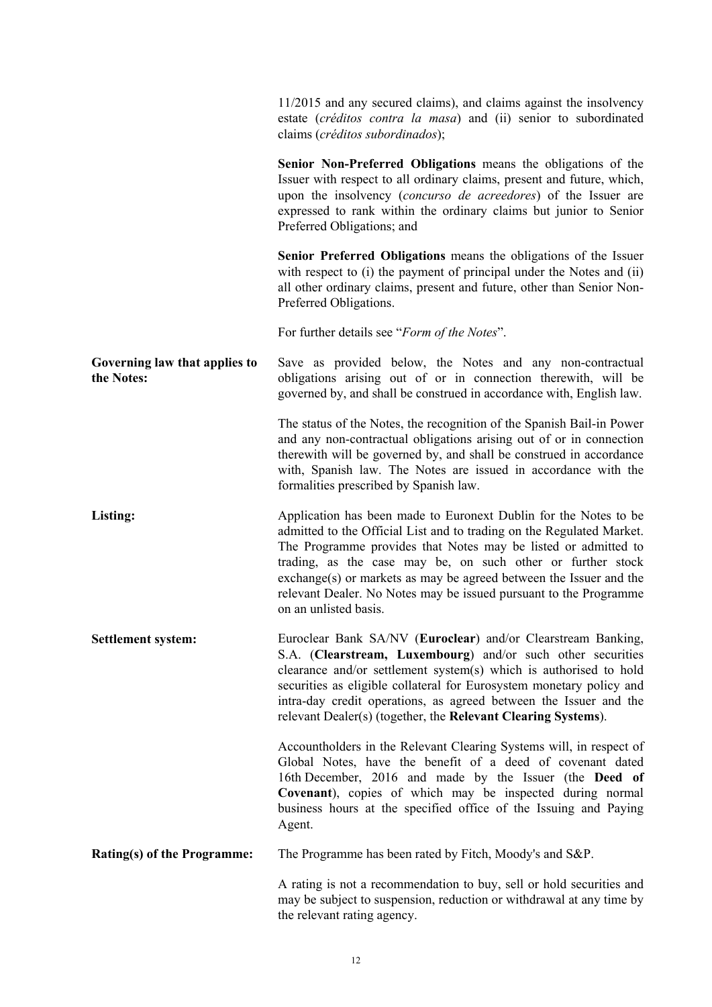|                                             | 11/2015 and any secured claims), and claims against the insolvency<br>estate (créditos contra la masa) and (ii) senior to subordinated<br>claims (créditos subordinados);                                                                                                                                                                                                                                                                      |
|---------------------------------------------|------------------------------------------------------------------------------------------------------------------------------------------------------------------------------------------------------------------------------------------------------------------------------------------------------------------------------------------------------------------------------------------------------------------------------------------------|
|                                             | Senior Non-Preferred Obligations means the obligations of the<br>Issuer with respect to all ordinary claims, present and future, which,<br>upon the insolvency (concurso de acreedores) of the Issuer are<br>expressed to rank within the ordinary claims but junior to Senior<br>Preferred Obligations; and                                                                                                                                   |
|                                             | Senior Preferred Obligations means the obligations of the Issuer<br>with respect to (i) the payment of principal under the Notes and (ii)<br>all other ordinary claims, present and future, other than Senior Non-<br>Preferred Obligations.                                                                                                                                                                                                   |
|                                             | For further details see "Form of the Notes".                                                                                                                                                                                                                                                                                                                                                                                                   |
| Governing law that applies to<br>the Notes: | Save as provided below, the Notes and any non-contractual<br>obligations arising out of or in connection therewith, will be<br>governed by, and shall be construed in accordance with, English law.                                                                                                                                                                                                                                            |
|                                             | The status of the Notes, the recognition of the Spanish Bail-in Power<br>and any non-contractual obligations arising out of or in connection<br>therewith will be governed by, and shall be construed in accordance<br>with, Spanish law. The Notes are issued in accordance with the<br>formalities prescribed by Spanish law.                                                                                                                |
| <b>Listing:</b>                             | Application has been made to Euronext Dublin for the Notes to be<br>admitted to the Official List and to trading on the Regulated Market.<br>The Programme provides that Notes may be listed or admitted to<br>trading, as the case may be, on such other or further stock<br>exchange(s) or markets as may be agreed between the Issuer and the<br>relevant Dealer. No Notes may be issued pursuant to the Programme<br>on an unlisted basis. |
| <b>Settlement system:</b>                   | Euroclear Bank SA/NV (Euroclear) and/or Clearstream Banking,<br>S.A. (Clearstream, Luxembourg) and/or such other securities<br>clearance and/or settlement system(s) which is authorised to hold<br>securities as eligible collateral for Eurosystem monetary policy and<br>intra-day credit operations, as agreed between the Issuer and the<br>relevant Dealer(s) (together, the Relevant Clearing Systems).                                 |
|                                             | Accountholders in the Relevant Clearing Systems will, in respect of<br>Global Notes, have the benefit of a deed of covenant dated<br>16th December, 2016 and made by the Issuer (the Deed of<br>Covenant), copies of which may be inspected during normal<br>business hours at the specified office of the Issuing and Paying<br>Agent.                                                                                                        |
| Rating(s) of the Programme:                 | The Programme has been rated by Fitch, Moody's and S&P.                                                                                                                                                                                                                                                                                                                                                                                        |
|                                             | A rating is not a recommendation to buy, sell or hold securities and<br>may be subject to suspension, reduction or withdrawal at any time by<br>the relevant rating agency.                                                                                                                                                                                                                                                                    |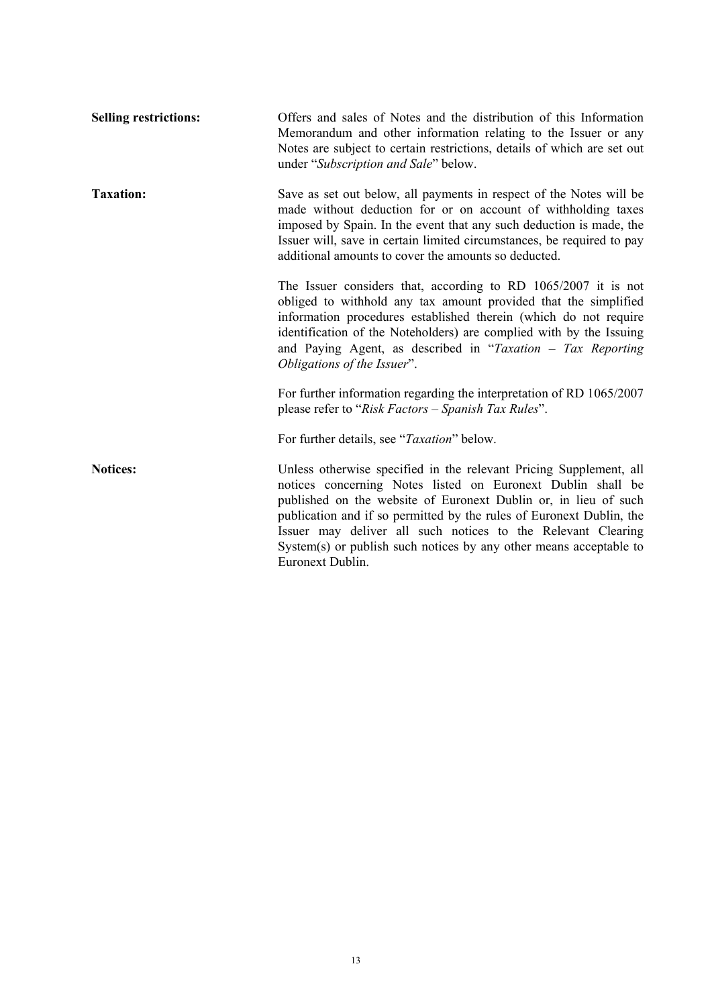| <b>Selling restrictions:</b> | Offers and sales of Notes and the distribution of this Information<br>Memorandum and other information relating to the Issuer or any<br>Notes are subject to certain restrictions, details of which are set out<br>under "Subscription and Sale" below.                                                                                                                                                                                |
|------------------------------|----------------------------------------------------------------------------------------------------------------------------------------------------------------------------------------------------------------------------------------------------------------------------------------------------------------------------------------------------------------------------------------------------------------------------------------|
| <b>Taxation:</b>             | Save as set out below, all payments in respect of the Notes will be<br>made without deduction for or on account of withholding taxes<br>imposed by Spain. In the event that any such deduction is made, the<br>Issuer will, save in certain limited circumstances, be required to pay<br>additional amounts to cover the amounts so deducted.                                                                                          |
|                              | The Issuer considers that, according to RD $1065/2007$ it is not<br>obliged to withhold any tax amount provided that the simplified<br>information procedures established therein (which do not require<br>identification of the Noteholders) are complied with by the Issuing<br>and Paying Agent, as described in "Taxation $-$ Tax Reporting<br>Obligations of the Issuer".                                                         |
|                              | For further information regarding the interpretation of RD 1065/2007<br>please refer to "Risk Factors - Spanish Tax Rules".                                                                                                                                                                                                                                                                                                            |
|                              | For further details, see "Taxation" below.                                                                                                                                                                                                                                                                                                                                                                                             |
| <b>Notices:</b>              | Unless otherwise specified in the relevant Pricing Supplement, all<br>notices concerning Notes listed on Euronext Dublin shall be<br>published on the website of Euronext Dublin or, in lieu of such<br>publication and if so permitted by the rules of Euronext Dublin, the<br>Issuer may deliver all such notices to the Relevant Clearing<br>System(s) or publish such notices by any other means acceptable to<br>Euronext Dublin. |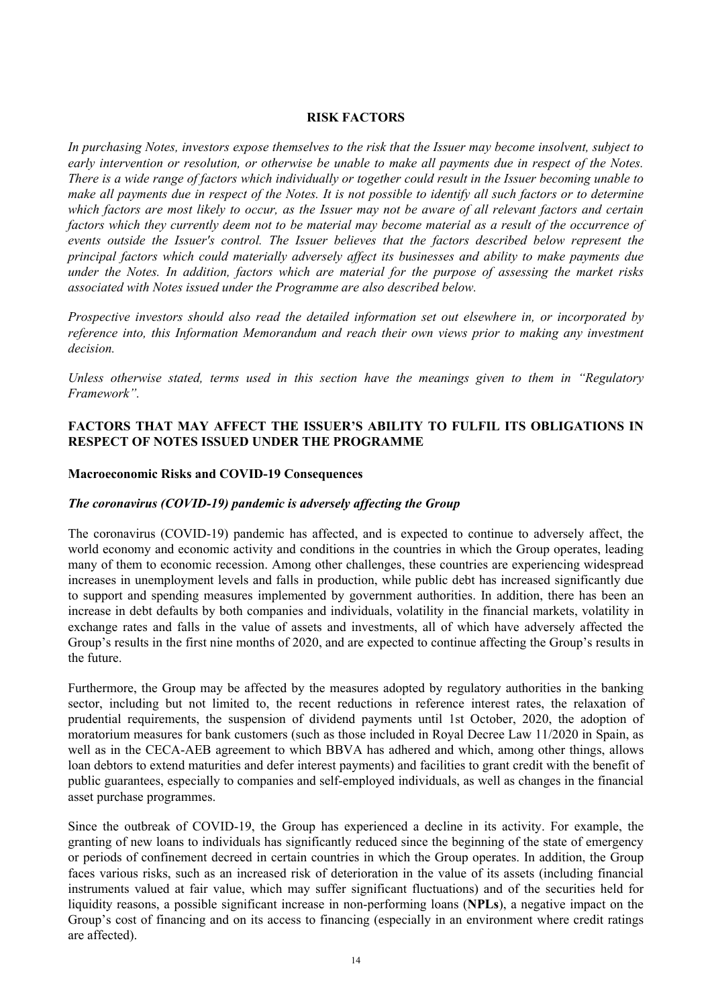#### **RISK FACTORS**

*In purchasing Notes, investors expose themselves to the risk that the Issuer may become insolvent, subject to early intervention or resolution, or otherwise be unable to make all payments due in respect of the Notes. There is a wide range of factors which individually or together could result in the Issuer becoming unable to make all payments due in respect of the Notes. It is not possible to identify all such factors or to determine which factors are most likely to occur, as the Issuer may not be aware of all relevant factors and certain factors which they currently deem not to be material may become material as a result of the occurrence of events outside the Issuer's control. The Issuer believes that the factors described below represent the principal factors which could materially adversely affect its businesses and ability to make payments due under the Notes. In addition, factors which are material for the purpose of assessing the market risks associated with Notes issued under the Programme are also described below.*

*Prospective investors should also read the detailed information set out elsewhere in, or incorporated by reference into, this Information Memorandum and reach their own views prior to making any investment decision.* 

*Unless otherwise stated, terms used in this section have the meanings given to them in "Regulatory Framework".* 

# **FACTORS THAT MAY AFFECT THE ISSUER'S ABILITY TO FULFIL ITS OBLIGATIONS IN RESPECT OF NOTES ISSUED UNDER THE PROGRAMME**

#### **Macroeconomic Risks and COVID-19 Consequences**

#### *The coronavirus (COVID-19) pandemic is adversely affecting the Group*

The coronavirus (COVID-19) pandemic has affected, and is expected to continue to adversely affect, the world economy and economic activity and conditions in the countries in which the Group operates, leading many of them to economic recession. Among other challenges, these countries are experiencing widespread increases in unemployment levels and falls in production, while public debt has increased significantly due to support and spending measures implemented by government authorities. In addition, there has been an increase in debt defaults by both companies and individuals, volatility in the financial markets, volatility in exchange rates and falls in the value of assets and investments, all of which have adversely affected the Group's results in the first nine months of 2020, and are expected to continue affecting the Group's results in the future.

Furthermore, the Group may be affected by the measures adopted by regulatory authorities in the banking sector, including but not limited to, the recent reductions in reference interest rates, the relaxation of prudential requirements, the suspension of dividend payments until 1st October, 2020, the adoption of moratorium measures for bank customers (such as those included in Royal Decree Law 11/2020 in Spain, as well as in the CECA-AEB agreement to which BBVA has adhered and which, among other things, allows loan debtors to extend maturities and defer interest payments) and facilities to grant credit with the benefit of public guarantees, especially to companies and self-employed individuals, as well as changes in the financial asset purchase programmes.

Since the outbreak of COVID-19, the Group has experienced a decline in its activity. For example, the granting of new loans to individuals has significantly reduced since the beginning of the state of emergency or periods of confinement decreed in certain countries in which the Group operates. In addition, the Group faces various risks, such as an increased risk of deterioration in the value of its assets (including financial instruments valued at fair value, which may suffer significant fluctuations) and of the securities held for liquidity reasons, a possible significant increase in non-performing loans (**NPLs**), a negative impact on the Group's cost of financing and on its access to financing (especially in an environment where credit ratings are affected).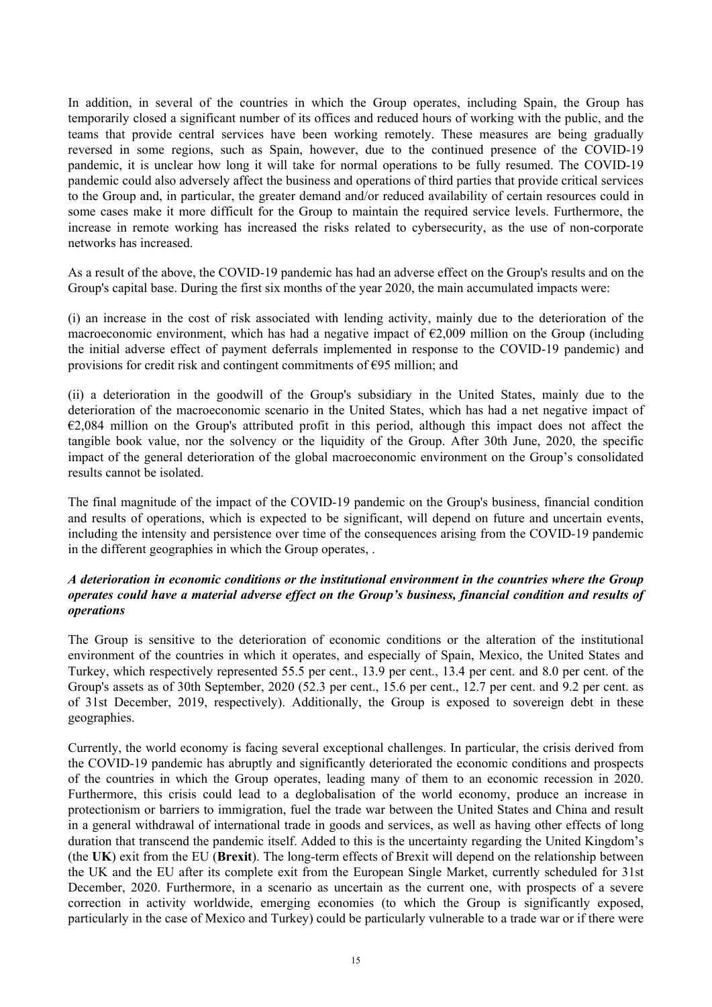In addition, in several of the countries in which the Group operates, including Spain, the Group has temporarily closed a significant number of its offices and reduced hours of working with the public, and the teams that provide central services have been working remotely. These measures are being gradually reversed in some regions, such as Spain, however, due to the continued presence of the COVID-19 pandemic, it is unclear how long it will take for normal operations to be fully resumed. The COVID-19 pandemic could also adversely affect the business and operations of third parties that provide critical services to the Group and, in particular, the greater demand and/or reduced availability of certain resources could in some cases make it more difficult for the Group to maintain the required service levels. Furthermore, the increase in remote working has increased the risks related to cybersecurity, as the use of non-corporate networks has increased.

As a result of the above, the COVID-19 pandemic has had an adverse effect on the Group's results and on the Group's capital base. During the first six months of the year 2020, the main accumulated impacts were:

(i) an increase in the cost of risk associated with lending activity, mainly due to the deterioration of the macroeconomic environment, which has had a negative impact of  $\epsilon$ 2,009 million on the Group (including the initial adverse effect of payment deferrals implemented in response to the COVID-19 pandemic) and provisions for credit risk and contingent commitments of  $\epsilon$ 95 million; and

(ii) a deterioration in the goodwill of the Group's subsidiary in the United States, mainly due to the deterioration of the macroeconomic scenario in the United States, which has had a net negative impact of  $\epsilon$ 2,084 million on the Group's attributed profit in this period, although this impact does not affect the tangible book value, nor the solvency or the liquidity of the Group. After 30th June, 2020, the specific impact of the general deterioration of the global macroeconomic environment on the Group's consolidated results cannot be isolated.

The final magnitude of the impact of the COVID-19 pandemic on the Group's business, financial condition and results of operations, which is expected to be significant, will depend on future and uncertain events, including the intensity and persistence over time of the consequences arising from the COVID-19 pandemic in the different geographies in which the Group operates, .

## *A deterioration in economic conditions or the institutional environment in the countries where the Group operates could have a material adverse effect on the Group's business, financial condition and results of operations*

The Group is sensitive to the deterioration of economic conditions or the alteration of the institutional environment of the countries in which it operates, and especially of Spain, Mexico, the United States and Turkey, which respectively represented 55.5 per cent., 13.9 per cent., 13.4 per cent. and 8.0 per cent. of the Group's assets as of 30th September, 2020 (52.3 per cent., 15.6 per cent., 12.7 per cent. and 9.2 per cent. as of 31st December, 2019, respectively). Additionally, the Group is exposed to sovereign debt in these geographies.

Currently, the world economy is facing several exceptional challenges. In particular, the crisis derived from the COVID-19 pandemic has abruptly and significantly deteriorated the economic conditions and prospects of the countries in which the Group operates, leading many of them to an economic recession in 2020. Furthermore, this crisis could lead to a deglobalisation of the world economy, produce an increase in protectionism or barriers to immigration, fuel the trade war between the United States and China and result in a general withdrawal of international trade in goods and services, as well as having other effects of long duration that transcend the pandemic itself. Added to this is the uncertainty regarding the United Kingdom's (the **UK**) exit from the EU (**Brexit**). The long-term effects of Brexit will depend on the relationship between the UK and the EU after its complete exit from the European Single Market, currently scheduled for 31st December, 2020. Furthermore, in a scenario as uncertain as the current one, with prospects of a severe correction in activity worldwide, emerging economies (to which the Group is significantly exposed, particularly in the case of Mexico and Turkey) could be particularly vulnerable to a trade war or if there were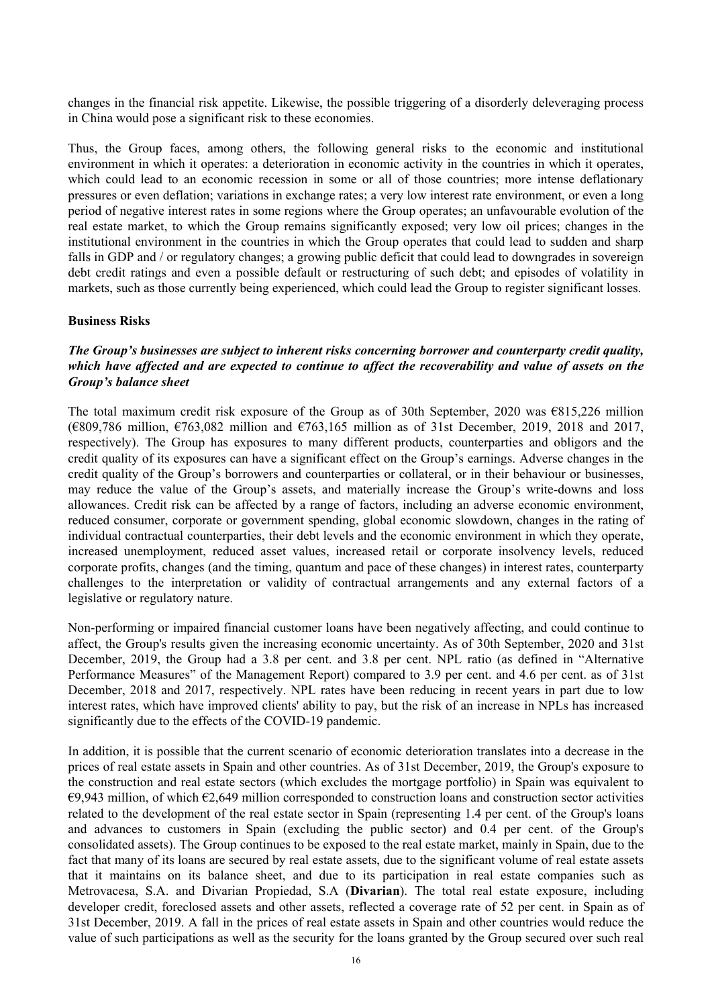changes in the financial risk appetite. Likewise, the possible triggering of a disorderly deleveraging process in China would pose a significant risk to these economies.

Thus, the Group faces, among others, the following general risks to the economic and institutional environment in which it operates: a deterioration in economic activity in the countries in which it operates, which could lead to an economic recession in some or all of those countries; more intense deflationary pressures or even deflation; variations in exchange rates; a very low interest rate environment, or even a long period of negative interest rates in some regions where the Group operates; an unfavourable evolution of the real estate market, to which the Group remains significantly exposed; very low oil prices; changes in the institutional environment in the countries in which the Group operates that could lead to sudden and sharp falls in GDP and / or regulatory changes; a growing public deficit that could lead to downgrades in sovereign debt credit ratings and even a possible default or restructuring of such debt; and episodes of volatility in markets, such as those currently being experienced, which could lead the Group to register significant losses.

#### **Business Risks**

## *The Group's businesses are subject to inherent risks concerning borrower and counterparty credit quality, which have affected and are expected to continue to affect the recoverability and value of assets on the Group's balance sheet*

The total maximum credit risk exposure of the Group as of 30th September, 2020 was €815,226 million (€809,786 million, €763,082 million and €763,165 million as of 31st December, 2019, 2018 and 2017, respectively). The Group has exposures to many different products, counterparties and obligors and the credit quality of its exposures can have a significant effect on the Group's earnings. Adverse changes in the credit quality of the Group's borrowers and counterparties or collateral, or in their behaviour or businesses, may reduce the value of the Group's assets, and materially increase the Group's write-downs and loss allowances. Credit risk can be affected by a range of factors, including an adverse economic environment, reduced consumer, corporate or government spending, global economic slowdown, changes in the rating of individual contractual counterparties, their debt levels and the economic environment in which they operate, increased unemployment, reduced asset values, increased retail or corporate insolvency levels, reduced corporate profits, changes (and the timing, quantum and pace of these changes) in interest rates, counterparty challenges to the interpretation or validity of contractual arrangements and any external factors of a legislative or regulatory nature.

Non-performing or impaired financial customer loans have been negatively affecting, and could continue to affect, the Group's results given the increasing economic uncertainty. As of 30th September, 2020 and 31st December, 2019, the Group had a 3.8 per cent. and 3.8 per cent. NPL ratio (as defined in "Alternative Performance Measures" of the Management Report) compared to 3.9 per cent. and 4.6 per cent. as of 31st December, 2018 and 2017, respectively. NPL rates have been reducing in recent years in part due to low interest rates, which have improved clients' ability to pay, but the risk of an increase in NPLs has increased significantly due to the effects of the COVID-19 pandemic.

In addition, it is possible that the current scenario of economic deterioration translates into a decrease in the prices of real estate assets in Spain and other countries. As of 31st December, 2019, the Group's exposure to the construction and real estate sectors (which excludes the mortgage portfolio) in Spain was equivalent to  $\epsilon$ 9,943 million, of which  $\epsilon$ 2,649 million corresponded to construction loans and construction sector activities related to the development of the real estate sector in Spain (representing 1.4 per cent. of the Group's loans and advances to customers in Spain (excluding the public sector) and 0.4 per cent. of the Group's consolidated assets). The Group continues to be exposed to the real estate market, mainly in Spain, due to the fact that many of its loans are secured by real estate assets, due to the significant volume of real estate assets that it maintains on its balance sheet, and due to its participation in real estate companies such as Metrovacesa, S.A. and Divarian Propiedad, S.A (**Divarian**). The total real estate exposure, including developer credit, foreclosed assets and other assets, reflected a coverage rate of 52 per cent. in Spain as of 31st December, 2019. A fall in the prices of real estate assets in Spain and other countries would reduce the value of such participations as well as the security for the loans granted by the Group secured over such real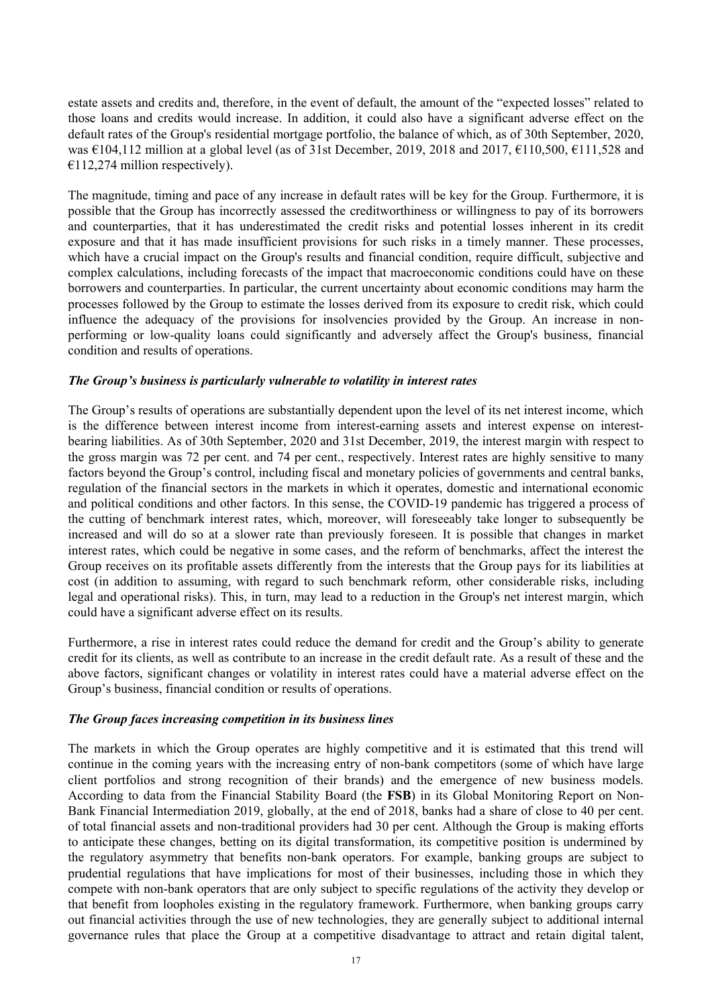estate assets and credits and, therefore, in the event of default, the amount of the "expected losses" related to those loans and credits would increase. In addition, it could also have a significant adverse effect on the default rates of the Group's residential mortgage portfolio, the balance of which, as of 30th September, 2020, was €104,112 million at a global level (as of 31st December, 2019, 2018 and 2017, €110,500, €111,528 and  $€112,274$  million respectively).

The magnitude, timing and pace of any increase in default rates will be key for the Group. Furthermore, it is possible that the Group has incorrectly assessed the creditworthiness or willingness to pay of its borrowers and counterparties, that it has underestimated the credit risks and potential losses inherent in its credit exposure and that it has made insufficient provisions for such risks in a timely manner. These processes, which have a crucial impact on the Group's results and financial condition, require difficult, subjective and complex calculations, including forecasts of the impact that macroeconomic conditions could have on these borrowers and counterparties. In particular, the current uncertainty about economic conditions may harm the processes followed by the Group to estimate the losses derived from its exposure to credit risk, which could influence the adequacy of the provisions for insolvencies provided by the Group. An increase in nonperforming or low-quality loans could significantly and adversely affect the Group's business, financial condition and results of operations.

### *The Group's business is particularly vulnerable to volatility in interest rates*

The Group's results of operations are substantially dependent upon the level of its net interest income, which is the difference between interest income from interest-earning assets and interest expense on interestbearing liabilities. As of 30th September, 2020 and 31st December, 2019, the interest margin with respect to the gross margin was 72 per cent. and 74 per cent., respectively. Interest rates are highly sensitive to many factors beyond the Group's control, including fiscal and monetary policies of governments and central banks, regulation of the financial sectors in the markets in which it operates, domestic and international economic and political conditions and other factors. In this sense, the COVID-19 pandemic has triggered a process of the cutting of benchmark interest rates, which, moreover, will foreseeably take longer to subsequently be increased and will do so at a slower rate than previously foreseen. It is possible that changes in market interest rates, which could be negative in some cases, and the reform of benchmarks, affect the interest the Group receives on its profitable assets differently from the interests that the Group pays for its liabilities at cost (in addition to assuming, with regard to such benchmark reform, other considerable risks, including legal and operational risks). This, in turn, may lead to a reduction in the Group's net interest margin, which could have a significant adverse effect on its results.

Furthermore, a rise in interest rates could reduce the demand for credit and the Group's ability to generate credit for its clients, as well as contribute to an increase in the credit default rate. As a result of these and the above factors, significant changes or volatility in interest rates could have a material adverse effect on the Group's business, financial condition or results of operations.

### *The Group faces increasing competition in its business lines*

The markets in which the Group operates are highly competitive and it is estimated that this trend will continue in the coming years with the increasing entry of non-bank competitors (some of which have large client portfolios and strong recognition of their brands) and the emergence of new business models. According to data from the Financial Stability Board (the **FSB**) in its Global Monitoring Report on Non-Bank Financial Intermediation 2019, globally, at the end of 2018, banks had a share of close to 40 per cent. of total financial assets and non-traditional providers had 30 per cent. Although the Group is making efforts to anticipate these changes, betting on its digital transformation, its competitive position is undermined by the regulatory asymmetry that benefits non-bank operators. For example, banking groups are subject to prudential regulations that have implications for most of their businesses, including those in which they compete with non-bank operators that are only subject to specific regulations of the activity they develop or that benefit from loopholes existing in the regulatory framework. Furthermore, when banking groups carry out financial activities through the use of new technologies, they are generally subject to additional internal governance rules that place the Group at a competitive disadvantage to attract and retain digital talent,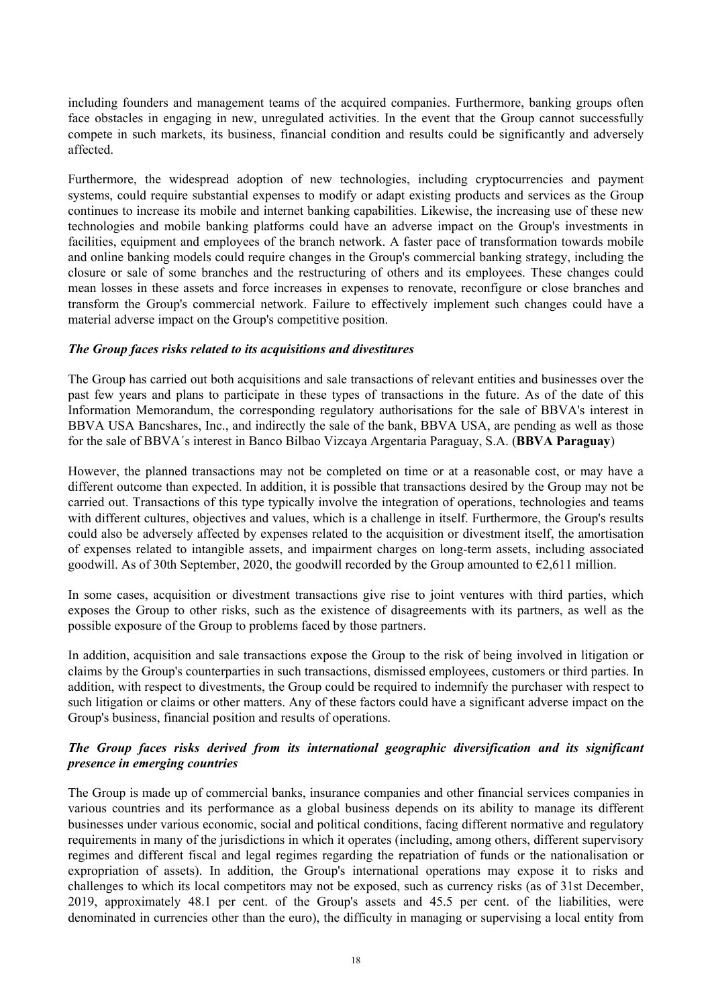including founders and management teams of the acquired companies. Furthermore, banking groups often face obstacles in engaging in new, unregulated activities. In the event that the Group cannot successfully compete in such markets, its business, financial condition and results could be significantly and adversely affected.

Furthermore, the widespread adoption of new technologies, including cryptocurrencies and payment systems, could require substantial expenses to modify or adapt existing products and services as the Group continues to increase its mobile and internet banking capabilities. Likewise, the increasing use of these new technologies and mobile banking platforms could have an adverse impact on the Group's investments in facilities, equipment and employees of the branch network. A faster pace of transformation towards mobile and online banking models could require changes in the Group's commercial banking strategy, including the closure or sale of some branches and the restructuring of others and its employees. These changes could mean losses in these assets and force increases in expenses to renovate, reconfigure or close branches and transform the Group's commercial network. Failure to effectively implement such changes could have a material adverse impact on the Group's competitive position.

#### *The Group faces risks related to its acquisitions and divestitures*

The Group has carried out both acquisitions and sale transactions of relevant entities and businesses over the past few years and plans to participate in these types of transactions in the future. As of the date of this Information Memorandum, the corresponding regulatory authorisations for the sale of BBVA's interest in BBVA USA Bancshares, Inc., and indirectly the sale of the bank, BBVA USA, are pending as well as those for the sale of BBVA´s interest in Banco Bilbao Vizcaya Argentaria Paraguay, S.A. (**BBVA Paraguay**)

However, the planned transactions may not be completed on time or at a reasonable cost, or may have a different outcome than expected. In addition, it is possible that transactions desired by the Group may not be carried out. Transactions of this type typically involve the integration of operations, technologies and teams with different cultures, objectives and values, which is a challenge in itself. Furthermore, the Group's results could also be adversely affected by expenses related to the acquisition or divestment itself, the amortisation of expenses related to intangible assets, and impairment charges on long-term assets, including associated goodwill. As of 30th September, 2020, the goodwill recorded by the Group amounted to  $\epsilon$ 2,611 million.

In some cases, acquisition or divestment transactions give rise to joint ventures with third parties, which exposes the Group to other risks, such as the existence of disagreements with its partners, as well as the possible exposure of the Group to problems faced by those partners.

In addition, acquisition and sale transactions expose the Group to the risk of being involved in litigation or claims by the Group's counterparties in such transactions, dismissed employees, customers or third parties. In addition, with respect to divestments, the Group could be required to indemnify the purchaser with respect to such litigation or claims or other matters. Any of these factors could have a significant adverse impact on the Group's business, financial position and results of operations.

### *The Group faces risks derived from its international geographic diversification and its significant presence in emerging countries*

The Group is made up of commercial banks, insurance companies and other financial services companies in various countries and its performance as a global business depends on its ability to manage its different businesses under various economic, social and political conditions, facing different normative and regulatory requirements in many of the jurisdictions in which it operates (including, among others, different supervisory regimes and different fiscal and legal regimes regarding the repatriation of funds or the nationalisation or expropriation of assets). In addition, the Group's international operations may expose it to risks and challenges to which its local competitors may not be exposed, such as currency risks (as of 31st December, 2019, approximately 48.1 per cent. of the Group's assets and 45.5 per cent. of the liabilities, were denominated in currencies other than the euro), the difficulty in managing or supervising a local entity from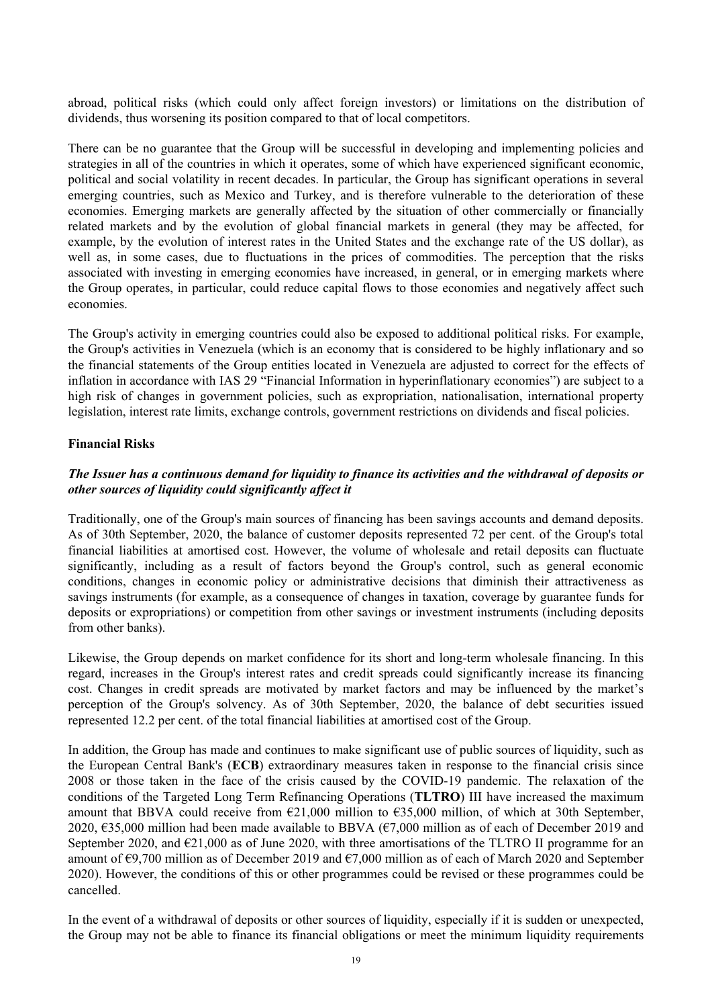abroad, political risks (which could only affect foreign investors) or limitations on the distribution of dividends, thus worsening its position compared to that of local competitors.

There can be no guarantee that the Group will be successful in developing and implementing policies and strategies in all of the countries in which it operates, some of which have experienced significant economic, political and social volatility in recent decades. In particular, the Group has significant operations in several emerging countries, such as Mexico and Turkey, and is therefore vulnerable to the deterioration of these economies. Emerging markets are generally affected by the situation of other commercially or financially related markets and by the evolution of global financial markets in general (they may be affected, for example, by the evolution of interest rates in the United States and the exchange rate of the US dollar), as well as, in some cases, due to fluctuations in the prices of commodities. The perception that the risks associated with investing in emerging economies have increased, in general, or in emerging markets where the Group operates, in particular, could reduce capital flows to those economies and negatively affect such economies.

The Group's activity in emerging countries could also be exposed to additional political risks. For example, the Group's activities in Venezuela (which is an economy that is considered to be highly inflationary and so the financial statements of the Group entities located in Venezuela are adjusted to correct for the effects of inflation in accordance with IAS 29 "Financial Information in hyperinflationary economies") are subject to a high risk of changes in government policies, such as expropriation, nationalisation, international property legislation, interest rate limits, exchange controls, government restrictions on dividends and fiscal policies.

### **Financial Risks**

# *The Issuer has a continuous demand for liquidity to finance its activities and the withdrawal of deposits or other sources of liquidity could significantly affect it*

Traditionally, one of the Group's main sources of financing has been savings accounts and demand deposits. As of 30th September, 2020, the balance of customer deposits represented 72 per cent. of the Group's total financial liabilities at amortised cost. However, the volume of wholesale and retail deposits can fluctuate significantly, including as a result of factors beyond the Group's control, such as general economic conditions, changes in economic policy or administrative decisions that diminish their attractiveness as savings instruments (for example, as a consequence of changes in taxation, coverage by guarantee funds for deposits or expropriations) or competition from other savings or investment instruments (including deposits from other banks).

Likewise, the Group depends on market confidence for its short and long-term wholesale financing. In this regard, increases in the Group's interest rates and credit spreads could significantly increase its financing cost. Changes in credit spreads are motivated by market factors and may be influenced by the market's perception of the Group's solvency. As of 30th September, 2020, the balance of debt securities issued represented 12.2 per cent. of the total financial liabilities at amortised cost of the Group.

In addition, the Group has made and continues to make significant use of public sources of liquidity, such as the European Central Bank's (**ECB**) extraordinary measures taken in response to the financial crisis since 2008 or those taken in the face of the crisis caused by the COVID-19 pandemic. The relaxation of the conditions of the Targeted Long Term Refinancing Operations (**TLTRO**) III have increased the maximum amount that BBVA could receive from  $\epsilon$ 21,000 million to  $\epsilon$ 35,000 million, of which at 30th September, 2020, €35,000 million had been made available to BBVA (€7,000 million as of each of December 2019 and September 2020, and  $\epsilon$ 21,000 as of June 2020, with three amortisations of the TLTRO II programme for an amount of €9,700 million as of December 2019 and €7,000 million as of each of March 2020 and September 2020). However, the conditions of this or other programmes could be revised or these programmes could be cancelled.

In the event of a withdrawal of deposits or other sources of liquidity, especially if it is sudden or unexpected, the Group may not be able to finance its financial obligations or meet the minimum liquidity requirements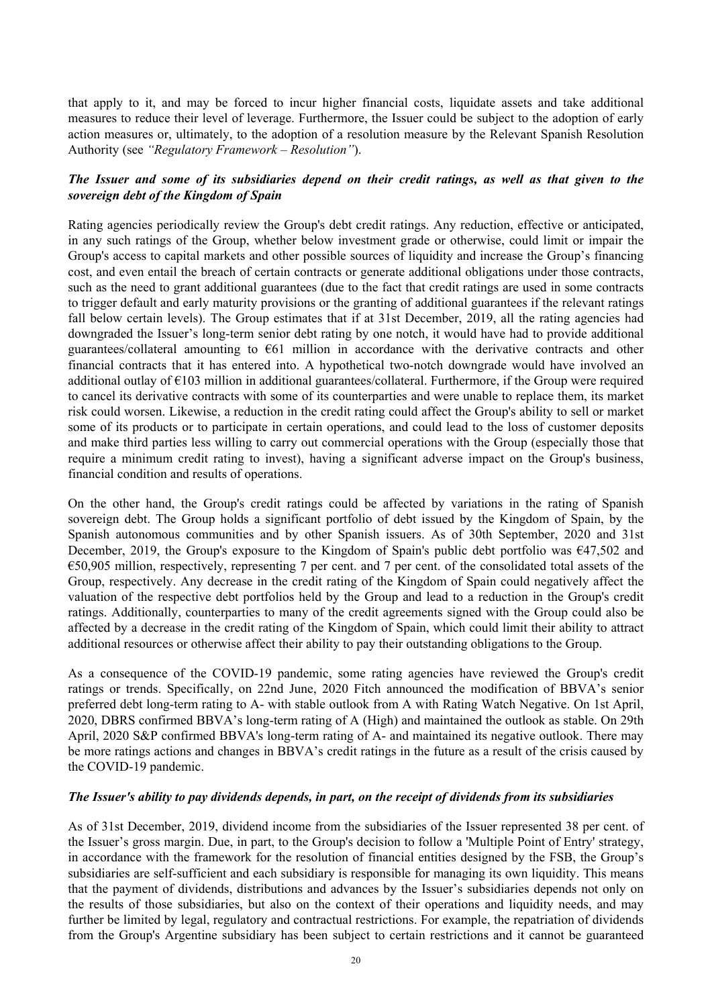that apply to it, and may be forced to incur higher financial costs, liquidate assets and take additional measures to reduce their level of leverage. Furthermore, the Issuer could be subject to the adoption of early action measures or, ultimately, to the adoption of a resolution measure by the Relevant Spanish Resolution Authority (see *"Regulatory Framework – Resolution"*).

# *The Issuer and some of its subsidiaries depend on their credit ratings, as well as that given to the sovereign debt of the Kingdom of Spain*

Rating agencies periodically review the Group's debt credit ratings. Any reduction, effective or anticipated, in any such ratings of the Group, whether below investment grade or otherwise, could limit or impair the Group's access to capital markets and other possible sources of liquidity and increase the Group's financing cost, and even entail the breach of certain contracts or generate additional obligations under those contracts, such as the need to grant additional guarantees (due to the fact that credit ratings are used in some contracts to trigger default and early maturity provisions or the granting of additional guarantees if the relevant ratings fall below certain levels). The Group estimates that if at 31st December, 2019, all the rating agencies had downgraded the Issuer's long-term senior debt rating by one notch, it would have had to provide additional guarantees/collateral amounting to  $\epsilon$ 61 million in accordance with the derivative contracts and other financial contracts that it has entered into. A hypothetical two-notch downgrade would have involved an additional outlay of €103 million in additional guarantees/collateral. Furthermore, if the Group were required to cancel its derivative contracts with some of its counterparties and were unable to replace them, its market risk could worsen. Likewise, a reduction in the credit rating could affect the Group's ability to sell or market some of its products or to participate in certain operations, and could lead to the loss of customer deposits and make third parties less willing to carry out commercial operations with the Group (especially those that require a minimum credit rating to invest), having a significant adverse impact on the Group's business, financial condition and results of operations.

On the other hand, the Group's credit ratings could be affected by variations in the rating of Spanish sovereign debt. The Group holds a significant portfolio of debt issued by the Kingdom of Spain, by the Spanish autonomous communities and by other Spanish issuers. As of 30th September, 2020 and 31st December, 2019, the Group's exposure to the Kingdom of Spain's public debt portfolio was €47,502 and €50,905 million, respectively, representing 7 per cent. and 7 per cent. of the consolidated total assets of the Group, respectively. Any decrease in the credit rating of the Kingdom of Spain could negatively affect the valuation of the respective debt portfolios held by the Group and lead to a reduction in the Group's credit ratings. Additionally, counterparties to many of the credit agreements signed with the Group could also be affected by a decrease in the credit rating of the Kingdom of Spain, which could limit their ability to attract additional resources or otherwise affect their ability to pay their outstanding obligations to the Group.

As a consequence of the COVID-19 pandemic, some rating agencies have reviewed the Group's credit ratings or trends. Specifically, on 22nd June, 2020 Fitch announced the modification of BBVA's senior preferred debt long-term rating to A- with stable outlook from A with Rating Watch Negative. On 1st April, 2020, DBRS confirmed BBVA's long-term rating of A (High) and maintained the outlook as stable. On 29th April, 2020 S&P confirmed BBVA's long-term rating of A- and maintained its negative outlook. There may be more ratings actions and changes in BBVA's credit ratings in the future as a result of the crisis caused by the COVID-19 pandemic.

### *The Issuer's ability to pay dividends depends, in part, on the receipt of dividends from its subsidiaries*

As of 31st December, 2019, dividend income from the subsidiaries of the Issuer represented 38 per cent. of the Issuer's gross margin. Due, in part, to the Group's decision to follow a 'Multiple Point of Entry' strategy, in accordance with the framework for the resolution of financial entities designed by the FSB, the Group's subsidiaries are self-sufficient and each subsidiary is responsible for managing its own liquidity. This means that the payment of dividends, distributions and advances by the Issuer's subsidiaries depends not only on the results of those subsidiaries, but also on the context of their operations and liquidity needs, and may further be limited by legal, regulatory and contractual restrictions. For example, the repatriation of dividends from the Group's Argentine subsidiary has been subject to certain restrictions and it cannot be guaranteed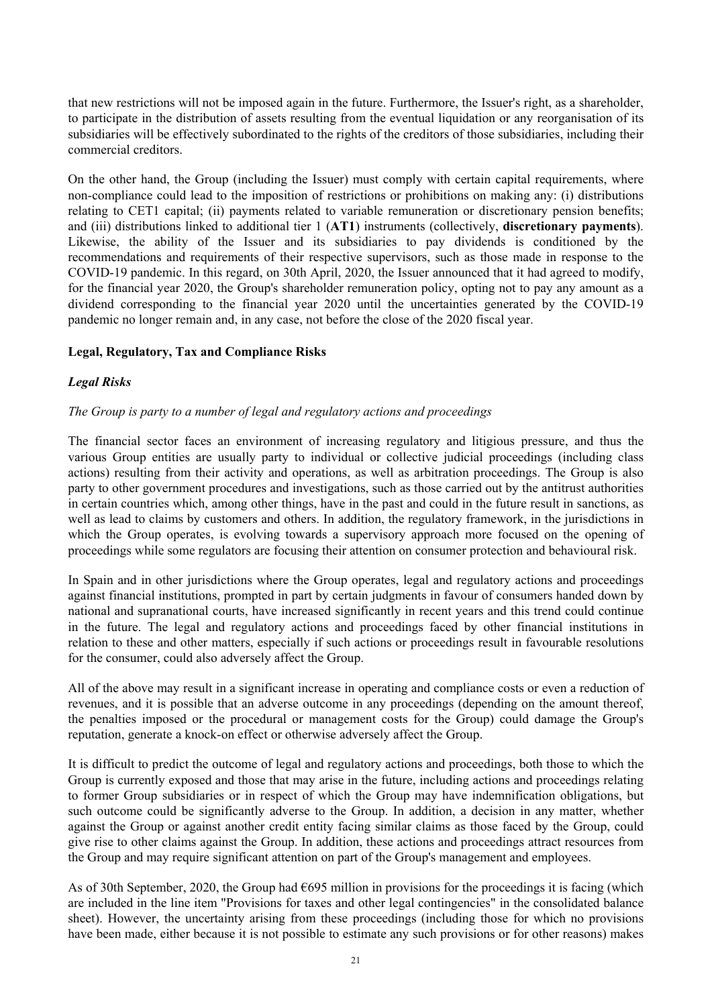that new restrictions will not be imposed again in the future. Furthermore, the Issuer's right, as a shareholder, to participate in the distribution of assets resulting from the eventual liquidation or any reorganisation of its subsidiaries will be effectively subordinated to the rights of the creditors of those subsidiaries, including their commercial creditors.

On the other hand, the Group (including the Issuer) must comply with certain capital requirements, where non-compliance could lead to the imposition of restrictions or prohibitions on making any: (i) distributions relating to CET1 capital; (ii) payments related to variable remuneration or discretionary pension benefits; and (iii) distributions linked to additional tier 1 (**AT1**) instruments (collectively, **discretionary payments**). Likewise, the ability of the Issuer and its subsidiaries to pay dividends is conditioned by the recommendations and requirements of their respective supervisors, such as those made in response to the COVID-19 pandemic. In this regard, on 30th April, 2020, the Issuer announced that it had agreed to modify, for the financial year 2020, the Group's shareholder remuneration policy, opting not to pay any amount as a dividend corresponding to the financial year 2020 until the uncertainties generated by the COVID-19 pandemic no longer remain and, in any case, not before the close of the 2020 fiscal year.

### **Legal, Regulatory, Tax and Compliance Risks**

# *Legal Risks*

### *The Group is party to a number of legal and regulatory actions and proceedings*

The financial sector faces an environment of increasing regulatory and litigious pressure, and thus the various Group entities are usually party to individual or collective judicial proceedings (including class actions) resulting from their activity and operations, as well as arbitration proceedings. The Group is also party to other government procedures and investigations, such as those carried out by the antitrust authorities in certain countries which, among other things, have in the past and could in the future result in sanctions, as well as lead to claims by customers and others. In addition, the regulatory framework, in the jurisdictions in which the Group operates, is evolving towards a supervisory approach more focused on the opening of proceedings while some regulators are focusing their attention on consumer protection and behavioural risk.

In Spain and in other jurisdictions where the Group operates, legal and regulatory actions and proceedings against financial institutions, prompted in part by certain judgments in favour of consumers handed down by national and supranational courts, have increased significantly in recent years and this trend could continue in the future. The legal and regulatory actions and proceedings faced by other financial institutions in relation to these and other matters, especially if such actions or proceedings result in favourable resolutions for the consumer, could also adversely affect the Group.

All of the above may result in a significant increase in operating and compliance costs or even a reduction of revenues, and it is possible that an adverse outcome in any proceedings (depending on the amount thereof, the penalties imposed or the procedural or management costs for the Group) could damage the Group's reputation, generate a knock-on effect or otherwise adversely affect the Group.

It is difficult to predict the outcome of legal and regulatory actions and proceedings, both those to which the Group is currently exposed and those that may arise in the future, including actions and proceedings relating to former Group subsidiaries or in respect of which the Group may have indemnification obligations, but such outcome could be significantly adverse to the Group. In addition, a decision in any matter, whether against the Group or against another credit entity facing similar claims as those faced by the Group, could give rise to other claims against the Group. In addition, these actions and proceedings attract resources from the Group and may require significant attention on part of the Group's management and employees.

As of 30th September, 2020, the Group had  $695$  million in provisions for the proceedings it is facing (which are included in the line item "Provisions for taxes and other legal contingencies" in the consolidated balance sheet). However, the uncertainty arising from these proceedings (including those for which no provisions have been made, either because it is not possible to estimate any such provisions or for other reasons) makes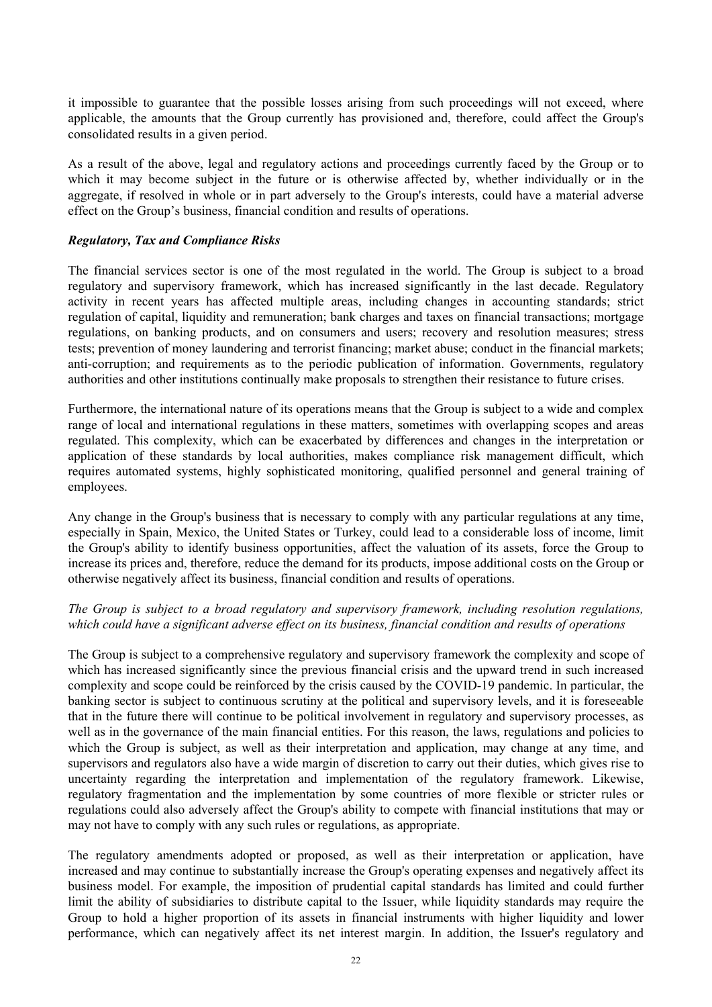it impossible to guarantee that the possible losses arising from such proceedings will not exceed, where applicable, the amounts that the Group currently has provisioned and, therefore, could affect the Group's consolidated results in a given period.

As a result of the above, legal and regulatory actions and proceedings currently faced by the Group or to which it may become subject in the future or is otherwise affected by, whether individually or in the aggregate, if resolved in whole or in part adversely to the Group's interests, could have a material adverse effect on the Group's business, financial condition and results of operations.

#### *Regulatory, Tax and Compliance Risks*

The financial services sector is one of the most regulated in the world. The Group is subject to a broad regulatory and supervisory framework, which has increased significantly in the last decade. Regulatory activity in recent years has affected multiple areas, including changes in accounting standards; strict regulation of capital, liquidity and remuneration; bank charges and taxes on financial transactions; mortgage regulations, on banking products, and on consumers and users; recovery and resolution measures; stress tests; prevention of money laundering and terrorist financing; market abuse; conduct in the financial markets; anti-corruption; and requirements as to the periodic publication of information. Governments, regulatory authorities and other institutions continually make proposals to strengthen their resistance to future crises.

Furthermore, the international nature of its operations means that the Group is subject to a wide and complex range of local and international regulations in these matters, sometimes with overlapping scopes and areas regulated. This complexity, which can be exacerbated by differences and changes in the interpretation or application of these standards by local authorities, makes compliance risk management difficult, which requires automated systems, highly sophisticated monitoring, qualified personnel and general training of employees.

Any change in the Group's business that is necessary to comply with any particular regulations at any time, especially in Spain, Mexico, the United States or Turkey, could lead to a considerable loss of income, limit the Group's ability to identify business opportunities, affect the valuation of its assets, force the Group to increase its prices and, therefore, reduce the demand for its products, impose additional costs on the Group or otherwise negatively affect its business, financial condition and results of operations.

### *The Group is subject to a broad regulatory and supervisory framework, including resolution regulations, which could have a significant adverse effect on its business, financial condition and results of operations*

The Group is subject to a comprehensive regulatory and supervisory framework the complexity and scope of which has increased significantly since the previous financial crisis and the upward trend in such increased complexity and scope could be reinforced by the crisis caused by the COVID-19 pandemic. In particular, the banking sector is subject to continuous scrutiny at the political and supervisory levels, and it is foreseeable that in the future there will continue to be political involvement in regulatory and supervisory processes, as well as in the governance of the main financial entities. For this reason, the laws, regulations and policies to which the Group is subject, as well as their interpretation and application, may change at any time, and supervisors and regulators also have a wide margin of discretion to carry out their duties, which gives rise to uncertainty regarding the interpretation and implementation of the regulatory framework. Likewise, regulatory fragmentation and the implementation by some countries of more flexible or stricter rules or regulations could also adversely affect the Group's ability to compete with financial institutions that may or may not have to comply with any such rules or regulations, as appropriate.

The regulatory amendments adopted or proposed, as well as their interpretation or application, have increased and may continue to substantially increase the Group's operating expenses and negatively affect its business model. For example, the imposition of prudential capital standards has limited and could further limit the ability of subsidiaries to distribute capital to the Issuer, while liquidity standards may require the Group to hold a higher proportion of its assets in financial instruments with higher liquidity and lower performance, which can negatively affect its net interest margin. In addition, the Issuer's regulatory and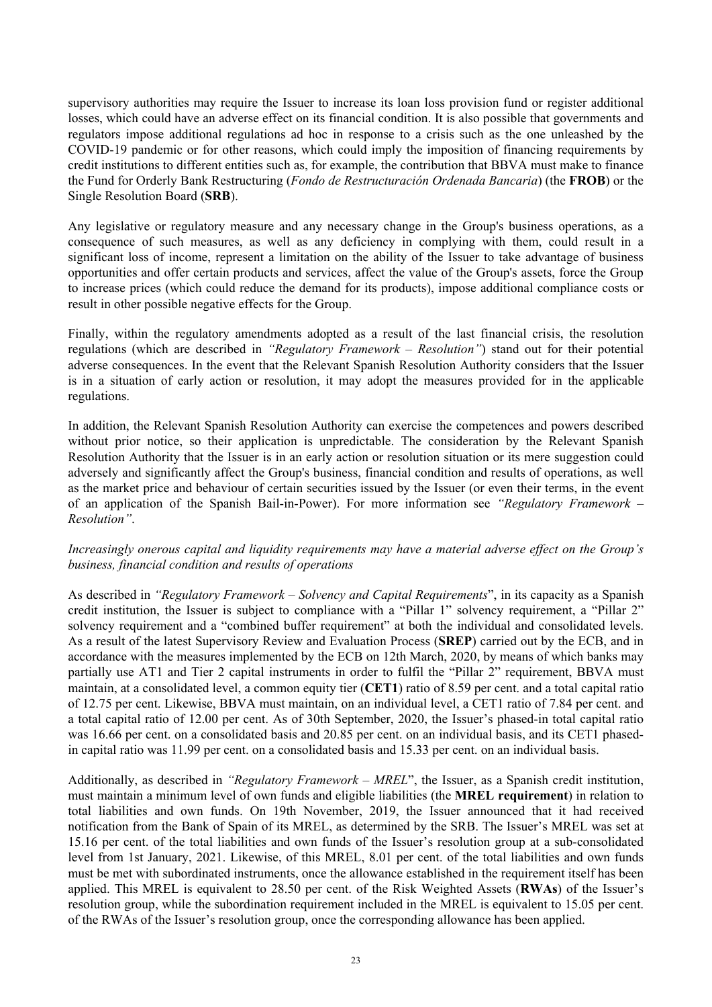supervisory authorities may require the Issuer to increase its loan loss provision fund or register additional losses, which could have an adverse effect on its financial condition. It is also possible that governments and regulators impose additional regulations ad hoc in response to a crisis such as the one unleashed by the COVID-19 pandemic or for other reasons, which could imply the imposition of financing requirements by credit institutions to different entities such as, for example, the contribution that BBVA must make to finance the Fund for Orderly Bank Restructuring (*Fondo de Restructuración Ordenada Bancaria*) (the **FROB**) or the Single Resolution Board (**SRB**).

Any legislative or regulatory measure and any necessary change in the Group's business operations, as a consequence of such measures, as well as any deficiency in complying with them, could result in a significant loss of income, represent a limitation on the ability of the Issuer to take advantage of business opportunities and offer certain products and services, affect the value of the Group's assets, force the Group to increase prices (which could reduce the demand for its products), impose additional compliance costs or result in other possible negative effects for the Group.

Finally, within the regulatory amendments adopted as a result of the last financial crisis, the resolution regulations (which are described in *"Regulatory Framework – Resolution"*) stand out for their potential adverse consequences. In the event that the Relevant Spanish Resolution Authority considers that the Issuer is in a situation of early action or resolution, it may adopt the measures provided for in the applicable regulations.

In addition, the Relevant Spanish Resolution Authority can exercise the competences and powers described without prior notice, so their application is unpredictable. The consideration by the Relevant Spanish Resolution Authority that the Issuer is in an early action or resolution situation or its mere suggestion could adversely and significantly affect the Group's business, financial condition and results of operations, as well as the market price and behaviour of certain securities issued by the Issuer (or even their terms, in the event of an application of the Spanish Bail-in-Power). For more information see *"Regulatory Framework – Resolution"*.

# *Increasingly onerous capital and liquidity requirements may have a material adverse effect on the Group's business, financial condition and results of operations*

As described in *"Regulatory Framework – Solvency and Capital Requirements*", in its capacity as a Spanish credit institution, the Issuer is subject to compliance with a "Pillar 1" solvency requirement, a "Pillar 2" solvency requirement and a "combined buffer requirement" at both the individual and consolidated levels. As a result of the latest Supervisory Review and Evaluation Process (**SREP**) carried out by the ECB, and in accordance with the measures implemented by the ECB on 12th March, 2020, by means of which banks may partially use AT1 and Tier 2 capital instruments in order to fulfil the "Pillar 2" requirement, BBVA must maintain, at a consolidated level, a common equity tier (**CET1**) ratio of 8.59 per cent. and a total capital ratio of 12.75 per cent. Likewise, BBVA must maintain, on an individual level, a CET1 ratio of 7.84 per cent. and a total capital ratio of 12.00 per cent. As of 30th September, 2020, the Issuer's phased-in total capital ratio was 16.66 per cent. on a consolidated basis and 20.85 per cent. on an individual basis, and its CET1 phasedin capital ratio was 11.99 per cent. on a consolidated basis and 15.33 per cent. on an individual basis.

Additionally, as described in *"Regulatory Framework – MREL*", the Issuer, as a Spanish credit institution, must maintain a minimum level of own funds and eligible liabilities (the **MREL requirement**) in relation to total liabilities and own funds. On 19th November, 2019, the Issuer announced that it had received notification from the Bank of Spain of its MREL, as determined by the SRB. The Issuer's MREL was set at 15.16 per cent. of the total liabilities and own funds of the Issuer's resolution group at a sub-consolidated level from 1st January, 2021. Likewise, of this MREL, 8.01 per cent. of the total liabilities and own funds must be met with subordinated instruments, once the allowance established in the requirement itself has been applied. This MREL is equivalent to 28.50 per cent. of the Risk Weighted Assets (**RWAs**) of the Issuer's resolution group, while the subordination requirement included in the MREL is equivalent to 15.05 per cent. of the RWAs of the Issuer's resolution group, once the corresponding allowance has been applied.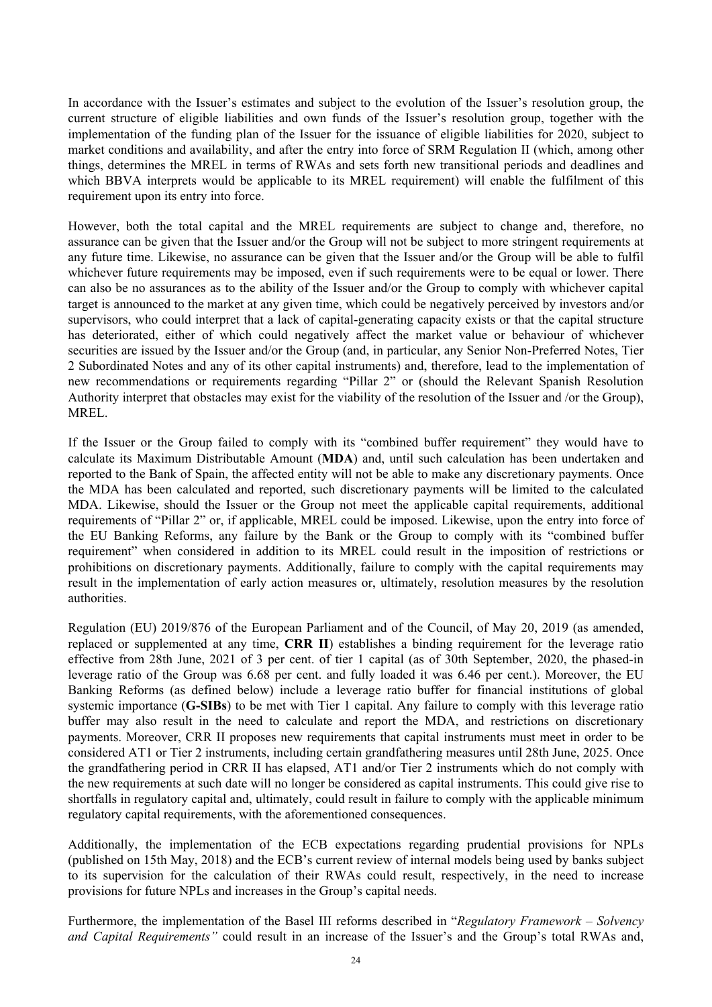In accordance with the Issuer's estimates and subject to the evolution of the Issuer's resolution group, the current structure of eligible liabilities and own funds of the Issuer's resolution group, together with the implementation of the funding plan of the Issuer for the issuance of eligible liabilities for 2020, subject to market conditions and availability, and after the entry into force of SRM Regulation II (which, among other things, determines the MREL in terms of RWAs and sets forth new transitional periods and deadlines and which BBVA interprets would be applicable to its MREL requirement) will enable the fulfilment of this requirement upon its entry into force.

However, both the total capital and the MREL requirements are subject to change and, therefore, no assurance can be given that the Issuer and/or the Group will not be subject to more stringent requirements at any future time. Likewise, no assurance can be given that the Issuer and/or the Group will be able to fulfil whichever future requirements may be imposed, even if such requirements were to be equal or lower. There can also be no assurances as to the ability of the Issuer and/or the Group to comply with whichever capital target is announced to the market at any given time, which could be negatively perceived by investors and/or supervisors, who could interpret that a lack of capital-generating capacity exists or that the capital structure has deteriorated, either of which could negatively affect the market value or behaviour of whichever securities are issued by the Issuer and/or the Group (and, in particular, any Senior Non-Preferred Notes, Tier 2 Subordinated Notes and any of its other capital instruments) and, therefore, lead to the implementation of new recommendations or requirements regarding "Pillar 2" or (should the Relevant Spanish Resolution Authority interpret that obstacles may exist for the viability of the resolution of the Issuer and /or the Group), MREL.

If the Issuer or the Group failed to comply with its "combined buffer requirement" they would have to calculate its Maximum Distributable Amount (**MDA**) and, until such calculation has been undertaken and reported to the Bank of Spain, the affected entity will not be able to make any discretionary payments. Once the MDA has been calculated and reported, such discretionary payments will be limited to the calculated MDA. Likewise, should the Issuer or the Group not meet the applicable capital requirements, additional requirements of "Pillar 2" or, if applicable, MREL could be imposed. Likewise, upon the entry into force of the EU Banking Reforms, any failure by the Bank or the Group to comply with its "combined buffer requirement" when considered in addition to its MREL could result in the imposition of restrictions or prohibitions on discretionary payments. Additionally, failure to comply with the capital requirements may result in the implementation of early action measures or, ultimately, resolution measures by the resolution authorities.

Regulation (EU) 2019/876 of the European Parliament and of the Council, of May 20, 2019 (as amended, replaced or supplemented at any time, **CRR II**) establishes a binding requirement for the leverage ratio effective from 28th June, 2021 of 3 per cent. of tier 1 capital (as of 30th September, 2020, the phased-in leverage ratio of the Group was 6.68 per cent. and fully loaded it was 6.46 per cent.). Moreover, the EU Banking Reforms (as defined below) include a leverage ratio buffer for financial institutions of global systemic importance (**G-SIBs**) to be met with Tier 1 capital. Any failure to comply with this leverage ratio buffer may also result in the need to calculate and report the MDA, and restrictions on discretionary payments. Moreover, CRR II proposes new requirements that capital instruments must meet in order to be considered AT1 or Tier 2 instruments, including certain grandfathering measures until 28th June, 2025. Once the grandfathering period in CRR II has elapsed, AT1 and/or Tier 2 instruments which do not comply with the new requirements at such date will no longer be considered as capital instruments. This could give rise to shortfalls in regulatory capital and, ultimately, could result in failure to comply with the applicable minimum regulatory capital requirements, with the aforementioned consequences.

Additionally, the implementation of the ECB expectations regarding prudential provisions for NPLs (published on 15th May, 2018) and the ECB's current review of internal models being used by banks subject to its supervision for the calculation of their RWAs could result, respectively, in the need to increase provisions for future NPLs and increases in the Group's capital needs.

Furthermore, the implementation of the Basel III reforms described in "*Regulatory Framework – Solvency and Capital Requirements"* could result in an increase of the Issuer's and the Group's total RWAs and,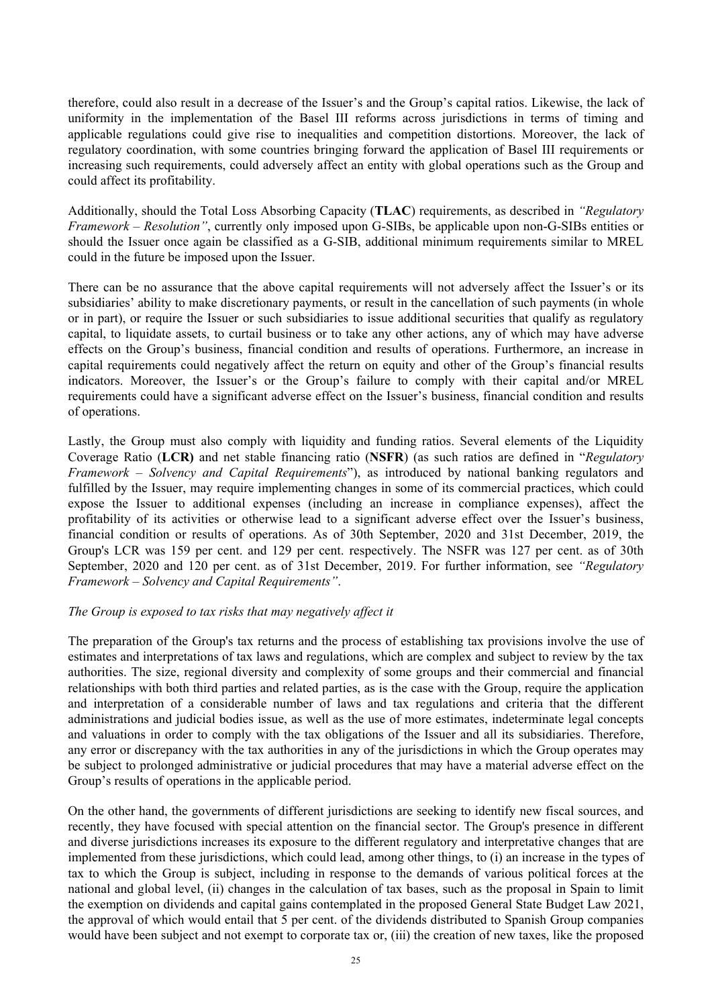therefore, could also result in a decrease of the Issuer's and the Group's capital ratios. Likewise, the lack of uniformity in the implementation of the Basel III reforms across jurisdictions in terms of timing and applicable regulations could give rise to inequalities and competition distortions. Moreover, the lack of regulatory coordination, with some countries bringing forward the application of Basel III requirements or increasing such requirements, could adversely affect an entity with global operations such as the Group and could affect its profitability.

Additionally, should the Total Loss Absorbing Capacity (**TLAC**) requirements, as described in *"Regulatory Framework – Resolution"*, currently only imposed upon G-SIBs, be applicable upon non-G-SIBs entities or should the Issuer once again be classified as a G-SIB, additional minimum requirements similar to MREL could in the future be imposed upon the Issuer.

There can be no assurance that the above capital requirements will not adversely affect the Issuer's or its subsidiaries' ability to make discretionary payments, or result in the cancellation of such payments (in whole or in part), or require the Issuer or such subsidiaries to issue additional securities that qualify as regulatory capital, to liquidate assets, to curtail business or to take any other actions, any of which may have adverse effects on the Group's business, financial condition and results of operations. Furthermore, an increase in capital requirements could negatively affect the return on equity and other of the Group's financial results indicators. Moreover, the Issuer's or the Group's failure to comply with their capital and/or MREL requirements could have a significant adverse effect on the Issuer's business, financial condition and results of operations.

Lastly, the Group must also comply with liquidity and funding ratios. Several elements of the Liquidity Coverage Ratio (**LCR)** and net stable financing ratio (**NSFR**) (as such ratios are defined in "*Regulatory Framework – Solvency and Capital Requirements*"), as introduced by national banking regulators and fulfilled by the Issuer, may require implementing changes in some of its commercial practices, which could expose the Issuer to additional expenses (including an increase in compliance expenses), affect the profitability of its activities or otherwise lead to a significant adverse effect over the Issuer's business, financial condition or results of operations. As of 30th September, 2020 and 31st December, 2019, the Group's LCR was 159 per cent. and 129 per cent. respectively. The NSFR was 127 per cent. as of 30th September, 2020 and 120 per cent. as of 31st December, 2019. For further information, see *"Regulatory Framework – Solvency and Capital Requirements"*.

### *The Group is exposed to tax risks that may negatively affect it*

The preparation of the Group's tax returns and the process of establishing tax provisions involve the use of estimates and interpretations of tax laws and regulations, which are complex and subject to review by the tax authorities. The size, regional diversity and complexity of some groups and their commercial and financial relationships with both third parties and related parties, as is the case with the Group, require the application and interpretation of a considerable number of laws and tax regulations and criteria that the different administrations and judicial bodies issue, as well as the use of more estimates, indeterminate legal concepts and valuations in order to comply with the tax obligations of the Issuer and all its subsidiaries. Therefore, any error or discrepancy with the tax authorities in any of the jurisdictions in which the Group operates may be subject to prolonged administrative or judicial procedures that may have a material adverse effect on the Group's results of operations in the applicable period.

On the other hand, the governments of different jurisdictions are seeking to identify new fiscal sources, and recently, they have focused with special attention on the financial sector. The Group's presence in different and diverse jurisdictions increases its exposure to the different regulatory and interpretative changes that are implemented from these jurisdictions, which could lead, among other things, to (i) an increase in the types of tax to which the Group is subject, including in response to the demands of various political forces at the national and global level, (ii) changes in the calculation of tax bases, such as the proposal in Spain to limit the exemption on dividends and capital gains contemplated in the proposed General State Budget Law 2021, the approval of which would entail that 5 per cent. of the dividends distributed to Spanish Group companies would have been subject and not exempt to corporate tax or, (iii) the creation of new taxes, like the proposed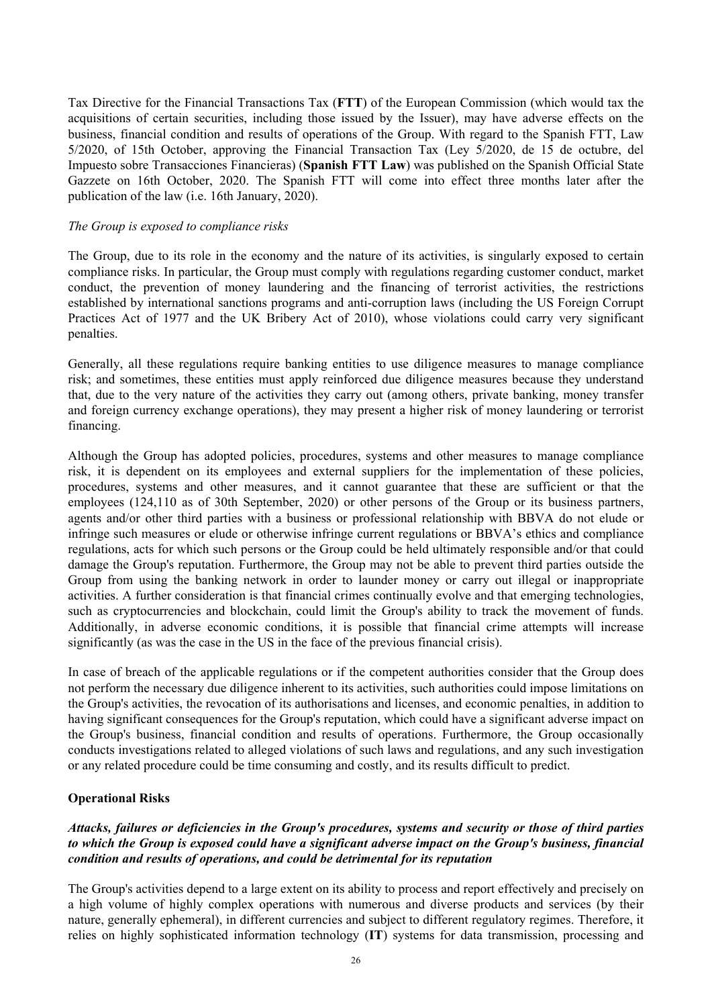Tax Directive for the Financial Transactions Tax (**FTT**) of the European Commission (which would tax the acquisitions of certain securities, including those issued by the Issuer), may have adverse effects on the business, financial condition and results of operations of the Group. With regard to the Spanish FTT, Law 5/2020, of 15th October, approving the Financial Transaction Tax (Ley 5/2020, de 15 de octubre, del Impuesto sobre Transacciones Financieras) (**Spanish FTT Law**) was published on the Spanish Official State Gazzete on 16th October, 2020. The Spanish FTT will come into effect three months later after the publication of the law (i.e. 16th January, 2020).

### *The Group is exposed to compliance risks*

The Group, due to its role in the economy and the nature of its activities, is singularly exposed to certain compliance risks. In particular, the Group must comply with regulations regarding customer conduct, market conduct, the prevention of money laundering and the financing of terrorist activities, the restrictions established by international sanctions programs and anti-corruption laws (including the US Foreign Corrupt Practices Act of 1977 and the UK Bribery Act of 2010), whose violations could carry very significant penalties.

Generally, all these regulations require banking entities to use diligence measures to manage compliance risk; and sometimes, these entities must apply reinforced due diligence measures because they understand that, due to the very nature of the activities they carry out (among others, private banking, money transfer and foreign currency exchange operations), they may present a higher risk of money laundering or terrorist financing.

Although the Group has adopted policies, procedures, systems and other measures to manage compliance risk, it is dependent on its employees and external suppliers for the implementation of these policies, procedures, systems and other measures, and it cannot guarantee that these are sufficient or that the employees (124,110 as of 30th September, 2020) or other persons of the Group or its business partners, agents and/or other third parties with a business or professional relationship with BBVA do not elude or infringe such measures or elude or otherwise infringe current regulations or BBVA's ethics and compliance regulations, acts for which such persons or the Group could be held ultimately responsible and/or that could damage the Group's reputation. Furthermore, the Group may not be able to prevent third parties outside the Group from using the banking network in order to launder money or carry out illegal or inappropriate activities. A further consideration is that financial crimes continually evolve and that emerging technologies, such as cryptocurrencies and blockchain, could limit the Group's ability to track the movement of funds. Additionally, in adverse economic conditions, it is possible that financial crime attempts will increase significantly (as was the case in the US in the face of the previous financial crisis).

In case of breach of the applicable regulations or if the competent authorities consider that the Group does not perform the necessary due diligence inherent to its activities, such authorities could impose limitations on the Group's activities, the revocation of its authorisations and licenses, and economic penalties, in addition to having significant consequences for the Group's reputation, which could have a significant adverse impact on the Group's business, financial condition and results of operations. Furthermore, the Group occasionally conducts investigations related to alleged violations of such laws and regulations, and any such investigation or any related procedure could be time consuming and costly, and its results difficult to predict.

# **Operational Risks**

# *Attacks, failures or deficiencies in the Group's procedures, systems and security or those of third parties to which the Group is exposed could have a significant adverse impact on the Group's business, financial condition and results of operations, and could be detrimental for its reputation*

The Group's activities depend to a large extent on its ability to process and report effectively and precisely on a high volume of highly complex operations with numerous and diverse products and services (by their nature, generally ephemeral), in different currencies and subject to different regulatory regimes. Therefore, it relies on highly sophisticated information technology (**IT**) systems for data transmission, processing and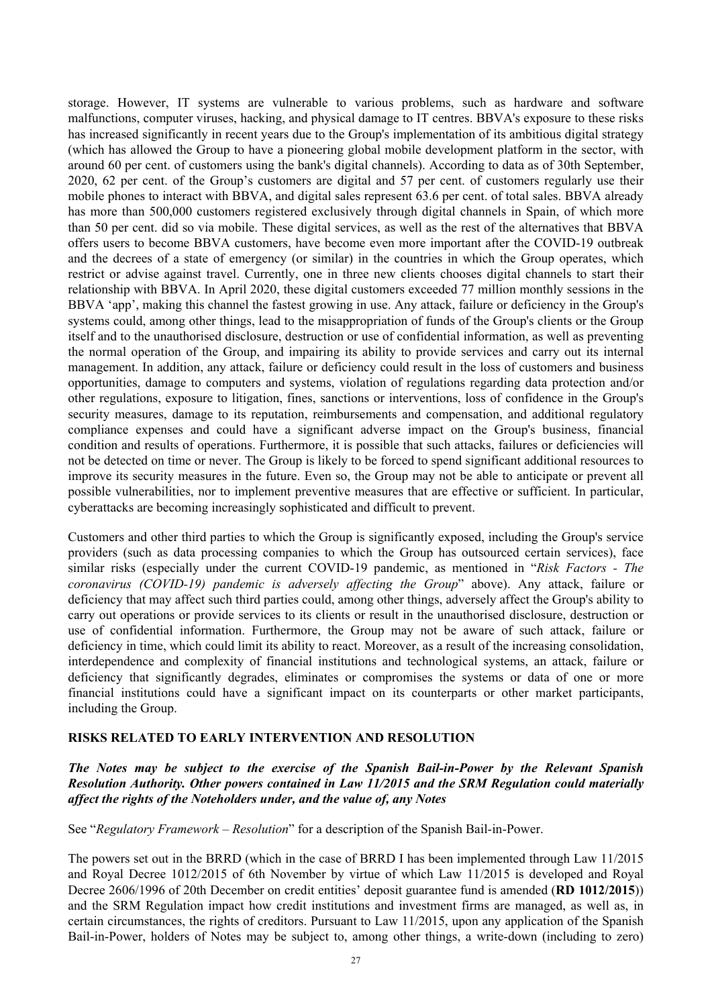storage. However, IT systems are vulnerable to various problems, such as hardware and software malfunctions, computer viruses, hacking, and physical damage to IT centres. BBVA's exposure to these risks has increased significantly in recent years due to the Group's implementation of its ambitious digital strategy (which has allowed the Group to have a pioneering global mobile development platform in the sector, with around 60 per cent. of customers using the bank's digital channels). According to data as of 30th September, 2020, 62 per cent. of the Group's customers are digital and 57 per cent. of customers regularly use their mobile phones to interact with BBVA, and digital sales represent 63.6 per cent. of total sales. BBVA already has more than 500,000 customers registered exclusively through digital channels in Spain, of which more than 50 per cent. did so via mobile. These digital services, as well as the rest of the alternatives that BBVA offers users to become BBVA customers, have become even more important after the COVID-19 outbreak and the decrees of a state of emergency (or similar) in the countries in which the Group operates, which restrict or advise against travel. Currently, one in three new clients chooses digital channels to start their relationship with BBVA. In April 2020, these digital customers exceeded 77 million monthly sessions in the BBVA 'app', making this channel the fastest growing in use. Any attack, failure or deficiency in the Group's systems could, among other things, lead to the misappropriation of funds of the Group's clients or the Group itself and to the unauthorised disclosure, destruction or use of confidential information, as well as preventing the normal operation of the Group, and impairing its ability to provide services and carry out its internal management. In addition, any attack, failure or deficiency could result in the loss of customers and business opportunities, damage to computers and systems, violation of regulations regarding data protection and/or other regulations, exposure to litigation, fines, sanctions or interventions, loss of confidence in the Group's security measures, damage to its reputation, reimbursements and compensation, and additional regulatory compliance expenses and could have a significant adverse impact on the Group's business, financial condition and results of operations. Furthermore, it is possible that such attacks, failures or deficiencies will not be detected on time or never. The Group is likely to be forced to spend significant additional resources to improve its security measures in the future. Even so, the Group may not be able to anticipate or prevent all possible vulnerabilities, nor to implement preventive measures that are effective or sufficient. In particular, cyberattacks are becoming increasingly sophisticated and difficult to prevent.

Customers and other third parties to which the Group is significantly exposed, including the Group's service providers (such as data processing companies to which the Group has outsourced certain services), face similar risks (especially under the current COVID-19 pandemic, as mentioned in "*Risk Factors - The coronavirus (COVID-19) pandemic is adversely affecting the Group*" above). Any attack, failure or deficiency that may affect such third parties could, among other things, adversely affect the Group's ability to carry out operations or provide services to its clients or result in the unauthorised disclosure, destruction or use of confidential information. Furthermore, the Group may not be aware of such attack, failure or deficiency in time, which could limit its ability to react. Moreover, as a result of the increasing consolidation, interdependence and complexity of financial institutions and technological systems, an attack, failure or deficiency that significantly degrades, eliminates or compromises the systems or data of one or more financial institutions could have a significant impact on its counterparts or other market participants, including the Group.

### **RISKS RELATED TO EARLY INTERVENTION AND RESOLUTION**

*The Notes may be subject to the exercise of the Spanish Bail-in-Power by the Relevant Spanish Resolution Authority. Other powers contained in Law 11/2015 and the SRM Regulation could materially affect the rights of the Noteholders under, and the value of, any Notes* 

See "*Regulatory Framework – Resolution*" for a description of the Spanish Bail-in-Power.

The powers set out in the BRRD (which in the case of BRRD I has been implemented through Law 11/2015 and Royal Decree 1012/2015 of 6th November by virtue of which Law 11/2015 is developed and Royal Decree 2606/1996 of 20th December on credit entities' deposit guarantee fund is amended (**RD 1012/2015**)) and the SRM Regulation impact how credit institutions and investment firms are managed, as well as, in certain circumstances, the rights of creditors. Pursuant to Law 11/2015, upon any application of the Spanish Bail-in-Power, holders of Notes may be subject to, among other things, a write-down (including to zero)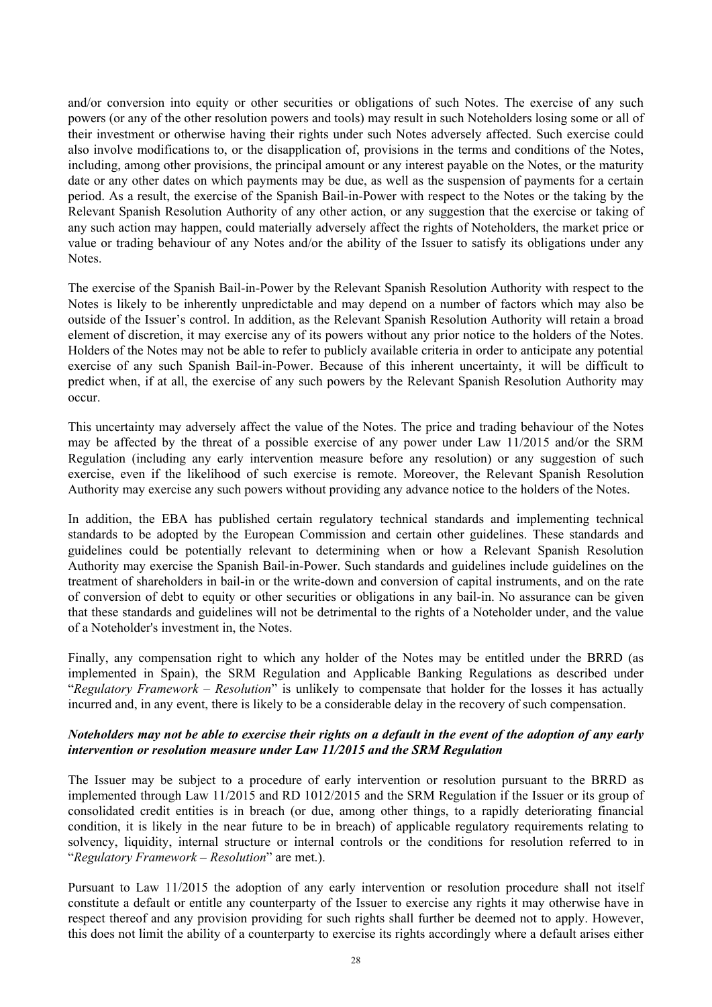and/or conversion into equity or other securities or obligations of such Notes. The exercise of any such powers (or any of the other resolution powers and tools) may result in such Noteholders losing some or all of their investment or otherwise having their rights under such Notes adversely affected. Such exercise could also involve modifications to, or the disapplication of, provisions in the terms and conditions of the Notes, including, among other provisions, the principal amount or any interest payable on the Notes, or the maturity date or any other dates on which payments may be due, as well as the suspension of payments for a certain period. As a result, the exercise of the Spanish Bail-in-Power with respect to the Notes or the taking by the Relevant Spanish Resolution Authority of any other action, or any suggestion that the exercise or taking of any such action may happen, could materially adversely affect the rights of Noteholders, the market price or value or trading behaviour of any Notes and/or the ability of the Issuer to satisfy its obligations under any Notes.

The exercise of the Spanish Bail-in-Power by the Relevant Spanish Resolution Authority with respect to the Notes is likely to be inherently unpredictable and may depend on a number of factors which may also be outside of the Issuer's control. In addition, as the Relevant Spanish Resolution Authority will retain a broad element of discretion, it may exercise any of its powers without any prior notice to the holders of the Notes. Holders of the Notes may not be able to refer to publicly available criteria in order to anticipate any potential exercise of any such Spanish Bail-in-Power. Because of this inherent uncertainty, it will be difficult to predict when, if at all, the exercise of any such powers by the Relevant Spanish Resolution Authority may occur.

This uncertainty may adversely affect the value of the Notes. The price and trading behaviour of the Notes may be affected by the threat of a possible exercise of any power under Law 11/2015 and/or the SRM Regulation (including any early intervention measure before any resolution) or any suggestion of such exercise, even if the likelihood of such exercise is remote. Moreover, the Relevant Spanish Resolution Authority may exercise any such powers without providing any advance notice to the holders of the Notes.

In addition, the EBA has published certain regulatory technical standards and implementing technical standards to be adopted by the European Commission and certain other guidelines. These standards and guidelines could be potentially relevant to determining when or how a Relevant Spanish Resolution Authority may exercise the Spanish Bail-in-Power. Such standards and guidelines include guidelines on the treatment of shareholders in bail-in or the write-down and conversion of capital instruments, and on the rate of conversion of debt to equity or other securities or obligations in any bail-in. No assurance can be given that these standards and guidelines will not be detrimental to the rights of a Noteholder under, and the value of a Noteholder's investment in, the Notes.

Finally, any compensation right to which any holder of the Notes may be entitled under the BRRD (as implemented in Spain), the SRM Regulation and Applicable Banking Regulations as described under "*Regulatory Framework – Resolution*" is unlikely to compensate that holder for the losses it has actually incurred and, in any event, there is likely to be a considerable delay in the recovery of such compensation.

### *Noteholders may not be able to exercise their rights on a default in the event of the adoption of any early intervention or resolution measure under Law 11/2015 and the SRM Regulation*

The Issuer may be subject to a procedure of early intervention or resolution pursuant to the BRRD as implemented through Law 11/2015 and RD 1012/2015 and the SRM Regulation if the Issuer or its group of consolidated credit entities is in breach (or due, among other things, to a rapidly deteriorating financial condition, it is likely in the near future to be in breach) of applicable regulatory requirements relating to solvency, liquidity, internal structure or internal controls or the conditions for resolution referred to in "*Regulatory Framework – Resolution*" are met.).

Pursuant to Law 11/2015 the adoption of any early intervention or resolution procedure shall not itself constitute a default or entitle any counterparty of the Issuer to exercise any rights it may otherwise have in respect thereof and any provision providing for such rights shall further be deemed not to apply. However, this does not limit the ability of a counterparty to exercise its rights accordingly where a default arises either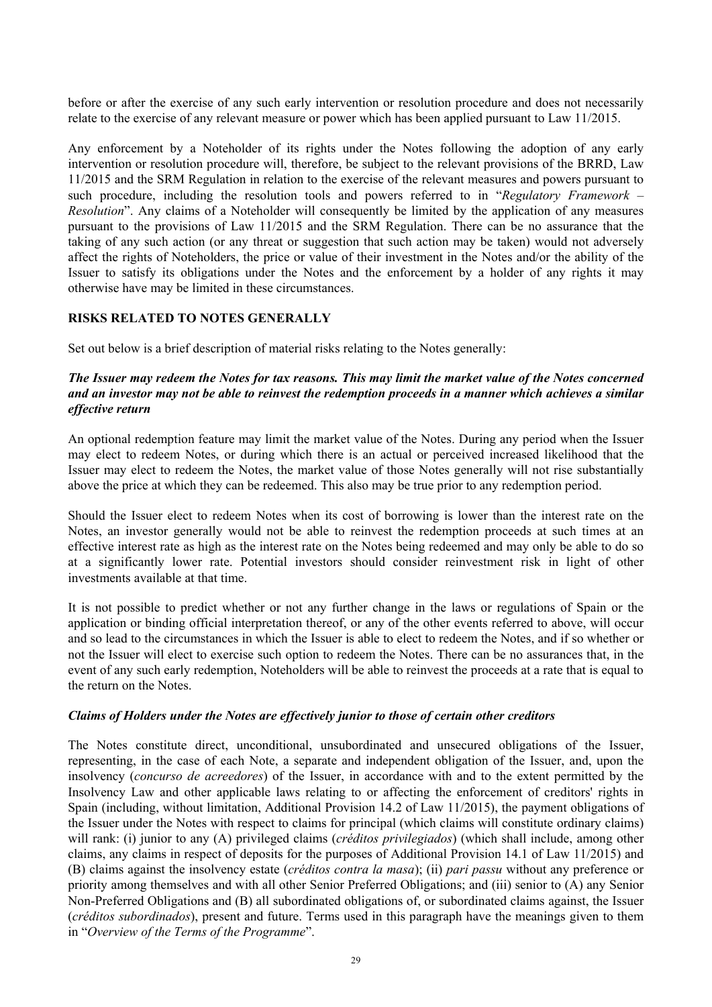before or after the exercise of any such early intervention or resolution procedure and does not necessarily relate to the exercise of any relevant measure or power which has been applied pursuant to Law 11/2015.

Any enforcement by a Noteholder of its rights under the Notes following the adoption of any early intervention or resolution procedure will, therefore, be subject to the relevant provisions of the BRRD, Law 11/2015 and the SRM Regulation in relation to the exercise of the relevant measures and powers pursuant to such procedure, including the resolution tools and powers referred to in "*Regulatory Framework – Resolution*". Any claims of a Noteholder will consequently be limited by the application of any measures pursuant to the provisions of Law 11/2015 and the SRM Regulation. There can be no assurance that the taking of any such action (or any threat or suggestion that such action may be taken) would not adversely affect the rights of Noteholders, the price or value of their investment in the Notes and/or the ability of the Issuer to satisfy its obligations under the Notes and the enforcement by a holder of any rights it may otherwise have may be limited in these circumstances.

### **RISKS RELATED TO NOTES GENERALLY**

Set out below is a brief description of material risks relating to the Notes generally:

## *The Issuer may redeem the Notes for tax reasons. This may limit the market value of the Notes concerned and an investor may not be able to reinvest the redemption proceeds in a manner which achieves a similar effective return*

An optional redemption feature may limit the market value of the Notes. During any period when the Issuer may elect to redeem Notes, or during which there is an actual or perceived increased likelihood that the Issuer may elect to redeem the Notes, the market value of those Notes generally will not rise substantially above the price at which they can be redeemed. This also may be true prior to any redemption period.

Should the Issuer elect to redeem Notes when its cost of borrowing is lower than the interest rate on the Notes, an investor generally would not be able to reinvest the redemption proceeds at such times at an effective interest rate as high as the interest rate on the Notes being redeemed and may only be able to do so at a significantly lower rate. Potential investors should consider reinvestment risk in light of other investments available at that time.

It is not possible to predict whether or not any further change in the laws or regulations of Spain or the application or binding official interpretation thereof, or any of the other events referred to above, will occur and so lead to the circumstances in which the Issuer is able to elect to redeem the Notes, and if so whether or not the Issuer will elect to exercise such option to redeem the Notes. There can be no assurances that, in the event of any such early redemption, Noteholders will be able to reinvest the proceeds at a rate that is equal to the return on the Notes.

#### *Claims of Holders under the Notes are effectively junior to those of certain other creditors*

The Notes constitute direct, unconditional, unsubordinated and unsecured obligations of the Issuer, representing, in the case of each Note, a separate and independent obligation of the Issuer, and, upon the insolvency (*concurso de acreedores*) of the Issuer, in accordance with and to the extent permitted by the Insolvency Law and other applicable laws relating to or affecting the enforcement of creditors' rights in Spain (including, without limitation, Additional Provision 14.2 of Law 11/2015), the payment obligations of the Issuer under the Notes with respect to claims for principal (which claims will constitute ordinary claims) will rank: (i) junior to any (A) privileged claims (*créditos privilegiados*) (which shall include, among other claims, any claims in respect of deposits for the purposes of Additional Provision 14.1 of Law 11/2015) and (B) claims against the insolvency estate (*créditos contra la masa*); (ii) *pari passu* without any preference or priority among themselves and with all other Senior Preferred Obligations; and (iii) senior to (A) any Senior Non-Preferred Obligations and (B) all subordinated obligations of, or subordinated claims against, the Issuer (*créditos subordinados*), present and future. Terms used in this paragraph have the meanings given to them in "*Overview of the Terms of the Programme*".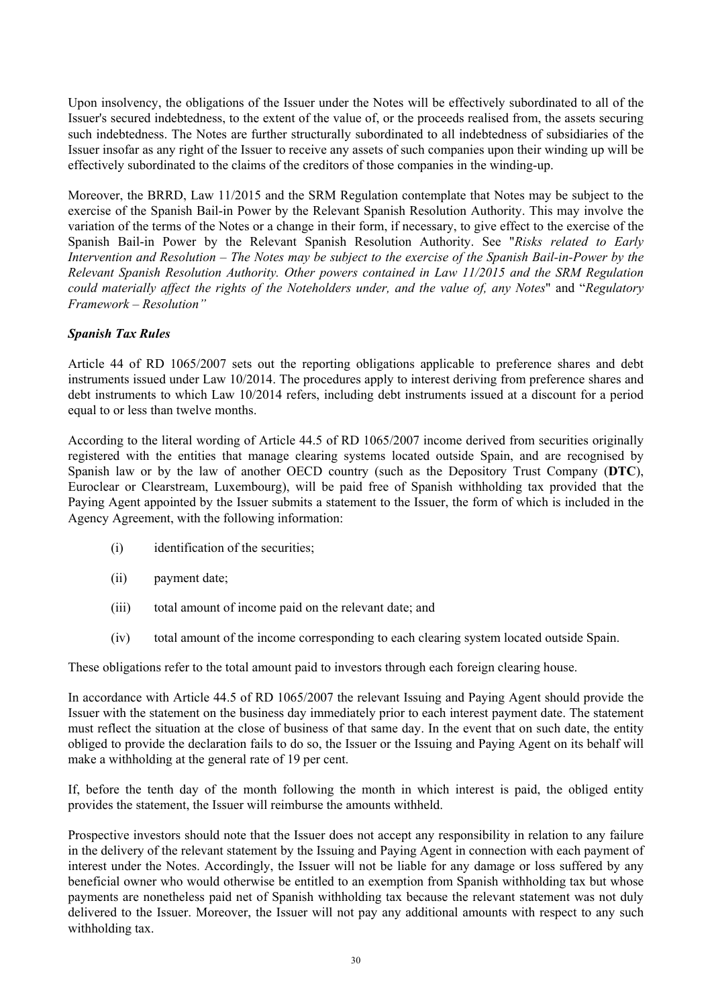Upon insolvency, the obligations of the Issuer under the Notes will be effectively subordinated to all of the Issuer's secured indebtedness, to the extent of the value of, or the proceeds realised from, the assets securing such indebtedness. The Notes are further structurally subordinated to all indebtedness of subsidiaries of the Issuer insofar as any right of the Issuer to receive any assets of such companies upon their winding up will be effectively subordinated to the claims of the creditors of those companies in the winding-up.

Moreover, the BRRD, Law 11/2015 and the SRM Regulation contemplate that Notes may be subject to the exercise of the Spanish Bail-in Power by the Relevant Spanish Resolution Authority. This may involve the variation of the terms of the Notes or a change in their form, if necessary, to give effect to the exercise of the Spanish Bail-in Power by the Relevant Spanish Resolution Authority. See "*Risks related to Early Intervention and Resolution – The Notes may be subject to the exercise of the Spanish Bail-in-Power by the Relevant Spanish Resolution Authority. Other powers contained in Law 11/2015 and the SRM Regulation could materially affect the rights of the Noteholders under, and the value of, any Notes*" and "*Regulatory Framework – Resolution"* 

# *Spanish Tax Rules*

Article 44 of RD 1065/2007 sets out the reporting obligations applicable to preference shares and debt instruments issued under Law 10/2014. The procedures apply to interest deriving from preference shares and debt instruments to which Law 10/2014 refers, including debt instruments issued at a discount for a period equal to or less than twelve months.

According to the literal wording of Article 44.5 of RD 1065/2007 income derived from securities originally registered with the entities that manage clearing systems located outside Spain, and are recognised by Spanish law or by the law of another OECD country (such as the Depository Trust Company (**DTC**), Euroclear or Clearstream, Luxembourg), will be paid free of Spanish withholding tax provided that the Paying Agent appointed by the Issuer submits a statement to the Issuer, the form of which is included in the Agency Agreement, with the following information:

- (i) identification of the securities;
- (ii) payment date;
- (iii) total amount of income paid on the relevant date; and
- (iv) total amount of the income corresponding to each clearing system located outside Spain.

These obligations refer to the total amount paid to investors through each foreign clearing house.

In accordance with Article 44.5 of RD 1065/2007 the relevant Issuing and Paying Agent should provide the Issuer with the statement on the business day immediately prior to each interest payment date. The statement must reflect the situation at the close of business of that same day. In the event that on such date, the entity obliged to provide the declaration fails to do so, the Issuer or the Issuing and Paying Agent on its behalf will make a withholding at the general rate of 19 per cent.

If, before the tenth day of the month following the month in which interest is paid, the obliged entity provides the statement, the Issuer will reimburse the amounts withheld.

Prospective investors should note that the Issuer does not accept any responsibility in relation to any failure in the delivery of the relevant statement by the Issuing and Paying Agent in connection with each payment of interest under the Notes. Accordingly, the Issuer will not be liable for any damage or loss suffered by any beneficial owner who would otherwise be entitled to an exemption from Spanish withholding tax but whose payments are nonetheless paid net of Spanish withholding tax because the relevant statement was not duly delivered to the Issuer. Moreover, the Issuer will not pay any additional amounts with respect to any such withholding tax.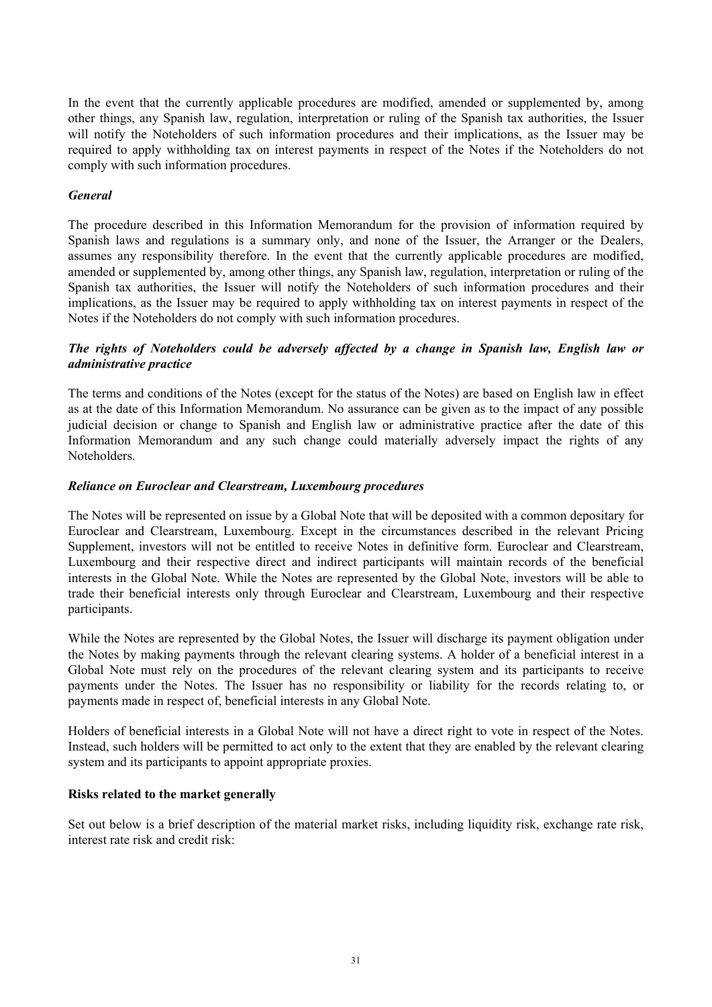In the event that the currently applicable procedures are modified, amended or supplemented by, among other things, any Spanish law, regulation, interpretation or ruling of the Spanish tax authorities, the Issuer will notify the Noteholders of such information procedures and their implications, as the Issuer may be required to apply withholding tax on interest payments in respect of the Notes if the Noteholders do not comply with such information procedures.

## *General*

The procedure described in this Information Memorandum for the provision of information required by Spanish laws and regulations is a summary only, and none of the Issuer, the Arranger or the Dealers, assumes any responsibility therefore. In the event that the currently applicable procedures are modified, amended or supplemented by, among other things, any Spanish law, regulation, interpretation or ruling of the Spanish tax authorities, the Issuer will notify the Noteholders of such information procedures and their implications, as the Issuer may be required to apply withholding tax on interest payments in respect of the Notes if the Noteholders do not comply with such information procedures.

# *The rights of Noteholders could be adversely affected by a change in Spanish law, English law or administrative practice*

The terms and conditions of the Notes (except for the status of the Notes) are based on English law in effect as at the date of this Information Memorandum. No assurance can be given as to the impact of any possible judicial decision or change to Spanish and English law or administrative practice after the date of this Information Memorandum and any such change could materially adversely impact the rights of any Noteholders.

# *Reliance on Euroclear and Clearstream, Luxembourg procedures*

The Notes will be represented on issue by a Global Note that will be deposited with a common depositary for Euroclear and Clearstream, Luxembourg. Except in the circumstances described in the relevant Pricing Supplement, investors will not be entitled to receive Notes in definitive form. Euroclear and Clearstream, Luxembourg and their respective direct and indirect participants will maintain records of the beneficial interests in the Global Note. While the Notes are represented by the Global Note, investors will be able to trade their beneficial interests only through Euroclear and Clearstream, Luxembourg and their respective participants.

While the Notes are represented by the Global Notes, the Issuer will discharge its payment obligation under the Notes by making payments through the relevant clearing systems. A holder of a beneficial interest in a Global Note must rely on the procedures of the relevant clearing system and its participants to receive payments under the Notes. The Issuer has no responsibility or liability for the records relating to, or payments made in respect of, beneficial interests in any Global Note.

Holders of beneficial interests in a Global Note will not have a direct right to vote in respect of the Notes. Instead, such holders will be permitted to act only to the extent that they are enabled by the relevant clearing system and its participants to appoint appropriate proxies.

### **Risks related to the market generally**

Set out below is a brief description of the material market risks, including liquidity risk, exchange rate risk, interest rate risk and credit risk: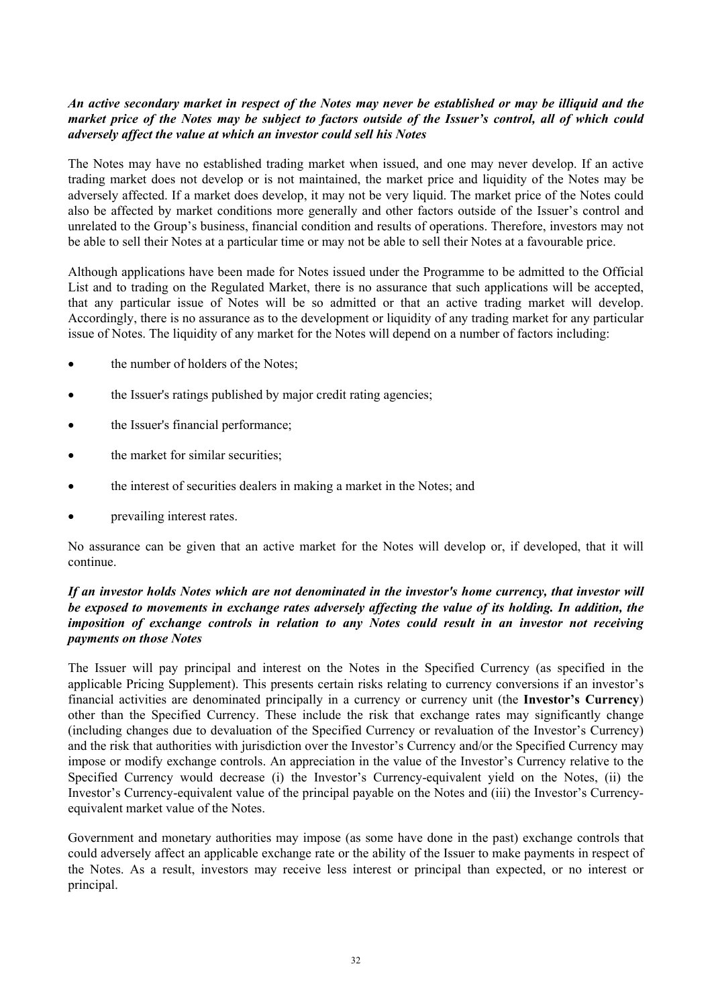# *An active secondary market in respect of the Notes may never be established or may be illiquid and the market price of the Notes may be subject to factors outside of the Issuer's control, all of which could adversely affect the value at which an investor could sell his Notes*

The Notes may have no established trading market when issued, and one may never develop. If an active trading market does not develop or is not maintained, the market price and liquidity of the Notes may be adversely affected. If a market does develop, it may not be very liquid. The market price of the Notes could also be affected by market conditions more generally and other factors outside of the Issuer's control and unrelated to the Group's business, financial condition and results of operations. Therefore, investors may not be able to sell their Notes at a particular time or may not be able to sell their Notes at a favourable price.

Although applications have been made for Notes issued under the Programme to be admitted to the Official List and to trading on the Regulated Market, there is no assurance that such applications will be accepted, that any particular issue of Notes will be so admitted or that an active trading market will develop. Accordingly, there is no assurance as to the development or liquidity of any trading market for any particular issue of Notes. The liquidity of any market for the Notes will depend on a number of factors including:

- the number of holders of the Notes;
- the Issuer's ratings published by major credit rating agencies;
- the Issuer's financial performance;
- the market for similar securities;
- the interest of securities dealers in making a market in the Notes; and
- prevailing interest rates.

No assurance can be given that an active market for the Notes will develop or, if developed, that it will continue.

# *If an investor holds Notes which are not denominated in the investor's home currency, that investor will be exposed to movements in exchange rates adversely affecting the value of its holding. In addition, the imposition of exchange controls in relation to any Notes could result in an investor not receiving payments on those Notes*

The Issuer will pay principal and interest on the Notes in the Specified Currency (as specified in the applicable Pricing Supplement). This presents certain risks relating to currency conversions if an investor's financial activities are denominated principally in a currency or currency unit (the **Investor's Currency**) other than the Specified Currency. These include the risk that exchange rates may significantly change (including changes due to devaluation of the Specified Currency or revaluation of the Investor's Currency) and the risk that authorities with jurisdiction over the Investor's Currency and/or the Specified Currency may impose or modify exchange controls. An appreciation in the value of the Investor's Currency relative to the Specified Currency would decrease (i) the Investor's Currency-equivalent yield on the Notes, (ii) the Investor's Currency-equivalent value of the principal payable on the Notes and (iii) the Investor's Currencyequivalent market value of the Notes.

Government and monetary authorities may impose (as some have done in the past) exchange controls that could adversely affect an applicable exchange rate or the ability of the Issuer to make payments in respect of the Notes. As a result, investors may receive less interest or principal than expected, or no interest or principal.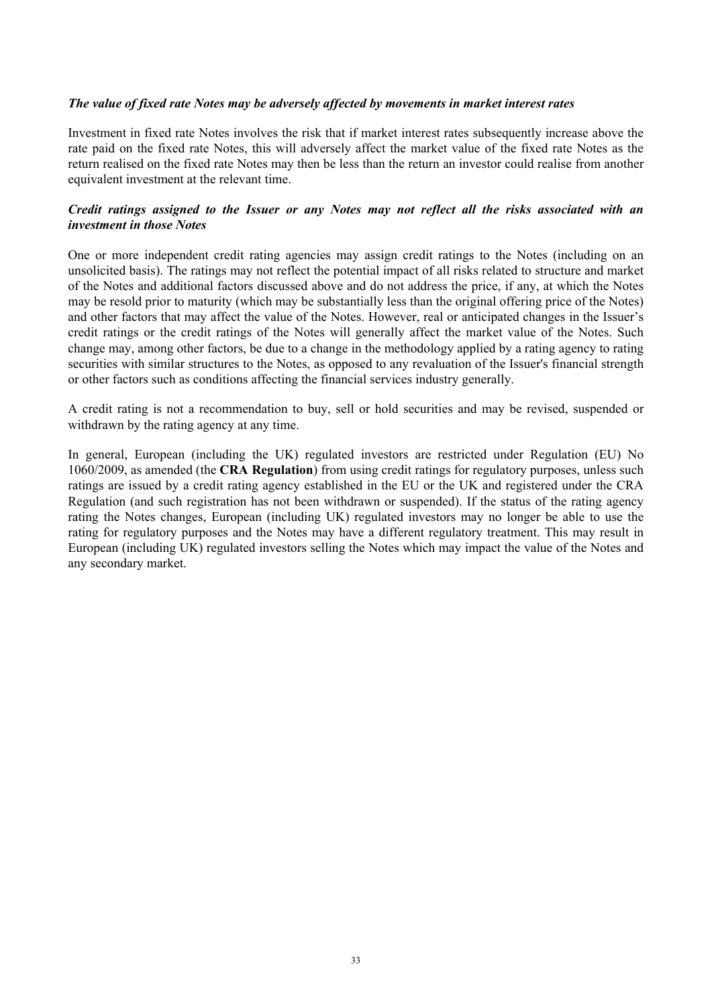#### *The value of fixed rate Notes may be adversely affected by movements in market interest rates*

Investment in fixed rate Notes involves the risk that if market interest rates subsequently increase above the rate paid on the fixed rate Notes, this will adversely affect the market value of the fixed rate Notes as the return realised on the fixed rate Notes may then be less than the return an investor could realise from another equivalent investment at the relevant time.

# *Credit ratings assigned to the Issuer or any Notes may not reflect all the risks associated with an investment in those Notes*

One or more independent credit rating agencies may assign credit ratings to the Notes (including on an unsolicited basis). The ratings may not reflect the potential impact of all risks related to structure and market of the Notes and additional factors discussed above and do not address the price, if any, at which the Notes may be resold prior to maturity (which may be substantially less than the original offering price of the Notes) and other factors that may affect the value of the Notes. However, real or anticipated changes in the Issuer's credit ratings or the credit ratings of the Notes will generally affect the market value of the Notes. Such change may, among other factors, be due to a change in the methodology applied by a rating agency to rating securities with similar structures to the Notes, as opposed to any revaluation of the Issuer's financial strength or other factors such as conditions affecting the financial services industry generally.

A credit rating is not a recommendation to buy, sell or hold securities and may be revised, suspended or withdrawn by the rating agency at any time.

In general, European (including the UK) regulated investors are restricted under Regulation (EU) No 1060/2009, as amended (the **CRA Regulation**) from using credit ratings for regulatory purposes, unless such ratings are issued by a credit rating agency established in the EU or the UK and registered under the CRA Regulation (and such registration has not been withdrawn or suspended). If the status of the rating agency rating the Notes changes, European (including UK) regulated investors may no longer be able to use the rating for regulatory purposes and the Notes may have a different regulatory treatment. This may result in European (including UK) regulated investors selling the Notes which may impact the value of the Notes and any secondary market.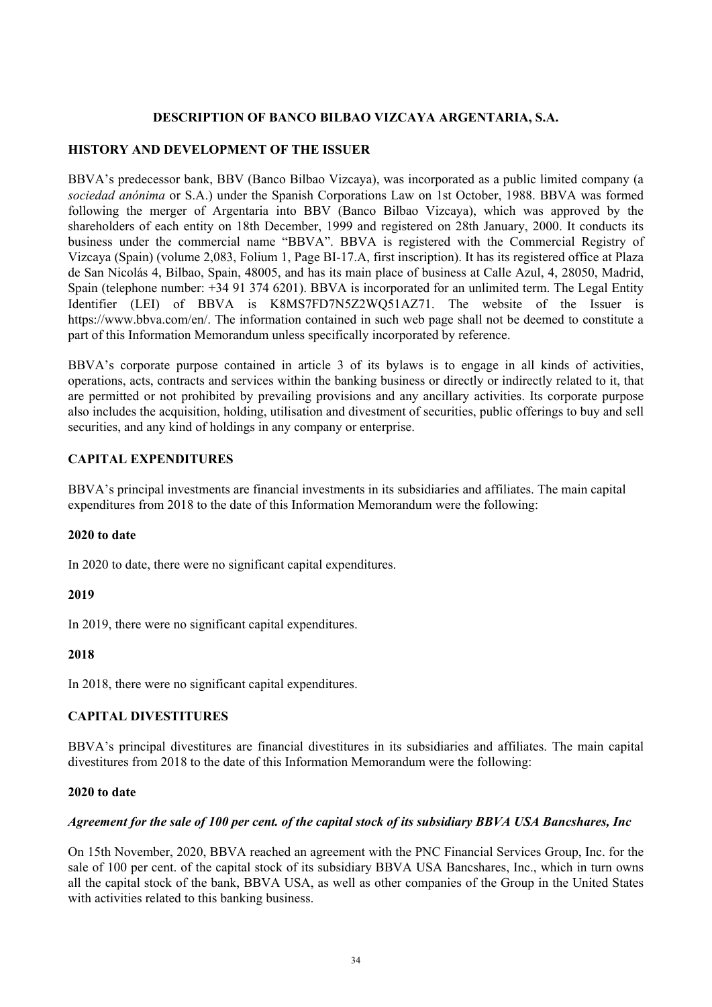# **DESCRIPTION OF BANCO BILBAO VIZCAYA ARGENTARIA, S.A.**

# **HISTORY AND DEVELOPMENT OF THE ISSUER**

BBVA's predecessor bank, BBV (Banco Bilbao Vizcaya), was incorporated as a public limited company (a *sociedad anónima* or S.A.) under the Spanish Corporations Law on 1st October, 1988. BBVA was formed following the merger of Argentaria into BBV (Banco Bilbao Vizcaya), which was approved by the shareholders of each entity on 18th December, 1999 and registered on 28th January, 2000. It conducts its business under the commercial name "BBVA". BBVA is registered with the Commercial Registry of Vizcaya (Spain) (volume 2,083, Folium 1, Page BI-17.A, first inscription). It has its registered office at Plaza de San Nicolás 4, Bilbao, Spain, 48005, and has its main place of business at Calle Azul, 4, 28050, Madrid, Spain (telephone number: +34 91 374 6201). BBVA is incorporated for an unlimited term. The Legal Entity Identifier (LEI) of BBVA is K8MS7FD7N5Z2WQ51AZ71. The website of the Issuer is https://www.bbva.com/en/. The information contained in such web page shall not be deemed to constitute a part of this Information Memorandum unless specifically incorporated by reference.

BBVA's corporate purpose contained in article 3 of its bylaws is to engage in all kinds of activities, operations, acts, contracts and services within the banking business or directly or indirectly related to it, that are permitted or not prohibited by prevailing provisions and any ancillary activities. Its corporate purpose also includes the acquisition, holding, utilisation and divestment of securities, public offerings to buy and sell securities, and any kind of holdings in any company or enterprise.

# **CAPITAL EXPENDITURES**

BBVA's principal investments are financial investments in its subsidiaries and affiliates. The main capital expenditures from 2018 to the date of this Information Memorandum were the following:

### **2020 to date**

In 2020 to date, there were no significant capital expenditures.

### **2019**

In 2019, there were no significant capital expenditures.

# **2018**

In 2018, there were no significant capital expenditures.

# **CAPITAL DIVESTITURES**

BBVA's principal divestitures are financial divestitures in its subsidiaries and affiliates. The main capital divestitures from 2018 to the date of this Information Memorandum were the following:

### **2020 to date**

### *Agreement for the sale of 100 per cent. of the capital stock of its subsidiary BBVA USA Bancshares, Inc*

On 15th November, 2020, BBVA reached an agreement with the PNC Financial Services Group, Inc. for the sale of 100 per cent. of the capital stock of its subsidiary BBVA USA Bancshares, Inc., which in turn owns all the capital stock of the bank, BBVA USA, as well as other companies of the Group in the United States with activities related to this banking business.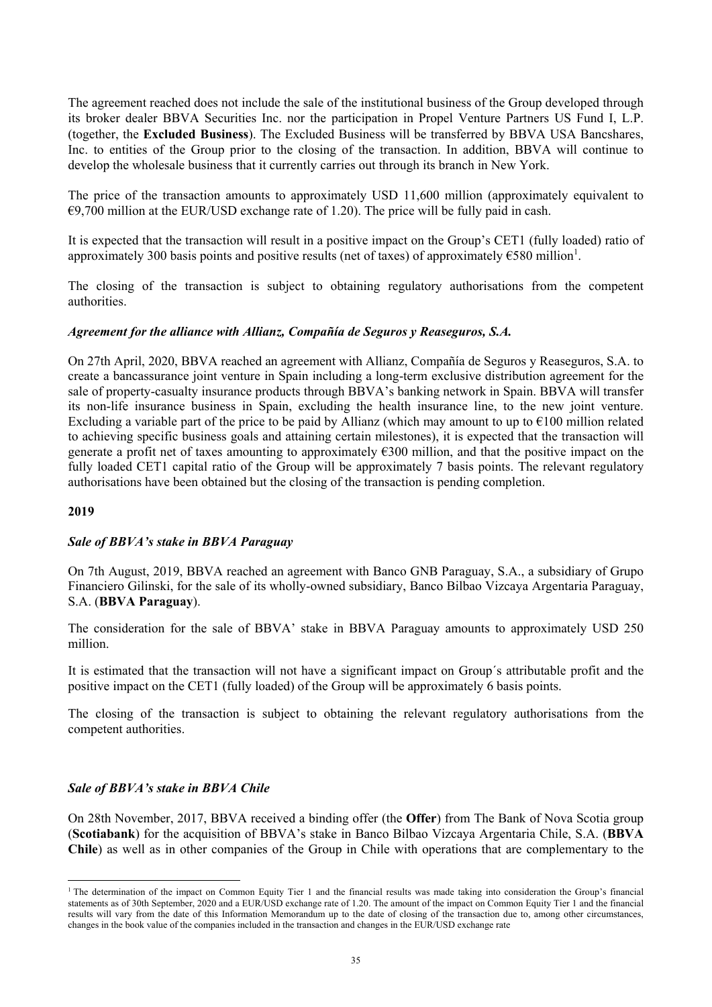The agreement reached does not include the sale of the institutional business of the Group developed through its broker dealer BBVA Securities Inc. nor the participation in Propel Venture Partners US Fund I, L.P. (together, the **Excluded Business**). The Excluded Business will be transferred by BBVA USA Bancshares, Inc. to entities of the Group prior to the closing of the transaction. In addition, BBVA will continue to develop the wholesale business that it currently carries out through its branch in New York.

The price of the transaction amounts to approximately USD 11,600 million (approximately equivalent to  $\epsilon$ 9,700 million at the EUR/USD exchange rate of 1.20). The price will be fully paid in cash.

It is expected that the transaction will result in a positive impact on the Group's CET1 (fully loaded) ratio of approximately 300 basis points and positive results (net of taxes) of approximately  $\epsilon$ 580 million<sup>1</sup>.

The closing of the transaction is subject to obtaining regulatory authorisations from the competent authorities.

### *Agreement for the alliance with Allianz, Compañía de Seguros y Reaseguros, S.A.*

On 27th April, 2020, BBVA reached an agreement with Allianz, Compañía de Seguros y Reaseguros, S.A. to create a bancassurance joint venture in Spain including a long-term exclusive distribution agreement for the sale of property-casualty insurance products through BBVA's banking network in Spain. BBVA will transfer its non-life insurance business in Spain, excluding the health insurance line, to the new joint venture. Excluding a variable part of the price to be paid by Allianz (which may amount to up to  $\epsilon$ 100 million related to achieving specific business goals and attaining certain milestones), it is expected that the transaction will generate a profit net of taxes amounting to approximately  $\epsilon$ 300 million, and that the positive impact on the fully loaded CET1 capital ratio of the Group will be approximately 7 basis points. The relevant regulatory authorisations have been obtained but the closing of the transaction is pending completion.

### **2019**

l

### *Sale of BBVA's stake in BBVA Paraguay*

On 7th August, 2019, BBVA reached an agreement with Banco GNB Paraguay, S.A., a subsidiary of Grupo Financiero Gilinski, for the sale of its wholly-owned subsidiary, Banco Bilbao Vizcaya Argentaria Paraguay, S.A. (**BBVA Paraguay**).

The consideration for the sale of BBVA' stake in BBVA Paraguay amounts to approximately USD 250 million.

It is estimated that the transaction will not have a significant impact on Group´s attributable profit and the positive impact on the CET1 (fully loaded) of the Group will be approximately 6 basis points.

The closing of the transaction is subject to obtaining the relevant regulatory authorisations from the competent authorities.

### *Sale of BBVA's stake in BBVA Chile*

On 28th November, 2017, BBVA received a binding offer (the **Offer**) from The Bank of Nova Scotia group (**Scotiabank**) for the acquisition of BBVA's stake in Banco Bilbao Vizcaya Argentaria Chile, S.A. (**BBVA Chile**) as well as in other companies of the Group in Chile with operations that are complementary to the

<sup>&</sup>lt;sup>1</sup> The determination of the impact on Common Equity Tier 1 and the financial results was made taking into consideration the Group's financial statements as of 30th September, 2020 and a EUR/USD exchange rate of 1.20. The amount of the impact on Common Equity Tier 1 and the financial results will vary from the date of this Information Memorandum up to the date of closing of the transaction due to, among other circumstances, changes in the book value of the companies included in the transaction and changes in the EUR/USD exchange rate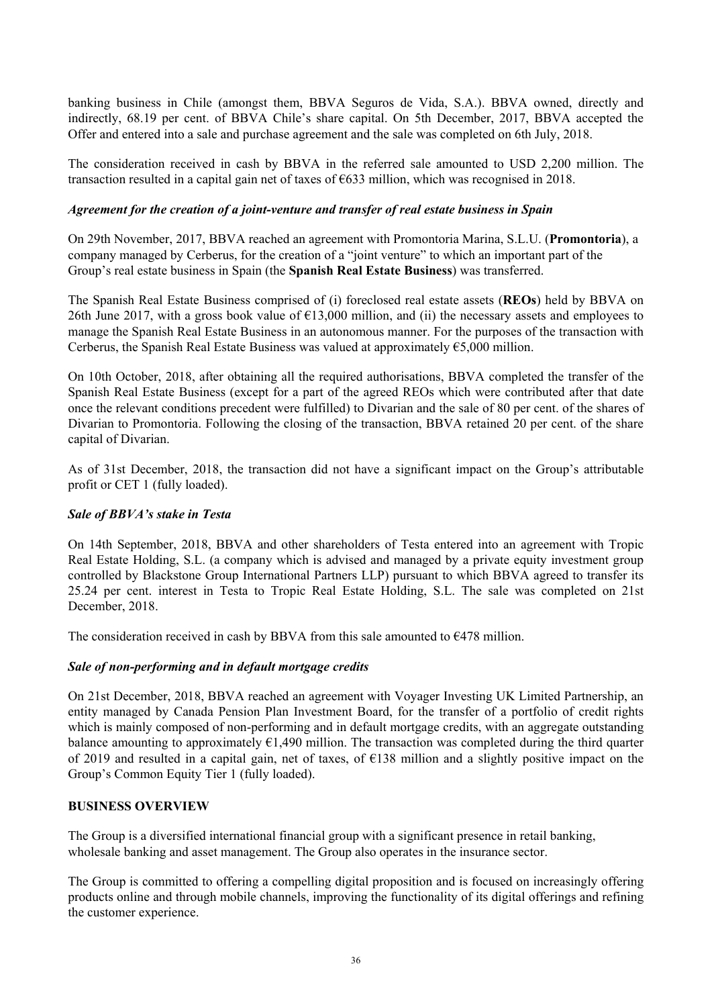banking business in Chile (amongst them, BBVA Seguros de Vida, S.A.). BBVA owned, directly and indirectly, 68.19 per cent. of BBVA Chile's share capital. On 5th December, 2017, BBVA accepted the Offer and entered into a sale and purchase agreement and the sale was completed on 6th July, 2018.

The consideration received in cash by BBVA in the referred sale amounted to USD 2,200 million. The transaction resulted in a capital gain net of taxes of €633 million, which was recognised in 2018.

### *Agreement for the creation of a joint-venture and transfer of real estate business in Spain*

On 29th November, 2017, BBVA reached an agreement with Promontoria Marina, S.L.U. (**Promontoria**), a company managed by Cerberus, for the creation of a "joint venture" to which an important part of the Group's real estate business in Spain (the **Spanish Real Estate Business**) was transferred.

The Spanish Real Estate Business comprised of (i) foreclosed real estate assets (**REOs**) held by BBVA on 26th June 2017, with a gross book value of  $\epsilon$ 13,000 million, and (ii) the necessary assets and employees to manage the Spanish Real Estate Business in an autonomous manner. For the purposes of the transaction with Cerberus, the Spanish Real Estate Business was valued at approximately  $65,000$  million.

On 10th October, 2018, after obtaining all the required authorisations, BBVA completed the transfer of the Spanish Real Estate Business (except for a part of the agreed REOs which were contributed after that date once the relevant conditions precedent were fulfilled) to Divarian and the sale of 80 per cent. of the shares of Divarian to Promontoria. Following the closing of the transaction, BBVA retained 20 per cent. of the share capital of Divarian.

As of 31st December, 2018, the transaction did not have a significant impact on the Group's attributable profit or CET 1 (fully loaded).

### *Sale of BBVA's stake in Testa*

On 14th September, 2018, BBVA and other shareholders of Testa entered into an agreement with Tropic Real Estate Holding, S.L. (a company which is advised and managed by a private equity investment group controlled by Blackstone Group International Partners LLP) pursuant to which BBVA agreed to transfer its 25.24 per cent. interest in Testa to Tropic Real Estate Holding, S.L. The sale was completed on 21st December, 2018.

The consideration received in cash by BBVA from this sale amounted to  $E$ 478 million.

# *Sale of non-performing and in default mortgage credits*

On 21st December, 2018, BBVA reached an agreement with Voyager Investing UK Limited Partnership, an entity managed by Canada Pension Plan Investment Board, for the transfer of a portfolio of credit rights which is mainly composed of non-performing and in default mortgage credits, with an aggregate outstanding balance amounting to approximately  $E1,490$  million. The transaction was completed during the third quarter of 2019 and resulted in a capital gain, net of taxes, of  $\epsilon$ 138 million and a slightly positive impact on the Group's Common Equity Tier 1 (fully loaded).

### **BUSINESS OVERVIEW**

The Group is a diversified international financial group with a significant presence in retail banking, wholesale banking and asset management. The Group also operates in the insurance sector.

The Group is committed to offering a compelling digital proposition and is focused on increasingly offering products online and through mobile channels, improving the functionality of its digital offerings and refining the customer experience.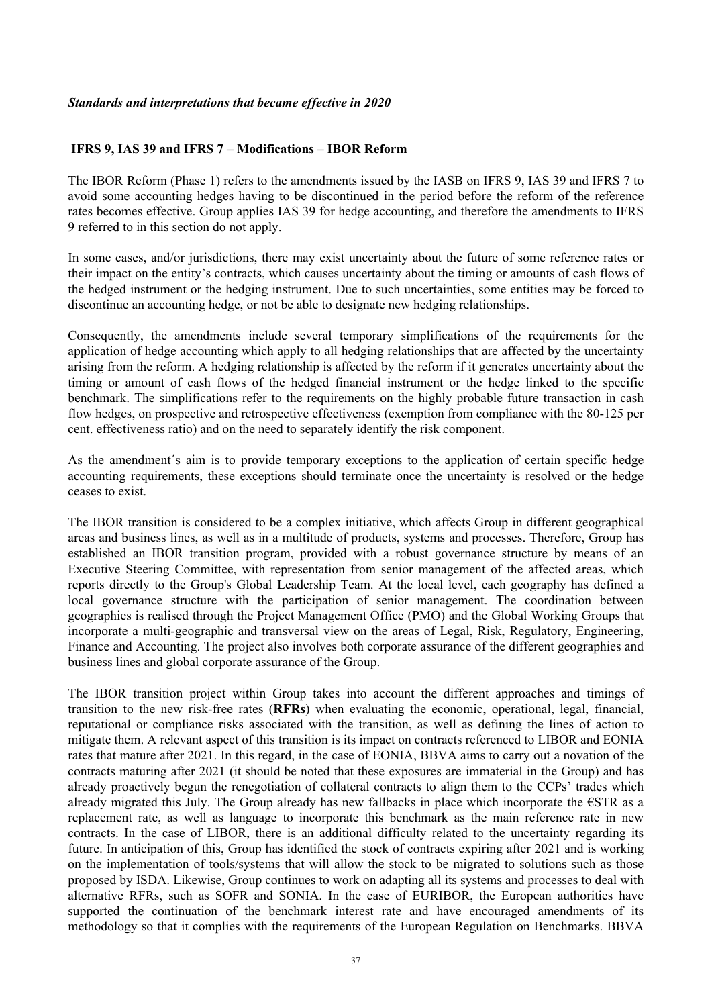### **IFRS 9, IAS 39 and IFRS 7 – Modifications – IBOR Reform**

The IBOR Reform (Phase 1) refers to the amendments issued by the IASB on IFRS 9, IAS 39 and IFRS 7 to avoid some accounting hedges having to be discontinued in the period before the reform of the reference rates becomes effective. Group applies IAS 39 for hedge accounting, and therefore the amendments to IFRS 9 referred to in this section do not apply.

In some cases, and/or jurisdictions, there may exist uncertainty about the future of some reference rates or their impact on the entity's contracts, which causes uncertainty about the timing or amounts of cash flows of the hedged instrument or the hedging instrument. Due to such uncertainties, some entities may be forced to discontinue an accounting hedge, or not be able to designate new hedging relationships.

Consequently, the amendments include several temporary simplifications of the requirements for the application of hedge accounting which apply to all hedging relationships that are affected by the uncertainty arising from the reform. A hedging relationship is affected by the reform if it generates uncertainty about the timing or amount of cash flows of the hedged financial instrument or the hedge linked to the specific benchmark. The simplifications refer to the requirements on the highly probable future transaction in cash flow hedges, on prospective and retrospective effectiveness (exemption from compliance with the 80-125 per cent. effectiveness ratio) and on the need to separately identify the risk component.

As the amendment´s aim is to provide temporary exceptions to the application of certain specific hedge accounting requirements, these exceptions should terminate once the uncertainty is resolved or the hedge ceases to exist.

The IBOR transition is considered to be a complex initiative, which affects Group in different geographical areas and business lines, as well as in a multitude of products, systems and processes. Therefore, Group has established an IBOR transition program, provided with a robust governance structure by means of an Executive Steering Committee, with representation from senior management of the affected areas, which reports directly to the Group's Global Leadership Team. At the local level, each geography has defined a local governance structure with the participation of senior management. The coordination between geographies is realised through the Project Management Office (PMO) and the Global Working Groups that incorporate a multi-geographic and transversal view on the areas of Legal, Risk, Regulatory, Engineering, Finance and Accounting. The project also involves both corporate assurance of the different geographies and business lines and global corporate assurance of the Group.

The IBOR transition project within Group takes into account the different approaches and timings of transition to the new risk-free rates (**RFRs**) when evaluating the economic, operational, legal, financial, reputational or compliance risks associated with the transition, as well as defining the lines of action to mitigate them. A relevant aspect of this transition is its impact on contracts referenced to LIBOR and EONIA rates that mature after 2021. In this regard, in the case of EONIA, BBVA aims to carry out a novation of the contracts maturing after 2021 (it should be noted that these exposures are immaterial in the Group) and has already proactively begun the renegotiation of collateral contracts to align them to the CCPs' trades which already migrated this July. The Group already has new fallbacks in place which incorporate the €STR as a replacement rate, as well as language to incorporate this benchmark as the main reference rate in new contracts. In the case of LIBOR, there is an additional difficulty related to the uncertainty regarding its future. In anticipation of this, Group has identified the stock of contracts expiring after 2021 and is working on the implementation of tools/systems that will allow the stock to be migrated to solutions such as those proposed by ISDA. Likewise, Group continues to work on adapting all its systems and processes to deal with alternative RFRs, such as SOFR and SONIA. In the case of EURIBOR, the European authorities have supported the continuation of the benchmark interest rate and have encouraged amendments of its methodology so that it complies with the requirements of the European Regulation on Benchmarks. BBVA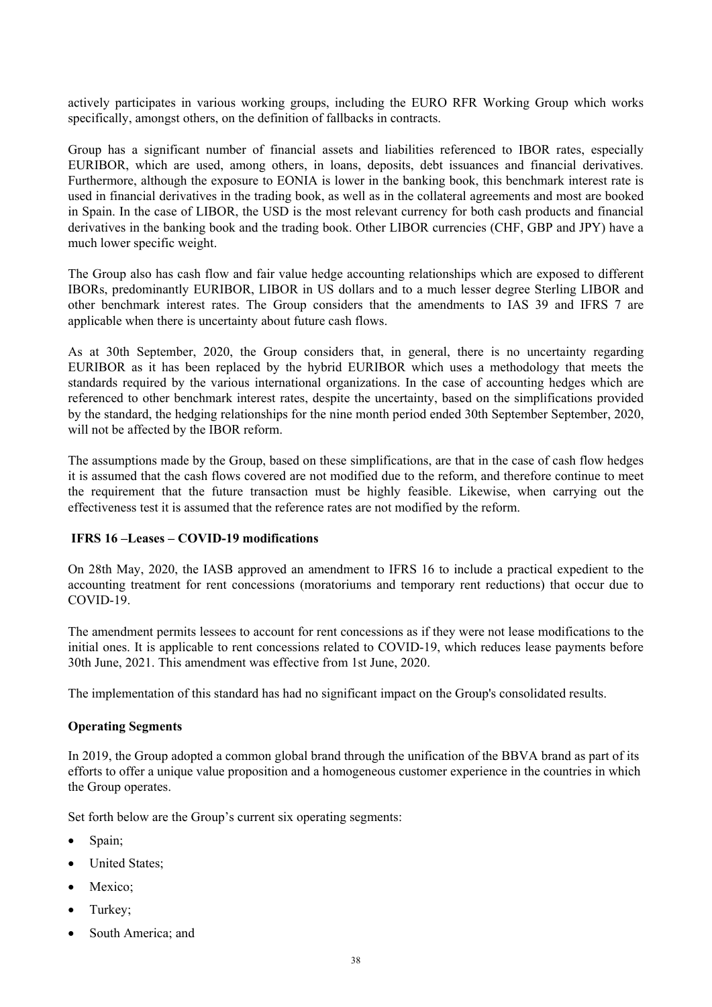actively participates in various working groups, including the EURO RFR Working Group which works specifically, amongst others, on the definition of fallbacks in contracts.

Group has a significant number of financial assets and liabilities referenced to IBOR rates, especially EURIBOR, which are used, among others, in loans, deposits, debt issuances and financial derivatives. Furthermore, although the exposure to EONIA is lower in the banking book, this benchmark interest rate is used in financial derivatives in the trading book, as well as in the collateral agreements and most are booked in Spain. In the case of LIBOR, the USD is the most relevant currency for both cash products and financial derivatives in the banking book and the trading book. Other LIBOR currencies (CHF, GBP and JPY) have a much lower specific weight.

The Group also has cash flow and fair value hedge accounting relationships which are exposed to different IBORs, predominantly EURIBOR, LIBOR in US dollars and to a much lesser degree Sterling LIBOR and other benchmark interest rates. The Group considers that the amendments to IAS 39 and IFRS 7 are applicable when there is uncertainty about future cash flows.

As at 30th September, 2020, the Group considers that, in general, there is no uncertainty regarding EURIBOR as it has been replaced by the hybrid EURIBOR which uses a methodology that meets the standards required by the various international organizations. In the case of accounting hedges which are referenced to other benchmark interest rates, despite the uncertainty, based on the simplifications provided by the standard, the hedging relationships for the nine month period ended 30th September September, 2020, will not be affected by the IBOR reform.

The assumptions made by the Group, based on these simplifications, are that in the case of cash flow hedges it is assumed that the cash flows covered are not modified due to the reform, and therefore continue to meet the requirement that the future transaction must be highly feasible. Likewise, when carrying out the effectiveness test it is assumed that the reference rates are not modified by the reform.

### **IFRS 16 –Leases – COVID-19 modifications**

On 28th May, 2020, the IASB approved an amendment to IFRS 16 to include a practical expedient to the accounting treatment for rent concessions (moratoriums and temporary rent reductions) that occur due to COVID-19.

The amendment permits lessees to account for rent concessions as if they were not lease modifications to the initial ones. It is applicable to rent concessions related to COVID-19, which reduces lease payments before 30th June, 2021. This amendment was effective from 1st June, 2020.

The implementation of this standard has had no significant impact on the Group's consolidated results.

#### **Operating Segments**

In 2019, the Group adopted a common global brand through the unification of the BBVA brand as part of its efforts to offer a unique value proposition and a homogeneous customer experience in the countries in which the Group operates.

Set forth below are the Group's current six operating segments:

- Spain;
- United States;
- Mexico;
- Turkey;
- South America; and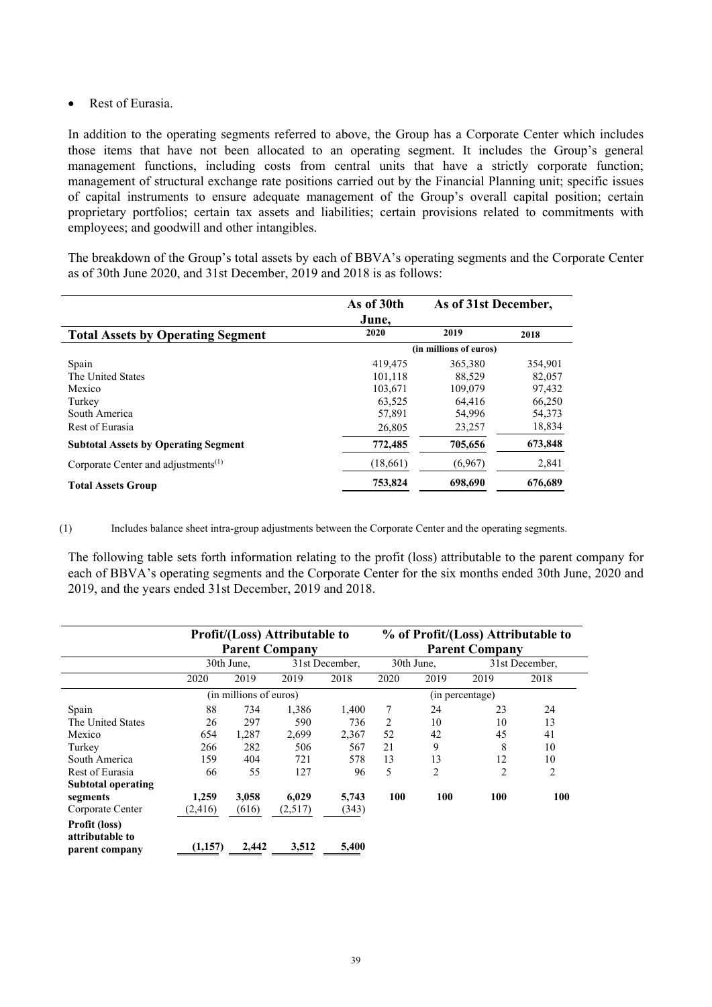## • Rest of Eurasia.

In addition to the operating segments referred to above, the Group has a Corporate Center which includes those items that have not been allocated to an operating segment. It includes the Group's general management functions, including costs from central units that have a strictly corporate function; management of structural exchange rate positions carried out by the Financial Planning unit; specific issues of capital instruments to ensure adequate management of the Group's overall capital position; certain proprietary portfolios; certain tax assets and liabilities; certain provisions related to commitments with employees; and goodwill and other intangibles.

The breakdown of the Group's total assets by each of BBVA's operating segments and the Corporate Center as of 30th June 2020, and 31st December, 2019 and 2018 is as follows:

|                                                              | As of 30th | As of 31st December,   |         |
|--------------------------------------------------------------|------------|------------------------|---------|
|                                                              | June,      |                        |         |
| <b>Total Assets by Operating Segment</b>                     | 2020       | 2019                   | 2018    |
|                                                              |            | (in millions of euros) |         |
| Spain                                                        | 419,475    | 365,380                | 354,901 |
| The United States                                            | 101.118    | 88.529                 | 82,057  |
| Mexico                                                       | 103.671    | 109,079                | 97,432  |
| Turkey                                                       | 63,525     | 64.416                 | 66,250  |
| South America                                                | 57,891     | 54,996                 | 54,373  |
| Rest of Eurasia                                              | 26,805     | 23,257                 | 18,834  |
| <b>Subtotal Assets by Operating Segment</b>                  | 772,485    | 705,656                | 673,848 |
| Corporate Center and adjustments <sup><math>(1)</math></sup> | (18, 661)  | (6,967)                | 2,841   |
| <b>Total Assets Group</b>                                    | 753,824    | 698,690                | 676,689 |

(1) Includes balance sheet intra-group adjustments between the Corporate Center and the operating segments.

The following table sets forth information relating to the profit (loss) attributable to the parent company for each of BBVA's operating segments and the Corporate Center for the six months ended 30th June, 2020 and 2019, and the years ended 31st December, 2019 and 2018.

|                                  |                        |            | <b>Profit/(Loss) Attributable to</b> |                | % of Profit/(Loss) Attributable to |                       |                 |                |  |
|----------------------------------|------------------------|------------|--------------------------------------|----------------|------------------------------------|-----------------------|-----------------|----------------|--|
|                                  |                        |            | <b>Parent Company</b>                |                |                                    | <b>Parent Company</b> |                 |                |  |
|                                  |                        | 30th June. |                                      | 31st December, | 30th June,                         |                       |                 | 31st December, |  |
|                                  | 2020                   | 2019       | 2019                                 | 2018           | 2020                               | 2019                  | 2019            | 2018           |  |
|                                  | (in millions of euros) |            |                                      |                |                                    |                       | (in percentage) |                |  |
| Spain                            | 88                     | 734        | 1.386                                | 1.400          | 7                                  | 24                    | 23              | 24             |  |
| The United States                | 26                     | 297        | 590                                  | 736            | 2                                  | 10                    | 10              | 13             |  |
| Mexico                           | 654                    | 1,287      | 2,699                                | 2,367          | 52                                 | 42                    | 45              | 41             |  |
| Turkey                           | 266                    | 282        | 506                                  | 567            | 21                                 | 9                     | 8               | 10             |  |
| South America                    | 159                    | 404        | 721                                  | 578            | 13                                 | 13                    | 12              | 10             |  |
| Rest of Eurasia                  | 66                     | 55         | 127                                  | 96             | 5                                  | 2                     | $\overline{2}$  | 2              |  |
| <b>Subtotal operating</b>        |                        |            |                                      |                |                                    |                       |                 |                |  |
| segments                         | 1,259                  | 3,058      | 6,029                                | 5,743          | 100                                | 100                   | 100             | 100            |  |
| Corporate Center                 | (2, 416)               | (616)      | (2,517)                              | (343)          |                                    |                       |                 |                |  |
| Profit (loss)<br>attributable to | (1,157)                | 2,442      | 3,512                                | 5,400          |                                    |                       |                 |                |  |
| parent company                   |                        |            |                                      |                |                                    |                       |                 |                |  |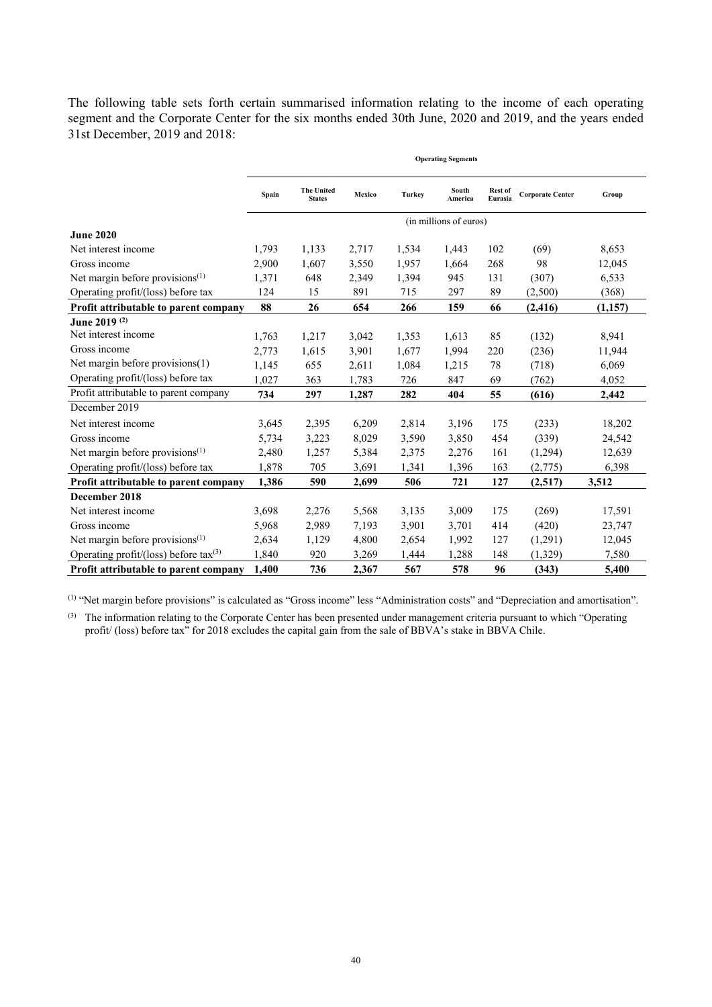The following table sets forth certain summarised information relating to the income of each operating segment and the Corporate Center for the six months ended 30th June, 2020 and 2019, and the years ended 31st December, 2019 and 2018:

|                                             | <b>Operating Segments</b> |                                    |        |        |                        |                    |                         |         |
|---------------------------------------------|---------------------------|------------------------------------|--------|--------|------------------------|--------------------|-------------------------|---------|
|                                             | Spain                     | <b>The United</b><br><b>States</b> | Mexico | Turkey | South<br>America       | Rest of<br>Eurasia | <b>Corporate Center</b> | Group   |
|                                             |                           |                                    |        |        | (in millions of euros) |                    |                         |         |
| <b>June 2020</b>                            |                           |                                    |        |        |                        |                    |                         |         |
| Net interest income                         | 1,793                     | 1,133                              | 2,717  | 1,534  | 1,443                  | 102                | (69)                    | 8,653   |
| Gross income                                | 2,900                     | 1,607                              | 3,550  | 1,957  | 1,664                  | 268                | 98                      | 12,045  |
| Net margin before provisions $(1)$          | 1,371                     | 648                                | 2,349  | 1,394  | 945                    | 131                | (307)                   | 6,533   |
| Operating profit/(loss) before tax          | 124                       | 15                                 | 891    | 715    | 297                    | 89                 | (2,500)                 | (368)   |
| Profit attributable to parent company       | 88                        | 26                                 | 654    | 266    | 159                    | 66                 | (2, 416)                | (1,157) |
| June 2019 <sup>(2)</sup>                    |                           |                                    |        |        |                        |                    |                         |         |
| Net interest income                         | 1,763                     | 1,217                              | 3,042  | 1,353  | 1,613                  | 85                 | (132)                   | 8,941   |
| Gross income                                | 2,773                     | 1,615                              | 3,901  | 1,677  | 1,994                  | 220                | (236)                   | 11,944  |
| Net margin before provisions(1)             | 1,145                     | 655                                | 2,611  | 1,084  | 1,215                  | 78                 | (718)                   | 6,069   |
| Operating profit/(loss) before tax          | 1,027                     | 363                                | 1,783  | 726    | 847                    | 69                 | (762)                   | 4,052   |
| Profit attributable to parent company       | 734                       | 297                                | 1,287  | 282    | 404                    | 55                 | (616)                   | 2,442   |
| December 2019                               |                           |                                    |        |        |                        |                    |                         |         |
| Net interest income                         | 3,645                     | 2,395                              | 6,209  | 2,814  | 3,196                  | 175                | (233)                   | 18,202  |
| Gross income                                | 5,734                     | 3,223                              | 8,029  | 3,590  | 3,850                  | 454                | (339)                   | 24,542  |
| Net margin before provisions <sup>(1)</sup> | 2,480                     | 1,257                              | 5,384  | 2,375  | 2,276                  | 161                | (1,294)                 | 12,639  |
| Operating profit/(loss) before tax          | 1,878                     | 705                                | 3,691  | 1,341  | 1,396                  | 163                | (2,775)                 | 6,398   |
| Profit attributable to parent company       | 1,386                     | 590                                | 2,699  | 506    | 721                    | 127                | (2,517)                 | 3,512   |
| December 2018                               |                           |                                    |        |        |                        |                    |                         |         |
| Net interest income                         | 3,698                     | 2,276                              | 5,568  | 3,135  | 3,009                  | 175                | (269)                   | 17,591  |
| Gross income                                | 5,968                     | 2,989                              | 7,193  | 3,901  | 3,701                  | 414                | (420)                   | 23,747  |
| Net margin before provisions $(1)$          | 2,634                     | 1,129                              | 4,800  | 2,654  | 1,992                  | 127                | (1,291)                 | 12,045  |
| Operating profit/(loss) before tax(3)       | 1,840                     | 920                                | 3,269  | 1,444  | 1,288                  | 148                | (1, 329)                | 7,580   |
| Profit attributable to parent company       | 1.400                     | 736                                | 2,367  | 567    | 578                    | 96                 | (343)                   | 5,400   |

(1) "Net margin before provisions" is calculated as "Gross income" less "Administration costs" and "Depreciation and amortisation".

<sup>(3)</sup> The information relating to the Corporate Center has been presented under management criteria pursuant to which "Operating profit/ (loss) before tax" for 2018 excludes the capital gain from the sale of BBVA's stake in BBVA Chile.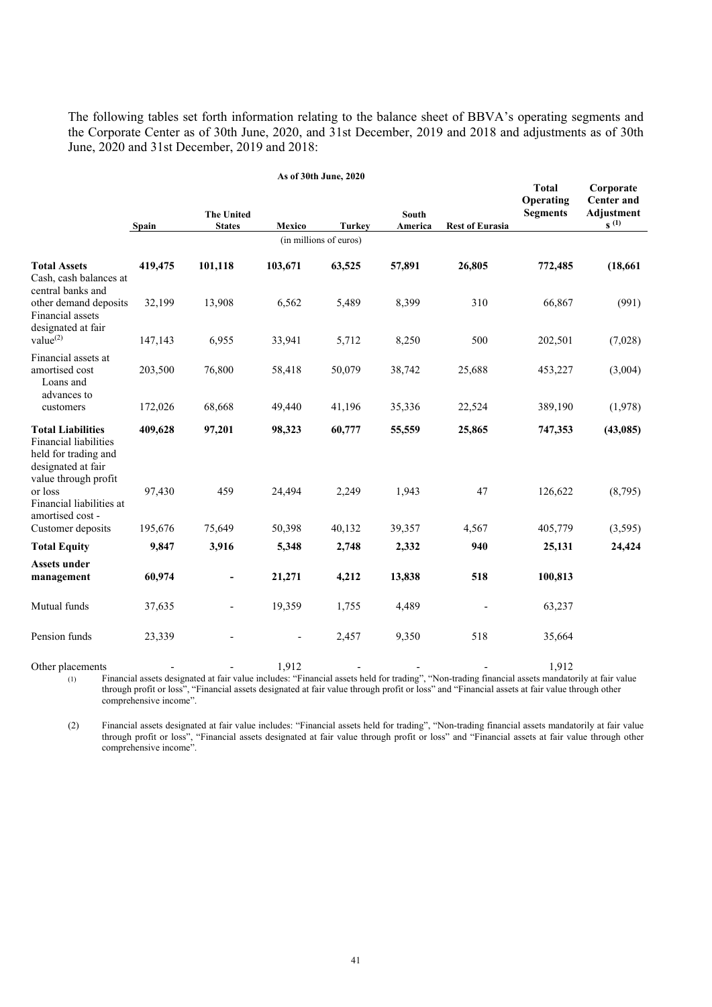The following tables set forth information relating to the balance sheet of BBVA's operating segments and the Corporate Center as of 30th June, 2020, and 31st December, 2019 and 2018 and adjustments as of 30th June, 2020 and 31st December, 2019 and 2018:

| As of 30th June, 2020                                                                                                   |         |                                    |         |                        |                         |                        |                                              |                                                                  |
|-------------------------------------------------------------------------------------------------------------------------|---------|------------------------------------|---------|------------------------|-------------------------|------------------------|----------------------------------------------|------------------------------------------------------------------|
|                                                                                                                         | Spain   | <b>The United</b><br><b>States</b> | Mexico  | <b>Turkey</b>          | <b>South</b><br>America | <b>Rest of Eurasia</b> | <b>Total</b><br>Operating<br><b>Segments</b> | Corporate<br><b>Center and</b><br><b>Adjustment</b><br>$S^{(1)}$ |
|                                                                                                                         |         |                                    |         | (in millions of euros) |                         |                        |                                              |                                                                  |
| <b>Total Assets</b><br>Cash, cash balances at<br>central banks and                                                      | 419,475 | 101,118                            | 103,671 | 63,525                 | 57,891                  | 26,805                 | 772,485                                      | (18, 661)                                                        |
| other demand deposits<br>Financial assets<br>designated at fair                                                         | 32,199  | 13,908                             | 6,562   | 5,489                  | 8,399                   | 310                    | 66,867                                       | (991)                                                            |
| value <sup>(2)</sup>                                                                                                    | 147,143 | 6,955                              | 33,941  | 5,712                  | 8,250                   | 500                    | 202,501                                      | (7,028)                                                          |
| Financial assets at<br>amortised cost<br>Loans and<br>advances to                                                       | 203,500 | 76,800                             | 58,418  | 50,079                 | 38,742                  | 25,688                 | 453,227                                      | (3,004)                                                          |
| customers                                                                                                               | 172,026 | 68,668                             | 49,440  | 41,196                 | 35,336                  | 22,524                 | 389,190                                      | (1,978)                                                          |
| <b>Total Liabilities</b><br>Financial liabilities<br>held for trading and<br>designated at fair<br>value through profit | 409,628 | 97,201                             | 98,323  | 60,777                 | 55,559                  | 25,865                 | 747,353                                      | (43,085)                                                         |
| or loss<br>Financial liabilities at<br>amortised cost -                                                                 | 97,430  | 459                                | 24,494  | 2,249                  | 1,943                   | 47                     | 126,622                                      | (8,795)                                                          |
| Customer deposits                                                                                                       | 195,676 | 75,649                             | 50,398  | 40,132                 | 39,357                  | 4,567                  | 405,779                                      | (3,595)                                                          |
| <b>Total Equity</b>                                                                                                     | 9,847   | 3,916                              | 5,348   | 2,748                  | 2,332                   | 940                    | 25,131                                       | 24,424                                                           |
| <b>Assets under</b><br>management                                                                                       | 60,974  | -                                  | 21,271  | 4,212                  | 13,838                  | 518                    | 100,813                                      |                                                                  |
| Mutual funds                                                                                                            | 37,635  |                                    | 19,359  | 1,755                  | 4,489                   |                        | 63,237                                       |                                                                  |
| Pension funds                                                                                                           | 23,339  |                                    |         | 2,457                  | 9,350                   | 518                    | 35,664                                       |                                                                  |

Other placements - - 1,912 - - - 1,912 (1) Financial assets designated at fair value includes: "Financial assets held for trading", "Non-trading financial assets mandatorily at fair value through profit or loss", "Financial assets designated at fair value through profit or loss" and "Financial assets at fair value through other comprehensive income".

(2) Financial assets designated at fair value includes: "Financial assets held for trading", "Non-trading financial assets mandatorily at fair value through profit or loss", "Financial assets designated at fair value through profit or loss" and "Financial assets at fair value through other comprehensive income".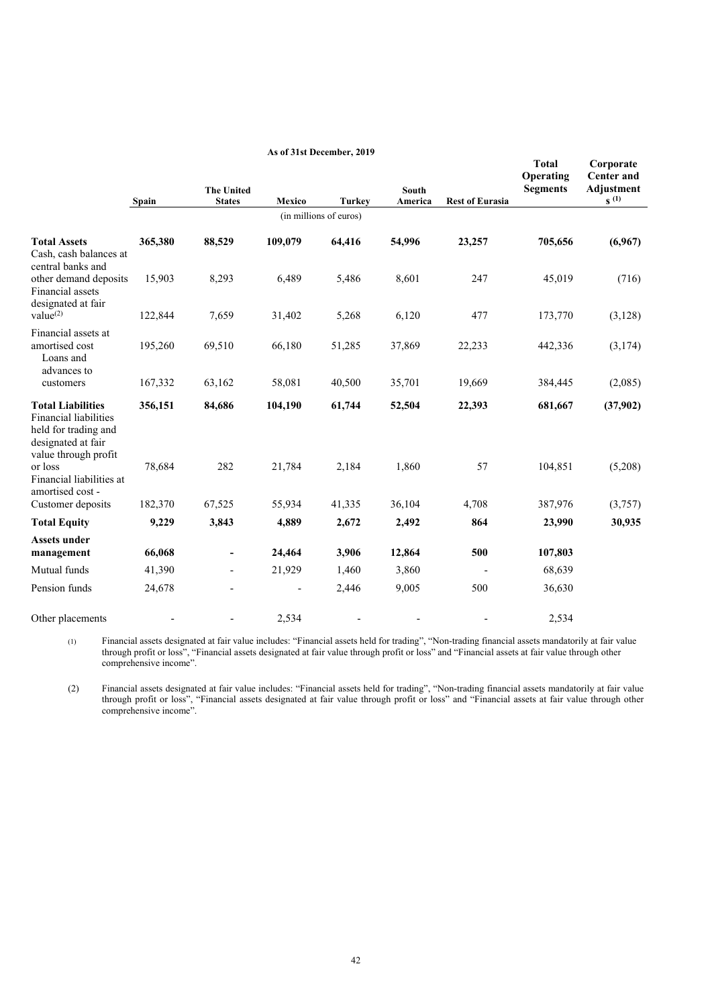|                                                                                                                         | Spain   | <b>The United</b><br><b>States</b> | Mexico  | <b>Turkey</b>          | South<br>America | <b>Rest of Eurasia</b> | <b>Total</b><br>Operating<br><b>Segments</b> | Corporate<br><b>Center and</b><br><b>Adjustment</b><br>$s^{(1)}$ |
|-------------------------------------------------------------------------------------------------------------------------|---------|------------------------------------|---------|------------------------|------------------|------------------------|----------------------------------------------|------------------------------------------------------------------|
|                                                                                                                         |         |                                    |         | (in millions of euros) |                  |                        |                                              |                                                                  |
| <b>Total Assets</b><br>Cash, cash balances at<br>central banks and                                                      | 365,380 | 88,529                             | 109,079 | 64,416                 | 54,996           | 23,257                 | 705,656                                      | (6,967)                                                          |
| other demand deposits<br>Financial assets<br>designated at fair                                                         | 15,903  | 8,293                              | 6,489   | 5,486                  | 8,601            | 247                    | 45,019                                       | (716)                                                            |
| value <sup>(2)</sup>                                                                                                    | 122,844 | 7,659                              | 31,402  | 5,268                  | 6,120            | 477                    | 173,770                                      | (3,128)                                                          |
| Financial assets at<br>amortised cost<br>Loans and<br>advances to                                                       | 195,260 | 69,510                             | 66,180  | 51,285                 | 37,869           | 22,233                 | 442,336                                      | (3,174)                                                          |
| customers                                                                                                               | 167,332 | 63,162                             | 58,081  | 40,500                 | 35,701           | 19,669                 | 384,445                                      | (2,085)                                                          |
| <b>Total Liabilities</b><br>Financial liabilities<br>held for trading and<br>designated at fair<br>value through profit | 356,151 | 84,686                             | 104,190 | 61,744                 | 52,504           | 22,393                 | 681,667                                      | (37,902)                                                         |
| or loss<br>Financial liabilities at<br>amortised cost -                                                                 | 78,684  | 282                                | 21,784  | 2,184                  | 1,860            | 57                     | 104,851                                      | (5,208)                                                          |
| Customer deposits                                                                                                       | 182,370 | 67,525                             | 55,934  | 41,335                 | 36,104           | 4,708                  | 387,976                                      | (3,757)                                                          |
| <b>Total Equity</b>                                                                                                     | 9,229   | 3,843                              | 4,889   | 2,672                  | 2,492            | 864                    | 23,990                                       | 30,935                                                           |
| <b>Assets under</b><br>management                                                                                       | 66,068  | $\qquad \qquad \blacksquare$       | 24,464  | 3,906                  | 12,864           | 500                    | 107,803                                      |                                                                  |
| Mutual funds                                                                                                            | 41,390  |                                    | 21,929  | 1,460                  | 3,860            |                        | 68,639                                       |                                                                  |
| Pension funds                                                                                                           | 24,678  |                                    |         | 2,446                  | 9,005            | 500                    | 36,630                                       |                                                                  |
| Other placements                                                                                                        |         |                                    | 2,534   |                        |                  |                        | 2,534                                        |                                                                  |

**As of 31st December, 2019** 

(1) Financial assets designated at fair value includes: "Financial assets held for trading", "Non-trading financial assets mandatorily at fair value through profit or loss", "Financial assets designated at fair value through profit or loss" and "Financial assets at fair value through other comprehensive income".

(2) Financial assets designated at fair value includes: "Financial assets held for trading", "Non-trading financial assets mandatorily at fair value through profit or loss", "Financial assets designated at fair value through profit or loss" and "Financial assets at fair value through other comprehensive income".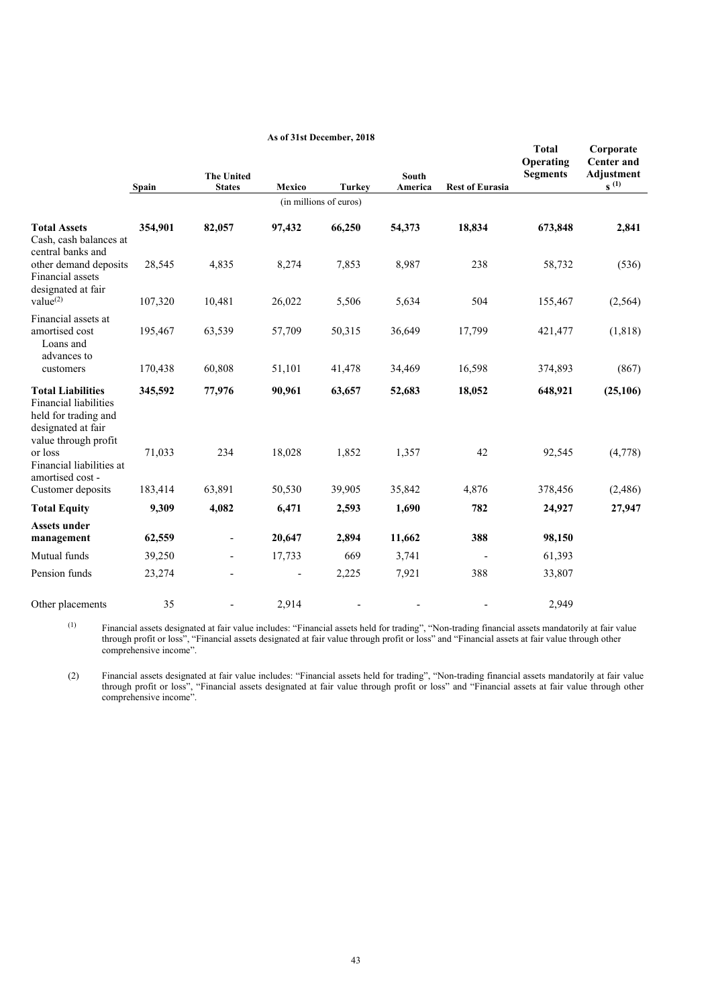|                                                                                                                                | Spain   | <b>The United</b><br><b>States</b> | Mexico | <b>Turkey</b>          | <b>South</b><br>America | <b>Rest of Eurasia</b> | <b>Total</b><br>Operating<br><b>Segments</b> | Corporate<br><b>Center and</b><br><b>Adjustment</b><br>$S^{(1)}$ |
|--------------------------------------------------------------------------------------------------------------------------------|---------|------------------------------------|--------|------------------------|-------------------------|------------------------|----------------------------------------------|------------------------------------------------------------------|
|                                                                                                                                |         |                                    |        | (in millions of euros) |                         |                        |                                              |                                                                  |
| <b>Total Assets</b><br>Cash, cash balances at<br>central banks and                                                             | 354,901 | 82,057                             | 97,432 | 66,250                 | 54,373                  | 18,834                 | 673,848                                      | 2,841                                                            |
| other demand deposits<br>Financial assets<br>designated at fair                                                                | 28,545  | 4,835                              | 8,274  | 7,853                  | 8,987                   | 238                    | 58,732                                       | (536)                                                            |
| value <sup>(2)</sup>                                                                                                           | 107,320 | 10,481                             | 26,022 | 5,506                  | 5,634                   | 504                    | 155,467                                      | (2, 564)                                                         |
| Financial assets at<br>amortised cost<br>Loans and<br>advances to                                                              | 195,467 | 63,539                             | 57,709 | 50,315                 | 36,649                  | 17,799                 | 421,477                                      | (1, 818)                                                         |
| customers                                                                                                                      | 170,438 | 60,808                             | 51,101 | 41,478                 | 34,469                  | 16,598                 | 374,893                                      | (867)                                                            |
| <b>Total Liabilities</b><br><b>Financial liabilities</b><br>held for trading and<br>designated at fair<br>value through profit | 345,592 | 77,976                             | 90,961 | 63,657                 | 52,683                  | 18,052                 | 648,921                                      | (25, 106)                                                        |
| or loss<br>Financial liabilities at<br>amortised cost -                                                                        | 71,033  | 234                                | 18,028 | 1,852                  | 1,357                   | 42                     | 92,545                                       | (4,778)                                                          |
| Customer deposits                                                                                                              | 183,414 | 63,891                             | 50,530 | 39,905                 | 35,842                  | 4,876                  | 378,456                                      | (2,486)                                                          |
| <b>Total Equity</b>                                                                                                            | 9,309   | 4,082                              | 6,471  | 2,593                  | 1,690                   | 782                    | 24,927                                       | 27,947                                                           |
| <b>Assets under</b><br>management                                                                                              | 62,559  | $\overline{\phantom{a}}$           | 20,647 | 2,894                  | 11,662                  | 388                    | 98,150                                       |                                                                  |
| Mutual funds                                                                                                                   | 39,250  |                                    | 17,733 | 669                    | 3,741                   |                        | 61,393                                       |                                                                  |
| Pension funds                                                                                                                  | 23,274  |                                    |        | 2,225                  | 7,921                   | 388                    | 33,807                                       |                                                                  |
| Other placements                                                                                                               | 35      |                                    | 2,914  |                        |                         |                        | 2.949                                        |                                                                  |

#### **As of 31st December, 2018**

 $<sup>(1)</sup>$  Financial assets designated at fair value includes: "Financial assets held for trading", "Non-trading financial assets mandatorily at fair value</sup> through profit or loss", "Financial assets designated at fair value through profit or loss" and "Financial assets at fair value through other comprehensive income".

(2) Financial assets designated at fair value includes: "Financial assets held for trading", "Non-trading financial assets mandatorily at fair value through profit or loss", "Financial assets designated at fair value through profit or loss" and "Financial assets at fair value through other comprehensive income".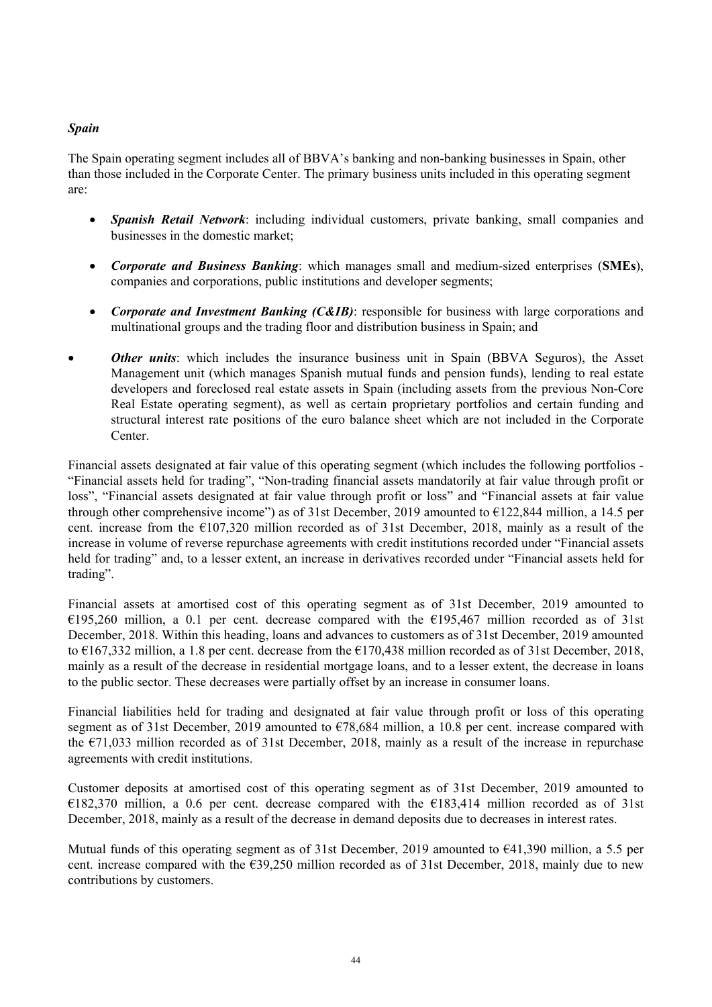# *Spain*

The Spain operating segment includes all of BBVA's banking and non-banking businesses in Spain, other than those included in the Corporate Center. The primary business units included in this operating segment are:

- *Spanish Retail Network*: including individual customers, private banking, small companies and businesses in the domestic market;
- *Corporate and Business Banking*: which manages small and medium-sized enterprises (**SMEs**), companies and corporations, public institutions and developer segments;
- *Corporate and Investment Banking (C&IB)*: responsible for business with large corporations and multinational groups and the trading floor and distribution business in Spain; and
- *Other units*: which includes the insurance business unit in Spain (BBVA Seguros), the Asset Management unit (which manages Spanish mutual funds and pension funds), lending to real estate developers and foreclosed real estate assets in Spain (including assets from the previous Non-Core Real Estate operating segment), as well as certain proprietary portfolios and certain funding and structural interest rate positions of the euro balance sheet which are not included in the Corporate Center.

Financial assets designated at fair value of this operating segment (which includes the following portfolios - "Financial assets held for trading", "Non-trading financial assets mandatorily at fair value through profit or loss", "Financial assets designated at fair value through profit or loss" and "Financial assets at fair value through other comprehensive income") as of 31st December, 2019 amounted to  $\epsilon$ 122,844 million, a 14.5 per cent. increase from the €107,320 million recorded as of 31st December, 2018, mainly as a result of the increase in volume of reverse repurchase agreements with credit institutions recorded under "Financial assets held for trading" and, to a lesser extent, an increase in derivatives recorded under "Financial assets held for trading".

Financial assets at amortised cost of this operating segment as of 31st December, 2019 amounted to €195,260 million, a 0.1 per cent. decrease compared with the €195,467 million recorded as of 31st December, 2018. Within this heading, loans and advances to customers as of 31st December, 2019 amounted to €167,332 million, a 1.8 per cent. decrease from the €170,438 million recorded as of 31st December, 2018, mainly as a result of the decrease in residential mortgage loans, and to a lesser extent, the decrease in loans to the public sector. These decreases were partially offset by an increase in consumer loans.

Financial liabilities held for trading and designated at fair value through profit or loss of this operating segment as of 31st December, 2019 amounted to €78,684 million, a 10.8 per cent. increase compared with the €71,033 million recorded as of 31st December, 2018, mainly as a result of the increase in repurchase agreements with credit institutions.

Customer deposits at amortised cost of this operating segment as of 31st December, 2019 amounted to €182,370 million, a 0.6 per cent. decrease compared with the €183,414 million recorded as of 31st December, 2018, mainly as a result of the decrease in demand deposits due to decreases in interest rates.

Mutual funds of this operating segment as of 31st December, 2019 amounted to  $\epsilon$ 41,390 million, a 5.5 per cent. increase compared with the €39,250 million recorded as of 31st December, 2018, mainly due to new contributions by customers.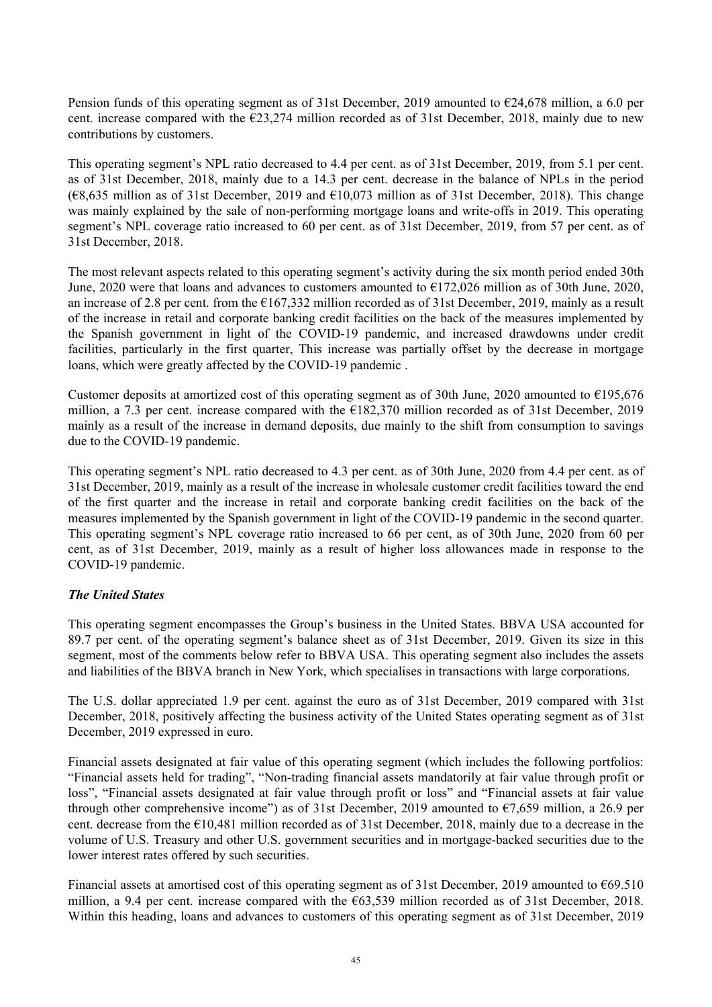Pension funds of this operating segment as of 31st December, 2019 amounted to  $\epsilon$ 24,678 million, a 6.0 per cent. increase compared with the  $\epsilon$ 23,274 million recorded as of 31st December, 2018, mainly due to new contributions by customers.

This operating segment's NPL ratio decreased to 4.4 per cent. as of 31st December, 2019, from 5.1 per cent. as of 31st December, 2018, mainly due to a 14.3 per cent. decrease in the balance of NPLs in the period  $(68,635)$  million as of 31st December, 2019 and  $610,073$  million as of 31st December, 2018). This change was mainly explained by the sale of non-performing mortgage loans and write-offs in 2019. This operating segment's NPL coverage ratio increased to 60 per cent. as of 31st December, 2019, from 57 per cent. as of 31st December, 2018.

The most relevant aspects related to this operating segment's activity during the six month period ended 30th June, 2020 were that loans and advances to customers amounted to  $\text{\textsterling}172,026$  million as of 30th June, 2020, an increase of 2.8 per cent. from the €167,332 million recorded as of 31st December, 2019, mainly as a result of the increase in retail and corporate banking credit facilities on the back of the measures implemented by the Spanish government in light of the COVID-19 pandemic, and increased drawdowns under credit facilities, particularly in the first quarter, This increase was partially offset by the decrease in mortgage loans, which were greatly affected by the COVID-19 pandemic .

Customer deposits at amortized cost of this operating segment as of 30th June, 2020 amounted to  $\epsilon$ 195,676 million, a 7.3 per cent. increase compared with the €182,370 million recorded as of 31st December, 2019 mainly as a result of the increase in demand deposits, due mainly to the shift from consumption to savings due to the COVID-19 pandemic.

This operating segment's NPL ratio decreased to 4.3 per cent. as of 30th June, 2020 from 4.4 per cent. as of 31st December, 2019, mainly as a result of the increase in wholesale customer credit facilities toward the end of the first quarter and the increase in retail and corporate banking credit facilities on the back of the measures implemented by the Spanish government in light of the COVID-19 pandemic in the second quarter. This operating segment's NPL coverage ratio increased to 66 per cent, as of 30th June, 2020 from 60 per cent, as of 31st December, 2019, mainly as a result of higher loss allowances made in response to the COVID-19 pandemic.

### *The United States*

This operating segment encompasses the Group's business in the United States. BBVA USA accounted for 89.7 per cent. of the operating segment's balance sheet as of 31st December, 2019. Given its size in this segment, most of the comments below refer to BBVA USA. This operating segment also includes the assets and liabilities of the BBVA branch in New York, which specialises in transactions with large corporations.

The U.S. dollar appreciated 1.9 per cent. against the euro as of 31st December, 2019 compared with 31st December, 2018, positively affecting the business activity of the United States operating segment as of 31st December, 2019 expressed in euro.

Financial assets designated at fair value of this operating segment (which includes the following portfolios: "Financial assets held for trading", "Non-trading financial assets mandatorily at fair value through profit or loss", "Financial assets designated at fair value through profit or loss" and "Financial assets at fair value through other comprehensive income") as of 31st December, 2019 amounted to  $\epsilon$ 7,659 million, a 26.9 per cent. decrease from the €10,481 million recorded as of 31st December, 2018, mainly due to a decrease in the volume of U.S. Treasury and other U.S. government securities and in mortgage-backed securities due to the lower interest rates offered by such securities.

Financial assets at amortised cost of this operating segment as of 31st December, 2019 amounted to  $\epsilon$ 69.510 million, a 9.4 per cent. increase compared with the €63,539 million recorded as of 31st December, 2018. Within this heading, loans and advances to customers of this operating segment as of 31st December, 2019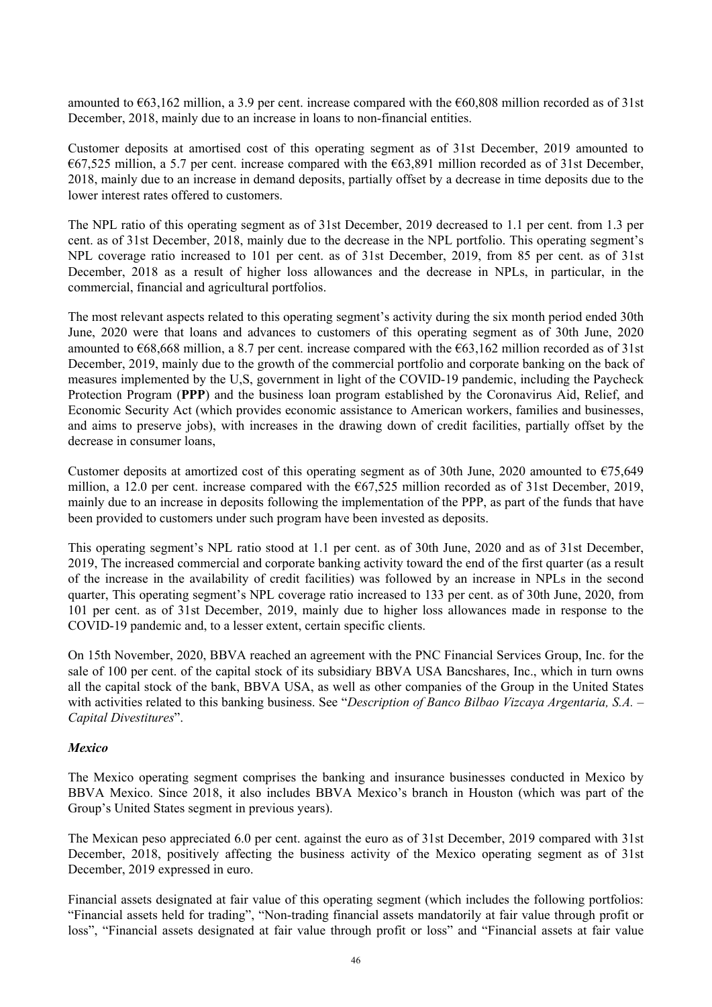amounted to  $\epsilon$ 63,162 million, a 3.9 per cent. increase compared with the  $\epsilon$ 60,808 million recorded as of 31st December, 2018, mainly due to an increase in loans to non-financial entities.

Customer deposits at amortised cost of this operating segment as of 31st December, 2019 amounted to  $€67,525$  million, a 5.7 per cent. increase compared with the  $€63,891$  million recorded as of 31st December, 2018, mainly due to an increase in demand deposits, partially offset by a decrease in time deposits due to the lower interest rates offered to customers.

The NPL ratio of this operating segment as of 31st December, 2019 decreased to 1.1 per cent. from 1.3 per cent. as of 31st December, 2018, mainly due to the decrease in the NPL portfolio. This operating segment's NPL coverage ratio increased to 101 per cent. as of 31st December, 2019, from 85 per cent. as of 31st December, 2018 as a result of higher loss allowances and the decrease in NPLs, in particular, in the commercial, financial and agricultural portfolios.

The most relevant aspects related to this operating segment's activity during the six month period ended 30th June, 2020 were that loans and advances to customers of this operating segment as of 30th June, 2020 amounted to  $668,668$  million, a 8.7 per cent. increase compared with the  $663,162$  million recorded as of 31st December, 2019, mainly due to the growth of the commercial portfolio and corporate banking on the back of measures implemented by the U,S, government in light of the COVID-19 pandemic, including the Paycheck Protection Program (**PPP**) and the business loan program established by the Coronavirus Aid, Relief, and Economic Security Act (which provides economic assistance to American workers, families and businesses, and aims to preserve jobs), with increases in the drawing down of credit facilities, partially offset by the decrease in consumer loans,

Customer deposits at amortized cost of this operating segment as of 30th June, 2020 amounted to  $\epsilon$ 75,649 million, a 12.0 per cent. increase compared with the  $\epsilon$ 67,525 million recorded as of 31st December, 2019, mainly due to an increase in deposits following the implementation of the PPP, as part of the funds that have been provided to customers under such program have been invested as deposits.

This operating segment's NPL ratio stood at 1.1 per cent. as of 30th June, 2020 and as of 31st December, 2019, The increased commercial and corporate banking activity toward the end of the first quarter (as a result of the increase in the availability of credit facilities) was followed by an increase in NPLs in the second quarter, This operating segment's NPL coverage ratio increased to 133 per cent. as of 30th June, 2020, from 101 per cent. as of 31st December, 2019, mainly due to higher loss allowances made in response to the COVID-19 pandemic and, to a lesser extent, certain specific clients.

On 15th November, 2020, BBVA reached an agreement with the PNC Financial Services Group, Inc. for the sale of 100 per cent. of the capital stock of its subsidiary BBVA USA Bancshares, Inc., which in turn owns all the capital stock of the bank, BBVA USA, as well as other companies of the Group in the United States with activities related to this banking business. See "*Description of Banco Bilbao Vizcaya Argentaria, S.A.* – *Capital Divestitures*".

### *Mexico*

The Mexico operating segment comprises the banking and insurance businesses conducted in Mexico by BBVA Mexico. Since 2018, it also includes BBVA Mexico's branch in Houston (which was part of the Group's United States segment in previous years).

The Mexican peso appreciated 6.0 per cent. against the euro as of 31st December, 2019 compared with 31st December, 2018, positively affecting the business activity of the Mexico operating segment as of 31st December, 2019 expressed in euro.

Financial assets designated at fair value of this operating segment (which includes the following portfolios: "Financial assets held for trading", "Non-trading financial assets mandatorily at fair value through profit or loss", "Financial assets designated at fair value through profit or loss" and "Financial assets at fair value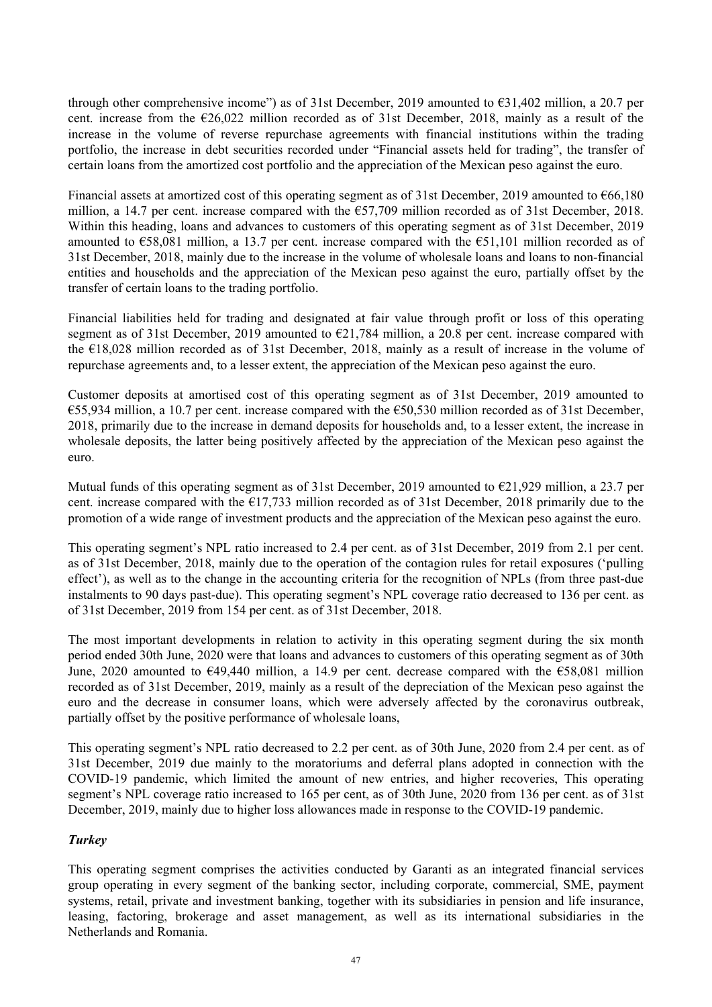through other comprehensive income") as of 31st December, 2019 amounted to  $\epsilon$ 31,402 million, a 20.7 per cent. increase from the €26,022 million recorded as of 31st December, 2018, mainly as a result of the increase in the volume of reverse repurchase agreements with financial institutions within the trading portfolio, the increase in debt securities recorded under "Financial assets held for trading", the transfer of certain loans from the amortized cost portfolio and the appreciation of the Mexican peso against the euro.

Financial assets at amortized cost of this operating segment as of 31st December, 2019 amounted to €66,180 million, a 14.7 per cent. increase compared with the  $\epsilon$ 57,709 million recorded as of 31st December, 2018. Within this heading, loans and advances to customers of this operating segment as of 31st December, 2019 amounted to  $\epsilon$ 58,081 million, a 13.7 per cent. increase compared with the  $\epsilon$ 51,101 million recorded as of 31st December, 2018, mainly due to the increase in the volume of wholesale loans and loans to non-financial entities and households and the appreciation of the Mexican peso against the euro, partially offset by the transfer of certain loans to the trading portfolio.

Financial liabilities held for trading and designated at fair value through profit or loss of this operating segment as of 31st December, 2019 amounted to €21,784 million, a 20.8 per cent. increase compared with the €18,028 million recorded as of 31st December, 2018, mainly as a result of increase in the volume of repurchase agreements and, to a lesser extent, the appreciation of the Mexican peso against the euro.

Customer deposits at amortised cost of this operating segment as of 31st December, 2019 amounted to €55,934 million, a 10.7 per cent. increase compared with the €50,530 million recorded as of 31st December, 2018, primarily due to the increase in demand deposits for households and, to a lesser extent, the increase in wholesale deposits, the latter being positively affected by the appreciation of the Mexican peso against the euro.

Mutual funds of this operating segment as of 31st December, 2019 amounted to  $\epsilon$ 21,929 million, a 23.7 per cent. increase compared with the  $\epsilon$ 17,733 million recorded as of 31st December, 2018 primarily due to the promotion of a wide range of investment products and the appreciation of the Mexican peso against the euro.

This operating segment's NPL ratio increased to 2.4 per cent. as of 31st December, 2019 from 2.1 per cent. as of 31st December, 2018, mainly due to the operation of the contagion rules for retail exposures ('pulling effect'), as well as to the change in the accounting criteria for the recognition of NPLs (from three past-due instalments to 90 days past-due). This operating segment's NPL coverage ratio decreased to 136 per cent. as of 31st December, 2019 from 154 per cent. as of 31st December, 2018.

The most important developments in relation to activity in this operating segment during the six month period ended 30th June, 2020 were that loans and advances to customers of this operating segment as of 30th June, 2020 amounted to €49,440 million, a 14.9 per cent. decrease compared with the €58,081 million recorded as of 31st December, 2019, mainly as a result of the depreciation of the Mexican peso against the euro and the decrease in consumer loans, which were adversely affected by the coronavirus outbreak, partially offset by the positive performance of wholesale loans,

This operating segment's NPL ratio decreased to 2.2 per cent. as of 30th June, 2020 from 2.4 per cent. as of 31st December, 2019 due mainly to the moratoriums and deferral plans adopted in connection with the COVID-19 pandemic, which limited the amount of new entries, and higher recoveries, This operating segment's NPL coverage ratio increased to 165 per cent, as of 30th June, 2020 from 136 per cent. as of 31st December, 2019, mainly due to higher loss allowances made in response to the COVID-19 pandemic.

# *Turkey*

This operating segment comprises the activities conducted by Garanti as an integrated financial services group operating in every segment of the banking sector, including corporate, commercial, SME, payment systems, retail, private and investment banking, together with its subsidiaries in pension and life insurance, leasing, factoring, brokerage and asset management, as well as its international subsidiaries in the Netherlands and Romania.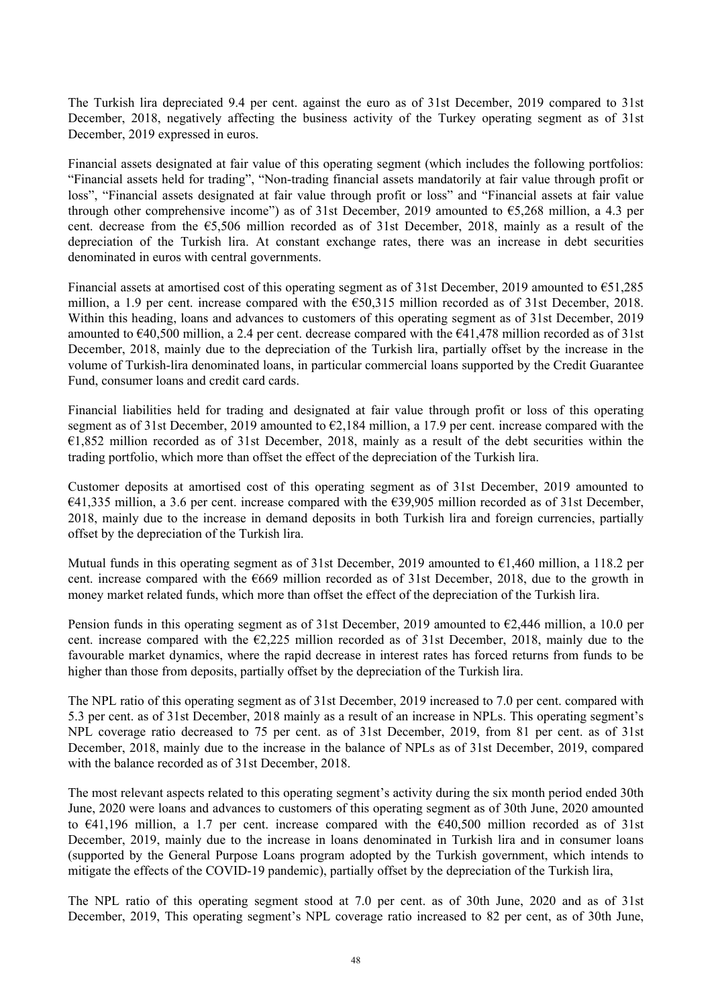The Turkish lira depreciated 9.4 per cent. against the euro as of 31st December, 2019 compared to 31st December, 2018, negatively affecting the business activity of the Turkey operating segment as of 31st December, 2019 expressed in euros.

Financial assets designated at fair value of this operating segment (which includes the following portfolios: "Financial assets held for trading", "Non-trading financial assets mandatorily at fair value through profit or loss", "Financial assets designated at fair value through profit or loss" and "Financial assets at fair value through other comprehensive income") as of 31st December, 2019 amounted to €5,268 million, a 4.3 per cent. decrease from the €5,506 million recorded as of 31st December, 2018, mainly as a result of the depreciation of the Turkish lira. At constant exchange rates, there was an increase in debt securities denominated in euros with central governments.

Financial assets at amortised cost of this operating segment as of 31st December, 2019 amounted to €51,285 million, a 1.9 per cent. increase compared with the €50,315 million recorded as of 31st December, 2018. Within this heading, loans and advances to customers of this operating segment as of 31st December, 2019 amounted to  $\epsilon$ 40,500 million, a 2.4 per cent. decrease compared with the  $\epsilon$ 41,478 million recorded as of 31st December, 2018, mainly due to the depreciation of the Turkish lira, partially offset by the increase in the volume of Turkish-lira denominated loans, in particular commercial loans supported by the Credit Guarantee Fund, consumer loans and credit card cards.

Financial liabilities held for trading and designated at fair value through profit or loss of this operating segment as of 31st December, 2019 amounted to €2,184 million, a 17.9 per cent. increase compared with the  $\epsilon$ 1,852 million recorded as of 31st December, 2018, mainly as a result of the debt securities within the trading portfolio, which more than offset the effect of the depreciation of the Turkish lira.

Customer deposits at amortised cost of this operating segment as of 31st December, 2019 amounted to €41,335 million, a 3.6 per cent. increase compared with the €39,905 million recorded as of 31st December, 2018, mainly due to the increase in demand deposits in both Turkish lira and foreign currencies, partially offset by the depreciation of the Turkish lira.

Mutual funds in this operating segment as of 31st December, 2019 amounted to  $\epsilon$ 1,460 million, a 118.2 per cent. increase compared with the  $E669$  million recorded as of 31st December, 2018, due to the growth in money market related funds, which more than offset the effect of the depreciation of the Turkish lira.

Pension funds in this operating segment as of 31st December, 2019 amounted to  $\epsilon$ 2,446 million, a 10.0 per cent. increase compared with the  $\epsilon$ 2,225 million recorded as of 31st December, 2018, mainly due to the favourable market dynamics, where the rapid decrease in interest rates has forced returns from funds to be higher than those from deposits, partially offset by the depreciation of the Turkish lira.

The NPL ratio of this operating segment as of 31st December, 2019 increased to 7.0 per cent. compared with 5.3 per cent. as of 31st December, 2018 mainly as a result of an increase in NPLs. This operating segment's NPL coverage ratio decreased to 75 per cent. as of 31st December, 2019, from 81 per cent. as of 31st December, 2018, mainly due to the increase in the balance of NPLs as of 31st December, 2019, compared with the balance recorded as of 31st December, 2018.

The most relevant aspects related to this operating segment's activity during the six month period ended 30th June, 2020 were loans and advances to customers of this operating segment as of 30th June, 2020 amounted to €41,196 million, a 1.7 per cent. increase compared with the €40,500 million recorded as of 31st December, 2019, mainly due to the increase in loans denominated in Turkish lira and in consumer loans (supported by the General Purpose Loans program adopted by the Turkish government, which intends to mitigate the effects of the COVID-19 pandemic), partially offset by the depreciation of the Turkish lira,

The NPL ratio of this operating segment stood at 7.0 per cent. as of 30th June, 2020 and as of 31st December, 2019, This operating segment's NPL coverage ratio increased to 82 per cent, as of 30th June,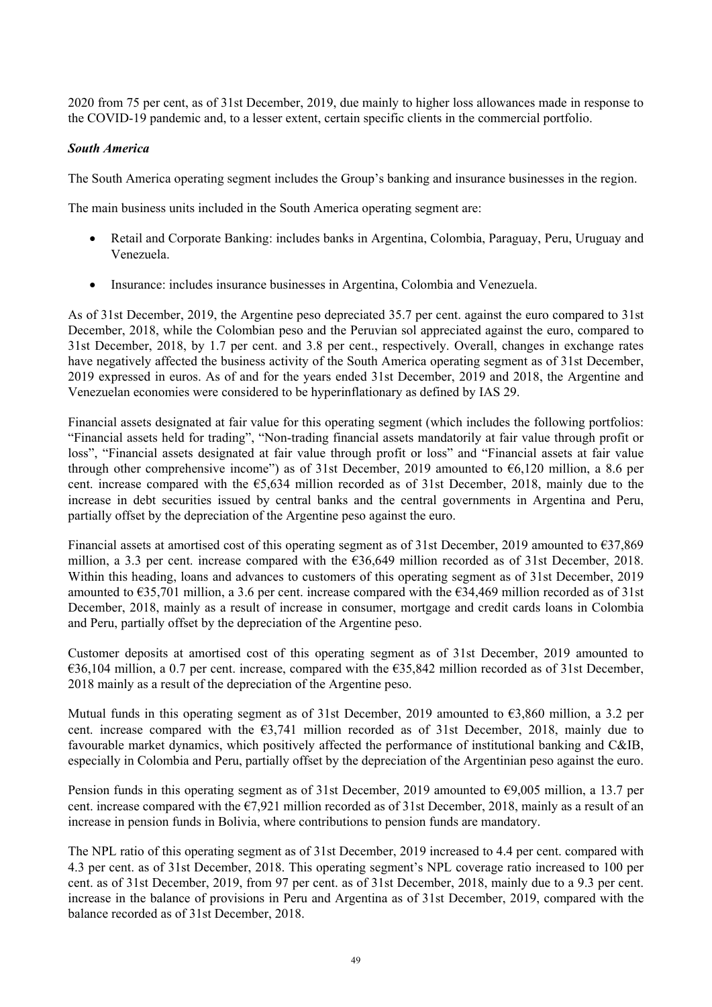2020 from 75 per cent, as of 31st December, 2019, due mainly to higher loss allowances made in response to the COVID-19 pandemic and, to a lesser extent, certain specific clients in the commercial portfolio.

### *South America*

The South America operating segment includes the Group's banking and insurance businesses in the region.

The main business units included in the South America operating segment are:

- Retail and Corporate Banking: includes banks in Argentina, Colombia, Paraguay, Peru, Uruguay and Venezuela.
- Insurance: includes insurance businesses in Argentina, Colombia and Venezuela.

As of 31st December, 2019, the Argentine peso depreciated 35.7 per cent. against the euro compared to 31st December, 2018, while the Colombian peso and the Peruvian sol appreciated against the euro, compared to 31st December, 2018, by 1.7 per cent. and 3.8 per cent., respectively. Overall, changes in exchange rates have negatively affected the business activity of the South America operating segment as of 31st December, 2019 expressed in euros. As of and for the years ended 31st December, 2019 and 2018, the Argentine and Venezuelan economies were considered to be hyperinflationary as defined by IAS 29.

Financial assets designated at fair value for this operating segment (which includes the following portfolios: "Financial assets held for trading", "Non-trading financial assets mandatorily at fair value through profit or loss", "Financial assets designated at fair value through profit or loss" and "Financial assets at fair value through other comprehensive income") as of 31st December, 2019 amounted to  $\epsilon$ 6,120 million, a 8.6 per cent. increase compared with the €5,634 million recorded as of 31st December, 2018, mainly due to the increase in debt securities issued by central banks and the central governments in Argentina and Peru, partially offset by the depreciation of the Argentine peso against the euro.

Financial assets at amortised cost of this operating segment as of 31st December, 2019 amounted to €37,869 million, a 3.3 per cent. increase compared with the  $636,649$  million recorded as of 31st December, 2018. Within this heading, loans and advances to customers of this operating segment as of 31st December, 2019 amounted to  $\epsilon$ 35,701 million, a 3.6 per cent. increase compared with the  $\epsilon$ 34,469 million recorded as of 31st December, 2018, mainly as a result of increase in consumer, mortgage and credit cards loans in Colombia and Peru, partially offset by the depreciation of the Argentine peso.

Customer deposits at amortised cost of this operating segment as of 31st December, 2019 amounted to  $636,104$  million, a 0.7 per cent. increase, compared with the  $635,842$  million recorded as of 31st December, 2018 mainly as a result of the depreciation of the Argentine peso.

Mutual funds in this operating segment as of 31st December, 2019 amounted to €3,860 million, a 3.2 per cent. increase compared with the  $63,741$  million recorded as of 31st December, 2018, mainly due to favourable market dynamics, which positively affected the performance of institutional banking and C&IB, especially in Colombia and Peru, partially offset by the depreciation of the Argentinian peso against the euro.

Pension funds in this operating segment as of 31st December, 2019 amounted to €9,005 million, a 13.7 per cent. increase compared with the  $\epsilon$ 7,921 million recorded as of 31st December, 2018, mainly as a result of an increase in pension funds in Bolivia, where contributions to pension funds are mandatory.

The NPL ratio of this operating segment as of 31st December, 2019 increased to 4.4 per cent. compared with 4.3 per cent. as of 31st December, 2018. This operating segment's NPL coverage ratio increased to 100 per cent. as of 31st December, 2019, from 97 per cent. as of 31st December, 2018, mainly due to a 9.3 per cent. increase in the balance of provisions in Peru and Argentina as of 31st December, 2019, compared with the balance recorded as of 31st December, 2018.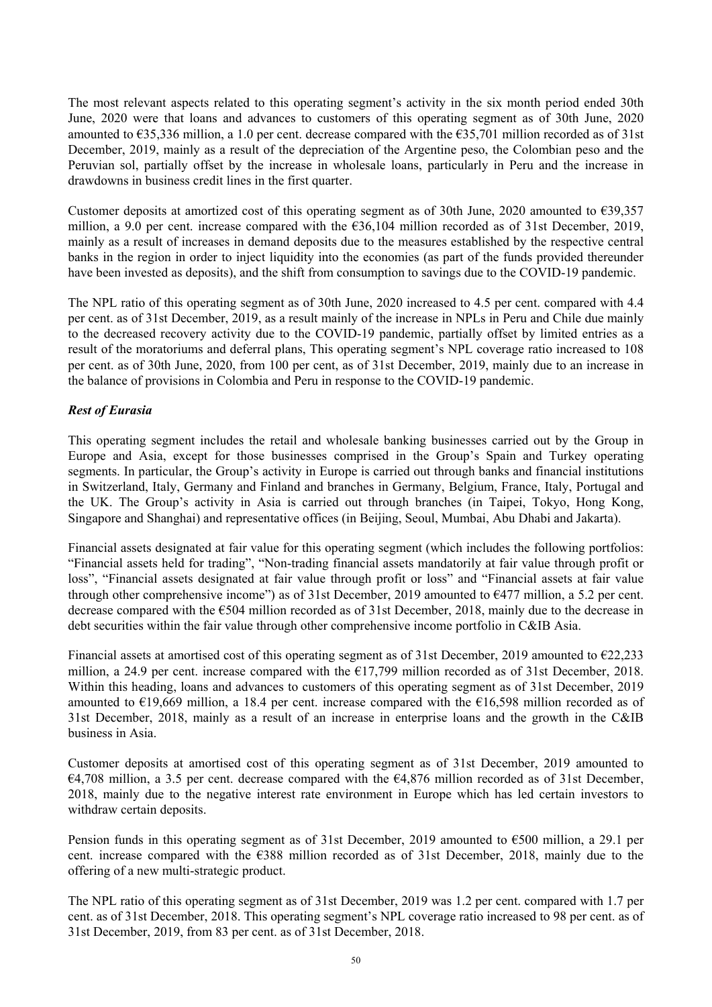The most relevant aspects related to this operating segment's activity in the six month period ended 30th June, 2020 were that loans and advances to customers of this operating segment as of 30th June, 2020 amounted to  $\epsilon$ 35,336 million, a 1.0 per cent. decrease compared with the  $\epsilon$ 35,701 million recorded as of 31st December, 2019, mainly as a result of the depreciation of the Argentine peso, the Colombian peso and the Peruvian sol, partially offset by the increase in wholesale loans, particularly in Peru and the increase in drawdowns in business credit lines in the first quarter.

Customer deposits at amortized cost of this operating segment as of 30th June, 2020 amounted to  $\epsilon$ 39,357 million, a 9.0 per cent. increase compared with the €36,104 million recorded as of 31st December, 2019, mainly as a result of increases in demand deposits due to the measures established by the respective central banks in the region in order to inject liquidity into the economies (as part of the funds provided thereunder have been invested as deposits), and the shift from consumption to savings due to the COVID-19 pandemic.

The NPL ratio of this operating segment as of 30th June, 2020 increased to 4.5 per cent. compared with 4.4 per cent. as of 31st December, 2019, as a result mainly of the increase in NPLs in Peru and Chile due mainly to the decreased recovery activity due to the COVID-19 pandemic, partially offset by limited entries as a result of the moratoriums and deferral plans, This operating segment's NPL coverage ratio increased to 108 per cent. as of 30th June, 2020, from 100 per cent, as of 31st December, 2019, mainly due to an increase in the balance of provisions in Colombia and Peru in response to the COVID-19 pandemic.

# *Rest of Eurasia*

This operating segment includes the retail and wholesale banking businesses carried out by the Group in Europe and Asia, except for those businesses comprised in the Group's Spain and Turkey operating segments. In particular, the Group's activity in Europe is carried out through banks and financial institutions in Switzerland, Italy, Germany and Finland and branches in Germany, Belgium, France, Italy, Portugal and the UK. The Group's activity in Asia is carried out through branches (in Taipei, Tokyo, Hong Kong, Singapore and Shanghai) and representative offices (in Beijing, Seoul, Mumbai, Abu Dhabi and Jakarta).

Financial assets designated at fair value for this operating segment (which includes the following portfolios: "Financial assets held for trading", "Non-trading financial assets mandatorily at fair value through profit or loss", "Financial assets designated at fair value through profit or loss" and "Financial assets at fair value through other comprehensive income") as of 31st December, 2019 amounted to  $\epsilon$ 477 million, a 5.2 per cent. decrease compared with the €504 million recorded as of 31st December, 2018, mainly due to the decrease in debt securities within the fair value through other comprehensive income portfolio in C&IB Asia.

Financial assets at amortised cost of this operating segment as of 31st December, 2019 amounted to €22,233 million, a 24.9 per cent. increase compared with the €17,799 million recorded as of 31st December, 2018. Within this heading, loans and advances to customers of this operating segment as of 31st December, 2019 amounted to €19,669 million, a 18.4 per cent. increase compared with the €16,598 million recorded as of 31st December, 2018, mainly as a result of an increase in enterprise loans and the growth in the C&IB business in Asia.

Customer deposits at amortised cost of this operating segment as of 31st December, 2019 amounted to  $E4,708$  million, a 3.5 per cent. decrease compared with the  $E4,876$  million recorded as of 31st December, 2018, mainly due to the negative interest rate environment in Europe which has led certain investors to withdraw certain deposits.

Pension funds in this operating segment as of 31st December, 2019 amounted to €500 million, a 29.1 per cent. increase compared with the €388 million recorded as of 31st December, 2018, mainly due to the offering of a new multi-strategic product.

The NPL ratio of this operating segment as of 31st December, 2019 was 1.2 per cent. compared with 1.7 per cent. as of 31st December, 2018. This operating segment's NPL coverage ratio increased to 98 per cent. as of 31st December, 2019, from 83 per cent. as of 31st December, 2018.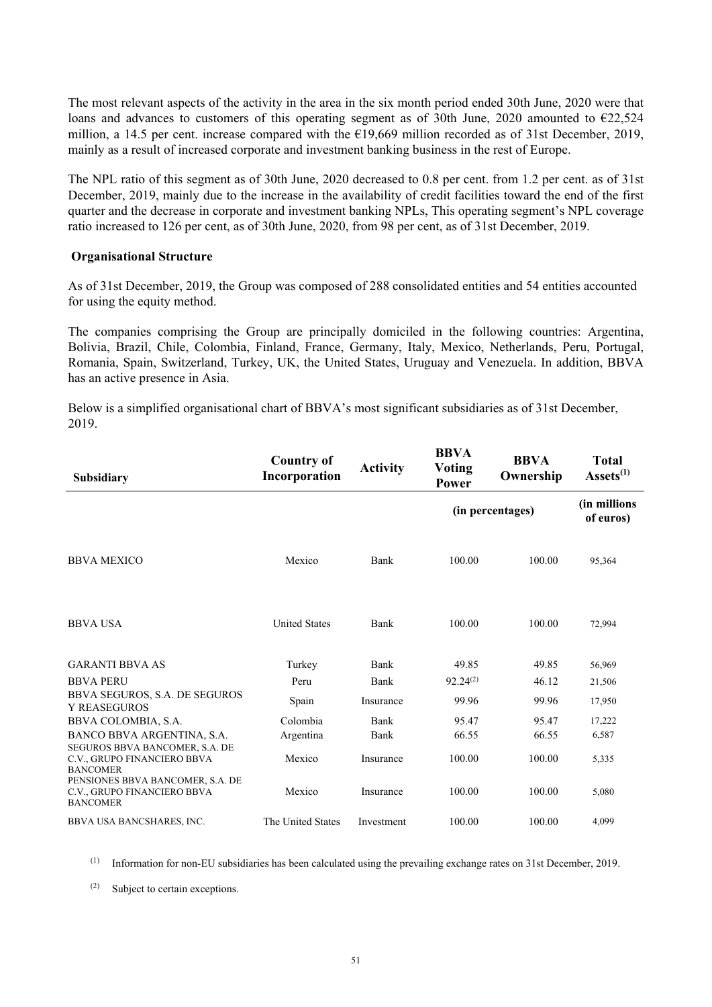The most relevant aspects of the activity in the area in the six month period ended 30th June, 2020 were that loans and advances to customers of this operating segment as of 30th June, 2020 amounted to €22,524 million, a 14.5 per cent. increase compared with the €19,669 million recorded as of 31st December, 2019, mainly as a result of increased corporate and investment banking business in the rest of Europe.

The NPL ratio of this segment as of 30th June, 2020 decreased to 0.8 per cent. from 1.2 per cent. as of 31st December, 2019, mainly due to the increase in the availability of credit facilities toward the end of the first quarter and the decrease in corporate and investment banking NPLs, This operating segment's NPL coverage ratio increased to 126 per cent, as of 30th June, 2020, from 98 per cent, as of 31st December, 2019.

#### **Organisational Structure**

As of 31st December, 2019, the Group was composed of 288 consolidated entities and 54 entities accounted for using the equity method.

The companies comprising the Group are principally domiciled in the following countries: Argentina, Bolivia, Brazil, Chile, Colombia, Finland, France, Germany, Italy, Mexico, Netherlands, Peru, Portugal, Romania, Spain, Switzerland, Turkey, UK, the United States, Uruguay and Venezuela. In addition, BBVA has an active presence in Asia.

Below is a simplified organisational chart of BBVA's most significant subsidiaries as of 31st December, 2019.

| Subsidiary                                                                         | <b>Country of</b><br>Incorporation | <b>Activity</b> | <b>BBVA</b><br><b>Voting</b><br>Power | <b>BBVA</b><br>Ownership | <b>Total</b><br>$\textbf{Assets}^{(1)}$ |
|------------------------------------------------------------------------------------|------------------------------------|-----------------|---------------------------------------|--------------------------|-----------------------------------------|
|                                                                                    |                                    |                 |                                       | (in percentages)         | (in millions)<br>of euros)              |
| <b>BBVA MEXICO</b>                                                                 | Mexico                             | Bank            | 100.00                                | 100.00                   | 95,364                                  |
| <b>BBVA USA</b>                                                                    | <b>United States</b>               | Bank            | 100.00                                | 100.00                   | 72,994                                  |
| <b>GARANTI BBVA AS</b>                                                             | Turkey                             | Bank            | 49.85                                 | 49.85                    | 56,969                                  |
| <b>BBVA PERU</b>                                                                   | Peru                               | Bank            | $92.24^{(2)}$                         | 46.12                    | 21,506                                  |
| BBVA SEGUROS, S.A. DE SEGUROS<br><b>Y REASEGUROS</b>                               | Spain                              | Insurance       | 99.96                                 | 99.96                    | 17,950                                  |
| BBVA COLOMBIA, S.A.                                                                | Colombia                           | Bank            | 95.47                                 | 95.47                    | 17,222                                  |
| BANCO BBVA ARGENTINA, S.A.                                                         | Argentina                          | Bank            | 66.55                                 | 66.55                    | 6,587                                   |
| SEGUROS BBVA BANCOMER, S.A. DE<br>C.V., GRUPO FINANCIERO BBVA<br><b>BANCOMER</b>   | Mexico                             | Insurance       | 100.00                                | 100.00                   | 5,335                                   |
| PENSIONES BBVA BANCOMER, S.A. DE<br>C.V., GRUPO FINANCIERO BBVA<br><b>BANCOMER</b> | Mexico                             | Insurance       | 100.00                                | 100.00                   | 5,080                                   |
| BBVA USA BANCSHARES, INC.                                                          | The United States                  | Investment      | 100.00                                | 100.00                   | 4.099                                   |

(1) Information for non-EU subsidiaries has been calculated using the prevailing exchange rates on 31st December, 2019.

(2) Subject to certain exceptions.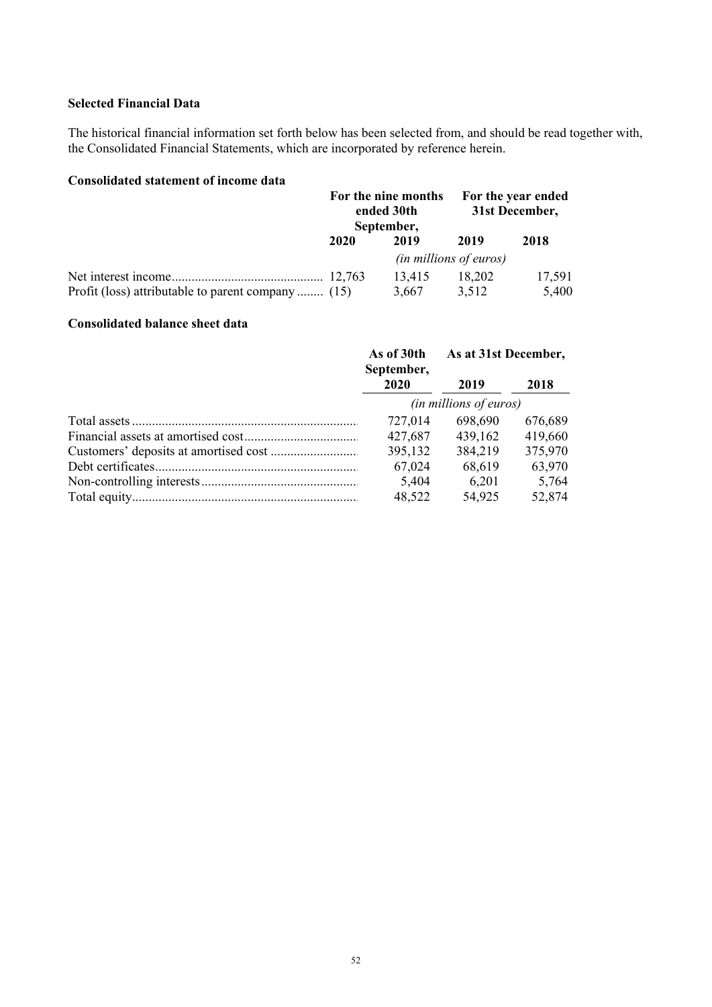# **Selected Financial Data**

The historical financial information set forth below has been selected from, and should be read together with, the Consolidated Financial Statements, which are incorporated by reference herein.

# **Consolidated statement of income data**

|                                                    |      | For the nine months<br>ended 30th<br>September, |                               | For the year ended<br>31st December, |  |
|----------------------------------------------------|------|-------------------------------------------------|-------------------------------|--------------------------------------|--|
|                                                    | 2020 | 2019                                            | 2019                          | 2018                                 |  |
|                                                    |      |                                                 | <i>(in millions of euros)</i> |                                      |  |
|                                                    |      | 13,415                                          | 18.202                        | 17,591                               |  |
| Profit (loss) attributable to parent company  (15) |      | 3,667                                           | 3.512                         | 5,400                                |  |

# **Consolidated balance sheet data**

| As of 30th<br>September, | As at 31st December, |         |
|--------------------------|----------------------|---------|
| 2020                     | 2019                 | 2018    |
| (in millions of euros)   |                      |         |
| 727,014                  | 698,690              | 676,689 |
| 427,687                  | 439,162              | 419,660 |
| 395,132                  | 384,219              | 375,970 |
| 67,024                   | 68,619               | 63,970  |
| 5,404                    | 6,201                | 5,764   |
| 48,522                   | 54,925               | 52,874  |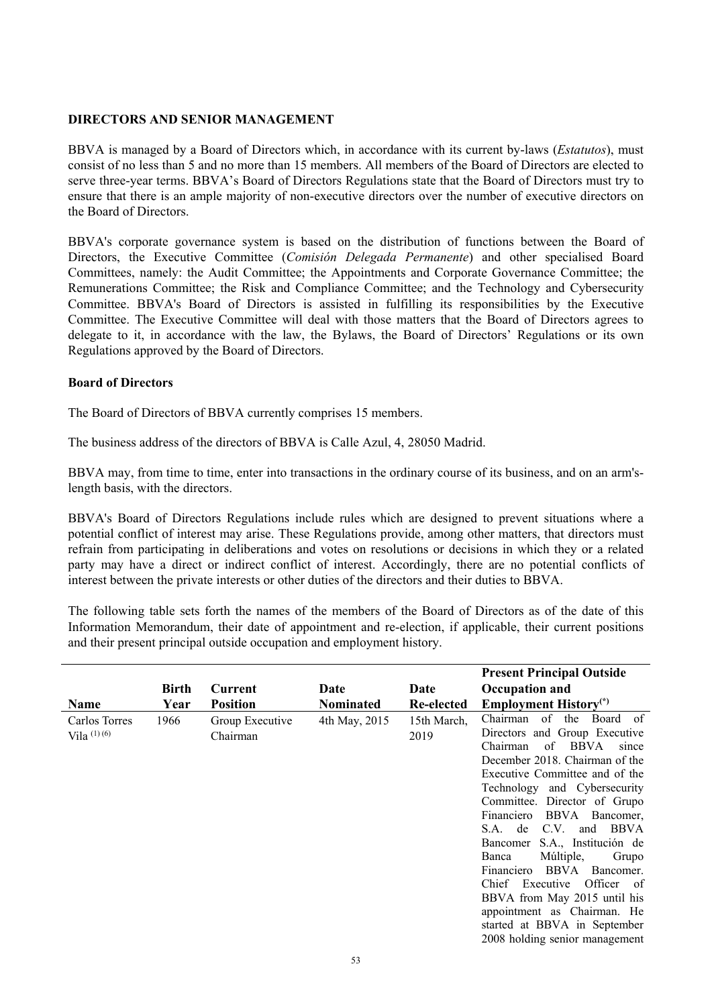### **DIRECTORS AND SENIOR MANAGEMENT**

BBVA is managed by a Board of Directors which, in accordance with its current by-laws (*Estatutos*), must consist of no less than 5 and no more than 15 members. All members of the Board of Directors are elected to serve three-year terms. BBVA's Board of Directors Regulations state that the Board of Directors must try to ensure that there is an ample majority of non-executive directors over the number of executive directors on the Board of Directors.

BBVA's corporate governance system is based on the distribution of functions between the Board of Directors, the Executive Committee (*Comisión Delegada Permanente*) and other specialised Board Committees, namely: the Audit Committee; the Appointments and Corporate Governance Committee; the Remunerations Committee; the Risk and Compliance Committee; and the Technology and Cybersecurity Committee. BBVA's Board of Directors is assisted in fulfilling its responsibilities by the Executive Committee. The Executive Committee will deal with those matters that the Board of Directors agrees to delegate to it, in accordance with the law, the Bylaws, the Board of Directors' Regulations or its own Regulations approved by the Board of Directors.

### **Board of Directors**

The Board of Directors of BBVA currently comprises 15 members.

The business address of the directors of BBVA is Calle Azul, 4, 28050 Madrid.

BBVA may, from time to time, enter into transactions in the ordinary course of its business, and on an arm'slength basis, with the directors.

BBVA's Board of Directors Regulations include rules which are designed to prevent situations where a potential conflict of interest may arise. These Regulations provide, among other matters, that directors must refrain from participating in deliberations and votes on resolutions or decisions in which they or a related party may have a direct or indirect conflict of interest. Accordingly, there are no potential conflicts of interest between the private interests or other duties of the directors and their duties to BBVA.

The following table sets forth the names of the members of the Board of Directors as of the date of this Information Memorandum, their date of appointment and re-election, if applicable, their current positions and their present principal outside occupation and employment history.

|                                |       |                             |               |                     | <b>Present Principal Outside</b>                                                                                                                                                                                                                                                                                                                                                                                                                                                                                                                                     |
|--------------------------------|-------|-----------------------------|---------------|---------------------|----------------------------------------------------------------------------------------------------------------------------------------------------------------------------------------------------------------------------------------------------------------------------------------------------------------------------------------------------------------------------------------------------------------------------------------------------------------------------------------------------------------------------------------------------------------------|
|                                | Birth | Current                     | Date          | Date                | <b>Occupation and</b>                                                                                                                                                                                                                                                                                                                                                                                                                                                                                                                                                |
| <b>Name</b>                    | Year  | <b>Position</b>             | Nominated     | Re-elected          | <b>Employment History</b> <sup>(*)</sup>                                                                                                                                                                                                                                                                                                                                                                                                                                                                                                                             |
| Carlos Torres<br>Vila $(1)(6)$ | 1966  | Group Executive<br>Chairman | 4th May, 2015 | 15th March,<br>2019 | Chairman of the<br>Board of<br>Directors and Group Executive<br>of BBVA<br>Chairman<br>since<br>December 2018. Chairman of the<br>Executive Committee and of the<br>Technology and Cybersecurity<br>Committee. Director of Grupo<br>BBVA<br>Financiero<br>Bancomer,<br>S.A. de C.V. and BBVA<br>S.A., Institución de<br>Bancomer<br>Múltiple,<br>Grupo<br>Banca<br>BBVA<br>Financiero<br>Bancomer.<br>Officer of<br>Chief Executive<br>BBVA from May 2015 until his<br>appointment as Chairman. He<br>started at BBVA in September<br>2008 holding senior management |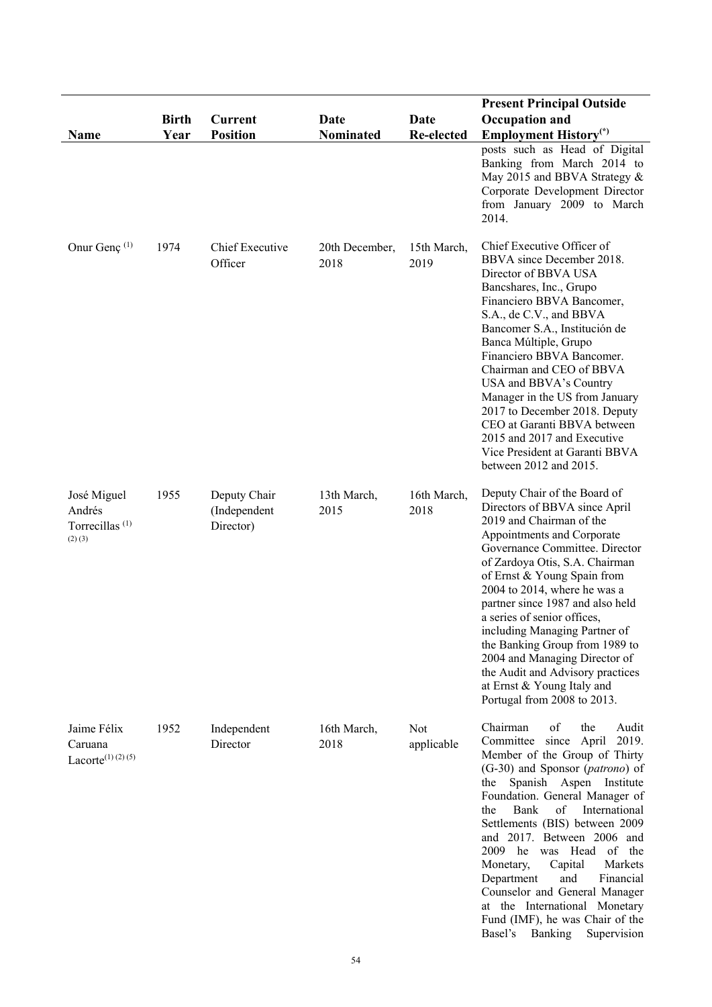|                                                                    |                      |                                           |                          |                           | <b>Present Principal Outside</b>                                                                                                                                                                                                                                                                                                                                                                                                                                                                                                   |
|--------------------------------------------------------------------|----------------------|-------------------------------------------|--------------------------|---------------------------|------------------------------------------------------------------------------------------------------------------------------------------------------------------------------------------------------------------------------------------------------------------------------------------------------------------------------------------------------------------------------------------------------------------------------------------------------------------------------------------------------------------------------------|
| Name                                                               | <b>Birth</b><br>Year | <b>Current</b><br><b>Position</b>         | Date<br><b>Nominated</b> | Date<br><b>Re-elected</b> | Occupation and<br><b>Employment History</b> <sup>(*)</sup>                                                                                                                                                                                                                                                                                                                                                                                                                                                                         |
|                                                                    |                      |                                           |                          |                           | posts such as Head of Digital<br>Banking from March 2014 to<br>May 2015 and BBVA Strategy &<br>Corporate Development Director<br>from January 2009 to March<br>2014.                                                                                                                                                                                                                                                                                                                                                               |
| Onur Genç <sup>(1)</sup>                                           | 1974                 | Chief Executive<br>Officer                | 20th December,<br>2018   | 15th March,<br>2019       | Chief Executive Officer of<br>BBVA since December 2018.<br>Director of BBVA USA<br>Bancshares, Inc., Grupo<br>Financiero BBVA Bancomer,<br>S.A., de C.V., and BBVA<br>Bancomer S.A., Institución de<br>Banca Múltiple, Grupo<br>Financiero BBVA Bancomer.<br>Chairman and CEO of BBVA<br>USA and BBVA's Country<br>Manager in the US from January<br>2017 to December 2018. Deputy<br>CEO at Garanti BBVA between<br>2015 and 2017 and Executive<br>Vice President at Garanti BBVA<br>between 2012 and 2015.                       |
| José Miguel<br>Andrés<br>Torrecillas <sup>(1)</sup><br>$(2)$ $(3)$ | 1955                 | Deputy Chair<br>(Independent<br>Director) | 13th March,<br>2015      | 16th March,<br>2018       | Deputy Chair of the Board of<br>Directors of BBVA since April<br>2019 and Chairman of the<br>Appointments and Corporate<br>Governance Committee. Director<br>of Zardoya Otis, S.A. Chairman<br>of Ernst & Young Spain from<br>2004 to 2014, where he was a<br>partner since 1987 and also held<br>a series of senior offices,<br>including Managing Partner of<br>the Banking Group from 1989 to<br>2004 and Managing Director of<br>the Audit and Advisory practices<br>at Ernst & Young Italy and<br>Portugal from 2008 to 2013. |
| Jaime Félix<br>Caruana<br>Lacorte <sup>(1)</sup> (2)(5)            | 1952                 | Independent<br>Director                   | 16th March,<br>2018      | Not<br>applicable         | Chairman<br>of<br>the<br>Audit<br>Committee since April<br>2019.<br>Member of the Group of Thirty<br>(G-30) and Sponsor (patrono) of<br>the Spanish Aspen Institute<br>Foundation. General Manager of<br>of<br>Bank<br>International<br>the<br>Settlements (BIS) between 2009<br>and 2017. Between 2006 and<br>2009 he<br>was Head of the<br>Capital<br>Markets<br>Monetary,<br>Financial<br>Department<br>and<br>Counselor and General Manager<br>at the International Monetary<br>Fund (IMF), he was Chair of the                |

Basel's Banking Supervision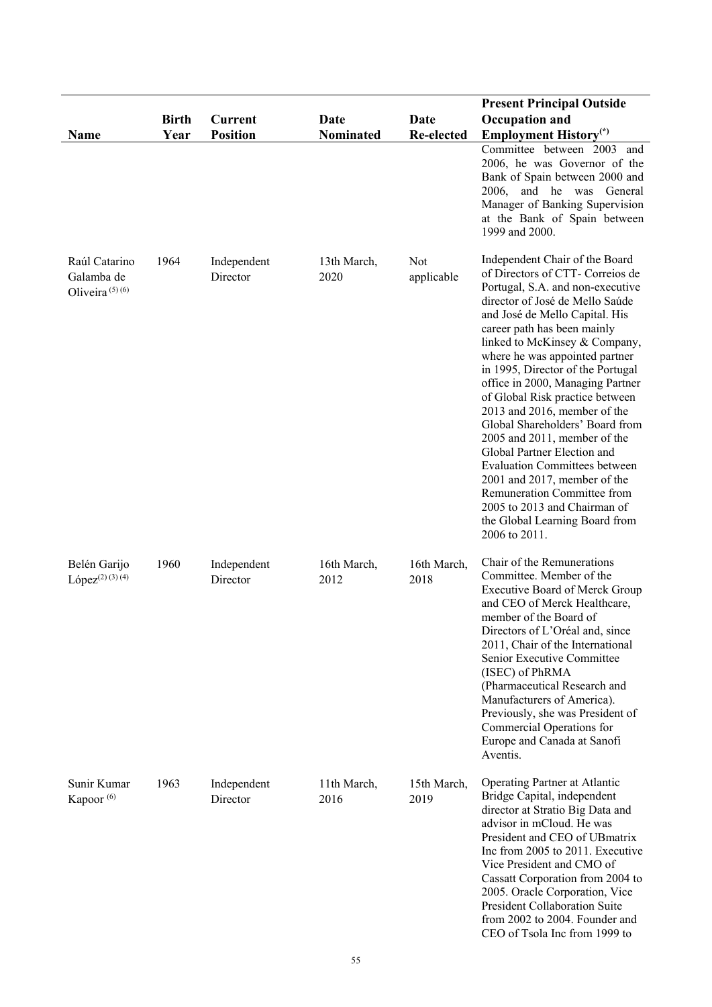| <b>Name</b>                                      | <b>Birth</b><br>Year | Current<br><b>Position</b> | Date<br><b>Nominated</b> | Date<br><b>Re-elected</b> | <b>Present Principal Outside</b><br><b>Occupation and</b><br><b>Employment History</b> <sup>(*)</sup><br>Committee between 2003 and                                                                                                                                                                                                                                                                                                                                                                                                                                                                                                                                                                                   |
|--------------------------------------------------|----------------------|----------------------------|--------------------------|---------------------------|-----------------------------------------------------------------------------------------------------------------------------------------------------------------------------------------------------------------------------------------------------------------------------------------------------------------------------------------------------------------------------------------------------------------------------------------------------------------------------------------------------------------------------------------------------------------------------------------------------------------------------------------------------------------------------------------------------------------------|
|                                                  |                      |                            |                          |                           | 2006, he was Governor of the<br>Bank of Spain between 2000 and<br>and he was<br>2006,<br>General<br>Manager of Banking Supervision<br>at the Bank of Spain between<br>1999 and 2000.                                                                                                                                                                                                                                                                                                                                                                                                                                                                                                                                  |
| Raúl Catarino<br>Galamba de<br>Oliveira $(5)(6)$ | 1964                 | Independent<br>Director    | 13th March,<br>2020      | Not<br>applicable         | Independent Chair of the Board<br>of Directors of CTT- Correios de<br>Portugal, S.A. and non-executive<br>director of José de Mello Saúde<br>and José de Mello Capital. His<br>career path has been mainly<br>linked to McKinsey & Company,<br>where he was appointed partner<br>in 1995, Director of the Portugal<br>office in 2000, Managing Partner<br>of Global Risk practice between<br>2013 and 2016, member of the<br>Global Shareholders' Board from<br>2005 and 2011, member of the<br>Global Partner Election and<br><b>Evaluation Committees between</b><br>2001 and 2017, member of the<br>Remuneration Committee from<br>2005 to 2013 and Chairman of<br>the Global Learning Board from<br>2006 to 2011. |
| Belén Garijo<br>$López(2) (3) (4)$               | 1960                 | Independent<br>Director    | 16th March,<br>2012      | 16th March,<br>2018       | Chair of the Remunerations<br>Committee. Member of the<br>Executive Board of Merck Group<br>and CEO of Merck Healthcare,<br>member of the Board of<br>Directors of L'Oréal and, since<br>2011, Chair of the International<br>Senior Executive Committee<br>(ISEC) of PhRMA<br>(Pharmaceutical Research and<br>Manufacturers of America).<br>Previously, she was President of<br>Commercial Operations for<br>Europe and Canada at Sanofi<br>Aventis.                                                                                                                                                                                                                                                                  |
| Sunir Kumar<br>Kapoor <sup>(6)</sup>             | 1963                 | Independent<br>Director    | 11th March,<br>2016      | 15th March,<br>2019       | Operating Partner at Atlantic<br>Bridge Capital, independent<br>director at Stratio Big Data and<br>advisor in mCloud. He was<br>President and CEO of UBmatrix<br>Inc from 2005 to 2011. Executive<br>Vice President and CMO of<br>Cassatt Corporation from 2004 to<br>2005. Oracle Corporation, Vice<br>President Collaboration Suite<br>from 2002 to 2004. Founder and<br>CEO of Tsola Inc from 1999 to                                                                                                                                                                                                                                                                                                             |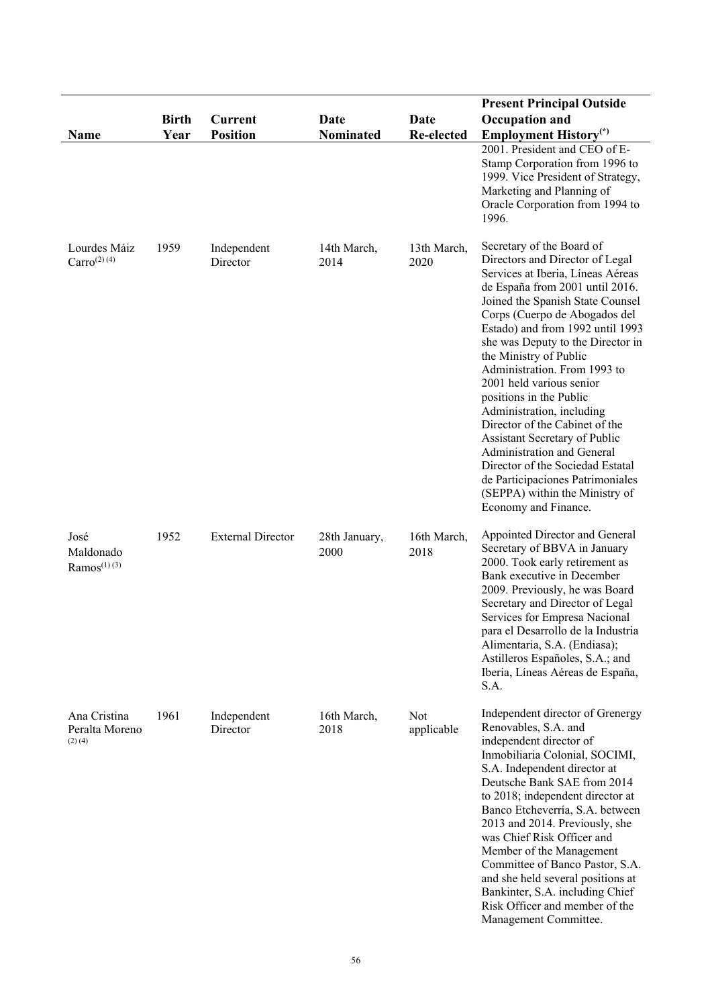| Name                                          | <b>Birth</b><br>Year | <b>Current</b><br><b>Position</b> | Date<br><b>Nominated</b> | <b>Date</b><br>Re-elected | <b>Present Principal Outside</b><br><b>Occupation and</b><br><b>Employment History</b> <sup>(*)</sup><br>2001. President and CEO of E-<br>Stamp Corporation from 1996 to<br>1999. Vice President of Strategy,<br>Marketing and Planning of<br>Oracle Corporation from 1994 to<br>1996.                                                                                                                                                                                                                                                                                                                                                                              |
|-----------------------------------------------|----------------------|-----------------------------------|--------------------------|---------------------------|---------------------------------------------------------------------------------------------------------------------------------------------------------------------------------------------------------------------------------------------------------------------------------------------------------------------------------------------------------------------------------------------------------------------------------------------------------------------------------------------------------------------------------------------------------------------------------------------------------------------------------------------------------------------|
| Lourdes Máiz<br>$Carro^{(2)(4)}$              | 1959                 | Independent<br>Director           | 14th March,<br>2014      | 13th March,<br>2020       | Secretary of the Board of<br>Directors and Director of Legal<br>Services at Iberia, Líneas Aéreas<br>de España from 2001 until 2016.<br>Joined the Spanish State Counsel<br>Corps (Cuerpo de Abogados del<br>Estado) and from 1992 until 1993<br>she was Deputy to the Director in<br>the Ministry of Public<br>Administration. From 1993 to<br>2001 held various senior<br>positions in the Public<br>Administration, including<br>Director of the Cabinet of the<br>Assistant Secretary of Public<br>Administration and General<br>Director of the Sociedad Estatal<br>de Participaciones Patrimoniales<br>(SEPPA) within the Ministry of<br>Economy and Finance. |
| José<br>Maldonado<br>$Ramos^{(1)(3)}$         | 1952                 | <b>External Director</b>          | 28th January,<br>2000    | 16th March,<br>2018       | Appointed Director and General<br>Secretary of BBVA in January<br>2000. Took early retirement as<br>Bank executive in December<br>2009. Previously, he was Board<br>Secretary and Director of Legal<br>Services for Empresa Nacional<br>para el Desarrollo de la Industria<br>Alimentaria, S.A. (Endiasa);<br>Astilleros Españoles, S.A.; and<br>Iberia, Líneas Aéreas de España,<br>S.A.                                                                                                                                                                                                                                                                           |
| Ana Cristina<br>Peralta Moreno<br>$(2)$ $(4)$ | 1961                 | Independent<br>Director           | 16th March,<br>2018      | Not<br>applicable         | Independent director of Grenergy<br>Renovables, S.A. and<br>independent director of<br>Inmobiliaria Colonial, SOCIMI,<br>S.A. Independent director at<br>Deutsche Bank SAE from 2014<br>to 2018; independent director at<br>Banco Etcheverría, S.A. between<br>2013 and 2014. Previously, she<br>was Chief Risk Officer and<br>Member of the Management<br>Committee of Banco Pastor, S.A.<br>and she held several positions at<br>Bankinter, S.A. including Chief<br>Risk Officer and member of the<br>Management Committee.                                                                                                                                       |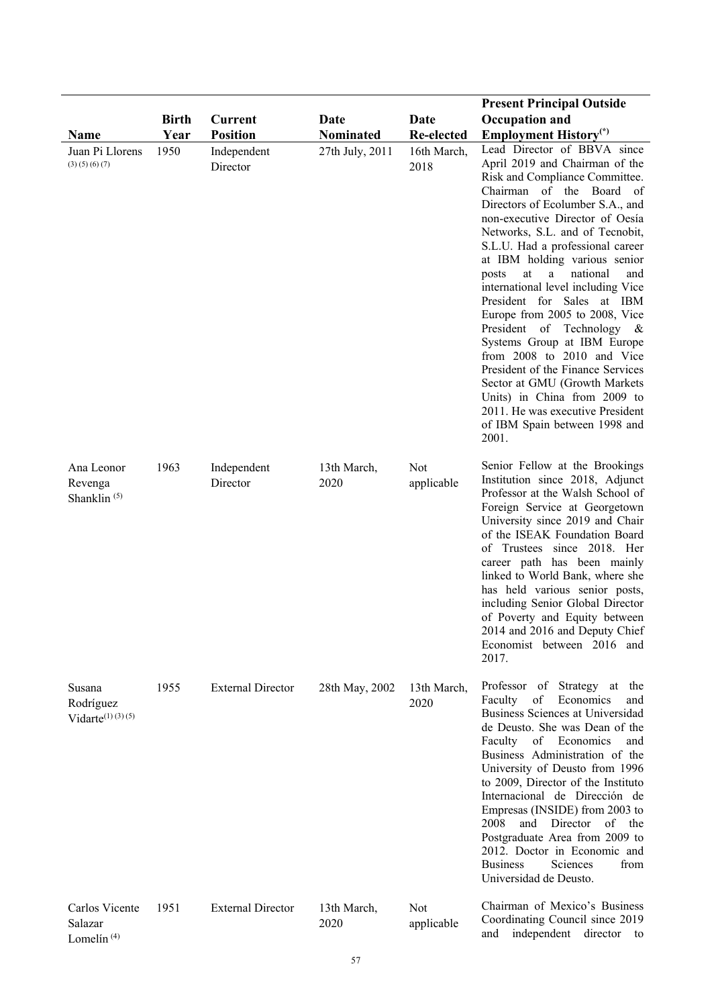|                                                  | <b>Birth</b> | <b>Current</b>           | Date                | Date                     | <b>Present Principal Outside</b><br>Occupation and                                                                                                                                                                                                                                                                                                                                                                                                                                                                                                                                                                                                                                                                                    |
|--------------------------------------------------|--------------|--------------------------|---------------------|--------------------------|---------------------------------------------------------------------------------------------------------------------------------------------------------------------------------------------------------------------------------------------------------------------------------------------------------------------------------------------------------------------------------------------------------------------------------------------------------------------------------------------------------------------------------------------------------------------------------------------------------------------------------------------------------------------------------------------------------------------------------------|
| <b>Name</b>                                      | Year         | <b>Position</b>          | Nominated           | <b>Re-elected</b>        | <b>Employment History</b> <sup>(*)</sup>                                                                                                                                                                                                                                                                                                                                                                                                                                                                                                                                                                                                                                                                                              |
| Juan Pi Llorens<br>(3)(5)(6)(7)                  | 1950         | Independent<br>Director  | 27th July, 2011     | 16th March,<br>2018      | Lead Director of BBVA since<br>April 2019 and Chairman of the<br>Risk and Compliance Committee.<br>Chairman of the Board of<br>Directors of Ecolumber S.A., and<br>non-executive Director of Oesía<br>Networks, S.L. and of Tecnobit,<br>S.L.U. Had a professional career<br>at IBM holding various senior<br>at<br>national<br>a<br>and<br>posts<br>international level including Vice<br>President for Sales at IBM<br>Europe from 2005 to 2008, Vice<br>President of Technology &<br>Systems Group at IBM Europe<br>from 2008 to 2010 and Vice<br>President of the Finance Services<br>Sector at GMU (Growth Markets<br>Units) in China from 2009 to<br>2011. He was executive President<br>of IBM Spain between 1998 and<br>2001. |
| Ana Leonor<br>Revenga<br>Shanklin <sup>(5)</sup> | 1963         | Independent<br>Director  | 13th March,<br>2020 | Not<br>applicable        | Senior Fellow at the Brookings<br>Institution since 2018, Adjunct<br>Professor at the Walsh School of<br>Foreign Service at Georgetown<br>University since 2019 and Chair<br>of the ISEAK Foundation Board<br>of Trustees since 2018. Her<br>career path has been mainly<br>linked to World Bank, where she<br>has held various senior posts,<br>including Senior Global Director<br>of Poverty and Equity between<br>2014 and 2016 and Deputy Chief<br>Economist between 2016 and<br>2017.                                                                                                                                                                                                                                           |
| Susana<br>Rodríguez<br>$Vidarte^{(1)(3)(5)}$     | 1955         | <b>External Director</b> | 28th May, 2002      | 13th March,<br>2020      | Professor of Strategy at the<br>Economics<br>Faculty<br>of<br>and<br>Business Sciences at Universidad<br>de Deusto. She was Dean of the<br>Faculty of Economics<br>and<br>Business Administration of the<br>University of Deusto from 1996<br>to 2009, Director of the Instituto<br>Internacional de Dirección de<br>Empresas (INSIDE) from 2003 to<br>2008<br>and Director<br>of the<br>Postgraduate Area from 2009 to<br>2012. Doctor in Economic and<br><b>Business</b><br>from<br>Sciences<br>Universidad de Deusto.                                                                                                                                                                                                              |
| Carlos Vicente<br>Salazar<br>Lomelín $(4)$       | 1951         | <b>External Director</b> | 13th March,<br>2020 | <b>Not</b><br>applicable | Chairman of Mexico's Business<br>Coordinating Council since 2019<br>and independent director to                                                                                                                                                                                                                                                                                                                                                                                                                                                                                                                                                                                                                                       |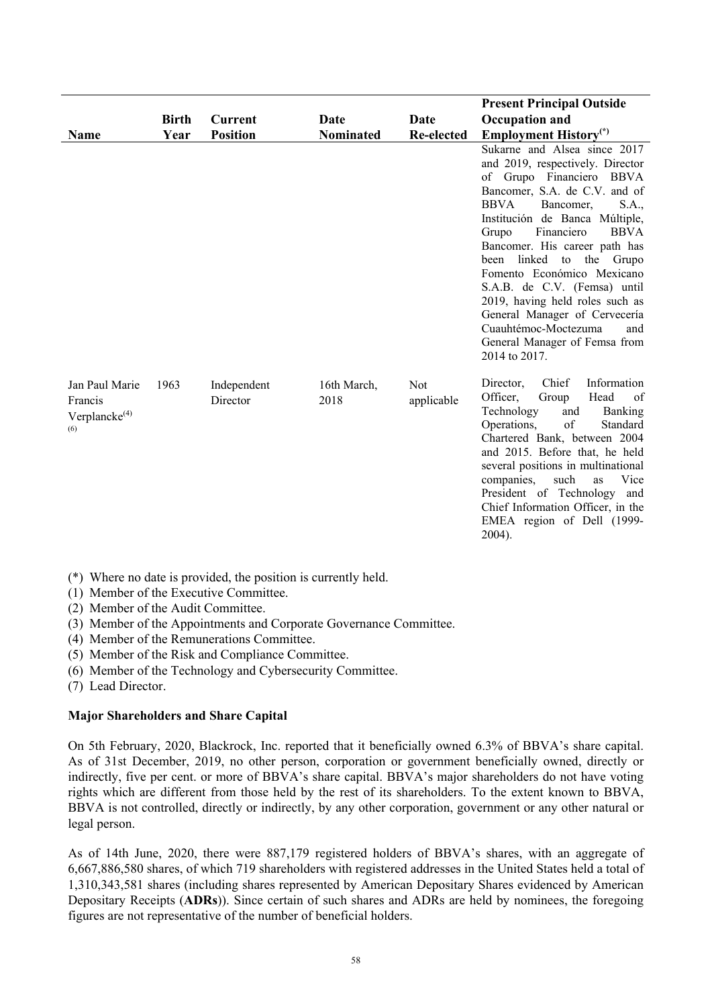|                                                         |              |                         |                     |                   | <b>Present Principal Outside</b>                                                                                                                                                                                                                                                                                                                                                                                                                                                                                              |
|---------------------------------------------------------|--------------|-------------------------|---------------------|-------------------|-------------------------------------------------------------------------------------------------------------------------------------------------------------------------------------------------------------------------------------------------------------------------------------------------------------------------------------------------------------------------------------------------------------------------------------------------------------------------------------------------------------------------------|
|                                                         | <b>Birth</b> | <b>Current</b>          | Date                | Date              | <b>Occupation and</b>                                                                                                                                                                                                                                                                                                                                                                                                                                                                                                         |
| <b>Name</b>                                             | Year         | <b>Position</b>         | <b>Nominated</b>    | Re-elected        | <b>Employment History</b> <sup>(*)</sup>                                                                                                                                                                                                                                                                                                                                                                                                                                                                                      |
|                                                         |              |                         |                     |                   | Sukarne and Alsea since 2017<br>and 2019, respectively. Director<br>of Grupo Financiero BBVA<br>Bancomer, S.A. de C.V. and of<br><b>BBVA</b><br>Bancomer,<br>S.A.,<br>Institución de Banca Múltiple,<br>Financiero<br><b>BBVA</b><br>Grupo<br>Bancomer. His career path has<br>linked to the Grupo<br>been<br>Fomento Económico Mexicano<br>S.A.B. de C.V. (Femsa) until<br>2019, having held roles such as<br>General Manager of Cervecería<br>Cuauhtémoc-Moctezuma<br>and<br>General Manager of Femsa from<br>2014 to 2017. |
| Jan Paul Marie<br>Francis<br>Verplanck $e^{(4)}$<br>(6) | 1963         | Independent<br>Director | 16th March,<br>2018 | Not<br>applicable | Chief<br>Information<br>Director,<br>Officer,<br>Head<br>Group<br>of<br>Technology<br><b>Banking</b><br>and<br>of<br>Operations,<br>Standard<br>Chartered Bank, between 2004<br>and 2015. Before that, he held<br>several positions in multinational<br>such<br>companies,<br>Vice<br>as<br>President of Technology<br>and<br>Chief Information Officer, in the<br>EMEA region of Dell (1999-<br>2004).                                                                                                                       |

(\*) Where no date is provided, the position is currently held.

(1) Member of the Executive Committee.

(2) Member of the Audit Committee.

(3) Member of the Appointments and Corporate Governance Committee.

- (4) Member of the Remunerations Committee.
- (5) Member of the Risk and Compliance Committee.
- (6) Member of the Technology and Cybersecurity Committee.
- (7) Lead Director.

### **Major Shareholders and Share Capital**

On 5th February, 2020, Blackrock, Inc. reported that it beneficially owned 6.3% of BBVA's share capital. As of 31st December, 2019, no other person, corporation or government beneficially owned, directly or indirectly, five per cent. or more of BBVA's share capital. BBVA's major shareholders do not have voting rights which are different from those held by the rest of its shareholders. To the extent known to BBVA, BBVA is not controlled, directly or indirectly, by any other corporation, government or any other natural or legal person.

As of 14th June, 2020, there were 887,179 registered holders of BBVA's shares, with an aggregate of 6,667,886,580 shares, of which 719 shareholders with registered addresses in the United States held a total of 1,310,343,581 shares (including shares represented by American Depositary Shares evidenced by American Depositary Receipts (**ADRs**)). Since certain of such shares and ADRs are held by nominees, the foregoing figures are not representative of the number of beneficial holders.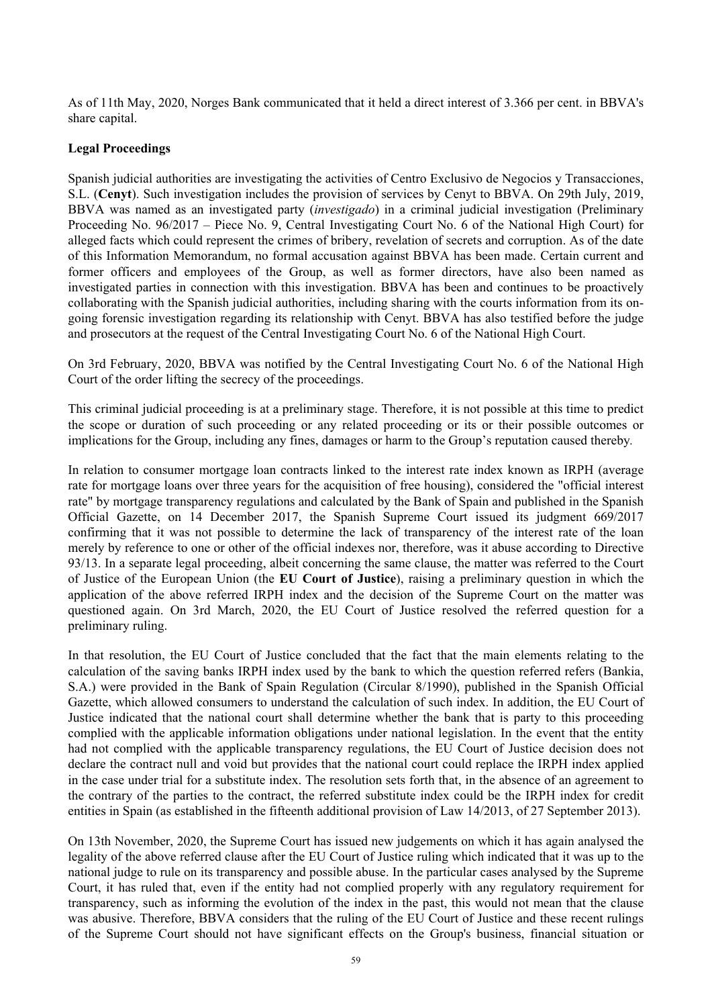As of 11th May, 2020, Norges Bank communicated that it held a direct interest of 3.366 per cent. in BBVA's share capital.

#### **Legal Proceedings**

Spanish judicial authorities are investigating the activities of Centro Exclusivo de Negocios y Transacciones, S.L. (**Cenyt**). Such investigation includes the provision of services by Cenyt to BBVA. On 29th July, 2019, BBVA was named as an investigated party (*investigado*) in a criminal judicial investigation (Preliminary Proceeding No. 96/2017 – Piece No. 9, Central Investigating Court No. 6 of the National High Court) for alleged facts which could represent the crimes of bribery, revelation of secrets and corruption. As of the date of this Information Memorandum, no formal accusation against BBVA has been made. Certain current and former officers and employees of the Group, as well as former directors, have also been named as investigated parties in connection with this investigation. BBVA has been and continues to be proactively collaborating with the Spanish judicial authorities, including sharing with the courts information from its ongoing forensic investigation regarding its relationship with Cenyt. BBVA has also testified before the judge and prosecutors at the request of the Central Investigating Court No. 6 of the National High Court.

On 3rd February, 2020, BBVA was notified by the Central Investigating Court No. 6 of the National High Court of the order lifting the secrecy of the proceedings.

This criminal judicial proceeding is at a preliminary stage. Therefore, it is not possible at this time to predict the scope or duration of such proceeding or any related proceeding or its or their possible outcomes or implications for the Group, including any fines, damages or harm to the Group's reputation caused thereby*.*

In relation to consumer mortgage loan contracts linked to the interest rate index known as IRPH (average rate for mortgage loans over three years for the acquisition of free housing), considered the "official interest rate" by mortgage transparency regulations and calculated by the Bank of Spain and published in the Spanish Official Gazette, on 14 December 2017, the Spanish Supreme Court issued its judgment 669/2017 confirming that it was not possible to determine the lack of transparency of the interest rate of the loan merely by reference to one or other of the official indexes nor, therefore, was it abuse according to Directive 93/13. In a separate legal proceeding, albeit concerning the same clause, the matter was referred to the Court of Justice of the European Union (the **EU Court of Justice**), raising a preliminary question in which the application of the above referred IRPH index and the decision of the Supreme Court on the matter was questioned again. On 3rd March, 2020, the EU Court of Justice resolved the referred question for a preliminary ruling.

In that resolution, the EU Court of Justice concluded that the fact that the main elements relating to the calculation of the saving banks IRPH index used by the bank to which the question referred refers (Bankia, S.A.) were provided in the Bank of Spain Regulation (Circular 8/1990), published in the Spanish Official Gazette, which allowed consumers to understand the calculation of such index. In addition, the EU Court of Justice indicated that the national court shall determine whether the bank that is party to this proceeding complied with the applicable information obligations under national legislation. In the event that the entity had not complied with the applicable transparency regulations, the EU Court of Justice decision does not declare the contract null and void but provides that the national court could replace the IRPH index applied in the case under trial for a substitute index. The resolution sets forth that, in the absence of an agreement to the contrary of the parties to the contract, the referred substitute index could be the IRPH index for credit entities in Spain (as established in the fifteenth additional provision of Law 14/2013, of 27 September 2013).

On 13th November, 2020, the Supreme Court has issued new judgements on which it has again analysed the legality of the above referred clause after the EU Court of Justice ruling which indicated that it was up to the national judge to rule on its transparency and possible abuse. In the particular cases analysed by the Supreme Court, it has ruled that, even if the entity had not complied properly with any regulatory requirement for transparency, such as informing the evolution of the index in the past, this would not mean that the clause was abusive. Therefore, BBVA considers that the ruling of the EU Court of Justice and these recent rulings of the Supreme Court should not have significant effects on the Group's business, financial situation or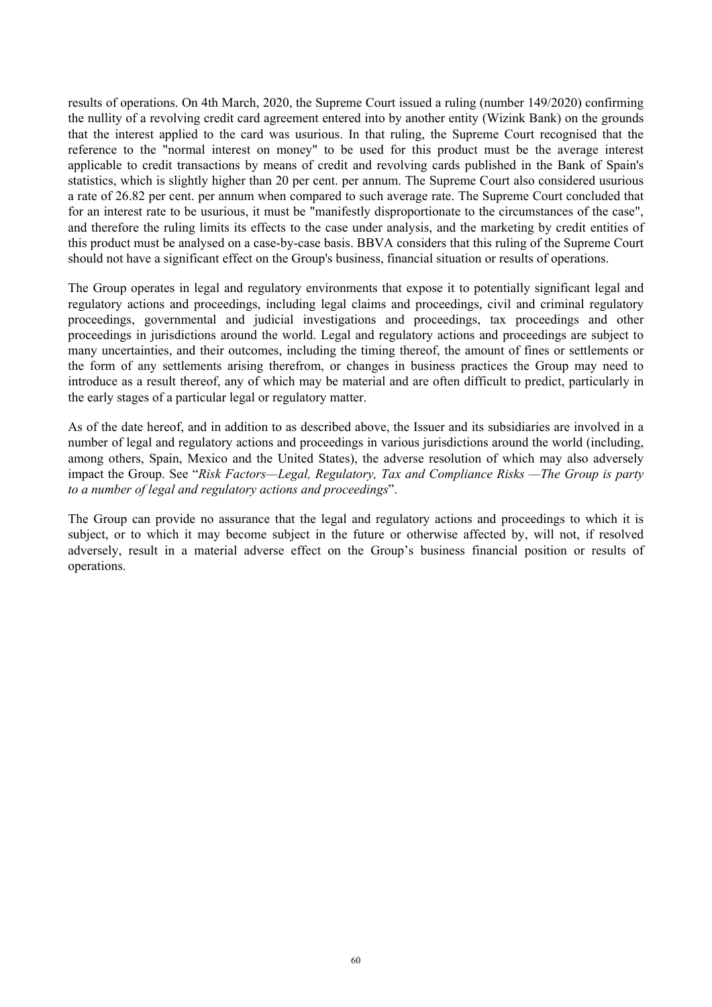results of operations. On 4th March, 2020, the Supreme Court issued a ruling (number 149/2020) confirming the nullity of a revolving credit card agreement entered into by another entity (Wizink Bank) on the grounds that the interest applied to the card was usurious. In that ruling, the Supreme Court recognised that the reference to the "normal interest on money" to be used for this product must be the average interest applicable to credit transactions by means of credit and revolving cards published in the Bank of Spain's statistics, which is slightly higher than 20 per cent. per annum. The Supreme Court also considered usurious a rate of 26.82 per cent. per annum when compared to such average rate. The Supreme Court concluded that for an interest rate to be usurious, it must be "manifestly disproportionate to the circumstances of the case", and therefore the ruling limits its effects to the case under analysis, and the marketing by credit entities of this product must be analysed on a case-by-case basis. BBVA considers that this ruling of the Supreme Court should not have a significant effect on the Group's business, financial situation or results of operations.

The Group operates in legal and regulatory environments that expose it to potentially significant legal and regulatory actions and proceedings, including legal claims and proceedings, civil and criminal regulatory proceedings, governmental and judicial investigations and proceedings, tax proceedings and other proceedings in jurisdictions around the world. Legal and regulatory actions and proceedings are subject to many uncertainties, and their outcomes, including the timing thereof, the amount of fines or settlements or the form of any settlements arising therefrom, or changes in business practices the Group may need to introduce as a result thereof, any of which may be material and are often difficult to predict, particularly in the early stages of a particular legal or regulatory matter.

As of the date hereof, and in addition to as described above, the Issuer and its subsidiaries are involved in a number of legal and regulatory actions and proceedings in various jurisdictions around the world (including, among others, Spain, Mexico and the United States), the adverse resolution of which may also adversely impact the Group. See "*Risk Factors—Legal, Regulatory, Tax and Compliance Risks —The Group is party to a number of legal and regulatory actions and proceedings*".

The Group can provide no assurance that the legal and regulatory actions and proceedings to which it is subject, or to which it may become subject in the future or otherwise affected by, will not, if resolved adversely, result in a material adverse effect on the Group's business financial position or results of operations.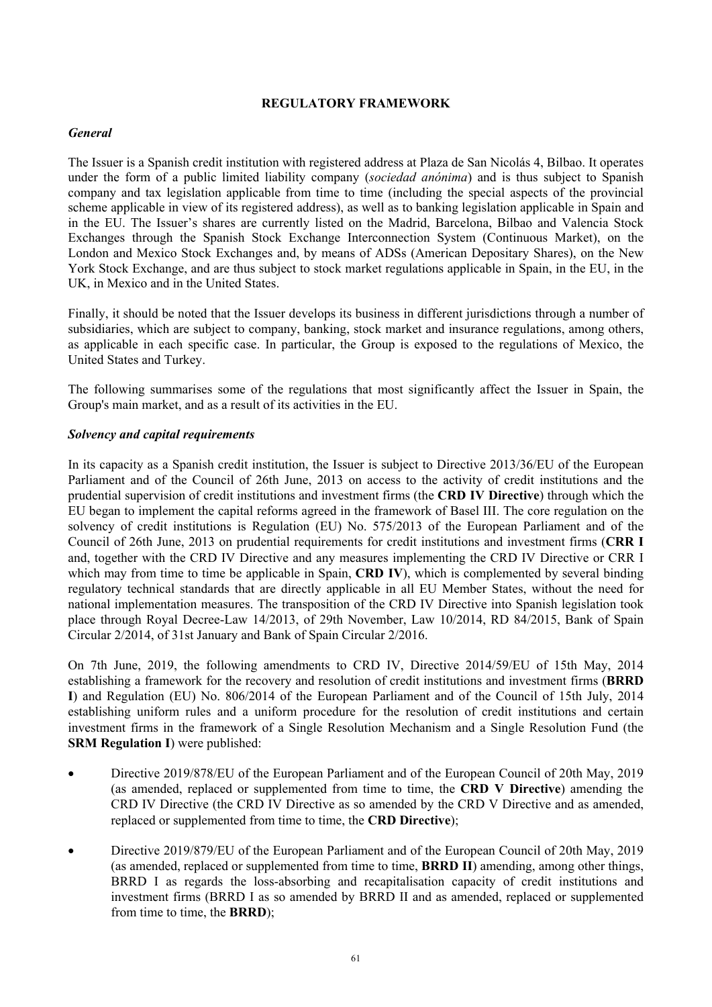## **REGULATORY FRAMEWORK**

# *General*

The Issuer is a Spanish credit institution with registered address at Plaza de San Nicolás 4, Bilbao. It operates under the form of a public limited liability company (*sociedad anónima*) and is thus subject to Spanish company and tax legislation applicable from time to time (including the special aspects of the provincial scheme applicable in view of its registered address), as well as to banking legislation applicable in Spain and in the EU. The Issuer's shares are currently listed on the Madrid, Barcelona, Bilbao and Valencia Stock Exchanges through the Spanish Stock Exchange Interconnection System (Continuous Market), on the London and Mexico Stock Exchanges and, by means of ADSs (American Depositary Shares), on the New York Stock Exchange, and are thus subject to stock market regulations applicable in Spain, in the EU, in the UK, in Mexico and in the United States.

Finally, it should be noted that the Issuer develops its business in different jurisdictions through a number of subsidiaries, which are subject to company, banking, stock market and insurance regulations, among others, as applicable in each specific case. In particular, the Group is exposed to the regulations of Mexico, the United States and Turkey.

The following summarises some of the regulations that most significantly affect the Issuer in Spain, the Group's main market, and as a result of its activities in the EU.

### *Solvency and capital requirements*

In its capacity as a Spanish credit institution, the Issuer is subject to Directive 2013/36/EU of the European Parliament and of the Council of 26th June, 2013 on access to the activity of credit institutions and the prudential supervision of credit institutions and investment firms (the **CRD IV Directive**) through which the EU began to implement the capital reforms agreed in the framework of Basel III. The core regulation on the solvency of credit institutions is Regulation (EU) No. 575/2013 of the European Parliament and of the Council of 26th June, 2013 on prudential requirements for credit institutions and investment firms (**CRR I** and, together with the CRD IV Directive and any measures implementing the CRD IV Directive or CRR I which may from time to time be applicable in Spain, **CRD IV**), which is complemented by several binding regulatory technical standards that are directly applicable in all EU Member States, without the need for national implementation measures. The transposition of the CRD IV Directive into Spanish legislation took place through Royal Decree-Law 14/2013, of 29th November, Law 10/2014, RD 84/2015, Bank of Spain Circular 2/2014, of 31st January and Bank of Spain Circular 2/2016.

On 7th June, 2019, the following amendments to CRD IV, Directive 2014/59/EU of 15th May, 2014 establishing a framework for the recovery and resolution of credit institutions and investment firms (**BRRD I**) and Regulation (EU) No. 806/2014 of the European Parliament and of the Council of 15th July, 2014 establishing uniform rules and a uniform procedure for the resolution of credit institutions and certain investment firms in the framework of a Single Resolution Mechanism and a Single Resolution Fund (the **SRM Regulation I**) were published:

- Directive 2019/878/EU of the European Parliament and of the European Council of 20th May, 2019 (as amended, replaced or supplemented from time to time, the **CRD V Directive**) amending the CRD IV Directive (the CRD IV Directive as so amended by the CRD V Directive and as amended, replaced or supplemented from time to time, the **CRD Directive**);
- Directive 2019/879/EU of the European Parliament and of the European Council of 20th May, 2019 (as amended, replaced or supplemented from time to time, **BRRD II**) amending, among other things, BRRD I as regards the loss-absorbing and recapitalisation capacity of credit institutions and investment firms (BRRD I as so amended by BRRD II and as amended, replaced or supplemented from time to time, the **BRRD**);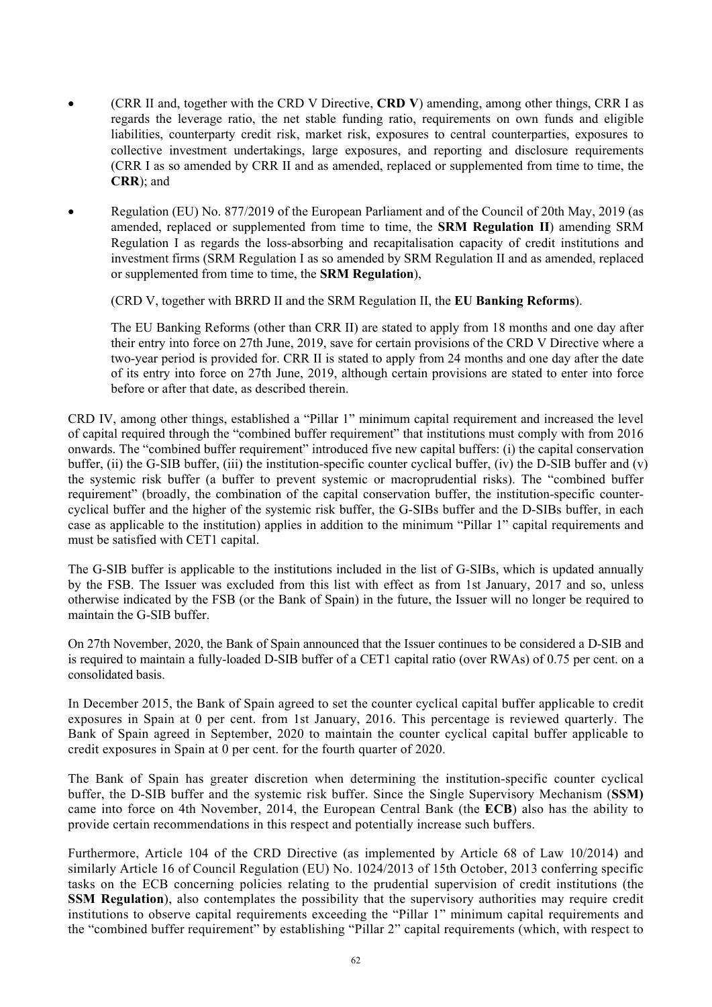- (CRR II and, together with the CRD V Directive, **CRD V**) amending, among other things, CRR I as regards the leverage ratio, the net stable funding ratio, requirements on own funds and eligible liabilities, counterparty credit risk, market risk, exposures to central counterparties, exposures to collective investment undertakings, large exposures, and reporting and disclosure requirements (CRR I as so amended by CRR II and as amended, replaced or supplemented from time to time, the **CRR**); and
- Regulation (EU) No. 877/2019 of the European Parliament and of the Council of 20th May, 2019 (as amended, replaced or supplemented from time to time, the **SRM Regulation II**) amending SRM Regulation I as regards the loss-absorbing and recapitalisation capacity of credit institutions and investment firms (SRM Regulation I as so amended by SRM Regulation II and as amended, replaced or supplemented from time to time, the **SRM Regulation**),

(CRD V, together with BRRD II and the SRM Regulation II, the **EU Banking Reforms**).

The EU Banking Reforms (other than CRR II) are stated to apply from 18 months and one day after their entry into force on 27th June, 2019, save for certain provisions of the CRD V Directive where a two-year period is provided for. CRR II is stated to apply from 24 months and one day after the date of its entry into force on 27th June, 2019, although certain provisions are stated to enter into force before or after that date, as described therein.

CRD IV, among other things, established a "Pillar 1" minimum capital requirement and increased the level of capital required through the "combined buffer requirement" that institutions must comply with from 2016 onwards. The "combined buffer requirement" introduced five new capital buffers: (i) the capital conservation buffer, (ii) the G-SIB buffer, (iii) the institution-specific counter cyclical buffer, (iv) the D-SIB buffer and (v) the systemic risk buffer (a buffer to prevent systemic or macroprudential risks). The "combined buffer requirement" (broadly, the combination of the capital conservation buffer, the institution-specific countercyclical buffer and the higher of the systemic risk buffer, the G-SIBs buffer and the D-SIBs buffer, in each case as applicable to the institution) applies in addition to the minimum "Pillar 1" capital requirements and must be satisfied with CET1 capital.

The G-SIB buffer is applicable to the institutions included in the list of G-SIBs, which is updated annually by the FSB. The Issuer was excluded from this list with effect as from 1st January, 2017 and so, unless otherwise indicated by the FSB (or the Bank of Spain) in the future, the Issuer will no longer be required to maintain the G-SIB buffer.

On 27th November, 2020, the Bank of Spain announced that the Issuer continues to be considered a D-SIB and is required to maintain a fully-loaded D-SIB buffer of a CET1 capital ratio (over RWAs) of 0.75 per cent. on a consolidated basis.

In December 2015, the Bank of Spain agreed to set the counter cyclical capital buffer applicable to credit exposures in Spain at 0 per cent. from 1st January, 2016. This percentage is reviewed quarterly. The Bank of Spain agreed in September, 2020 to maintain the counter cyclical capital buffer applicable to credit exposures in Spain at 0 per cent. for the fourth quarter of 2020.

The Bank of Spain has greater discretion when determining the institution-specific counter cyclical buffer, the D-SIB buffer and the systemic risk buffer. Since the Single Supervisory Mechanism (**SSM)** came into force on 4th November, 2014, the European Central Bank (the **ECB**) also has the ability to provide certain recommendations in this respect and potentially increase such buffers.

Furthermore, Article 104 of the CRD Directive (as implemented by Article 68 of Law 10/2014) and similarly Article 16 of Council Regulation (EU) No. 1024/2013 of 15th October, 2013 conferring specific tasks on the ECB concerning policies relating to the prudential supervision of credit institutions (the **SSM Regulation**), also contemplates the possibility that the supervisory authorities may require credit institutions to observe capital requirements exceeding the "Pillar 1" minimum capital requirements and the "combined buffer requirement" by establishing "Pillar 2" capital requirements (which, with respect to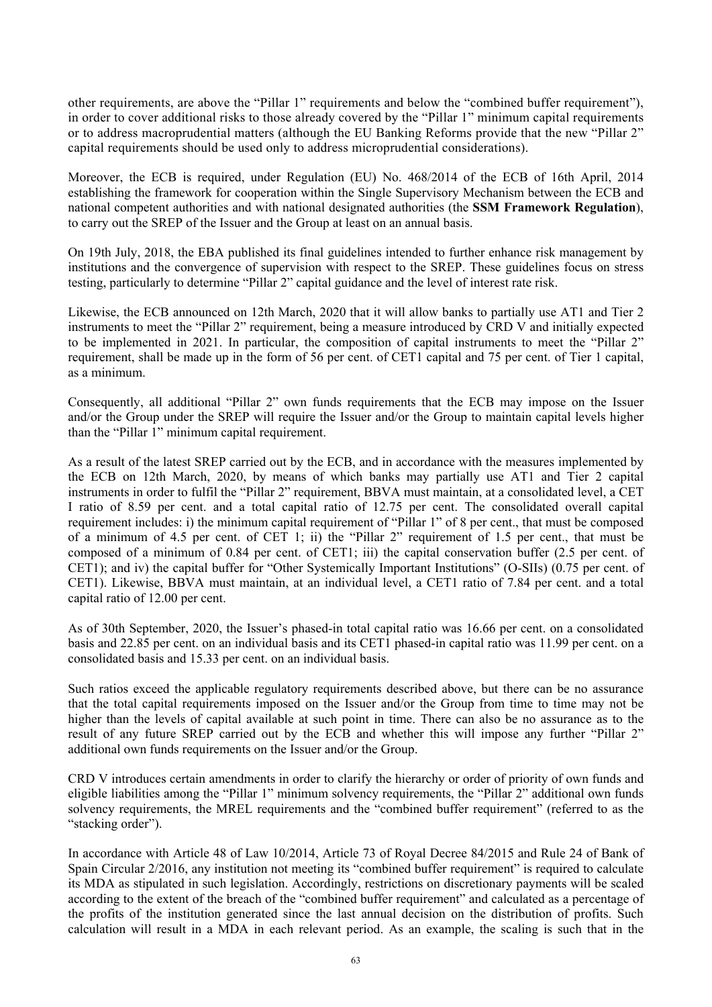other requirements, are above the "Pillar 1" requirements and below the "combined buffer requirement"), in order to cover additional risks to those already covered by the "Pillar 1" minimum capital requirements or to address macroprudential matters (although the EU Banking Reforms provide that the new "Pillar 2" capital requirements should be used only to address microprudential considerations).

Moreover, the ECB is required, under Regulation (EU) No. 468/2014 of the ECB of 16th April, 2014 establishing the framework for cooperation within the Single Supervisory Mechanism between the ECB and national competent authorities and with national designated authorities (the **SSM Framework Regulation**), to carry out the SREP of the Issuer and the Group at least on an annual basis.

On 19th July, 2018, the EBA published its final guidelines intended to further enhance risk management by institutions and the convergence of supervision with respect to the SREP. These guidelines focus on stress testing, particularly to determine "Pillar 2" capital guidance and the level of interest rate risk.

Likewise, the ECB announced on 12th March, 2020 that it will allow banks to partially use AT1 and Tier 2 instruments to meet the "Pillar 2" requirement, being a measure introduced by CRD V and initially expected to be implemented in 2021. In particular, the composition of capital instruments to meet the "Pillar 2" requirement, shall be made up in the form of 56 per cent. of CET1 capital and 75 per cent. of Tier 1 capital, as a minimum.

Consequently, all additional "Pillar 2" own funds requirements that the ECB may impose on the Issuer and/or the Group under the SREP will require the Issuer and/or the Group to maintain capital levels higher than the "Pillar 1" minimum capital requirement.

As a result of the latest SREP carried out by the ECB, and in accordance with the measures implemented by the ECB on 12th March, 2020, by means of which banks may partially use AT1 and Tier 2 capital instruments in order to fulfil the "Pillar 2" requirement, BBVA must maintain, at a consolidated level, a CET I ratio of 8.59 per cent. and a total capital ratio of 12.75 per cent. The consolidated overall capital requirement includes: i) the minimum capital requirement of "Pillar 1" of 8 per cent., that must be composed of a minimum of 4.5 per cent. of CET 1; ii) the "Pillar 2" requirement of 1.5 per cent., that must be composed of a minimum of 0.84 per cent. of CET1; iii) the capital conservation buffer (2.5 per cent. of CET1); and iv) the capital buffer for "Other Systemically Important Institutions" (O-SIIs) (0.75 per cent. of CET1). Likewise, BBVA must maintain, at an individual level, a CET1 ratio of 7.84 per cent. and a total capital ratio of 12.00 per cent.

As of 30th September, 2020, the Issuer's phased-in total capital ratio was 16.66 per cent. on a consolidated basis and 22.85 per cent. on an individual basis and its CET1 phased-in capital ratio was 11.99 per cent. on a consolidated basis and 15.33 per cent. on an individual basis.

Such ratios exceed the applicable regulatory requirements described above, but there can be no assurance that the total capital requirements imposed on the Issuer and/or the Group from time to time may not be higher than the levels of capital available at such point in time. There can also be no assurance as to the result of any future SREP carried out by the ECB and whether this will impose any further "Pillar 2" additional own funds requirements on the Issuer and/or the Group.

CRD V introduces certain amendments in order to clarify the hierarchy or order of priority of own funds and eligible liabilities among the "Pillar 1" minimum solvency requirements, the "Pillar 2" additional own funds solvency requirements, the MREL requirements and the "combined buffer requirement" (referred to as the "stacking order").

In accordance with Article 48 of Law 10/2014, Article 73 of Royal Decree 84/2015 and Rule 24 of Bank of Spain Circular 2/2016, any institution not meeting its "combined buffer requirement" is required to calculate its MDA as stipulated in such legislation. Accordingly, restrictions on discretionary payments will be scaled according to the extent of the breach of the "combined buffer requirement" and calculated as a percentage of the profits of the institution generated since the last annual decision on the distribution of profits. Such calculation will result in a MDA in each relevant period. As an example, the scaling is such that in the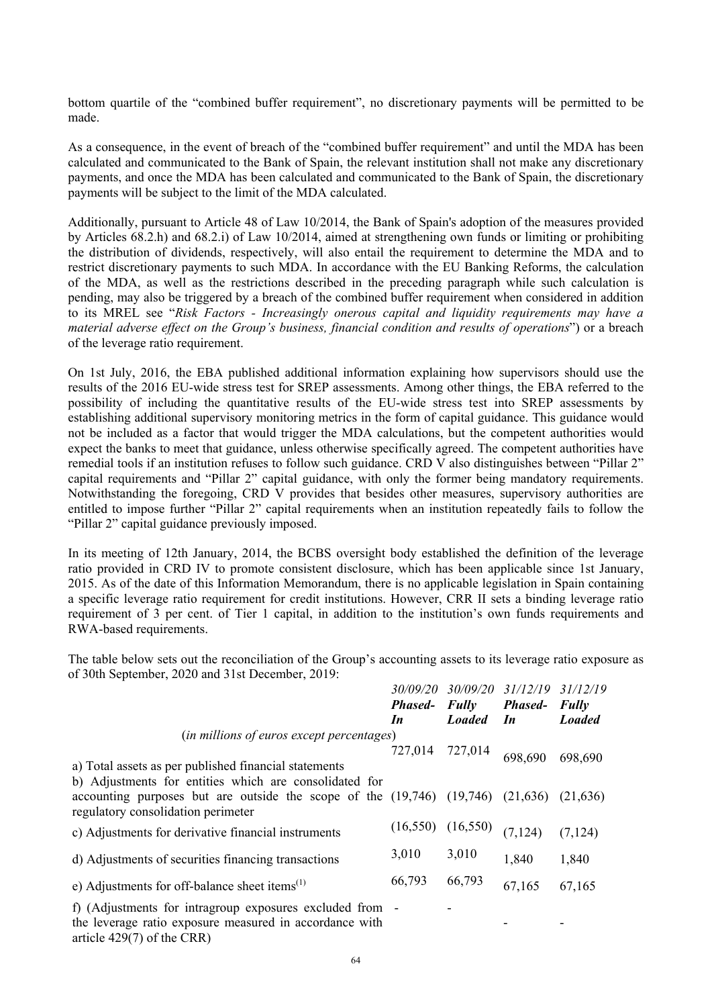bottom quartile of the "combined buffer requirement", no discretionary payments will be permitted to be made.

As a consequence, in the event of breach of the "combined buffer requirement" and until the MDA has been calculated and communicated to the Bank of Spain, the relevant institution shall not make any discretionary payments, and once the MDA has been calculated and communicated to the Bank of Spain, the discretionary payments will be subject to the limit of the MDA calculated.

Additionally, pursuant to Article 48 of Law 10/2014, the Bank of Spain's adoption of the measures provided by Articles 68.2.h) and 68.2.i) of Law 10/2014, aimed at strengthening own funds or limiting or prohibiting the distribution of dividends, respectively, will also entail the requirement to determine the MDA and to restrict discretionary payments to such MDA. In accordance with the EU Banking Reforms, the calculation of the MDA, as well as the restrictions described in the preceding paragraph while such calculation is pending, may also be triggered by a breach of the combined buffer requirement when considered in addition to its MREL see "*Risk Factors - Increasingly onerous capital and liquidity requirements may have a material adverse effect on the Group's business, financial condition and results of operations*") or a breach of the leverage ratio requirement.

On 1st July, 2016, the EBA published additional information explaining how supervisors should use the results of the 2016 EU-wide stress test for SREP assessments. Among other things, the EBA referred to the possibility of including the quantitative results of the EU-wide stress test into SREP assessments by establishing additional supervisory monitoring metrics in the form of capital guidance. This guidance would not be included as a factor that would trigger the MDA calculations, but the competent authorities would expect the banks to meet that guidance, unless otherwise specifically agreed. The competent authorities have remedial tools if an institution refuses to follow such guidance. CRD V also distinguishes between "Pillar 2" capital requirements and "Pillar 2" capital guidance, with only the former being mandatory requirements. Notwithstanding the foregoing, CRD V provides that besides other measures, supervisory authorities are entitled to impose further "Pillar 2" capital requirements when an institution repeatedly fails to follow the "Pillar 2" capital guidance previously imposed.

In its meeting of 12th January, 2014, the BCBS oversight body established the definition of the leverage ratio provided in CRD IV to promote consistent disclosure, which has been applicable since 1st January, 2015. As of the date of this Information Memorandum, there is no applicable legislation in Spain containing a specific leverage ratio requirement for credit institutions. However, CRR II sets a binding leverage ratio requirement of 3 per cent. of Tier 1 capital, in addition to the institution's own funds requirements and RWA-based requirements.

The table below sets out the reconciliation of the Group's accounting assets to its leverage ratio exposure as of 30th September, 2020 and 31st December, 2019:

|                                                                                       |                 | 30/09/20 30/09/20 | 31/12/19       | 31/12/19      |
|---------------------------------------------------------------------------------------|-----------------|-------------------|----------------|---------------|
|                                                                                       | <b>Phased-</b>  | <b>Fully</b>      | <b>Phased-</b> | Fully         |
|                                                                                       | In              | <b>Loaded</b>     | In             | <b>Loaded</b> |
| ( <i>in millions of euros except percentages</i> )                                    |                 |                   |                |               |
|                                                                                       | 727,014 727,014 |                   | 698,690        | 698,690       |
| a) Total assets as per published financial statements                                 |                 |                   |                |               |
| b) Adjustments for entities which are consolidated for                                |                 |                   |                |               |
| accounting purposes but are outside the scope of the $(19,746)$ $(19,746)$ $(21,636)$ |                 |                   |                | (21, 636)     |
| regulatory consolidation perimeter                                                    |                 |                   |                |               |
| c) Adjustments for derivative financial instruments                                   | (16, 550)       | (16, 550)         | (7, 124)       | (7, 124)      |
| d) Adjustments of securities financing transactions                                   | 3,010           | 3,010             | 1,840          | 1,840         |
|                                                                                       |                 |                   |                |               |
| e) Adjustments for off-balance sheet items $^{(1)}$                                   | 66,793          | 66,793            | 67,165         | 67,165        |
| f) (Adjustments for intragroup exposures excluded from -                              |                 |                   |                |               |
| the leverage ratio exposure measured in accordance with                               |                 |                   |                |               |
| article $429(7)$ of the CRR)                                                          |                 |                   |                |               |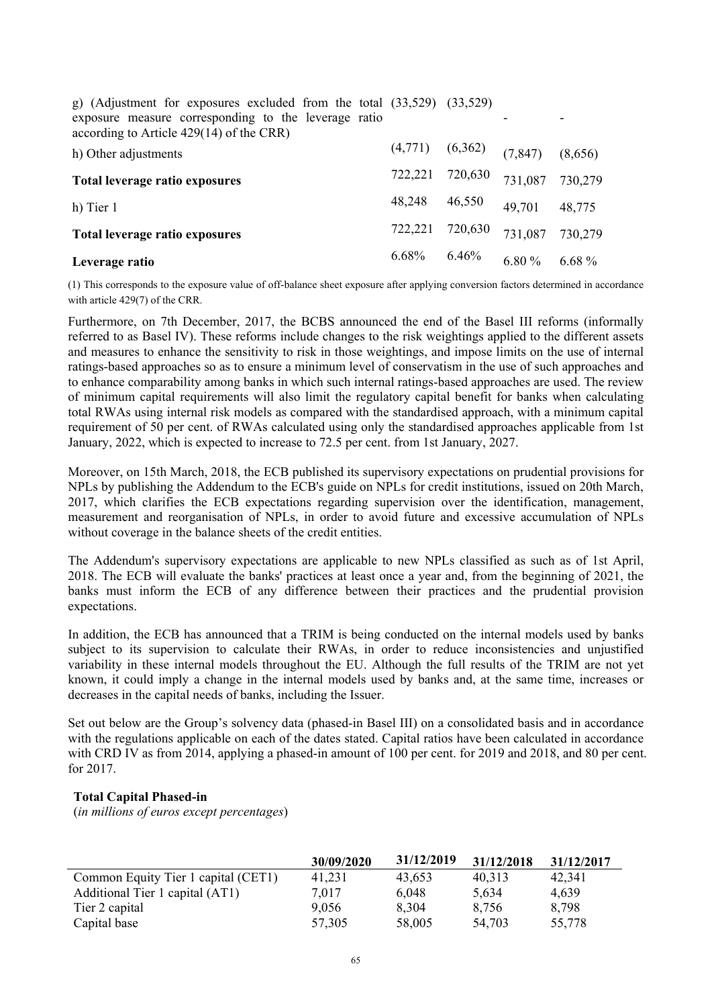| g) (Adjustment for exposures excluded from the total $(33,529)$ $(33,529)$<br>exposure measure corresponding to the leverage ratio<br>according to Article $429(14)$ of the CRR) |                     |         |          |          |
|----------------------------------------------------------------------------------------------------------------------------------------------------------------------------------|---------------------|---------|----------|----------|
| h) Other adjustments                                                                                                                                                             | $(4,771)$ $(6,362)$ |         | (7, 847) | (8,656)  |
| Total leverage ratio exposures                                                                                                                                                   | 722,221             | 720,630 | 731,087  | 730,279  |
| h) Tier 1                                                                                                                                                                        | 48,248              | 46,550  | 49,701   | 48,775   |
| Total leverage ratio exposures                                                                                                                                                   | 722,221             | 720,630 | 731,087  | 730,279  |
| Leverage ratio                                                                                                                                                                   | $6.68\%$            | 6.46%   | 6.80 $%$ | 6.68 $%$ |

(1) This corresponds to the exposure value of off-balance sheet exposure after applying conversion factors determined in accordance with article 429(7) of the CRR.

Furthermore, on 7th December, 2017, the BCBS announced the end of the Basel III reforms (informally referred to as Basel IV). These reforms include changes to the risk weightings applied to the different assets and measures to enhance the sensitivity to risk in those weightings, and impose limits on the use of internal ratings-based approaches so as to ensure a minimum level of conservatism in the use of such approaches and to enhance comparability among banks in which such internal ratings-based approaches are used. The review of minimum capital requirements will also limit the regulatory capital benefit for banks when calculating total RWAs using internal risk models as compared with the standardised approach, with a minimum capital requirement of 50 per cent. of RWAs calculated using only the standardised approaches applicable from 1st January, 2022, which is expected to increase to 72.5 per cent. from 1st January, 2027.

Moreover, on 15th March, 2018, the ECB published its supervisory expectations on prudential provisions for NPLs by publishing the Addendum to the ECB's guide on NPLs for credit institutions, issued on 20th March, 2017, which clarifies the ECB expectations regarding supervision over the identification, management, measurement and reorganisation of NPLs, in order to avoid future and excessive accumulation of NPLs without coverage in the balance sheets of the credit entities.

The Addendum's supervisory expectations are applicable to new NPLs classified as such as of 1st April, 2018. The ECB will evaluate the banks' practices at least once a year and, from the beginning of 2021, the banks must inform the ECB of any difference between their practices and the prudential provision expectations.

In addition, the ECB has announced that a TRIM is being conducted on the internal models used by banks subject to its supervision to calculate their RWAs, in order to reduce inconsistencies and unjustified variability in these internal models throughout the EU. Although the full results of the TRIM are not yet known, it could imply a change in the internal models used by banks and, at the same time, increases or decreases in the capital needs of banks, including the Issuer.

Set out below are the Group's solvency data (phased-in Basel III) on a consolidated basis and in accordance with the regulations applicable on each of the dates stated. Capital ratios have been calculated in accordance with CRD IV as from 2014, applying a phased-in amount of 100 per cent. for 2019 and 2018, and 80 per cent. for 2017.

### **Total Capital Phased-in**

(*in millions of euros except percentages*)

|                                     | 30/09/2020 | 31/12/2019 | 31/12/2018 | 31/12/2017 |
|-------------------------------------|------------|------------|------------|------------|
| Common Equity Tier 1 capital (CET1) | 41.231     | 43.653     | 40.313     | 42,341     |
| Additional Tier 1 capital (AT1)     | 7,017      | 6,048      | 5,634      | 4,639      |
| Tier 2 capital                      | 9,056      | 8,304      | 8,756      | 8,798      |
| Capital base                        | 57,305     | 58,005     | 54,703     | 55,778     |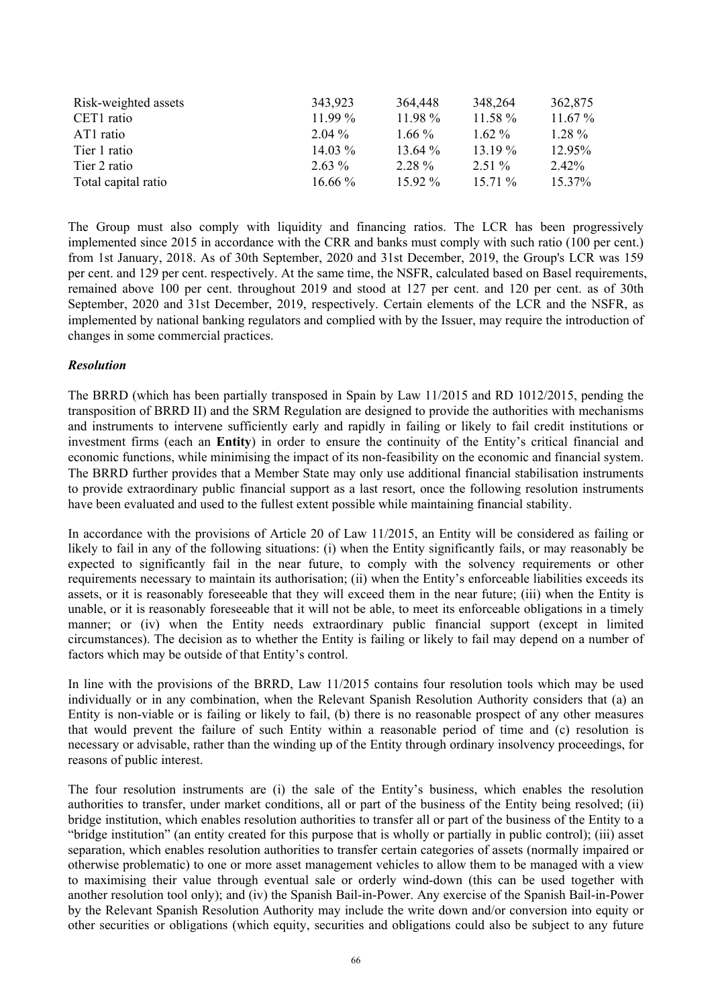| Risk-weighted assets | 343,923   | 364,448   | 348,264   | 362,875   |
|----------------------|-----------|-----------|-----------|-----------|
| CET1 ratio           | $11.99\%$ | 11.98 %   | $11.58\%$ | $11.67\%$ |
| AT1 ratio            | $2.04\%$  | $1.66\%$  | $1.62\%$  | $1.28\%$  |
| Tier 1 ratio         | $14.03\%$ | 13.64 %   | $13.19\%$ | 12.95%    |
| Tier 2 ratio         | $2.63\%$  | 2.28 %    | $2.51\%$  | 2.42%     |
| Total capital ratio  | $16.66\%$ | $15.92\%$ | $15.71\%$ | $15.37\%$ |

The Group must also comply with liquidity and financing ratios. The LCR has been progressively implemented since 2015 in accordance with the CRR and banks must comply with such ratio (100 per cent.) from 1st January, 2018. As of 30th September, 2020 and 31st December, 2019, the Group's LCR was 159 per cent. and 129 per cent. respectively. At the same time, the NSFR, calculated based on Basel requirements, remained above 100 per cent. throughout 2019 and stood at 127 per cent. and 120 per cent. as of 30th September, 2020 and 31st December, 2019, respectively. Certain elements of the LCR and the NSFR, as implemented by national banking regulators and complied with by the Issuer, may require the introduction of changes in some commercial practices.

# *Resolution*

The BRRD (which has been partially transposed in Spain by Law 11/2015 and RD 1012/2015, pending the transposition of BRRD II) and the SRM Regulation are designed to provide the authorities with mechanisms and instruments to intervene sufficiently early and rapidly in failing or likely to fail credit institutions or investment firms (each an **Entity**) in order to ensure the continuity of the Entity's critical financial and economic functions, while minimising the impact of its non-feasibility on the economic and financial system. The BRRD further provides that a Member State may only use additional financial stabilisation instruments to provide extraordinary public financial support as a last resort, once the following resolution instruments have been evaluated and used to the fullest extent possible while maintaining financial stability.

In accordance with the provisions of Article 20 of Law 11/2015, an Entity will be considered as failing or likely to fail in any of the following situations: (i) when the Entity significantly fails, or may reasonably be expected to significantly fail in the near future, to comply with the solvency requirements or other requirements necessary to maintain its authorisation; (ii) when the Entity's enforceable liabilities exceeds its assets, or it is reasonably foreseeable that they will exceed them in the near future; (iii) when the Entity is unable, or it is reasonably foreseeable that it will not be able, to meet its enforceable obligations in a timely manner; or (iv) when the Entity needs extraordinary public financial support (except in limited circumstances). The decision as to whether the Entity is failing or likely to fail may depend on a number of factors which may be outside of that Entity's control.

In line with the provisions of the BRRD, Law 11/2015 contains four resolution tools which may be used individually or in any combination, when the Relevant Spanish Resolution Authority considers that (a) an Entity is non-viable or is failing or likely to fail, (b) there is no reasonable prospect of any other measures that would prevent the failure of such Entity within a reasonable period of time and (c) resolution is necessary or advisable, rather than the winding up of the Entity through ordinary insolvency proceedings, for reasons of public interest.

The four resolution instruments are (i) the sale of the Entity's business, which enables the resolution authorities to transfer, under market conditions, all or part of the business of the Entity being resolved; (ii) bridge institution, which enables resolution authorities to transfer all or part of the business of the Entity to a "bridge institution" (an entity created for this purpose that is wholly or partially in public control); (iii) asset separation, which enables resolution authorities to transfer certain categories of assets (normally impaired or otherwise problematic) to one or more asset management vehicles to allow them to be managed with a view to maximising their value through eventual sale or orderly wind-down (this can be used together with another resolution tool only); and (iv) the Spanish Bail-in-Power. Any exercise of the Spanish Bail-in-Power by the Relevant Spanish Resolution Authority may include the write down and/or conversion into equity or other securities or obligations (which equity, securities and obligations could also be subject to any future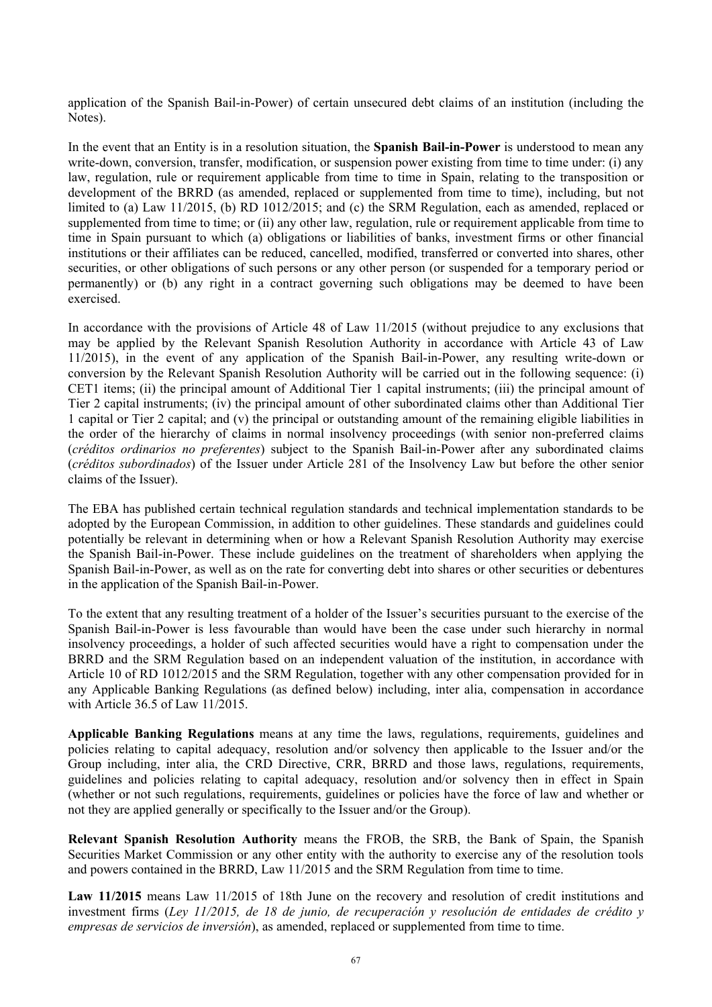application of the Spanish Bail-in-Power) of certain unsecured debt claims of an institution (including the Notes).

In the event that an Entity is in a resolution situation, the **Spanish Bail-in-Power** is understood to mean any write-down, conversion, transfer, modification, or suspension power existing from time to time under: (i) any law, regulation, rule or requirement applicable from time to time in Spain, relating to the transposition or development of the BRRD (as amended, replaced or supplemented from time to time), including, but not limited to (a) Law 11/2015, (b) RD 1012/2015; and (c) the SRM Regulation, each as amended, replaced or supplemented from time to time; or (ii) any other law, regulation, rule or requirement applicable from time to time in Spain pursuant to which (a) obligations or liabilities of banks, investment firms or other financial institutions or their affiliates can be reduced, cancelled, modified, transferred or converted into shares, other securities, or other obligations of such persons or any other person (or suspended for a temporary period or permanently) or (b) any right in a contract governing such obligations may be deemed to have been exercised.

In accordance with the provisions of Article 48 of Law 11/2015 (without prejudice to any exclusions that may be applied by the Relevant Spanish Resolution Authority in accordance with Article 43 of Law 11/2015), in the event of any application of the Spanish Bail-in-Power, any resulting write-down or conversion by the Relevant Spanish Resolution Authority will be carried out in the following sequence: (i) CET1 items; (ii) the principal amount of Additional Tier 1 capital instruments; (iii) the principal amount of Tier 2 capital instruments; (iv) the principal amount of other subordinated claims other than Additional Tier 1 capital or Tier 2 capital; and (v) the principal or outstanding amount of the remaining eligible liabilities in the order of the hierarchy of claims in normal insolvency proceedings (with senior non-preferred claims (*créditos ordinarios no preferentes*) subject to the Spanish Bail-in-Power after any subordinated claims (*créditos subordinados*) of the Issuer under Article 281 of the Insolvency Law but before the other senior claims of the Issuer).

The EBA has published certain technical regulation standards and technical implementation standards to be adopted by the European Commission, in addition to other guidelines. These standards and guidelines could potentially be relevant in determining when or how a Relevant Spanish Resolution Authority may exercise the Spanish Bail-in-Power. These include guidelines on the treatment of shareholders when applying the Spanish Bail-in-Power, as well as on the rate for converting debt into shares or other securities or debentures in the application of the Spanish Bail-in-Power.

To the extent that any resulting treatment of a holder of the Issuer's securities pursuant to the exercise of the Spanish Bail-in-Power is less favourable than would have been the case under such hierarchy in normal insolvency proceedings, a holder of such affected securities would have a right to compensation under the BRRD and the SRM Regulation based on an independent valuation of the institution, in accordance with Article 10 of RD 1012/2015 and the SRM Regulation, together with any other compensation provided for in any Applicable Banking Regulations (as defined below) including, inter alia, compensation in accordance with Article 36.5 of Law 11/2015.

**Applicable Banking Regulations** means at any time the laws, regulations, requirements, guidelines and policies relating to capital adequacy, resolution and/or solvency then applicable to the Issuer and/or the Group including, inter alia, the CRD Directive, CRR, BRRD and those laws, regulations, requirements, guidelines and policies relating to capital adequacy, resolution and/or solvency then in effect in Spain (whether or not such regulations, requirements, guidelines or policies have the force of law and whether or not they are applied generally or specifically to the Issuer and/or the Group).

**Relevant Spanish Resolution Authority** means the FROB, the SRB, the Bank of Spain, the Spanish Securities Market Commission or any other entity with the authority to exercise any of the resolution tools and powers contained in the BRRD, Law 11/2015 and the SRM Regulation from time to time.

Law 11/2015 means Law 11/2015 of 18th June on the recovery and resolution of credit institutions and investment firms (*Ley 11/2015, de 18 de junio, de recuperación y resolución de entidades de crédito y empresas de servicios de inversión*), as amended, replaced or supplemented from time to time.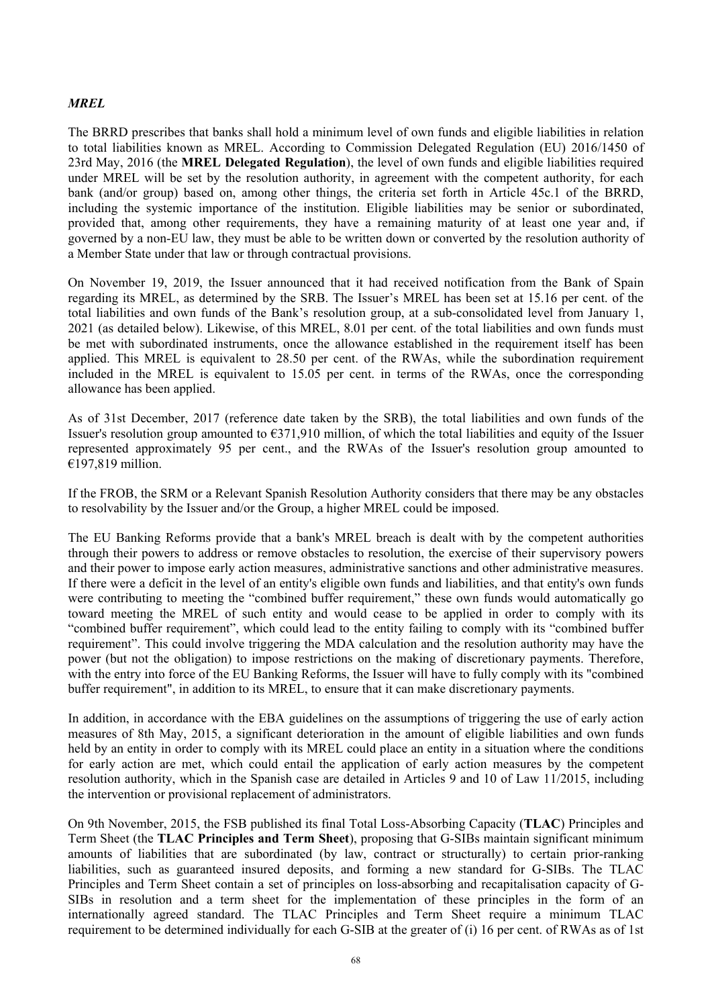# *MREL*

The BRRD prescribes that banks shall hold a minimum level of own funds and eligible liabilities in relation to total liabilities known as MREL. According to Commission Delegated Regulation (EU) 2016/1450 of 23rd May, 2016 (the **MREL Delegated Regulation**), the level of own funds and eligible liabilities required under MREL will be set by the resolution authority, in agreement with the competent authority, for each bank (and/or group) based on, among other things, the criteria set forth in Article 45c.1 of the BRRD, including the systemic importance of the institution. Eligible liabilities may be senior or subordinated, provided that, among other requirements, they have a remaining maturity of at least one year and, if governed by a non-EU law, they must be able to be written down or converted by the resolution authority of a Member State under that law or through contractual provisions.

On November 19, 2019, the Issuer announced that it had received notification from the Bank of Spain regarding its MREL, as determined by the SRB. The Issuer's MREL has been set at 15.16 per cent. of the total liabilities and own funds of the Bank's resolution group, at a sub-consolidated level from January 1, 2021 (as detailed below). Likewise, of this MREL, 8.01 per cent. of the total liabilities and own funds must be met with subordinated instruments, once the allowance established in the requirement itself has been applied. This MREL is equivalent to 28.50 per cent. of the RWAs, while the subordination requirement included in the MREL is equivalent to 15.05 per cent. in terms of the RWAs, once the corresponding allowance has been applied.

As of 31st December, 2017 (reference date taken by the SRB), the total liabilities and own funds of the Issuer's resolution group amounted to  $\epsilon$ 371,910 million, of which the total liabilities and equity of the Issuer represented approximately 95 per cent., and the RWAs of the Issuer's resolution group amounted to €197,819 million.

If the FROB, the SRM or a Relevant Spanish Resolution Authority considers that there may be any obstacles to resolvability by the Issuer and/or the Group, a higher MREL could be imposed.

The EU Banking Reforms provide that a bank's MREL breach is dealt with by the competent authorities through their powers to address or remove obstacles to resolution, the exercise of their supervisory powers and their power to impose early action measures, administrative sanctions and other administrative measures. If there were a deficit in the level of an entity's eligible own funds and liabilities, and that entity's own funds were contributing to meeting the "combined buffer requirement," these own funds would automatically go toward meeting the MREL of such entity and would cease to be applied in order to comply with its "combined buffer requirement", which could lead to the entity failing to comply with its "combined buffer requirement". This could involve triggering the MDA calculation and the resolution authority may have the power (but not the obligation) to impose restrictions on the making of discretionary payments. Therefore, with the entry into force of the EU Banking Reforms, the Issuer will have to fully comply with its "combined buffer requirement", in addition to its MREL, to ensure that it can make discretionary payments.

In addition, in accordance with the EBA guidelines on the assumptions of triggering the use of early action measures of 8th May, 2015, a significant deterioration in the amount of eligible liabilities and own funds held by an entity in order to comply with its MREL could place an entity in a situation where the conditions for early action are met, which could entail the application of early action measures by the competent resolution authority, which in the Spanish case are detailed in Articles 9 and 10 of Law 11/2015, including the intervention or provisional replacement of administrators.

On 9th November, 2015, the FSB published its final Total Loss-Absorbing Capacity (**TLAC**) Principles and Term Sheet (the **TLAC Principles and Term Sheet**), proposing that G-SIBs maintain significant minimum amounts of liabilities that are subordinated (by law, contract or structurally) to certain prior-ranking liabilities, such as guaranteed insured deposits, and forming a new standard for G-SIBs. The TLAC Principles and Term Sheet contain a set of principles on loss-absorbing and recapitalisation capacity of G-SIBs in resolution and a term sheet for the implementation of these principles in the form of an internationally agreed standard. The TLAC Principles and Term Sheet require a minimum TLAC requirement to be determined individually for each G-SIB at the greater of (i) 16 per cent. of RWAs as of 1st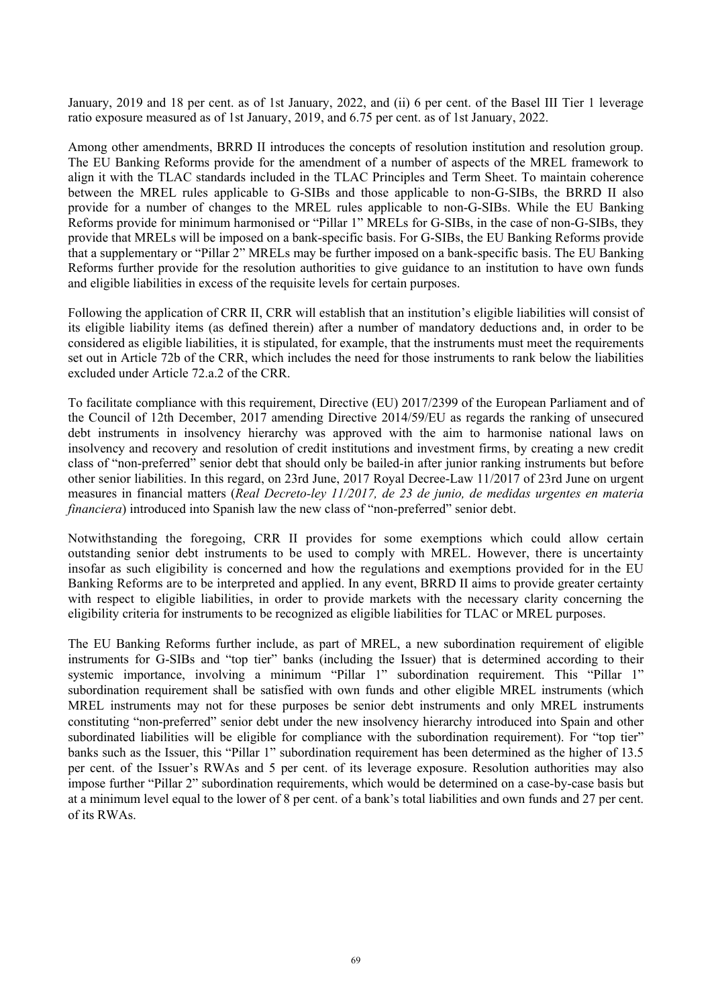January, 2019 and 18 per cent. as of 1st January, 2022, and (ii) 6 per cent. of the Basel III Tier 1 leverage ratio exposure measured as of 1st January, 2019, and 6.75 per cent. as of 1st January, 2022.

Among other amendments, BRRD II introduces the concepts of resolution institution and resolution group. The EU Banking Reforms provide for the amendment of a number of aspects of the MREL framework to align it with the TLAC standards included in the TLAC Principles and Term Sheet. To maintain coherence between the MREL rules applicable to G-SIBs and those applicable to non-G-SIBs, the BRRD II also provide for a number of changes to the MREL rules applicable to non-G-SIBs. While the EU Banking Reforms provide for minimum harmonised or "Pillar 1" MRELs for G-SIBs, in the case of non-G-SIBs, they provide that MRELs will be imposed on a bank-specific basis. For G-SIBs, the EU Banking Reforms provide that a supplementary or "Pillar 2" MRELs may be further imposed on a bank-specific basis. The EU Banking Reforms further provide for the resolution authorities to give guidance to an institution to have own funds and eligible liabilities in excess of the requisite levels for certain purposes.

Following the application of CRR II, CRR will establish that an institution's eligible liabilities will consist of its eligible liability items (as defined therein) after a number of mandatory deductions and, in order to be considered as eligible liabilities, it is stipulated, for example, that the instruments must meet the requirements set out in Article 72b of the CRR, which includes the need for those instruments to rank below the liabilities excluded under Article 72.a.2 of the CRR.

To facilitate compliance with this requirement, Directive (EU) 2017/2399 of the European Parliament and of the Council of 12th December, 2017 amending Directive 2014/59/EU as regards the ranking of unsecured debt instruments in insolvency hierarchy was approved with the aim to harmonise national laws on insolvency and recovery and resolution of credit institutions and investment firms, by creating a new credit class of "non-preferred" senior debt that should only be bailed-in after junior ranking instruments but before other senior liabilities. In this regard, on 23rd June, 2017 Royal Decree-Law 11/2017 of 23rd June on urgent measures in financial matters (*Real Decreto-ley 11/2017, de 23 de junio, de medidas urgentes en materia financiera*) introduced into Spanish law the new class of "non-preferred" senior debt.

Notwithstanding the foregoing, CRR II provides for some exemptions which could allow certain outstanding senior debt instruments to be used to comply with MREL. However, there is uncertainty insofar as such eligibility is concerned and how the regulations and exemptions provided for in the EU Banking Reforms are to be interpreted and applied. In any event, BRRD II aims to provide greater certainty with respect to eligible liabilities, in order to provide markets with the necessary clarity concerning the eligibility criteria for instruments to be recognized as eligible liabilities for TLAC or MREL purposes.

The EU Banking Reforms further include, as part of MREL, a new subordination requirement of eligible instruments for G-SIBs and "top tier" banks (including the Issuer) that is determined according to their systemic importance, involving a minimum "Pillar 1" subordination requirement. This "Pillar 1" subordination requirement shall be satisfied with own funds and other eligible MREL instruments (which MREL instruments may not for these purposes be senior debt instruments and only MREL instruments constituting "non-preferred" senior debt under the new insolvency hierarchy introduced into Spain and other subordinated liabilities will be eligible for compliance with the subordination requirement). For "top tier" banks such as the Issuer, this "Pillar 1" subordination requirement has been determined as the higher of 13.5 per cent. of the Issuer's RWAs and 5 per cent. of its leverage exposure. Resolution authorities may also impose further "Pillar 2" subordination requirements, which would be determined on a case-by-case basis but at a minimum level equal to the lower of 8 per cent. of a bank's total liabilities and own funds and 27 per cent. of its RWAs.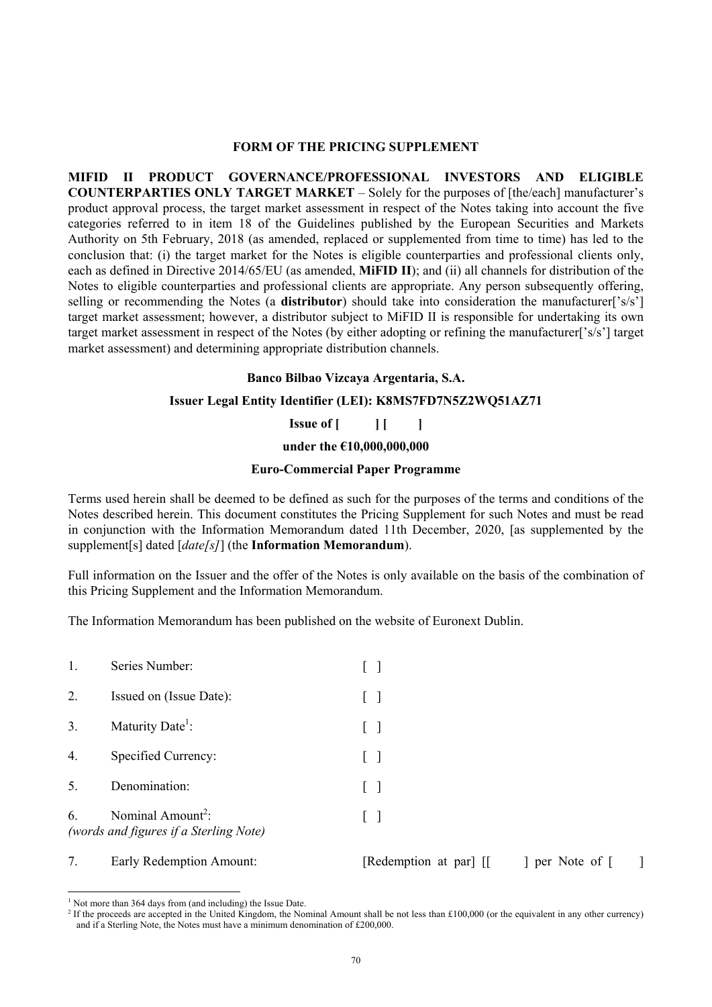#### **FORM OF THE PRICING SUPPLEMENT**

**MIFID II PRODUCT GOVERNANCE/PROFESSIONAL INVESTORS AND ELIGIBLE COUNTERPARTIES ONLY TARGET MARKET** – Solely for the purposes of [the/each] manufacturer's product approval process, the target market assessment in respect of the Notes taking into account the five categories referred to in item 18 of the Guidelines published by the European Securities and Markets Authority on 5th February, 2018 (as amended, replaced or supplemented from time to time) has led to the conclusion that: (i) the target market for the Notes is eligible counterparties and professional clients only, each as defined in Directive 2014/65/EU (as amended, **MiFID II**); and (ii) all channels for distribution of the Notes to eligible counterparties and professional clients are appropriate. Any person subsequently offering, selling or recommending the Notes (a **distributor**) should take into consideration the manufacturer['s/s'] target market assessment; however, a distributor subject to MiFID II is responsible for undertaking its own target market assessment in respect of the Notes (by either adopting or refining the manufacturer['s/s'] target market assessment) and determining appropriate distribution channels.

#### **Banco Bilbao Vizcaya Argentaria, S.A.**

### **Issuer Legal Entity Identifier (LEI): K8MS7FD7N5Z2WQ51AZ71**

**Issue of** [ ] [ ]

**under the €10,000,000,000**

#### **Euro-Commercial Paper Programme**

Terms used herein shall be deemed to be defined as such for the purposes of the terms and conditions of the Notes described herein. This document constitutes the Pricing Supplement for such Notes and must be read in conjunction with the Information Memorandum dated 11th December, 2020, [as supplemented by the supplement[s] dated [*date[s]*] (the **Information Memorandum**).

Full information on the Issuer and the offer of the Notes is only available on the basis of the combination of this Pricing Supplement and the Information Memorandum.

The Information Memorandum has been published on the website of Euronext Dublin.

| 1. | Series Number:                                                          |  |
|----|-------------------------------------------------------------------------|--|
| 2. | Issued on (Issue Date):                                                 |  |
| 3. | Maturity Date <sup>1</sup> :                                            |  |
| 4. | Specified Currency:                                                     |  |
| 5. | Denomination:                                                           |  |
| 6. | Nominal Amount <sup>2</sup> :<br>(words and figures if a Sterling Note) |  |
|    |                                                                         |  |

# 7. Early Redemption Amount: [Redemption at par] [[ ] per Note of [ ]

l

<sup>&</sup>lt;sup>1</sup> Not more than 364 days from (and including) the Issue Date.

<sup>&</sup>lt;sup>2</sup> If the proceeds are accepted in the United Kingdom, the Nominal Amount shall be not less than £100,000 (or the equivalent in any other currency) and if a Sterling Note, the Notes must have a minimum denomination of £200,000.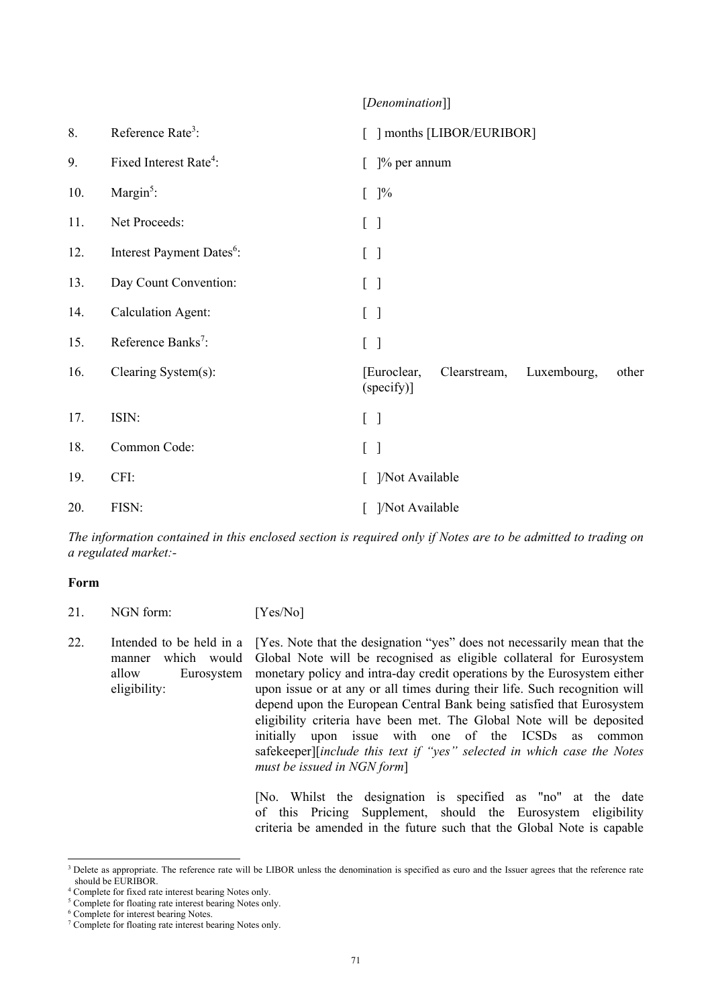# [*Denomination*]]

| 8.  | Reference Rate <sup>3</sup> :         | [ ] months [LIBOR/EURIBOR]                                        |
|-----|---------------------------------------|-------------------------------------------------------------------|
| 9.  | Fixed Interest Rate <sup>4</sup> :    | $[$ ]% per annum                                                  |
| 10. | Margin $5$ :                          | $[$ ]%                                                            |
| 11. | Net Proceeds:                         | $\begin{bmatrix} 1 \end{bmatrix}$                                 |
| 12. | Interest Payment Dates <sup>6</sup> : | $\begin{bmatrix} \end{bmatrix}$                                   |
| 13. | Day Count Convention:                 | $\begin{bmatrix} \end{bmatrix}$                                   |
| 14. | <b>Calculation Agent:</b>             | $[\ ]$                                                            |
| 15. | Reference Banks <sup>7</sup> :        | $\begin{bmatrix} \end{bmatrix}$                                   |
| 16. | Clearing System(s):                   | [Euroclear,<br>Clearstream,<br>Luxembourg,<br>other<br>(specify)] |
| 17. | ISIN:                                 | $[\ ]$                                                            |
| 18. | Common Code:                          | $[\ ]$                                                            |
| 19. | CFI:                                  | ]/Not Available                                                   |
| 20. | FISN:                                 | ]/Not Available                                                   |

*The information contained in this enclosed section is required only if Notes are to be admitted to trading on a regulated market:-* 

### **Form**

21. NGN form: [Yes/No] 22. Intended to be held in a manner which would allow Eurosystem eligibility: [Yes. Note that the designation "yes" does not necessarily mean that the Global Note will be recognised as eligible collateral for Eurosystem monetary policy and intra-day credit operations by the Eurosystem either upon issue or at any or all times during their life. Such recognition will depend upon the European Central Bank being satisfied that Eurosystem eligibility criteria have been met. The Global Note will be deposited initially upon issue with one of the ICSDs as common safekeeper][*include this text if "yes" selected in which case the Notes must be issued in NGN form*]

[No. Whilst the designation is specified as "no" at the date of this Pricing Supplement, should the Eurosystem eligibility criteria be amended in the future such that the Global Note is capable

l <sup>3</sup> Delete as appropriate. The reference rate will be LIBOR unless the denomination is specified as euro and the Issuer agrees that the reference rate should be EURIBOR.

<sup>4</sup> Complete for fixed rate interest bearing Notes only.

<sup>&</sup>lt;sup>5</sup> Complete for floating rate interest bearing Notes only.

<sup>6</sup> Complete for interest bearing Notes.

<sup>7</sup> Complete for floating rate interest bearing Notes only.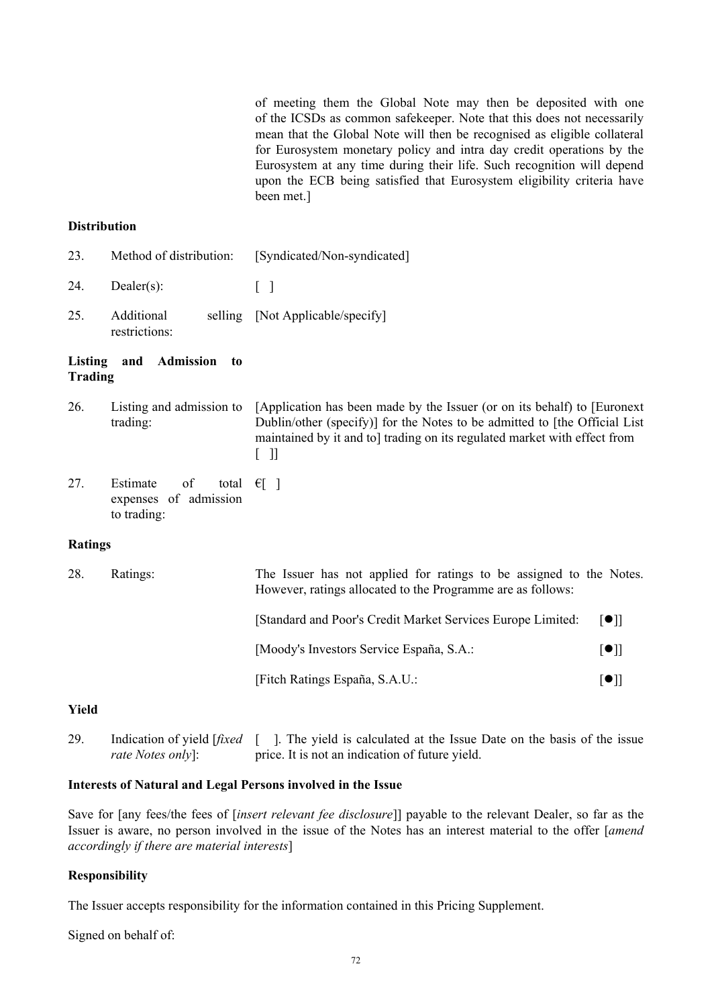of meeting them the Global Note may then be deposited with one of the ICSDs as common safekeeper. Note that this does not necessarily mean that the Global Note will then be recognised as eligible collateral for Eurosystem monetary policy and intra day credit operations by the Eurosystem at any time during their life. Such recognition will depend upon the ECB being satisfied that Eurosystem eligibility criteria have been met.]

#### **Distribution**

- 23. Method of distribution: [Syndicated/Non-syndicated]
- 24. Dealer(s): [ ]
- 25. Additional restrictions: selling [Not Applicable/specify]

#### **Listing and Admission to Trading**

- 26. Listing and admission to trading: [Application has been made by the Issuer (or on its behalf) to [Euronext Dublin/other (specify)] for the Notes to be admitted to [the Official List maintained by it and to] trading on its regulated market with effect from  $[$   $]$
- 27. Estimate of expenses of admission to trading: total  $\epsilon$ [ ]

# **Ratings**

| 28. | Ratings: | The Issuer has not applied for ratings to be assigned to the Notes.<br>However, ratings allocated to the Programme are as follows: |                                |  |
|-----|----------|------------------------------------------------------------------------------------------------------------------------------------|--------------------------------|--|
|     |          | [Standard and Poor's Credit Market Services Europe Limited:                                                                        | $\lceil \bullet \rceil$        |  |
|     |          | [Moody's Investors Service España, S.A.:                                                                                           | $\lceil \bullet \rceil \rceil$ |  |
|     |          | [Fitch Ratings España, S.A.U.:                                                                                                     | $\lceil \bullet \rceil$        |  |
|     |          |                                                                                                                                    |                                |  |

### **Yield**

29. Indication of yield [*fixed*  [ ]. The yield is calculated at the Issue Date on the basis of the issue *rate Notes only*]: price. It is not an indication of future yield.

### **Interests of Natural and Legal Persons involved in the Issue**

Save for [any fees/the fees of [*insert relevant fee disclosure*]] payable to the relevant Dealer, so far as the Issuer is aware, no person involved in the issue of the Notes has an interest material to the offer [*amend accordingly if there are material interests*]

### **Responsibility**

The Issuer accepts responsibility for the information contained in this Pricing Supplement.

Signed on behalf of: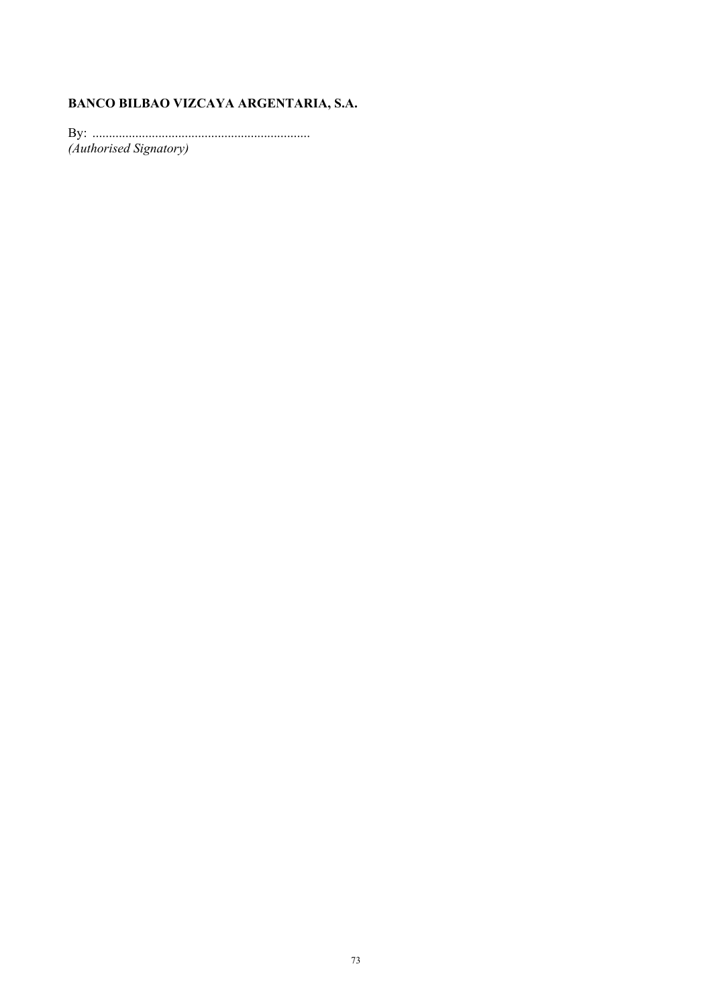# **BANCO BILBAO VIZCAYA ARGENTARIA, S.A.**

By: .................................................................. *(Authorised Signatory)*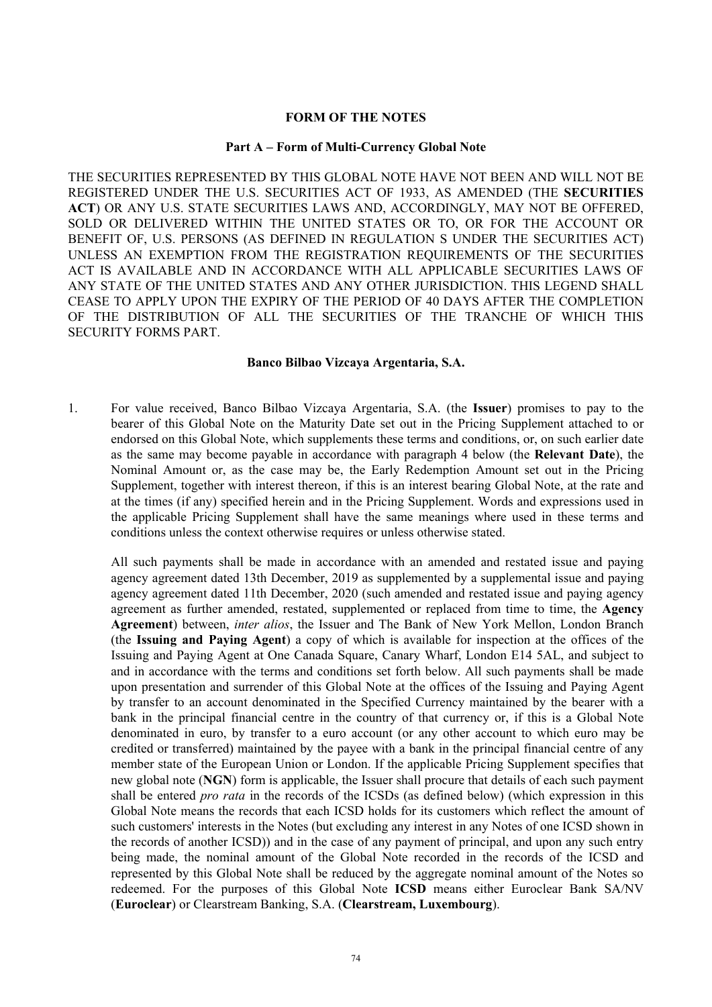#### **FORM OF THE NOTES**

#### **Part A – Form of Multi-Currency Global Note**

THE SECURITIES REPRESENTED BY THIS GLOBAL NOTE HAVE NOT BEEN AND WILL NOT BE REGISTERED UNDER THE U.S. SECURITIES ACT OF 1933, AS AMENDED (THE **SECURITIES ACT**) OR ANY U.S. STATE SECURITIES LAWS AND, ACCORDINGLY, MAY NOT BE OFFERED, SOLD OR DELIVERED WITHIN THE UNITED STATES OR TO, OR FOR THE ACCOUNT OR BENEFIT OF, U.S. PERSONS (AS DEFINED IN REGULATION S UNDER THE SECURITIES ACT) UNLESS AN EXEMPTION FROM THE REGISTRATION REQUIREMENTS OF THE SECURITIES ACT IS AVAILABLE AND IN ACCORDANCE WITH ALL APPLICABLE SECURITIES LAWS OF ANY STATE OF THE UNITED STATES AND ANY OTHER JURISDICTION. THIS LEGEND SHALL CEASE TO APPLY UPON THE EXPIRY OF THE PERIOD OF 40 DAYS AFTER THE COMPLETION OF THE DISTRIBUTION OF ALL THE SECURITIES OF THE TRANCHE OF WHICH THIS SECURITY FORMS PART.

#### **Banco Bilbao Vizcaya Argentaria, S.A.**

1. For value received, Banco Bilbao Vizcaya Argentaria, S.A. (the **Issuer**) promises to pay to the bearer of this Global Note on the Maturity Date set out in the Pricing Supplement attached to or endorsed on this Global Note, which supplements these terms and conditions, or, on such earlier date as the same may become payable in accordance with paragraph 4 below (the **Relevant Date**), the Nominal Amount or, as the case may be, the Early Redemption Amount set out in the Pricing Supplement, together with interest thereon, if this is an interest bearing Global Note, at the rate and at the times (if any) specified herein and in the Pricing Supplement. Words and expressions used in the applicable Pricing Supplement shall have the same meanings where used in these terms and conditions unless the context otherwise requires or unless otherwise stated.

All such payments shall be made in accordance with an amended and restated issue and paying agency agreement dated 13th December, 2019 as supplemented by a supplemental issue and paying agency agreement dated 11th December, 2020 (such amended and restated issue and paying agency agreement as further amended, restated, supplemented or replaced from time to time, the **Agency Agreement**) between, *inter alios*, the Issuer and The Bank of New York Mellon, London Branch (the **Issuing and Paying Agent**) a copy of which is available for inspection at the offices of the Issuing and Paying Agent at One Canada Square, Canary Wharf, London E14 5AL, and subject to and in accordance with the terms and conditions set forth below. All such payments shall be made upon presentation and surrender of this Global Note at the offices of the Issuing and Paying Agent by transfer to an account denominated in the Specified Currency maintained by the bearer with a bank in the principal financial centre in the country of that currency or, if this is a Global Note denominated in euro, by transfer to a euro account (or any other account to which euro may be credited or transferred) maintained by the payee with a bank in the principal financial centre of any member state of the European Union or London. If the applicable Pricing Supplement specifies that new global note (**NGN**) form is applicable, the Issuer shall procure that details of each such payment shall be entered *pro rata* in the records of the ICSDs (as defined below) (which expression in this Global Note means the records that each ICSD holds for its customers which reflect the amount of such customers' interests in the Notes (but excluding any interest in any Notes of one ICSD shown in the records of another ICSD)) and in the case of any payment of principal, and upon any such entry being made, the nominal amount of the Global Note recorded in the records of the ICSD and represented by this Global Note shall be reduced by the aggregate nominal amount of the Notes so redeemed. For the purposes of this Global Note **ICSD** means either Euroclear Bank SA/NV (**Euroclear**) or Clearstream Banking, S.A. (**Clearstream, Luxembourg**).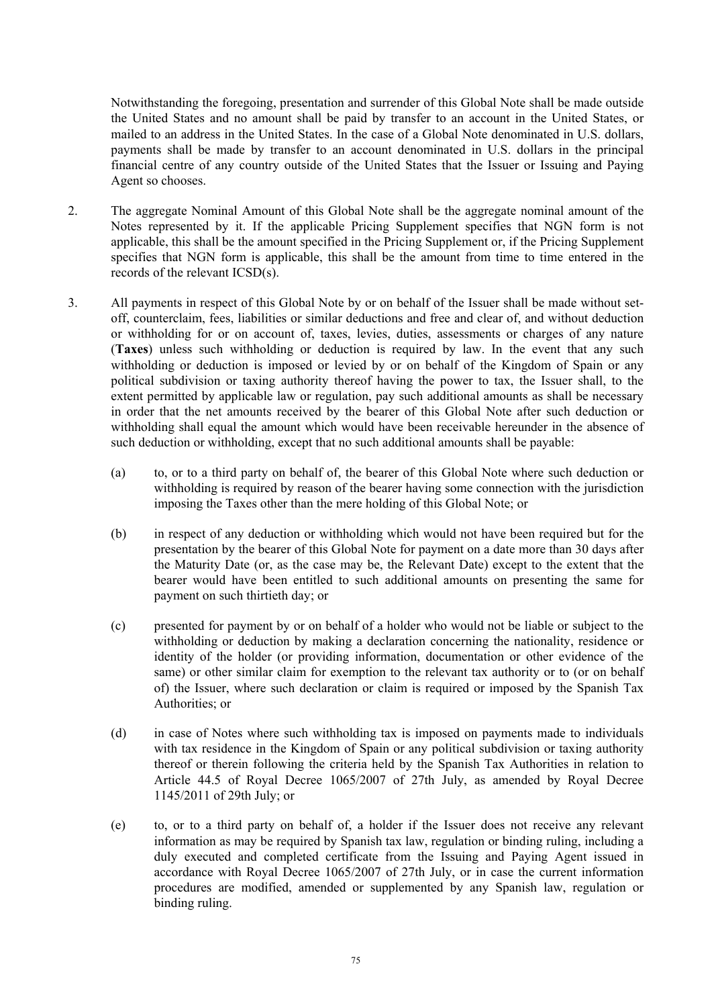Notwithstanding the foregoing, presentation and surrender of this Global Note shall be made outside the United States and no amount shall be paid by transfer to an account in the United States, or mailed to an address in the United States. In the case of a Global Note denominated in U.S. dollars, payments shall be made by transfer to an account denominated in U.S. dollars in the principal financial centre of any country outside of the United States that the Issuer or Issuing and Paying Agent so chooses.

- 2. The aggregate Nominal Amount of this Global Note shall be the aggregate nominal amount of the Notes represented by it. If the applicable Pricing Supplement specifies that NGN form is not applicable, this shall be the amount specified in the Pricing Supplement or, if the Pricing Supplement specifies that NGN form is applicable, this shall be the amount from time to time entered in the records of the relevant ICSD(s).
- 3. All payments in respect of this Global Note by or on behalf of the Issuer shall be made without setoff, counterclaim, fees, liabilities or similar deductions and free and clear of, and without deduction or withholding for or on account of, taxes, levies, duties, assessments or charges of any nature (**Taxes**) unless such withholding or deduction is required by law. In the event that any such withholding or deduction is imposed or levied by or on behalf of the Kingdom of Spain or any political subdivision or taxing authority thereof having the power to tax, the Issuer shall, to the extent permitted by applicable law or regulation, pay such additional amounts as shall be necessary in order that the net amounts received by the bearer of this Global Note after such deduction or withholding shall equal the amount which would have been receivable hereunder in the absence of such deduction or withholding, except that no such additional amounts shall be payable:
	- (a) to, or to a third party on behalf of, the bearer of this Global Note where such deduction or withholding is required by reason of the bearer having some connection with the jurisdiction imposing the Taxes other than the mere holding of this Global Note; or
	- (b) in respect of any deduction or withholding which would not have been required but for the presentation by the bearer of this Global Note for payment on a date more than 30 days after the Maturity Date (or, as the case may be, the Relevant Date) except to the extent that the bearer would have been entitled to such additional amounts on presenting the same for payment on such thirtieth day; or
	- (c) presented for payment by or on behalf of a holder who would not be liable or subject to the withholding or deduction by making a declaration concerning the nationality, residence or identity of the holder (or providing information, documentation or other evidence of the same) or other similar claim for exemption to the relevant tax authority or to (or on behalf of) the Issuer, where such declaration or claim is required or imposed by the Spanish Tax Authorities; or
	- (d) in case of Notes where such withholding tax is imposed on payments made to individuals with tax residence in the Kingdom of Spain or any political subdivision or taxing authority thereof or therein following the criteria held by the Spanish Tax Authorities in relation to Article 44.5 of Royal Decree 1065/2007 of 27th July, as amended by Royal Decree 1145/2011 of 29th July; or
	- (e) to, or to a third party on behalf of, a holder if the Issuer does not receive any relevant information as may be required by Spanish tax law, regulation or binding ruling, including a duly executed and completed certificate from the Issuing and Paying Agent issued in accordance with Royal Decree 1065/2007 of 27th July, or in case the current information procedures are modified, amended or supplemented by any Spanish law, regulation or binding ruling.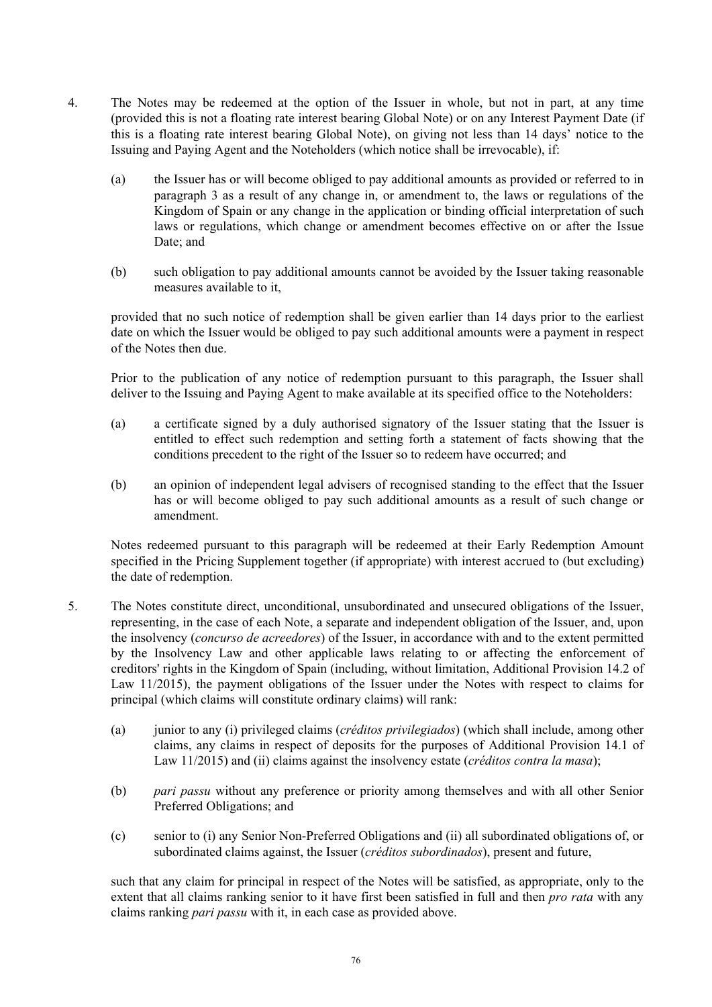- 4. The Notes may be redeemed at the option of the Issuer in whole, but not in part, at any time (provided this is not a floating rate interest bearing Global Note) or on any Interest Payment Date (if this is a floating rate interest bearing Global Note), on giving not less than 14 days' notice to the Issuing and Paying Agent and the Noteholders (which notice shall be irrevocable), if:
	- (a) the Issuer has or will become obliged to pay additional amounts as provided or referred to in paragraph 3 as a result of any change in, or amendment to, the laws or regulations of the Kingdom of Spain or any change in the application or binding official interpretation of such laws or regulations, which change or amendment becomes effective on or after the Issue Date; and
	- (b) such obligation to pay additional amounts cannot be avoided by the Issuer taking reasonable measures available to it,

provided that no such notice of redemption shall be given earlier than 14 days prior to the earliest date on which the Issuer would be obliged to pay such additional amounts were a payment in respect of the Notes then due.

Prior to the publication of any notice of redemption pursuant to this paragraph, the Issuer shall deliver to the Issuing and Paying Agent to make available at its specified office to the Noteholders:

- (a) a certificate signed by a duly authorised signatory of the Issuer stating that the Issuer is entitled to effect such redemption and setting forth a statement of facts showing that the conditions precedent to the right of the Issuer so to redeem have occurred; and
- (b) an opinion of independent legal advisers of recognised standing to the effect that the Issuer has or will become obliged to pay such additional amounts as a result of such change or amendment.

Notes redeemed pursuant to this paragraph will be redeemed at their Early Redemption Amount specified in the Pricing Supplement together (if appropriate) with interest accrued to (but excluding) the date of redemption.

- 5. The Notes constitute direct, unconditional, unsubordinated and unsecured obligations of the Issuer, representing, in the case of each Note, a separate and independent obligation of the Issuer, and, upon the insolvency (*concurso de acreedores*) of the Issuer, in accordance with and to the extent permitted by the Insolvency Law and other applicable laws relating to or affecting the enforcement of creditors' rights in the Kingdom of Spain (including, without limitation, Additional Provision 14.2 of Law 11/2015), the payment obligations of the Issuer under the Notes with respect to claims for principal (which claims will constitute ordinary claims) will rank:
	- (a) junior to any (i) privileged claims (*créditos privilegiados*) (which shall include, among other claims, any claims in respect of deposits for the purposes of Additional Provision 14.1 of Law 11/2015) and (ii) claims against the insolvency estate (*créditos contra la masa*);
	- (b) *pari passu* without any preference or priority among themselves and with all other Senior Preferred Obligations; and
	- (c) senior to (i) any Senior Non-Preferred Obligations and (ii) all subordinated obligations of, or subordinated claims against, the Issuer (*créditos subordinados*), present and future,

such that any claim for principal in respect of the Notes will be satisfied, as appropriate, only to the extent that all claims ranking senior to it have first been satisfied in full and then *pro rata* with any claims ranking *pari passu* with it, in each case as provided above.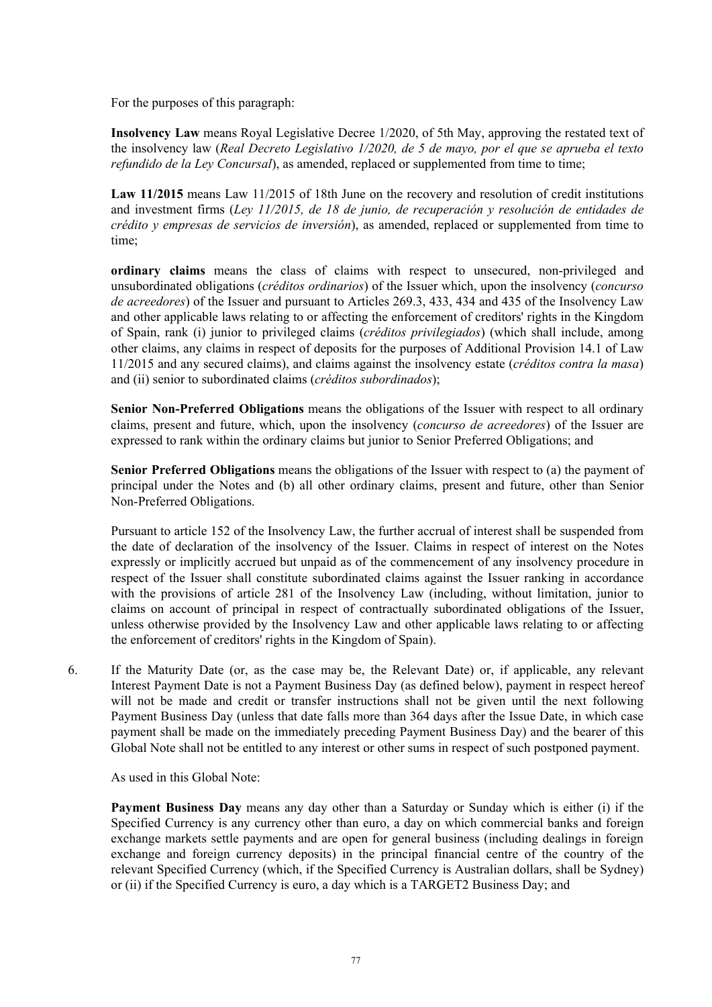For the purposes of this paragraph:

**Insolvency Law** means Royal Legislative Decree 1/2020, of 5th May, approving the restated text of the insolvency law (*Real Decreto Legislativo 1/2020, de 5 de mayo, por el que se aprueba el texto refundido de la Ley Concursal*), as amended, replaced or supplemented from time to time;

Law 11/2015 means Law 11/2015 of 18th June on the recovery and resolution of credit institutions and investment firms (*Ley 11/2015, de 18 de junio, de recuperación y resolución de entidades de crédito y empresas de servicios de inversión*), as amended, replaced or supplemented from time to time;

**ordinary claims** means the class of claims with respect to unsecured, non-privileged and unsubordinated obligations (*créditos ordinarios*) of the Issuer which, upon the insolvency (*concurso de acreedores*) of the Issuer and pursuant to Articles 269.3, 433, 434 and 435 of the Insolvency Law and other applicable laws relating to or affecting the enforcement of creditors' rights in the Kingdom of Spain, rank (i) junior to privileged claims (*créditos privilegiados*) (which shall include, among other claims, any claims in respect of deposits for the purposes of Additional Provision 14.1 of Law 11/2015 and any secured claims), and claims against the insolvency estate (*créditos contra la masa*) and (ii) senior to subordinated claims (*créditos subordinados*);

**Senior Non-Preferred Obligations** means the obligations of the Issuer with respect to all ordinary claims, present and future, which, upon the insolvency (*concurso de acreedores*) of the Issuer are expressed to rank within the ordinary claims but junior to Senior Preferred Obligations; and

**Senior Preferred Obligations** means the obligations of the Issuer with respect to (a) the payment of principal under the Notes and (b) all other ordinary claims, present and future, other than Senior Non-Preferred Obligations.

Pursuant to article 152 of the Insolvency Law, the further accrual of interest shall be suspended from the date of declaration of the insolvency of the Issuer. Claims in respect of interest on the Notes expressly or implicitly accrued but unpaid as of the commencement of any insolvency procedure in respect of the Issuer shall constitute subordinated claims against the Issuer ranking in accordance with the provisions of article 281 of the Insolvency Law (including, without limitation, junior to claims on account of principal in respect of contractually subordinated obligations of the Issuer, unless otherwise provided by the Insolvency Law and other applicable laws relating to or affecting the enforcement of creditors' rights in the Kingdom of Spain).

6. If the Maturity Date (or, as the case may be, the Relevant Date) or, if applicable, any relevant Interest Payment Date is not a Payment Business Day (as defined below), payment in respect hereof will not be made and credit or transfer instructions shall not be given until the next following Payment Business Day (unless that date falls more than 364 days after the Issue Date, in which case payment shall be made on the immediately preceding Payment Business Day) and the bearer of this Global Note shall not be entitled to any interest or other sums in respect of such postponed payment.

As used in this Global Note:

**Payment Business Day** means any day other than a Saturday or Sunday which is either (i) if the Specified Currency is any currency other than euro, a day on which commercial banks and foreign exchange markets settle payments and are open for general business (including dealings in foreign exchange and foreign currency deposits) in the principal financial centre of the country of the relevant Specified Currency (which, if the Specified Currency is Australian dollars, shall be Sydney) or (ii) if the Specified Currency is euro, a day which is a TARGET2 Business Day; and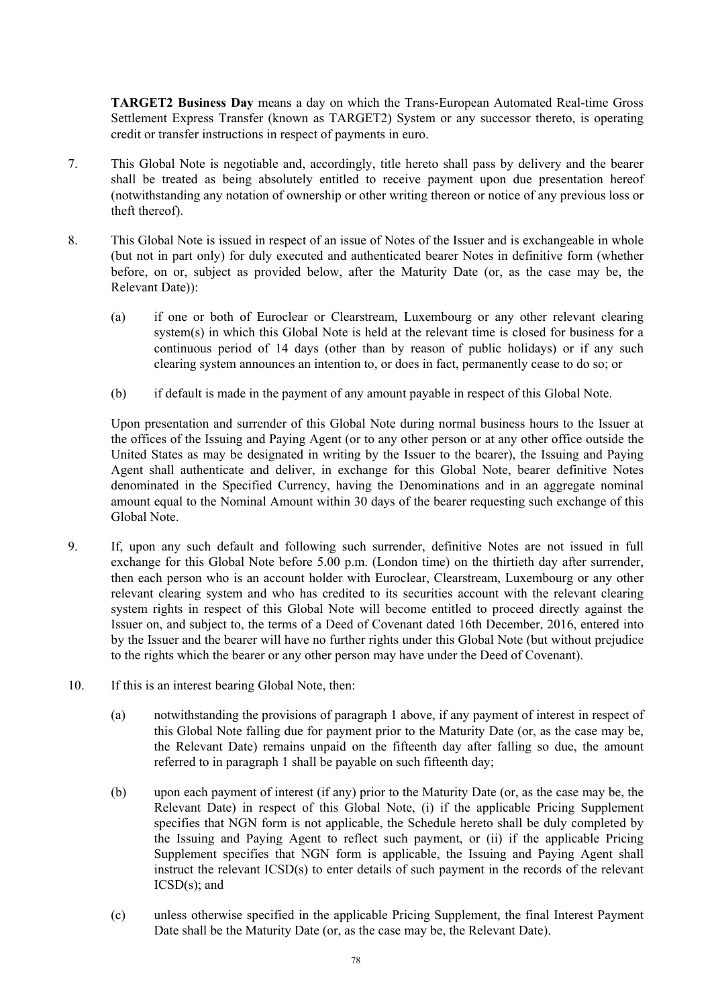**TARGET2 Business Day** means a day on which the Trans-European Automated Real-time Gross Settlement Express Transfer (known as TARGET2) System or any successor thereto, is operating credit or transfer instructions in respect of payments in euro.

- 7. This Global Note is negotiable and, accordingly, title hereto shall pass by delivery and the bearer shall be treated as being absolutely entitled to receive payment upon due presentation hereof (notwithstanding any notation of ownership or other writing thereon or notice of any previous loss or theft thereof).
- 8. This Global Note is issued in respect of an issue of Notes of the Issuer and is exchangeable in whole (but not in part only) for duly executed and authenticated bearer Notes in definitive form (whether before, on or, subject as provided below, after the Maturity Date (or, as the case may be, the Relevant Date)):
	- (a) if one or both of Euroclear or Clearstream, Luxembourg or any other relevant clearing system(s) in which this Global Note is held at the relevant time is closed for business for a continuous period of 14 days (other than by reason of public holidays) or if any such clearing system announces an intention to, or does in fact, permanently cease to do so; or
	- (b) if default is made in the payment of any amount payable in respect of this Global Note.

Upon presentation and surrender of this Global Note during normal business hours to the Issuer at the offices of the Issuing and Paying Agent (or to any other person or at any other office outside the United States as may be designated in writing by the Issuer to the bearer), the Issuing and Paying Agent shall authenticate and deliver, in exchange for this Global Note, bearer definitive Notes denominated in the Specified Currency, having the Denominations and in an aggregate nominal amount equal to the Nominal Amount within 30 days of the bearer requesting such exchange of this Global Note.

- 9. If, upon any such default and following such surrender, definitive Notes are not issued in full exchange for this Global Note before 5.00 p.m. (London time) on the thirtieth day after surrender, then each person who is an account holder with Euroclear, Clearstream, Luxembourg or any other relevant clearing system and who has credited to its securities account with the relevant clearing system rights in respect of this Global Note will become entitled to proceed directly against the Issuer on, and subject to, the terms of a Deed of Covenant dated 16th December, 2016, entered into by the Issuer and the bearer will have no further rights under this Global Note (but without prejudice to the rights which the bearer or any other person may have under the Deed of Covenant).
- 10. If this is an interest bearing Global Note, then:
	- (a) notwithstanding the provisions of paragraph 1 above, if any payment of interest in respect of this Global Note falling due for payment prior to the Maturity Date (or, as the case may be, the Relevant Date) remains unpaid on the fifteenth day after falling so due, the amount referred to in paragraph 1 shall be payable on such fifteenth day;
	- (b) upon each payment of interest (if any) prior to the Maturity Date (or, as the case may be, the Relevant Date) in respect of this Global Note, (i) if the applicable Pricing Supplement specifies that NGN form is not applicable, the Schedule hereto shall be duly completed by the Issuing and Paying Agent to reflect such payment, or (ii) if the applicable Pricing Supplement specifies that NGN form is applicable, the Issuing and Paying Agent shall instruct the relevant ICSD(s) to enter details of such payment in the records of the relevant ICSD(s); and
	- (c) unless otherwise specified in the applicable Pricing Supplement, the final Interest Payment Date shall be the Maturity Date (or, as the case may be, the Relevant Date).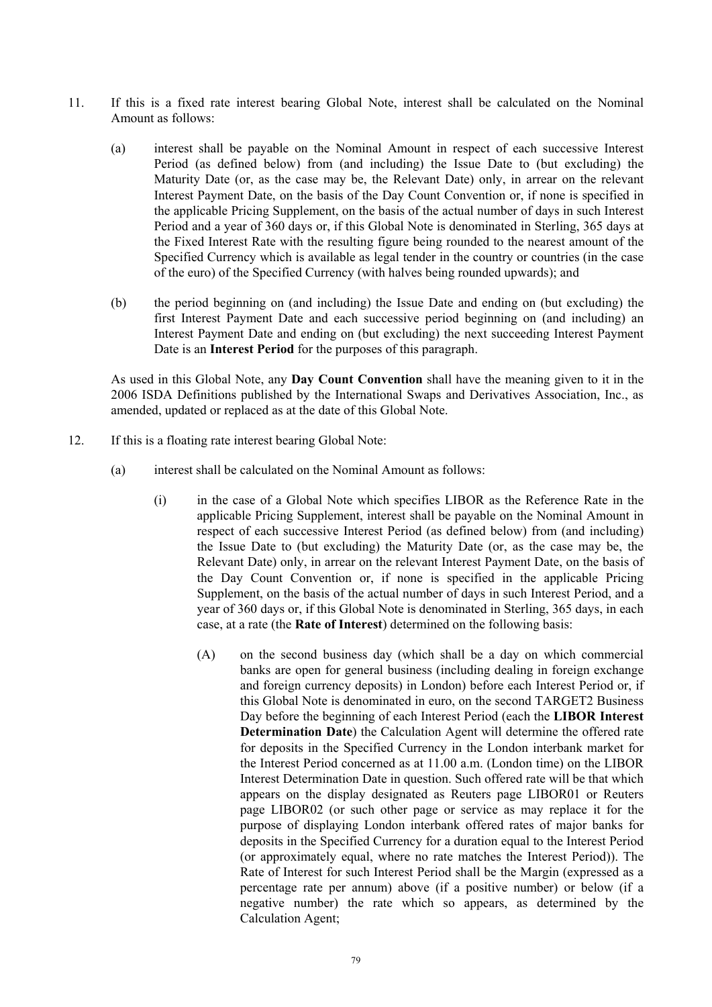- 11. If this is a fixed rate interest bearing Global Note, interest shall be calculated on the Nominal Amount as follows:
	- (a) interest shall be payable on the Nominal Amount in respect of each successive Interest Period (as defined below) from (and including) the Issue Date to (but excluding) the Maturity Date (or, as the case may be, the Relevant Date) only, in arrear on the relevant Interest Payment Date, on the basis of the Day Count Convention or, if none is specified in the applicable Pricing Supplement, on the basis of the actual number of days in such Interest Period and a year of 360 days or, if this Global Note is denominated in Sterling, 365 days at the Fixed Interest Rate with the resulting figure being rounded to the nearest amount of the Specified Currency which is available as legal tender in the country or countries (in the case of the euro) of the Specified Currency (with halves being rounded upwards); and
	- (b) the period beginning on (and including) the Issue Date and ending on (but excluding) the first Interest Payment Date and each successive period beginning on (and including) an Interest Payment Date and ending on (but excluding) the next succeeding Interest Payment Date is an **Interest Period** for the purposes of this paragraph.

As used in this Global Note, any **Day Count Convention** shall have the meaning given to it in the 2006 ISDA Definitions published by the International Swaps and Derivatives Association, Inc., as amended, updated or replaced as at the date of this Global Note.

- 12. If this is a floating rate interest bearing Global Note:
	- (a) interest shall be calculated on the Nominal Amount as follows:
		- (i) in the case of a Global Note which specifies LIBOR as the Reference Rate in the applicable Pricing Supplement, interest shall be payable on the Nominal Amount in respect of each successive Interest Period (as defined below) from (and including) the Issue Date to (but excluding) the Maturity Date (or, as the case may be, the Relevant Date) only, in arrear on the relevant Interest Payment Date, on the basis of the Day Count Convention or, if none is specified in the applicable Pricing Supplement, on the basis of the actual number of days in such Interest Period, and a year of 360 days or, if this Global Note is denominated in Sterling, 365 days, in each case, at a rate (the **Rate of Interest**) determined on the following basis:
			- (A) on the second business day (which shall be a day on which commercial banks are open for general business (including dealing in foreign exchange and foreign currency deposits) in London) before each Interest Period or, if this Global Note is denominated in euro, on the second TARGET2 Business Day before the beginning of each Interest Period (each the **LIBOR Interest Determination Date**) the Calculation Agent will determine the offered rate for deposits in the Specified Currency in the London interbank market for the Interest Period concerned as at 11.00 a.m. (London time) on the LIBOR Interest Determination Date in question. Such offered rate will be that which appears on the display designated as Reuters page LIBOR01 or Reuters page LIBOR02 (or such other page or service as may replace it for the purpose of displaying London interbank offered rates of major banks for deposits in the Specified Currency for a duration equal to the Interest Period (or approximately equal, where no rate matches the Interest Period)). The Rate of Interest for such Interest Period shall be the Margin (expressed as a percentage rate per annum) above (if a positive number) or below (if a negative number) the rate which so appears, as determined by the Calculation Agent;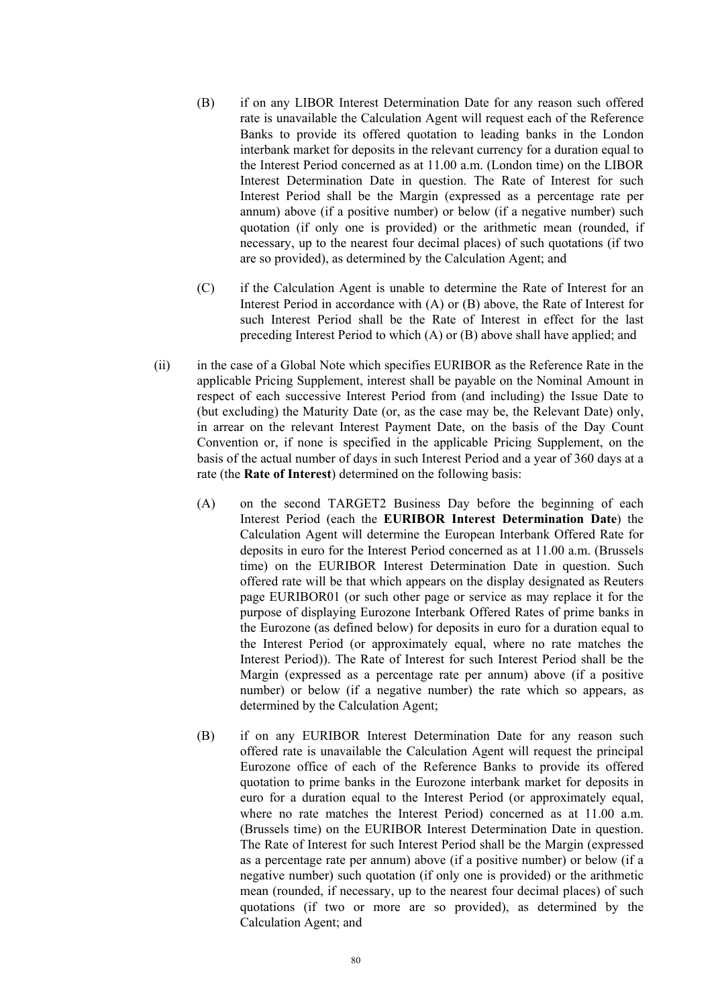- (B) if on any LIBOR Interest Determination Date for any reason such offered rate is unavailable the Calculation Agent will request each of the Reference Banks to provide its offered quotation to leading banks in the London interbank market for deposits in the relevant currency for a duration equal to the Interest Period concerned as at 11.00 a.m. (London time) on the LIBOR Interest Determination Date in question. The Rate of Interest for such Interest Period shall be the Margin (expressed as a percentage rate per annum) above (if a positive number) or below (if a negative number) such quotation (if only one is provided) or the arithmetic mean (rounded, if necessary, up to the nearest four decimal places) of such quotations (if two are so provided), as determined by the Calculation Agent; and
- (C) if the Calculation Agent is unable to determine the Rate of Interest for an Interest Period in accordance with (A) or (B) above, the Rate of Interest for such Interest Period shall be the Rate of Interest in effect for the last preceding Interest Period to which (A) or (B) above shall have applied; and
- (ii) in the case of a Global Note which specifies EURIBOR as the Reference Rate in the applicable Pricing Supplement, interest shall be payable on the Nominal Amount in respect of each successive Interest Period from (and including) the Issue Date to (but excluding) the Maturity Date (or, as the case may be, the Relevant Date) only, in arrear on the relevant Interest Payment Date, on the basis of the Day Count Convention or, if none is specified in the applicable Pricing Supplement, on the basis of the actual number of days in such Interest Period and a year of 360 days at a rate (the **Rate of Interest**) determined on the following basis:
	- (A) on the second TARGET2 Business Day before the beginning of each Interest Period (each the **EURIBOR Interest Determination Date**) the Calculation Agent will determine the European Interbank Offered Rate for deposits in euro for the Interest Period concerned as at 11.00 a.m. (Brussels time) on the EURIBOR Interest Determination Date in question. Such offered rate will be that which appears on the display designated as Reuters page EURIBOR01 (or such other page or service as may replace it for the purpose of displaying Eurozone Interbank Offered Rates of prime banks in the Eurozone (as defined below) for deposits in euro for a duration equal to the Interest Period (or approximately equal, where no rate matches the Interest Period)). The Rate of Interest for such Interest Period shall be the Margin (expressed as a percentage rate per annum) above (if a positive number) or below (if a negative number) the rate which so appears, as determined by the Calculation Agent;
	- (B) if on any EURIBOR Interest Determination Date for any reason such offered rate is unavailable the Calculation Agent will request the principal Eurozone office of each of the Reference Banks to provide its offered quotation to prime banks in the Eurozone interbank market for deposits in euro for a duration equal to the Interest Period (or approximately equal, where no rate matches the Interest Period) concerned as at 11.00 a.m. (Brussels time) on the EURIBOR Interest Determination Date in question. The Rate of Interest for such Interest Period shall be the Margin (expressed as a percentage rate per annum) above (if a positive number) or below (if a negative number) such quotation (if only one is provided) or the arithmetic mean (rounded, if necessary, up to the nearest four decimal places) of such quotations (if two or more are so provided), as determined by the Calculation Agent; and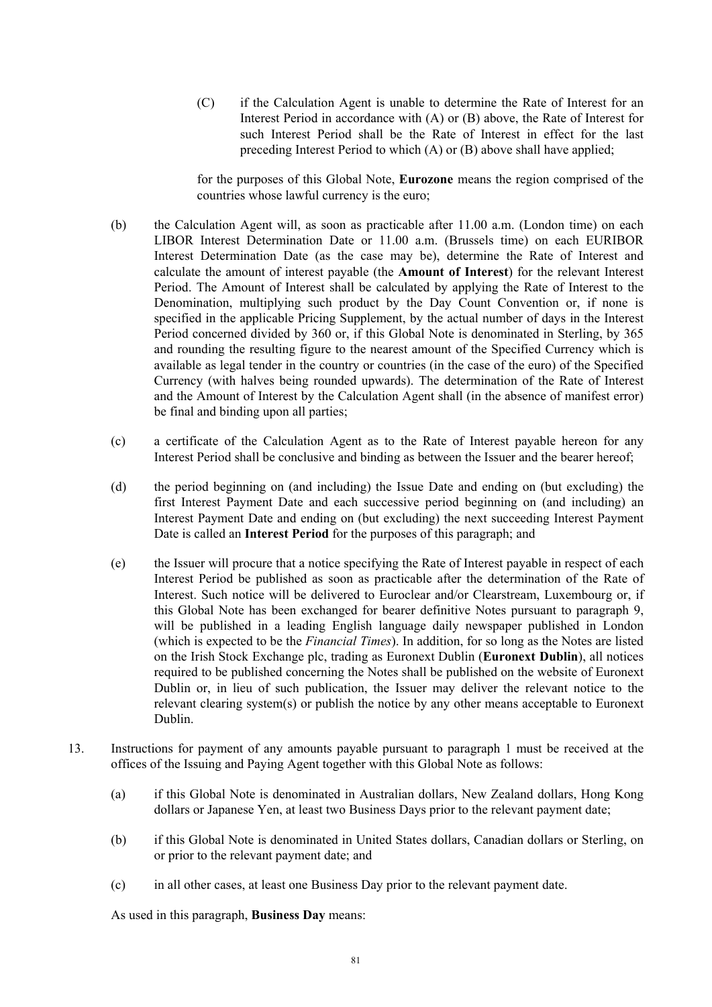(C) if the Calculation Agent is unable to determine the Rate of Interest for an Interest Period in accordance with (A) or (B) above, the Rate of Interest for such Interest Period shall be the Rate of Interest in effect for the last preceding Interest Period to which (A) or (B) above shall have applied;

for the purposes of this Global Note, **Eurozone** means the region comprised of the countries whose lawful currency is the euro;

- (b) the Calculation Agent will, as soon as practicable after 11.00 a.m. (London time) on each LIBOR Interest Determination Date or 11.00 a.m. (Brussels time) on each EURIBOR Interest Determination Date (as the case may be), determine the Rate of Interest and calculate the amount of interest payable (the **Amount of Interest**) for the relevant Interest Period. The Amount of Interest shall be calculated by applying the Rate of Interest to the Denomination, multiplying such product by the Day Count Convention or, if none is specified in the applicable Pricing Supplement, by the actual number of days in the Interest Period concerned divided by 360 or, if this Global Note is denominated in Sterling, by 365 and rounding the resulting figure to the nearest amount of the Specified Currency which is available as legal tender in the country or countries (in the case of the euro) of the Specified Currency (with halves being rounded upwards). The determination of the Rate of Interest and the Amount of Interest by the Calculation Agent shall (in the absence of manifest error) be final and binding upon all parties;
- (c) a certificate of the Calculation Agent as to the Rate of Interest payable hereon for any Interest Period shall be conclusive and binding as between the Issuer and the bearer hereof;
- (d) the period beginning on (and including) the Issue Date and ending on (but excluding) the first Interest Payment Date and each successive period beginning on (and including) an Interest Payment Date and ending on (but excluding) the next succeeding Interest Payment Date is called an **Interest Period** for the purposes of this paragraph; and
- (e) the Issuer will procure that a notice specifying the Rate of Interest payable in respect of each Interest Period be published as soon as practicable after the determination of the Rate of Interest. Such notice will be delivered to Euroclear and/or Clearstream, Luxembourg or, if this Global Note has been exchanged for bearer definitive Notes pursuant to paragraph 9, will be published in a leading English language daily newspaper published in London (which is expected to be the *Financial Times*). In addition, for so long as the Notes are listed on the Irish Stock Exchange plc, trading as Euronext Dublin (**Euronext Dublin**), all notices required to be published concerning the Notes shall be published on the website of Euronext Dublin or, in lieu of such publication, the Issuer may deliver the relevant notice to the relevant clearing system(s) or publish the notice by any other means acceptable to Euronext Dublin.
- 13. Instructions for payment of any amounts payable pursuant to paragraph 1 must be received at the offices of the Issuing and Paying Agent together with this Global Note as follows:
	- (a) if this Global Note is denominated in Australian dollars, New Zealand dollars, Hong Kong dollars or Japanese Yen, at least two Business Days prior to the relevant payment date;
	- (b) if this Global Note is denominated in United States dollars, Canadian dollars or Sterling, on or prior to the relevant payment date; and
	- (c) in all other cases, at least one Business Day prior to the relevant payment date.

As used in this paragraph, **Business Day** means: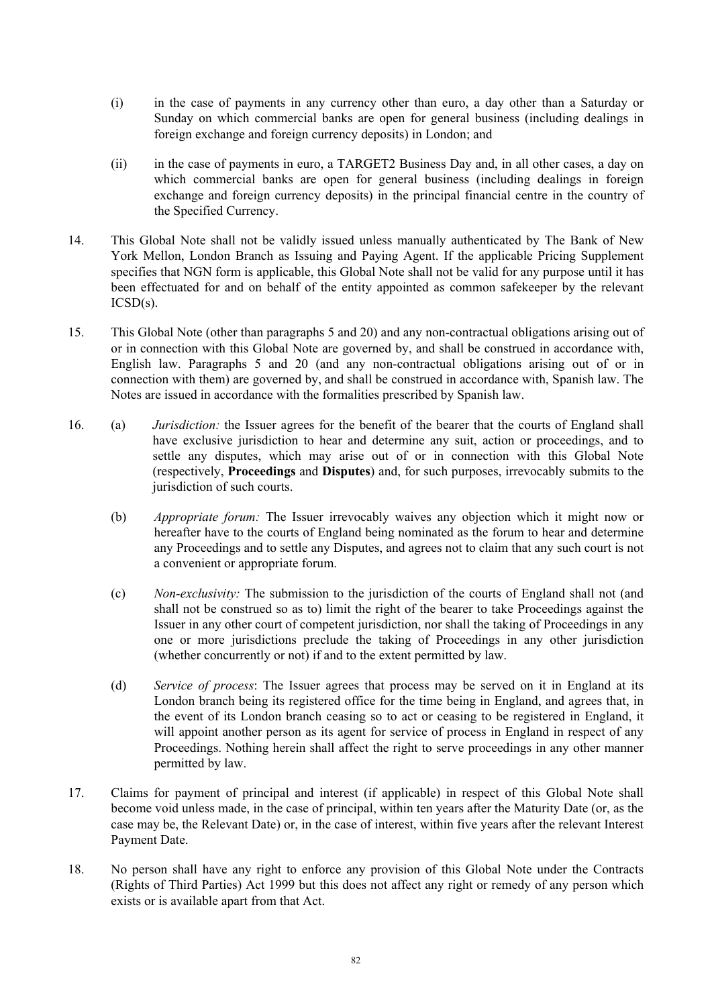- (i) in the case of payments in any currency other than euro, a day other than a Saturday or Sunday on which commercial banks are open for general business (including dealings in foreign exchange and foreign currency deposits) in London; and
- (ii) in the case of payments in euro, a TARGET2 Business Day and, in all other cases, a day on which commercial banks are open for general business (including dealings in foreign exchange and foreign currency deposits) in the principal financial centre in the country of the Specified Currency.
- 14. This Global Note shall not be validly issued unless manually authenticated by The Bank of New York Mellon, London Branch as Issuing and Paying Agent. If the applicable Pricing Supplement specifies that NGN form is applicable, this Global Note shall not be valid for any purpose until it has been effectuated for and on behalf of the entity appointed as common safekeeper by the relevant  $ICSD(s)$ .
- 15. This Global Note (other than paragraphs 5 and 20) and any non-contractual obligations arising out of or in connection with this Global Note are governed by, and shall be construed in accordance with, English law. Paragraphs 5 and 20 (and any non-contractual obligations arising out of or in connection with them) are governed by, and shall be construed in accordance with, Spanish law. The Notes are issued in accordance with the formalities prescribed by Spanish law.
- 16. (a) *Jurisdiction:* the Issuer agrees for the benefit of the bearer that the courts of England shall have exclusive jurisdiction to hear and determine any suit, action or proceedings, and to settle any disputes, which may arise out of or in connection with this Global Note (respectively, **Proceedings** and **Disputes**) and, for such purposes, irrevocably submits to the jurisdiction of such courts.
	- (b) *Appropriate forum:* The Issuer irrevocably waives any objection which it might now or hereafter have to the courts of England being nominated as the forum to hear and determine any Proceedings and to settle any Disputes, and agrees not to claim that any such court is not a convenient or appropriate forum.
	- (c) *Non-exclusivity:* The submission to the jurisdiction of the courts of England shall not (and shall not be construed so as to) limit the right of the bearer to take Proceedings against the Issuer in any other court of competent jurisdiction, nor shall the taking of Proceedings in any one or more jurisdictions preclude the taking of Proceedings in any other jurisdiction (whether concurrently or not) if and to the extent permitted by law.
	- (d) *Service of process*: The Issuer agrees that process may be served on it in England at its London branch being its registered office for the time being in England, and agrees that, in the event of its London branch ceasing so to act or ceasing to be registered in England, it will appoint another person as its agent for service of process in England in respect of any Proceedings. Nothing herein shall affect the right to serve proceedings in any other manner permitted by law.
- 17. Claims for payment of principal and interest (if applicable) in respect of this Global Note shall become void unless made, in the case of principal, within ten years after the Maturity Date (or, as the case may be, the Relevant Date) or, in the case of interest, within five years after the relevant Interest Payment Date.
- 18. No person shall have any right to enforce any provision of this Global Note under the Contracts (Rights of Third Parties) Act 1999 but this does not affect any right or remedy of any person which exists or is available apart from that Act.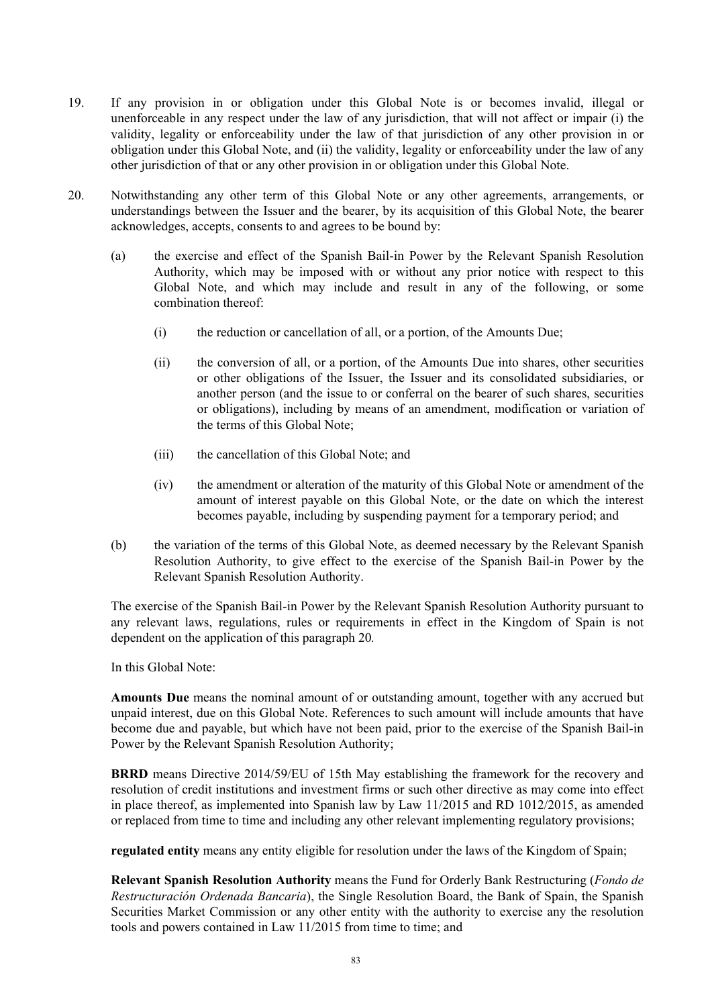- 19. If any provision in or obligation under this Global Note is or becomes invalid, illegal or unenforceable in any respect under the law of any jurisdiction, that will not affect or impair (i) the validity, legality or enforceability under the law of that jurisdiction of any other provision in or obligation under this Global Note, and (ii) the validity, legality or enforceability under the law of any other jurisdiction of that or any other provision in or obligation under this Global Note.
- 20. Notwithstanding any other term of this Global Note or any other agreements, arrangements, or understandings between the Issuer and the bearer, by its acquisition of this Global Note, the bearer acknowledges, accepts, consents to and agrees to be bound by:
	- (a) the exercise and effect of the Spanish Bail-in Power by the Relevant Spanish Resolution Authority, which may be imposed with or without any prior notice with respect to this Global Note, and which may include and result in any of the following, or some combination thereof:
		- (i) the reduction or cancellation of all, or a portion, of the Amounts Due;
		- (ii) the conversion of all, or a portion, of the Amounts Due into shares, other securities or other obligations of the Issuer, the Issuer and its consolidated subsidiaries, or another person (and the issue to or conferral on the bearer of such shares, securities or obligations), including by means of an amendment, modification or variation of the terms of this Global Note;
		- (iii) the cancellation of this Global Note; and
		- (iv) the amendment or alteration of the maturity of this Global Note or amendment of the amount of interest payable on this Global Note, or the date on which the interest becomes payable, including by suspending payment for a temporary period; and
	- (b) the variation of the terms of this Global Note, as deemed necessary by the Relevant Spanish Resolution Authority, to give effect to the exercise of the Spanish Bail-in Power by the Relevant Spanish Resolution Authority.

The exercise of the Spanish Bail-in Power by the Relevant Spanish Resolution Authority pursuant to any relevant laws, regulations, rules or requirements in effect in the Kingdom of Spain is not dependent on the application of this paragraph 20*.*

In this Global Note:

**Amounts Due** means the nominal amount of or outstanding amount, together with any accrued but unpaid interest, due on this Global Note. References to such amount will include amounts that have become due and payable, but which have not been paid, prior to the exercise of the Spanish Bail-in Power by the Relevant Spanish Resolution Authority;

**BRRD** means Directive 2014/59/EU of 15th May establishing the framework for the recovery and resolution of credit institutions and investment firms or such other directive as may come into effect in place thereof, as implemented into Spanish law by Law 11/2015 and RD 1012/2015, as amended or replaced from time to time and including any other relevant implementing regulatory provisions;

**regulated entity** means any entity eligible for resolution under the laws of the Kingdom of Spain;

**Relevant Spanish Resolution Authority** means the Fund for Orderly Bank Restructuring (*Fondo de Restructuración Ordenada Bancaria*), the Single Resolution Board, the Bank of Spain, the Spanish Securities Market Commission or any other entity with the authority to exercise any the resolution tools and powers contained in Law 11/2015 from time to time; and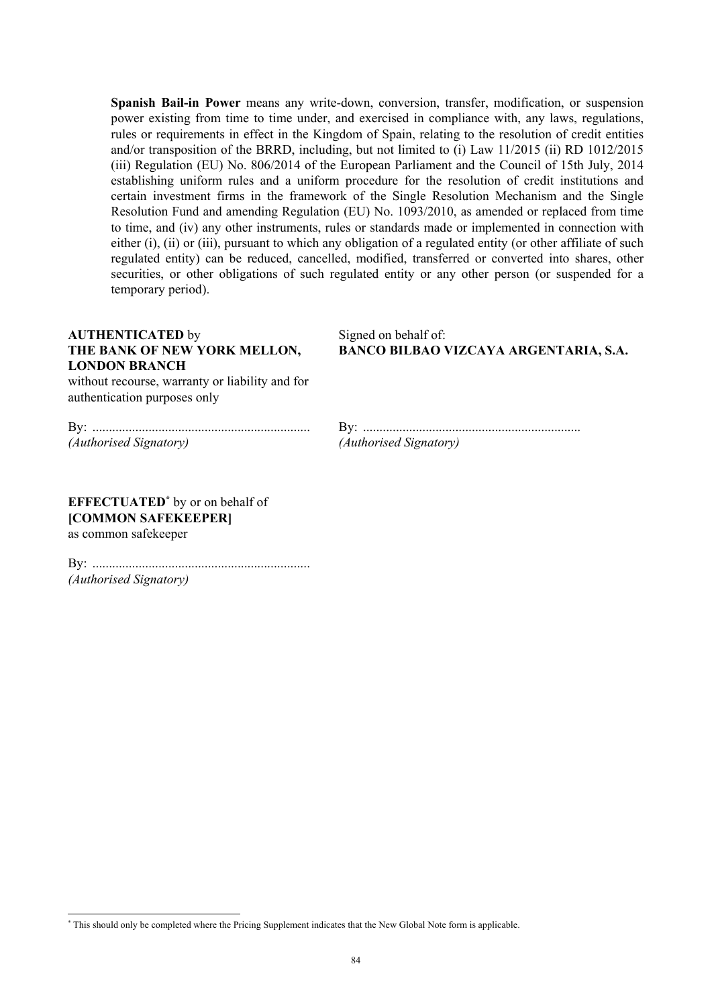**Spanish Bail-in Power** means any write-down, conversion, transfer, modification, or suspension power existing from time to time under, and exercised in compliance with, any laws, regulations, rules or requirements in effect in the Kingdom of Spain, relating to the resolution of credit entities and/or transposition of the BRRD, including, but not limited to (i) Law 11/2015 (ii) RD 1012/2015 (iii) Regulation (EU) No. 806/2014 of the European Parliament and the Council of 15th July, 2014 establishing uniform rules and a uniform procedure for the resolution of credit institutions and certain investment firms in the framework of the Single Resolution Mechanism and the Single Resolution Fund and amending Regulation (EU) No. 1093/2010, as amended or replaced from time to time, and (iv) any other instruments, rules or standards made or implemented in connection with either (i), (ii) or (iii), pursuant to which any obligation of a regulated entity (or other affiliate of such regulated entity) can be reduced, cancelled, modified, transferred or converted into shares, other securities, or other obligations of such regulated entity or any other person (or suspended for a temporary period).

### **AUTHENTICATED** by **THE BANK OF NEW YORK MELLON, LONDON BRANCH**

Signed on behalf of: **BANCO BILBAO VIZCAYA ARGENTARIA, S.A.**

without recourse, warranty or liability and for authentication purposes only

By: .................................................................. *(Authorised Signatory)*

By: .................................................................. *(Authorised Signatory)*

**EFFECTUATED\*** by or on behalf of **[COMMON SAFEKEEPER]**  as common safekeeper

l

By: .................................................................. *(Authorised Signatory)*

<sup>\*</sup> This should only be completed where the Pricing Supplement indicates that the New Global Note form is applicable.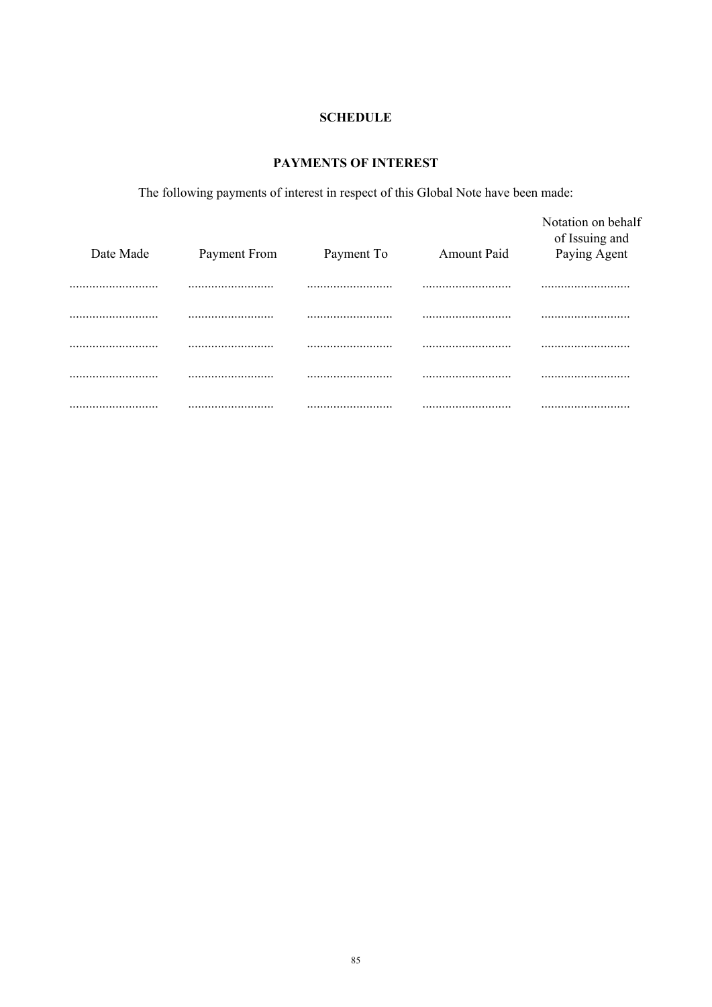## **SCHEDULE**

# PAYMENTS OF INTEREST

The following payments of interest in respect of this Global Note have been made:

| Date Made | Payment From | Payment To | <b>Amount Paid</b> | Notation on behalf<br>of Issuing and<br>Paying Agent |
|-----------|--------------|------------|--------------------|------------------------------------------------------|
|           |              |            |                    |                                                      |
|           |              |            |                    |                                                      |
|           |              |            |                    |                                                      |
|           |              |            |                    |                                                      |
|           |              |            |                    |                                                      |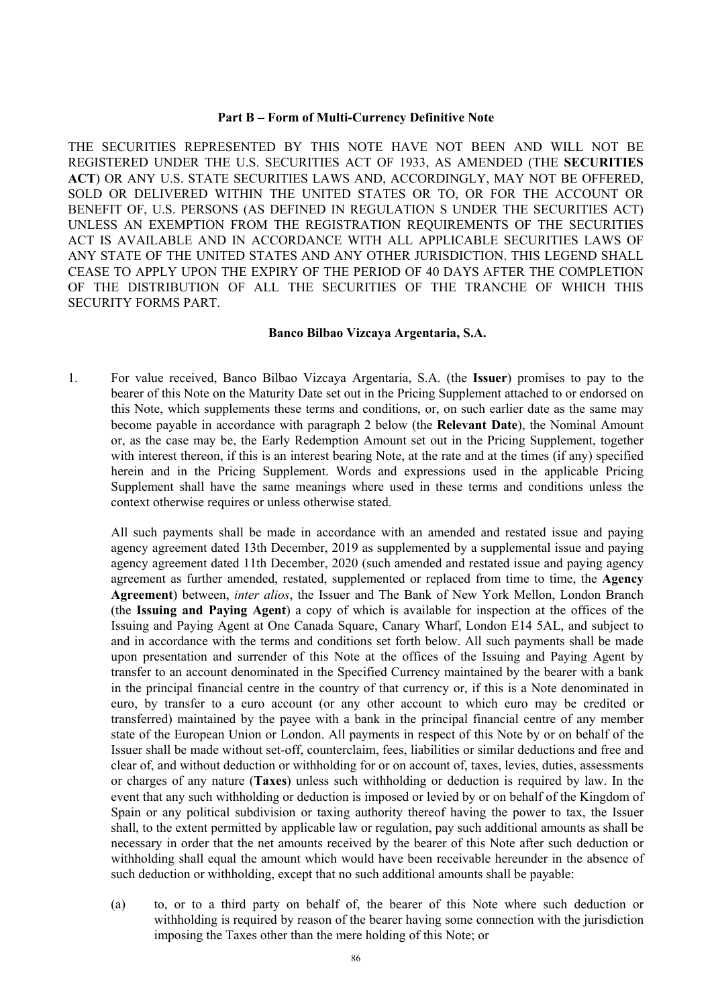#### **Part B – Form of Multi-Currency Definitive Note**

THE SECURITIES REPRESENTED BY THIS NOTE HAVE NOT BEEN AND WILL NOT BE REGISTERED UNDER THE U.S. SECURITIES ACT OF 1933, AS AMENDED (THE **SECURITIES ACT**) OR ANY U.S. STATE SECURITIES LAWS AND, ACCORDINGLY, MAY NOT BE OFFERED, SOLD OR DELIVERED WITHIN THE UNITED STATES OR TO, OR FOR THE ACCOUNT OR BENEFIT OF, U.S. PERSONS (AS DEFINED IN REGULATION S UNDER THE SECURITIES ACT) UNLESS AN EXEMPTION FROM THE REGISTRATION REQUIREMENTS OF THE SECURITIES ACT IS AVAILABLE AND IN ACCORDANCE WITH ALL APPLICABLE SECURITIES LAWS OF ANY STATE OF THE UNITED STATES AND ANY OTHER JURISDICTION. THIS LEGEND SHALL CEASE TO APPLY UPON THE EXPIRY OF THE PERIOD OF 40 DAYS AFTER THE COMPLETION OF THE DISTRIBUTION OF ALL THE SECURITIES OF THE TRANCHE OF WHICH THIS SECURITY FORMS PART.

#### **Banco Bilbao Vizcaya Argentaria, S.A.**

1. For value received, Banco Bilbao Vizcaya Argentaria, S.A. (the **Issuer**) promises to pay to the bearer of this Note on the Maturity Date set out in the Pricing Supplement attached to or endorsed on this Note, which supplements these terms and conditions, or, on such earlier date as the same may become payable in accordance with paragraph 2 below (the **Relevant Date**), the Nominal Amount or, as the case may be, the Early Redemption Amount set out in the Pricing Supplement, together with interest thereon, if this is an interest bearing Note, at the rate and at the times (if any) specified herein and in the Pricing Supplement. Words and expressions used in the applicable Pricing Supplement shall have the same meanings where used in these terms and conditions unless the context otherwise requires or unless otherwise stated.

All such payments shall be made in accordance with an amended and restated issue and paying agency agreement dated 13th December, 2019 as supplemented by a supplemental issue and paying agency agreement dated 11th December, 2020 (such amended and restated issue and paying agency agreement as further amended, restated, supplemented or replaced from time to time, the **Agency Agreement**) between, *inter alios*, the Issuer and The Bank of New York Mellon, London Branch (the **Issuing and Paying Agent**) a copy of which is available for inspection at the offices of the Issuing and Paying Agent at One Canada Square, Canary Wharf, London E14 5AL, and subject to and in accordance with the terms and conditions set forth below. All such payments shall be made upon presentation and surrender of this Note at the offices of the Issuing and Paying Agent by transfer to an account denominated in the Specified Currency maintained by the bearer with a bank in the principal financial centre in the country of that currency or, if this is a Note denominated in euro, by transfer to a euro account (or any other account to which euro may be credited or transferred) maintained by the payee with a bank in the principal financial centre of any member state of the European Union or London. All payments in respect of this Note by or on behalf of the Issuer shall be made without set-off, counterclaim, fees, liabilities or similar deductions and free and clear of, and without deduction or withholding for or on account of, taxes, levies, duties, assessments or charges of any nature (**Taxes**) unless such withholding or deduction is required by law. In the event that any such withholding or deduction is imposed or levied by or on behalf of the Kingdom of Spain or any political subdivision or taxing authority thereof having the power to tax, the Issuer shall, to the extent permitted by applicable law or regulation, pay such additional amounts as shall be necessary in order that the net amounts received by the bearer of this Note after such deduction or withholding shall equal the amount which would have been receivable hereunder in the absence of such deduction or withholding, except that no such additional amounts shall be payable:

(a) to, or to a third party on behalf of, the bearer of this Note where such deduction or withholding is required by reason of the bearer having some connection with the jurisdiction imposing the Taxes other than the mere holding of this Note; or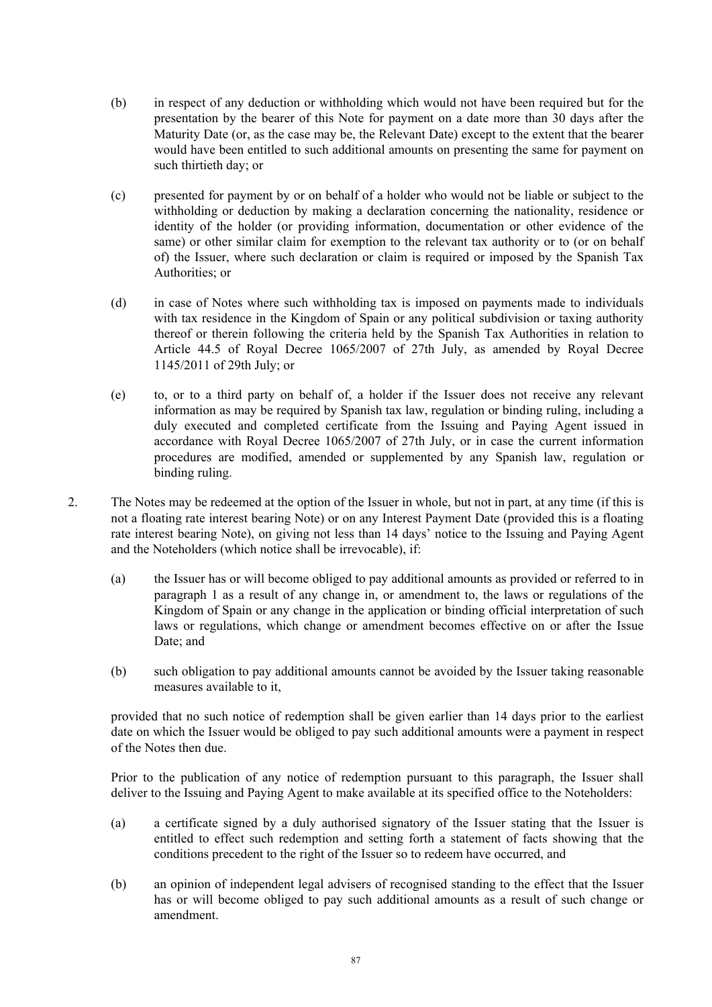- (b) in respect of any deduction or withholding which would not have been required but for the presentation by the bearer of this Note for payment on a date more than 30 days after the Maturity Date (or, as the case may be, the Relevant Date) except to the extent that the bearer would have been entitled to such additional amounts on presenting the same for payment on such thirtieth day; or
- (c) presented for payment by or on behalf of a holder who would not be liable or subject to the withholding or deduction by making a declaration concerning the nationality, residence or identity of the holder (or providing information, documentation or other evidence of the same) or other similar claim for exemption to the relevant tax authority or to (or on behalf of) the Issuer, where such declaration or claim is required or imposed by the Spanish Tax Authorities; or
- (d) in case of Notes where such withholding tax is imposed on payments made to individuals with tax residence in the Kingdom of Spain or any political subdivision or taxing authority thereof or therein following the criteria held by the Spanish Tax Authorities in relation to Article 44.5 of Royal Decree 1065/2007 of 27th July, as amended by Royal Decree 1145/2011 of 29th July; or
- (e) to, or to a third party on behalf of, a holder if the Issuer does not receive any relevant information as may be required by Spanish tax law, regulation or binding ruling, including a duly executed and completed certificate from the Issuing and Paying Agent issued in accordance with Royal Decree 1065/2007 of 27th July, or in case the current information procedures are modified, amended or supplemented by any Spanish law, regulation or binding ruling.
- 2. The Notes may be redeemed at the option of the Issuer in whole, but not in part, at any time (if this is not a floating rate interest bearing Note) or on any Interest Payment Date (provided this is a floating rate interest bearing Note), on giving not less than 14 days' notice to the Issuing and Paying Agent and the Noteholders (which notice shall be irrevocable), if:
	- (a) the Issuer has or will become obliged to pay additional amounts as provided or referred to in paragraph 1 as a result of any change in, or amendment to, the laws or regulations of the Kingdom of Spain or any change in the application or binding official interpretation of such laws or regulations, which change or amendment becomes effective on or after the Issue Date; and
	- (b) such obligation to pay additional amounts cannot be avoided by the Issuer taking reasonable measures available to it,

provided that no such notice of redemption shall be given earlier than 14 days prior to the earliest date on which the Issuer would be obliged to pay such additional amounts were a payment in respect of the Notes then due.

Prior to the publication of any notice of redemption pursuant to this paragraph, the Issuer shall deliver to the Issuing and Paying Agent to make available at its specified office to the Noteholders:

- (a) a certificate signed by a duly authorised signatory of the Issuer stating that the Issuer is entitled to effect such redemption and setting forth a statement of facts showing that the conditions precedent to the right of the Issuer so to redeem have occurred, and
- (b) an opinion of independent legal advisers of recognised standing to the effect that the Issuer has or will become obliged to pay such additional amounts as a result of such change or amendment.

87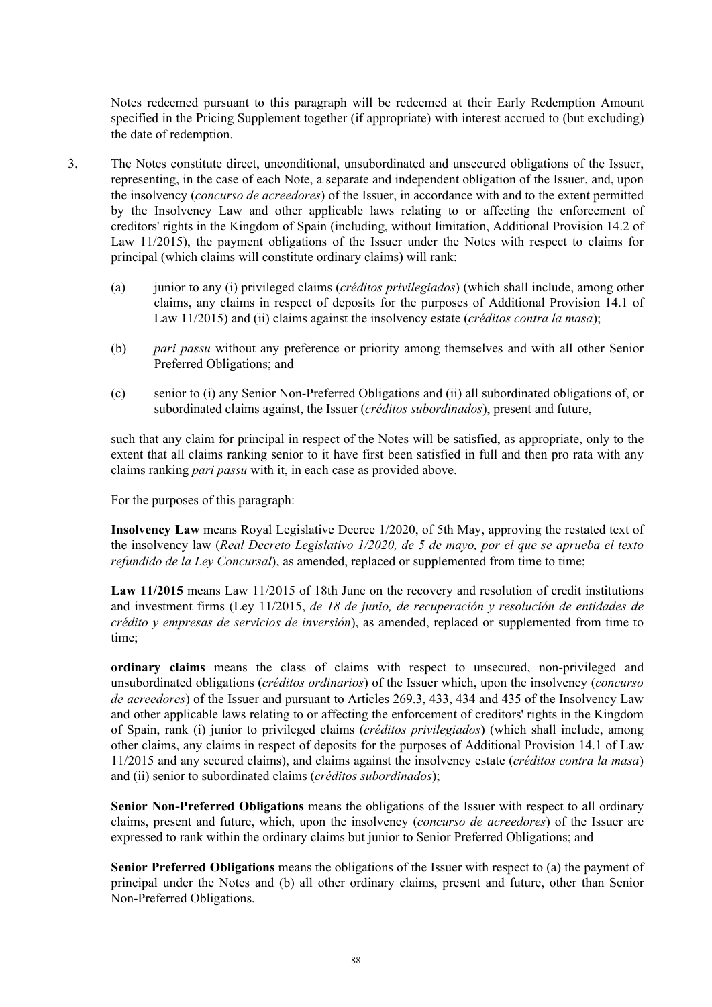Notes redeemed pursuant to this paragraph will be redeemed at their Early Redemption Amount specified in the Pricing Supplement together (if appropriate) with interest accrued to (but excluding) the date of redemption.

- 3. The Notes constitute direct, unconditional, unsubordinated and unsecured obligations of the Issuer, representing, in the case of each Note, a separate and independent obligation of the Issuer, and, upon the insolvency (*concurso de acreedores*) of the Issuer, in accordance with and to the extent permitted by the Insolvency Law and other applicable laws relating to or affecting the enforcement of creditors' rights in the Kingdom of Spain (including, without limitation, Additional Provision 14.2 of Law 11/2015), the payment obligations of the Issuer under the Notes with respect to claims for principal (which claims will constitute ordinary claims) will rank:
	- (a) junior to any (i) privileged claims (*créditos privilegiados*) (which shall include, among other claims, any claims in respect of deposits for the purposes of Additional Provision 14.1 of Law 11/2015) and (ii) claims against the insolvency estate (*créditos contra la masa*);
	- (b) *pari passu* without any preference or priority among themselves and with all other Senior Preferred Obligations; and
	- (c) senior to (i) any Senior Non-Preferred Obligations and (ii) all subordinated obligations of, or subordinated claims against, the Issuer (*créditos subordinados*), present and future,

such that any claim for principal in respect of the Notes will be satisfied, as appropriate, only to the extent that all claims ranking senior to it have first been satisfied in full and then pro rata with any claims ranking *pari passu* with it, in each case as provided above.

For the purposes of this paragraph:

**Insolvency Law** means Royal Legislative Decree 1/2020, of 5th May, approving the restated text of the insolvency law (*Real Decreto Legislativo 1/2020, de 5 de mayo, por el que se aprueba el texto refundido de la Ley Concursal*), as amended, replaced or supplemented from time to time;

**Law 11/2015** means Law 11/2015 of 18th June on the recovery and resolution of credit institutions and investment firms (Ley 11/2015, *de 18 de junio, de recuperación y resolución de entidades de crédito y empresas de servicios de inversión*), as amended, replaced or supplemented from time to time;

**ordinary claims** means the class of claims with respect to unsecured, non-privileged and unsubordinated obligations (*créditos ordinarios*) of the Issuer which, upon the insolvency (*concurso de acreedores*) of the Issuer and pursuant to Articles 269.3, 433, 434 and 435 of the Insolvency Law and other applicable laws relating to or affecting the enforcement of creditors' rights in the Kingdom of Spain, rank (i) junior to privileged claims (*créditos privilegiados*) (which shall include, among other claims, any claims in respect of deposits for the purposes of Additional Provision 14.1 of Law 11/2015 and any secured claims), and claims against the insolvency estate (*créditos contra la masa*) and (ii) senior to subordinated claims (*créditos subordinados*);

**Senior Non-Preferred Obligations** means the obligations of the Issuer with respect to all ordinary claims, present and future, which, upon the insolvency (*concurso de acreedores*) of the Issuer are expressed to rank within the ordinary claims but junior to Senior Preferred Obligations; and

**Senior Preferred Obligations** means the obligations of the Issuer with respect to (a) the payment of principal under the Notes and (b) all other ordinary claims, present and future, other than Senior Non-Preferred Obligations.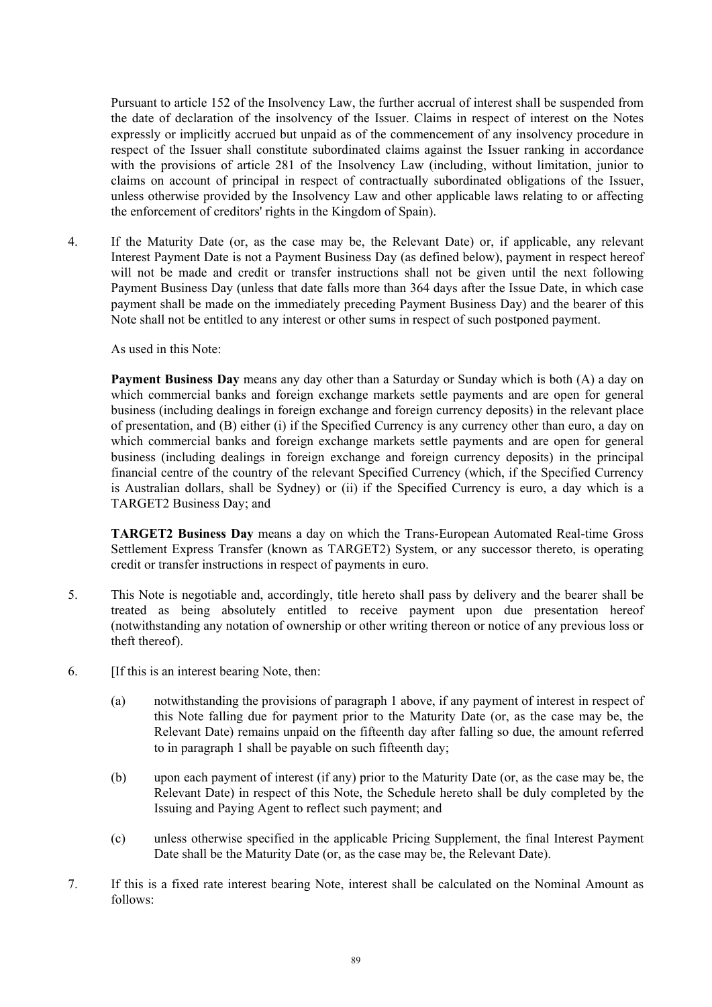Pursuant to article 152 of the Insolvency Law, the further accrual of interest shall be suspended from the date of declaration of the insolvency of the Issuer. Claims in respect of interest on the Notes expressly or implicitly accrued but unpaid as of the commencement of any insolvency procedure in respect of the Issuer shall constitute subordinated claims against the Issuer ranking in accordance with the provisions of article 281 of the Insolvency Law (including, without limitation, junior to claims on account of principal in respect of contractually subordinated obligations of the Issuer, unless otherwise provided by the Insolvency Law and other applicable laws relating to or affecting the enforcement of creditors' rights in the Kingdom of Spain).

4. If the Maturity Date (or, as the case may be, the Relevant Date) or, if applicable, any relevant Interest Payment Date is not a Payment Business Day (as defined below), payment in respect hereof will not be made and credit or transfer instructions shall not be given until the next following Payment Business Day (unless that date falls more than 364 days after the Issue Date, in which case payment shall be made on the immediately preceding Payment Business Day) and the bearer of this Note shall not be entitled to any interest or other sums in respect of such postponed payment.

As used in this Note:

**Payment Business Day** means any day other than a Saturday or Sunday which is both (A) a day on which commercial banks and foreign exchange markets settle payments and are open for general business (including dealings in foreign exchange and foreign currency deposits) in the relevant place of presentation, and (B) either (i) if the Specified Currency is any currency other than euro, a day on which commercial banks and foreign exchange markets settle payments and are open for general business (including dealings in foreign exchange and foreign currency deposits) in the principal financial centre of the country of the relevant Specified Currency (which, if the Specified Currency is Australian dollars, shall be Sydney) or (ii) if the Specified Currency is euro, a day which is a TARGET2 Business Day; and

**TARGET2 Business Day** means a day on which the Trans-European Automated Real-time Gross Settlement Express Transfer (known as TARGET2) System, or any successor thereto, is operating credit or transfer instructions in respect of payments in euro.

- 5. This Note is negotiable and, accordingly, title hereto shall pass by delivery and the bearer shall be treated as being absolutely entitled to receive payment upon due presentation hereof (notwithstanding any notation of ownership or other writing thereon or notice of any previous loss or theft thereof).
- 6. [If this is an interest bearing Note, then:
	- (a) notwithstanding the provisions of paragraph 1 above, if any payment of interest in respect of this Note falling due for payment prior to the Maturity Date (or, as the case may be, the Relevant Date) remains unpaid on the fifteenth day after falling so due, the amount referred to in paragraph 1 shall be payable on such fifteenth day;
	- (b) upon each payment of interest (if any) prior to the Maturity Date (or, as the case may be, the Relevant Date) in respect of this Note, the Schedule hereto shall be duly completed by the Issuing and Paying Agent to reflect such payment; and
	- (c) unless otherwise specified in the applicable Pricing Supplement, the final Interest Payment Date shall be the Maturity Date (or, as the case may be, the Relevant Date).
- 7. If this is a fixed rate interest bearing Note, interest shall be calculated on the Nominal Amount as follows: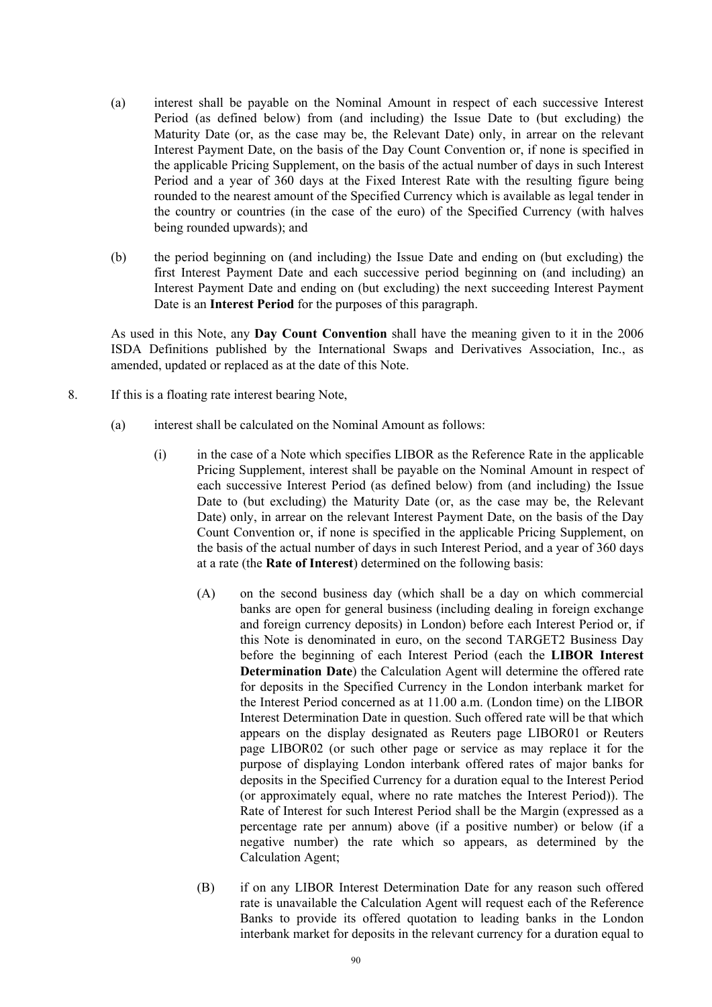- (a) interest shall be payable on the Nominal Amount in respect of each successive Interest Period (as defined below) from (and including) the Issue Date to (but excluding) the Maturity Date (or, as the case may be, the Relevant Date) only, in arrear on the relevant Interest Payment Date, on the basis of the Day Count Convention or, if none is specified in the applicable Pricing Supplement, on the basis of the actual number of days in such Interest Period and a year of 360 days at the Fixed Interest Rate with the resulting figure being rounded to the nearest amount of the Specified Currency which is available as legal tender in the country or countries (in the case of the euro) of the Specified Currency (with halves being rounded upwards); and
- (b) the period beginning on (and including) the Issue Date and ending on (but excluding) the first Interest Payment Date and each successive period beginning on (and including) an Interest Payment Date and ending on (but excluding) the next succeeding Interest Payment Date is an **Interest Period** for the purposes of this paragraph.

As used in this Note, any **Day Count Convention** shall have the meaning given to it in the 2006 ISDA Definitions published by the International Swaps and Derivatives Association, Inc., as amended, updated or replaced as at the date of this Note.

- 8. If this is a floating rate interest bearing Note,
	- (a) interest shall be calculated on the Nominal Amount as follows:
		- (i) in the case of a Note which specifies LIBOR as the Reference Rate in the applicable Pricing Supplement, interest shall be payable on the Nominal Amount in respect of each successive Interest Period (as defined below) from (and including) the Issue Date to (but excluding) the Maturity Date (or, as the case may be, the Relevant Date) only, in arrear on the relevant Interest Payment Date, on the basis of the Day Count Convention or, if none is specified in the applicable Pricing Supplement, on the basis of the actual number of days in such Interest Period, and a year of 360 days at a rate (the **Rate of Interest**) determined on the following basis:
			- (A) on the second business day (which shall be a day on which commercial banks are open for general business (including dealing in foreign exchange and foreign currency deposits) in London) before each Interest Period or, if this Note is denominated in euro, on the second TARGET2 Business Day before the beginning of each Interest Period (each the **LIBOR Interest Determination Date**) the Calculation Agent will determine the offered rate for deposits in the Specified Currency in the London interbank market for the Interest Period concerned as at 11.00 a.m. (London time) on the LIBOR Interest Determination Date in question. Such offered rate will be that which appears on the display designated as Reuters page LIBOR01 or Reuters page LIBOR02 (or such other page or service as may replace it for the purpose of displaying London interbank offered rates of major banks for deposits in the Specified Currency for a duration equal to the Interest Period (or approximately equal, where no rate matches the Interest Period)). The Rate of Interest for such Interest Period shall be the Margin (expressed as a percentage rate per annum) above (if a positive number) or below (if a negative number) the rate which so appears, as determined by the Calculation Agent;
			- (B) if on any LIBOR Interest Determination Date for any reason such offered rate is unavailable the Calculation Agent will request each of the Reference Banks to provide its offered quotation to leading banks in the London interbank market for deposits in the relevant currency for a duration equal to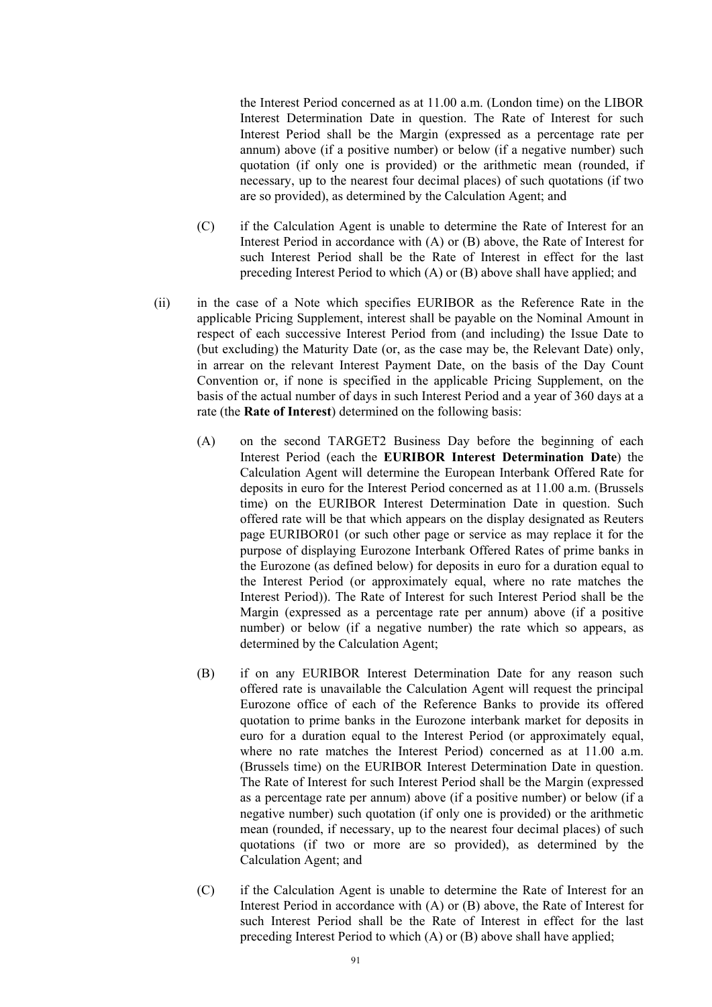the Interest Period concerned as at 11.00 a.m. (London time) on the LIBOR Interest Determination Date in question. The Rate of Interest for such Interest Period shall be the Margin (expressed as a percentage rate per annum) above (if a positive number) or below (if a negative number) such quotation (if only one is provided) or the arithmetic mean (rounded, if necessary, up to the nearest four decimal places) of such quotations (if two are so provided), as determined by the Calculation Agent; and

- (C) if the Calculation Agent is unable to determine the Rate of Interest for an Interest Period in accordance with (A) or (B) above, the Rate of Interest for such Interest Period shall be the Rate of Interest in effect for the last preceding Interest Period to which (A) or (B) above shall have applied; and
- (ii) in the case of a Note which specifies EURIBOR as the Reference Rate in the applicable Pricing Supplement, interest shall be payable on the Nominal Amount in respect of each successive Interest Period from (and including) the Issue Date to (but excluding) the Maturity Date (or, as the case may be, the Relevant Date) only, in arrear on the relevant Interest Payment Date, on the basis of the Day Count Convention or, if none is specified in the applicable Pricing Supplement, on the basis of the actual number of days in such Interest Period and a year of 360 days at a rate (the **Rate of Interest**) determined on the following basis:
	- (A) on the second TARGET2 Business Day before the beginning of each Interest Period (each the **EURIBOR Interest Determination Date**) the Calculation Agent will determine the European Interbank Offered Rate for deposits in euro for the Interest Period concerned as at 11.00 a.m. (Brussels time) on the EURIBOR Interest Determination Date in question. Such offered rate will be that which appears on the display designated as Reuters page EURIBOR01 (or such other page or service as may replace it for the purpose of displaying Eurozone Interbank Offered Rates of prime banks in the Eurozone (as defined below) for deposits in euro for a duration equal to the Interest Period (or approximately equal, where no rate matches the Interest Period)). The Rate of Interest for such Interest Period shall be the Margin (expressed as a percentage rate per annum) above (if a positive number) or below (if a negative number) the rate which so appears, as determined by the Calculation Agent;
	- (B) if on any EURIBOR Interest Determination Date for any reason such offered rate is unavailable the Calculation Agent will request the principal Eurozone office of each of the Reference Banks to provide its offered quotation to prime banks in the Eurozone interbank market for deposits in euro for a duration equal to the Interest Period (or approximately equal, where no rate matches the Interest Period) concerned as at 11.00 a.m. (Brussels time) on the EURIBOR Interest Determination Date in question. The Rate of Interest for such Interest Period shall be the Margin (expressed as a percentage rate per annum) above (if a positive number) or below (if a negative number) such quotation (if only one is provided) or the arithmetic mean (rounded, if necessary, up to the nearest four decimal places) of such quotations (if two or more are so provided), as determined by the Calculation Agent; and
	- (C) if the Calculation Agent is unable to determine the Rate of Interest for an Interest Period in accordance with (A) or (B) above, the Rate of Interest for such Interest Period shall be the Rate of Interest in effect for the last preceding Interest Period to which (A) or (B) above shall have applied;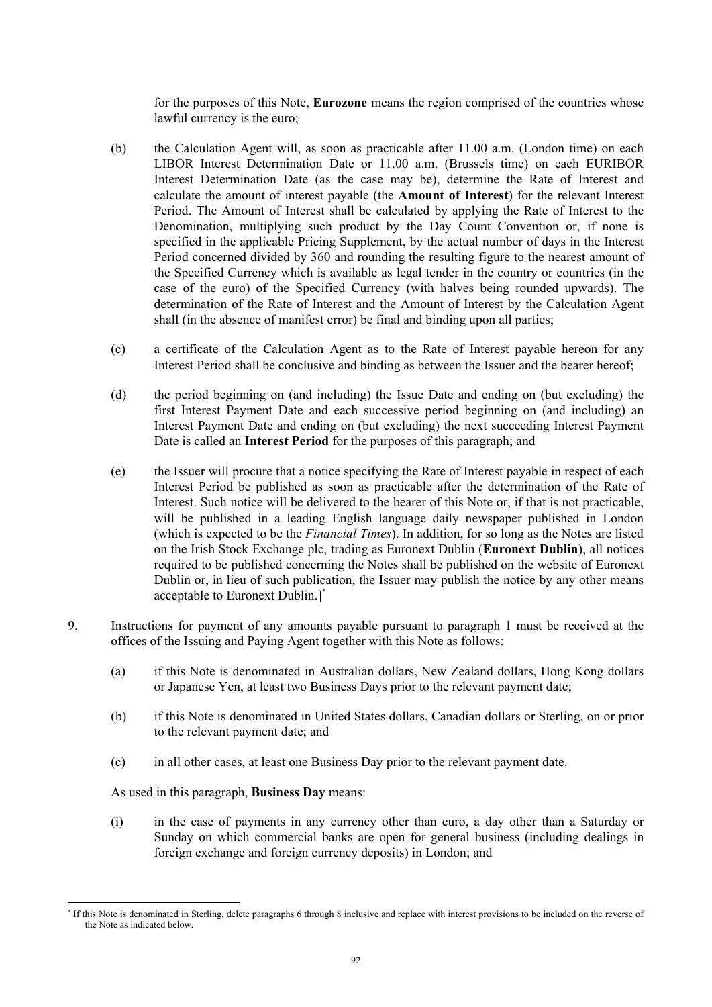for the purposes of this Note, **Eurozone** means the region comprised of the countries whose lawful currency is the euro;

- (b) the Calculation Agent will, as soon as practicable after 11.00 a.m. (London time) on each LIBOR Interest Determination Date or 11.00 a.m. (Brussels time) on each EURIBOR Interest Determination Date (as the case may be), determine the Rate of Interest and calculate the amount of interest payable (the **Amount of Interest**) for the relevant Interest Period. The Amount of Interest shall be calculated by applying the Rate of Interest to the Denomination, multiplying such product by the Day Count Convention or, if none is specified in the applicable Pricing Supplement, by the actual number of days in the Interest Period concerned divided by 360 and rounding the resulting figure to the nearest amount of the Specified Currency which is available as legal tender in the country or countries (in the case of the euro) of the Specified Currency (with halves being rounded upwards). The determination of the Rate of Interest and the Amount of Interest by the Calculation Agent shall (in the absence of manifest error) be final and binding upon all parties;
- (c) a certificate of the Calculation Agent as to the Rate of Interest payable hereon for any Interest Period shall be conclusive and binding as between the Issuer and the bearer hereof;
- (d) the period beginning on (and including) the Issue Date and ending on (but excluding) the first Interest Payment Date and each successive period beginning on (and including) an Interest Payment Date and ending on (but excluding) the next succeeding Interest Payment Date is called an **Interest Period** for the purposes of this paragraph; and
- (e) the Issuer will procure that a notice specifying the Rate of Interest payable in respect of each Interest Period be published as soon as practicable after the determination of the Rate of Interest. Such notice will be delivered to the bearer of this Note or, if that is not practicable, will be published in a leading English language daily newspaper published in London (which is expected to be the *Financial Times*). In addition, for so long as the Notes are listed on the Irish Stock Exchange plc, trading as Euronext Dublin (**Euronext Dublin**), all notices required to be published concerning the Notes shall be published on the website of Euronext Dublin or, in lieu of such publication, the Issuer may publish the notice by any other means acceptable to Euronext Dublin.]\*
- 9. Instructions for payment of any amounts payable pursuant to paragraph 1 must be received at the offices of the Issuing and Paying Agent together with this Note as follows:
	- (a) if this Note is denominated in Australian dollars, New Zealand dollars, Hong Kong dollars or Japanese Yen, at least two Business Days prior to the relevant payment date;
	- (b) if this Note is denominated in United States dollars, Canadian dollars or Sterling, on or prior to the relevant payment date; and
	- (c) in all other cases, at least one Business Day prior to the relevant payment date.

As used in this paragraph, **Business Day** means:

l

(i) in the case of payments in any currency other than euro, a day other than a Saturday or Sunday on which commercial banks are open for general business (including dealings in foreign exchange and foreign currency deposits) in London; and

<sup>\*</sup> If this Note is denominated in Sterling, delete paragraphs 6 through 8 inclusive and replace with interest provisions to be included on the reverse of the Note as indicated below.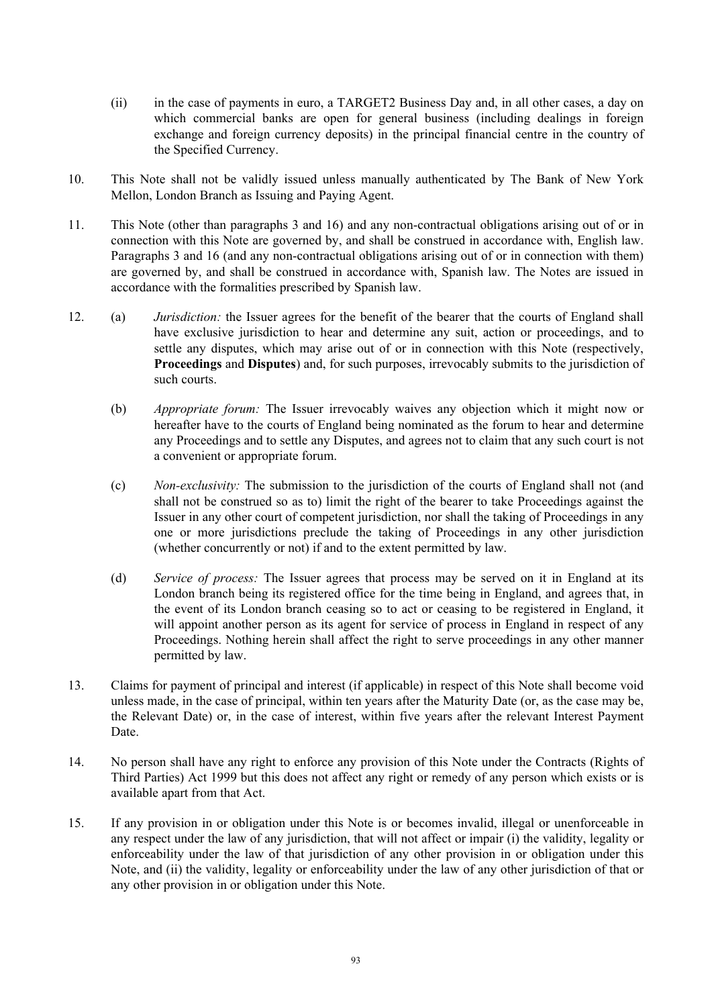- (ii) in the case of payments in euro, a TARGET2 Business Day and, in all other cases, a day on which commercial banks are open for general business (including dealings in foreign exchange and foreign currency deposits) in the principal financial centre in the country of the Specified Currency.
- 10. This Note shall not be validly issued unless manually authenticated by The Bank of New York Mellon, London Branch as Issuing and Paying Agent.
- 11. This Note (other than paragraphs 3 and 16) and any non-contractual obligations arising out of or in connection with this Note are governed by, and shall be construed in accordance with, English law. Paragraphs 3 and 16 (and any non-contractual obligations arising out of or in connection with them) are governed by, and shall be construed in accordance with, Spanish law. The Notes are issued in accordance with the formalities prescribed by Spanish law.
- 12. (a) *Jurisdiction:* the Issuer agrees for the benefit of the bearer that the courts of England shall have exclusive jurisdiction to hear and determine any suit, action or proceedings, and to settle any disputes, which may arise out of or in connection with this Note (respectively, **Proceedings** and **Disputes**) and, for such purposes, irrevocably submits to the jurisdiction of such courts.
	- (b) *Appropriate forum:* The Issuer irrevocably waives any objection which it might now or hereafter have to the courts of England being nominated as the forum to hear and determine any Proceedings and to settle any Disputes, and agrees not to claim that any such court is not a convenient or appropriate forum.
	- (c) *Non-exclusivity:* The submission to the jurisdiction of the courts of England shall not (and shall not be construed so as to) limit the right of the bearer to take Proceedings against the Issuer in any other court of competent jurisdiction, nor shall the taking of Proceedings in any one or more jurisdictions preclude the taking of Proceedings in any other jurisdiction (whether concurrently or not) if and to the extent permitted by law.
	- (d) *Service of process:* The Issuer agrees that process may be served on it in England at its London branch being its registered office for the time being in England, and agrees that, in the event of its London branch ceasing so to act or ceasing to be registered in England, it will appoint another person as its agent for service of process in England in respect of any Proceedings. Nothing herein shall affect the right to serve proceedings in any other manner permitted by law.
- 13. Claims for payment of principal and interest (if applicable) in respect of this Note shall become void unless made, in the case of principal, within ten years after the Maturity Date (or, as the case may be, the Relevant Date) or, in the case of interest, within five years after the relevant Interest Payment Date.
- 14. No person shall have any right to enforce any provision of this Note under the Contracts (Rights of Third Parties) Act 1999 but this does not affect any right or remedy of any person which exists or is available apart from that Act.
- 15. If any provision in or obligation under this Note is or becomes invalid, illegal or unenforceable in any respect under the law of any jurisdiction, that will not affect or impair (i) the validity, legality or enforceability under the law of that jurisdiction of any other provision in or obligation under this Note, and (ii) the validity, legality or enforceability under the law of any other jurisdiction of that or any other provision in or obligation under this Note.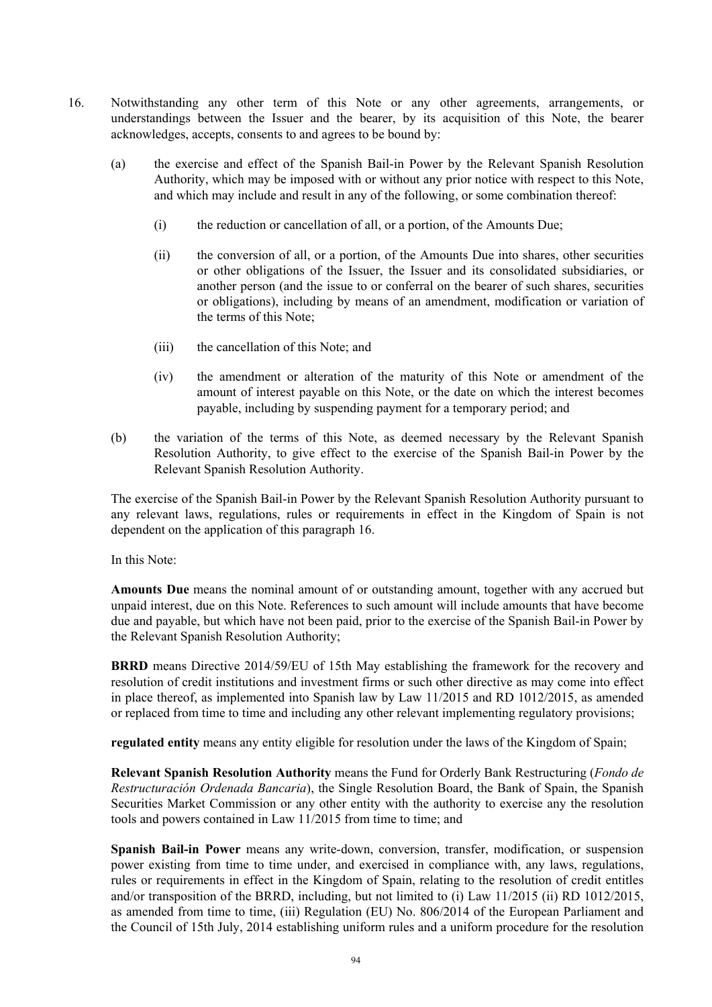- 16. Notwithstanding any other term of this Note or any other agreements, arrangements, or understandings between the Issuer and the bearer, by its acquisition of this Note, the bearer acknowledges, accepts, consents to and agrees to be bound by:
	- (a) the exercise and effect of the Spanish Bail-in Power by the Relevant Spanish Resolution Authority, which may be imposed with or without any prior notice with respect to this Note, and which may include and result in any of the following, or some combination thereof:
		- (i) the reduction or cancellation of all, or a portion, of the Amounts Due;
		- (ii) the conversion of all, or a portion, of the Amounts Due into shares, other securities or other obligations of the Issuer, the Issuer and its consolidated subsidiaries, or another person (and the issue to or conferral on the bearer of such shares, securities or obligations), including by means of an amendment, modification or variation of the terms of this Note;
		- (iii) the cancellation of this Note; and
		- (iv) the amendment or alteration of the maturity of this Note or amendment of the amount of interest payable on this Note, or the date on which the interest becomes payable, including by suspending payment for a temporary period; and
	- (b) the variation of the terms of this Note, as deemed necessary by the Relevant Spanish Resolution Authority, to give effect to the exercise of the Spanish Bail-in Power by the Relevant Spanish Resolution Authority.

The exercise of the Spanish Bail-in Power by the Relevant Spanish Resolution Authority pursuant to any relevant laws, regulations, rules or requirements in effect in the Kingdom of Spain is not dependent on the application of this paragraph 16.

In this Note:

**Amounts Due** means the nominal amount of or outstanding amount, together with any accrued but unpaid interest, due on this Note. References to such amount will include amounts that have become due and payable, but which have not been paid, prior to the exercise of the Spanish Bail-in Power by the Relevant Spanish Resolution Authority;

**BRRD** means Directive 2014/59/EU of 15th May establishing the framework for the recovery and resolution of credit institutions and investment firms or such other directive as may come into effect in place thereof, as implemented into Spanish law by Law 11/2015 and RD 1012/2015, as amended or replaced from time to time and including any other relevant implementing regulatory provisions;

**regulated entity** means any entity eligible for resolution under the laws of the Kingdom of Spain;

**Relevant Spanish Resolution Authority** means the Fund for Orderly Bank Restructuring (*Fondo de Restructuración Ordenada Bancaria*), the Single Resolution Board, the Bank of Spain, the Spanish Securities Market Commission or any other entity with the authority to exercise any the resolution tools and powers contained in Law 11/2015 from time to time; and

**Spanish Bail-in Power** means any write-down, conversion, transfer, modification, or suspension power existing from time to time under, and exercised in compliance with, any laws, regulations, rules or requirements in effect in the Kingdom of Spain, relating to the resolution of credit entitles and/or transposition of the BRRD, including, but not limited to (i) Law 11/2015 (ii) RD 1012/2015, as amended from time to time, (iii) Regulation (EU) No. 806/2014 of the European Parliament and the Council of 15th July, 2014 establishing uniform rules and a uniform procedure for the resolution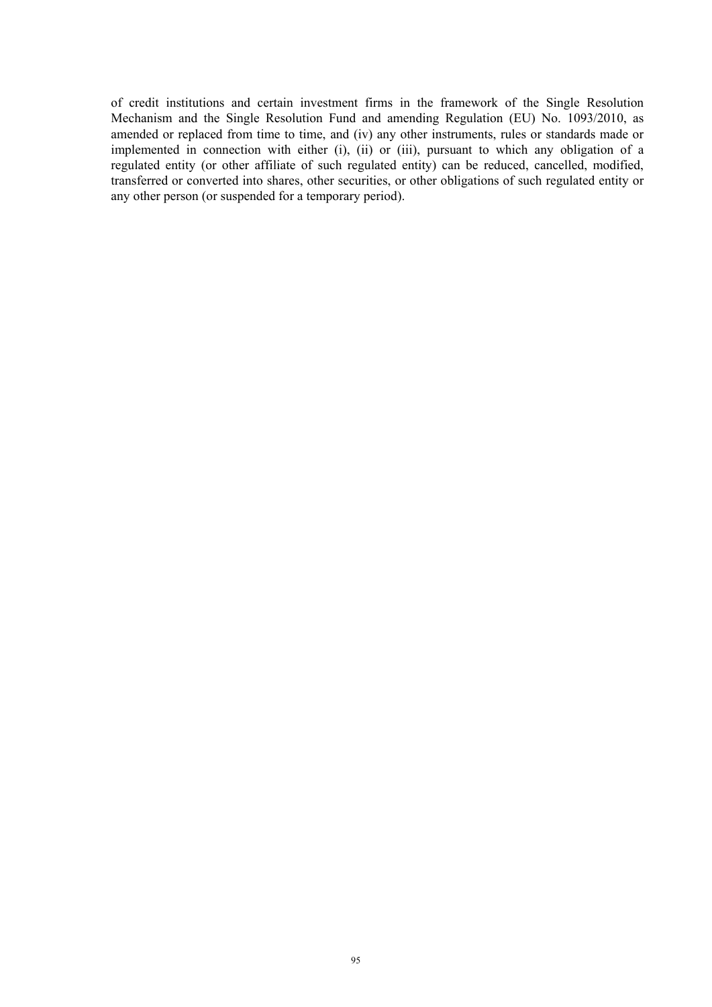of credit institutions and certain investment firms in the framework of the Single Resolution Mechanism and the Single Resolution Fund and amending Regulation (EU) No. 1093/2010, as amended or replaced from time to time, and (iv) any other instruments, rules or standards made or implemented in connection with either (i), (ii) or (iii), pursuant to which any obligation of a regulated entity (or other affiliate of such regulated entity) can be reduced, cancelled, modified, transferred or converted into shares, other securities, or other obligations of such regulated entity or any other person (or suspended for a temporary period).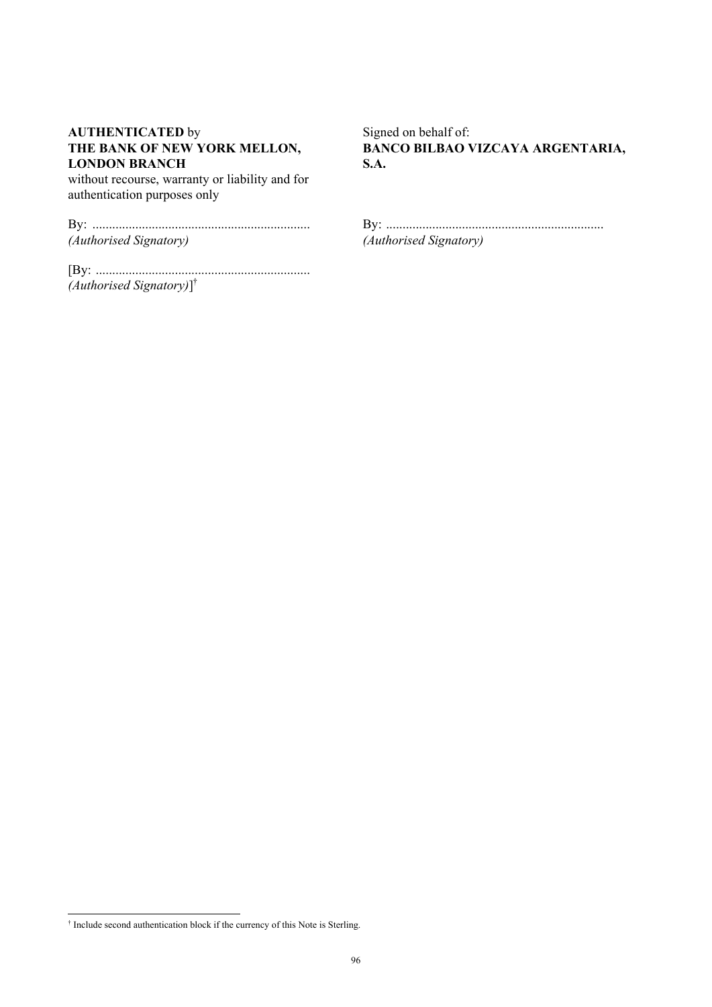### **AUTHENTICATED** by **THE BANK OF NEW YORK MELLON, LONDON BRANCH**

without recourse, warranty or liability and for authentication purposes only

| (Authorised Signatory) |  |
|------------------------|--|

[By: ................................................................. *(Authorised Signatory)*] †

Signed on behalf of: **BANCO BILBAO VIZCAYA ARGENTARIA, S.A.**

By: .................................................................. *(Authorised Signatory)*

 † Include second authentication block if the currency of this Note is Sterling.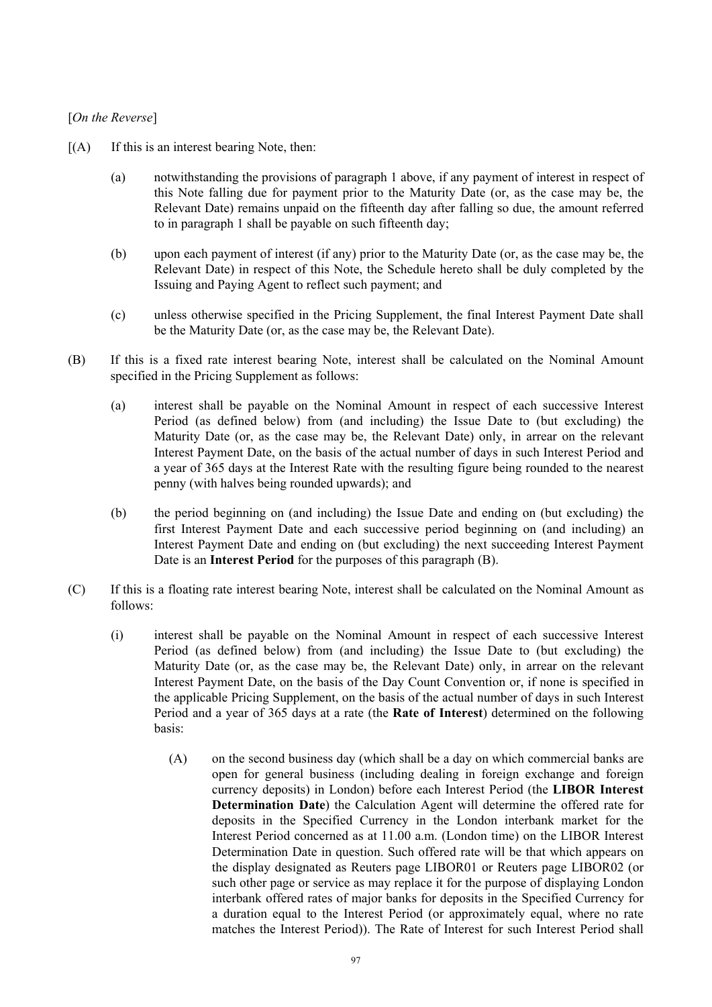### [*On the Reverse*]

- $[(A)$  If this is an interest bearing Note, then:
	- (a) notwithstanding the provisions of paragraph 1 above, if any payment of interest in respect of this Note falling due for payment prior to the Maturity Date (or, as the case may be, the Relevant Date) remains unpaid on the fifteenth day after falling so due, the amount referred to in paragraph 1 shall be payable on such fifteenth day;
	- (b) upon each payment of interest (if any) prior to the Maturity Date (or, as the case may be, the Relevant Date) in respect of this Note, the Schedule hereto shall be duly completed by the Issuing and Paying Agent to reflect such payment; and
	- (c) unless otherwise specified in the Pricing Supplement, the final Interest Payment Date shall be the Maturity Date (or, as the case may be, the Relevant Date).
- (B) If this is a fixed rate interest bearing Note, interest shall be calculated on the Nominal Amount specified in the Pricing Supplement as follows:
	- (a) interest shall be payable on the Nominal Amount in respect of each successive Interest Period (as defined below) from (and including) the Issue Date to (but excluding) the Maturity Date (or, as the case may be, the Relevant Date) only, in arrear on the relevant Interest Payment Date, on the basis of the actual number of days in such Interest Period and a year of 365 days at the Interest Rate with the resulting figure being rounded to the nearest penny (with halves being rounded upwards); and
	- (b) the period beginning on (and including) the Issue Date and ending on (but excluding) the first Interest Payment Date and each successive period beginning on (and including) an Interest Payment Date and ending on (but excluding) the next succeeding Interest Payment Date is an **Interest Period** for the purposes of this paragraph (B).
- (C) If this is a floating rate interest bearing Note, interest shall be calculated on the Nominal Amount as follows:
	- (i) interest shall be payable on the Nominal Amount in respect of each successive Interest Period (as defined below) from (and including) the Issue Date to (but excluding) the Maturity Date (or, as the case may be, the Relevant Date) only, in arrear on the relevant Interest Payment Date, on the basis of the Day Count Convention or, if none is specified in the applicable Pricing Supplement, on the basis of the actual number of days in such Interest Period and a year of 365 days at a rate (the **Rate of Interest**) determined on the following basis:
		- (A) on the second business day (which shall be a day on which commercial banks are open for general business (including dealing in foreign exchange and foreign currency deposits) in London) before each Interest Period (the **LIBOR Interest Determination Date**) the Calculation Agent will determine the offered rate for deposits in the Specified Currency in the London interbank market for the Interest Period concerned as at 11.00 a.m. (London time) on the LIBOR Interest Determination Date in question. Such offered rate will be that which appears on the display designated as Reuters page LIBOR01 or Reuters page LIBOR02 (or such other page or service as may replace it for the purpose of displaying London interbank offered rates of major banks for deposits in the Specified Currency for a duration equal to the Interest Period (or approximately equal, where no rate matches the Interest Period)). The Rate of Interest for such Interest Period shall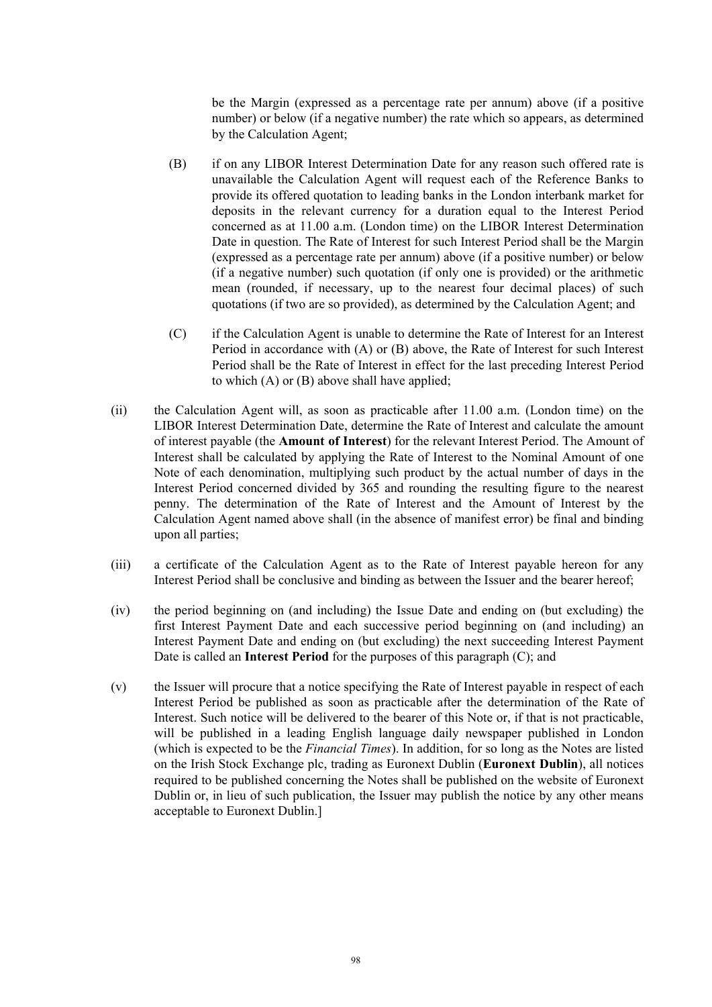be the Margin (expressed as a percentage rate per annum) above (if a positive number) or below (if a negative number) the rate which so appears, as determined by the Calculation Agent;

- (B) if on any LIBOR Interest Determination Date for any reason such offered rate is unavailable the Calculation Agent will request each of the Reference Banks to provide its offered quotation to leading banks in the London interbank market for deposits in the relevant currency for a duration equal to the Interest Period concerned as at 11.00 a.m. (London time) on the LIBOR Interest Determination Date in question. The Rate of Interest for such Interest Period shall be the Margin (expressed as a percentage rate per annum) above (if a positive number) or below (if a negative number) such quotation (if only one is provided) or the arithmetic mean (rounded, if necessary, up to the nearest four decimal places) of such quotations (if two are so provided), as determined by the Calculation Agent; and
- (C) if the Calculation Agent is unable to determine the Rate of Interest for an Interest Period in accordance with (A) or (B) above, the Rate of Interest for such Interest Period shall be the Rate of Interest in effect for the last preceding Interest Period to which (A) or (B) above shall have applied;
- (ii) the Calculation Agent will, as soon as practicable after 11.00 a.m. (London time) on the LIBOR Interest Determination Date, determine the Rate of Interest and calculate the amount of interest payable (the **Amount of Interest**) for the relevant Interest Period. The Amount of Interest shall be calculated by applying the Rate of Interest to the Nominal Amount of one Note of each denomination, multiplying such product by the actual number of days in the Interest Period concerned divided by 365 and rounding the resulting figure to the nearest penny. The determination of the Rate of Interest and the Amount of Interest by the Calculation Agent named above shall (in the absence of manifest error) be final and binding upon all parties;
- (iii) a certificate of the Calculation Agent as to the Rate of Interest payable hereon for any Interest Period shall be conclusive and binding as between the Issuer and the bearer hereof;
- (iv) the period beginning on (and including) the Issue Date and ending on (but excluding) the first Interest Payment Date and each successive period beginning on (and including) an Interest Payment Date and ending on (but excluding) the next succeeding Interest Payment Date is called an **Interest Period** for the purposes of this paragraph (C); and
- (v) the Issuer will procure that a notice specifying the Rate of Interest payable in respect of each Interest Period be published as soon as practicable after the determination of the Rate of Interest. Such notice will be delivered to the bearer of this Note or, if that is not practicable, will be published in a leading English language daily newspaper published in London (which is expected to be the *Financial Times*). In addition, for so long as the Notes are listed on the Irish Stock Exchange plc, trading as Euronext Dublin (**Euronext Dublin**), all notices required to be published concerning the Notes shall be published on the website of Euronext Dublin or, in lieu of such publication, the Issuer may publish the notice by any other means acceptable to Euronext Dublin.]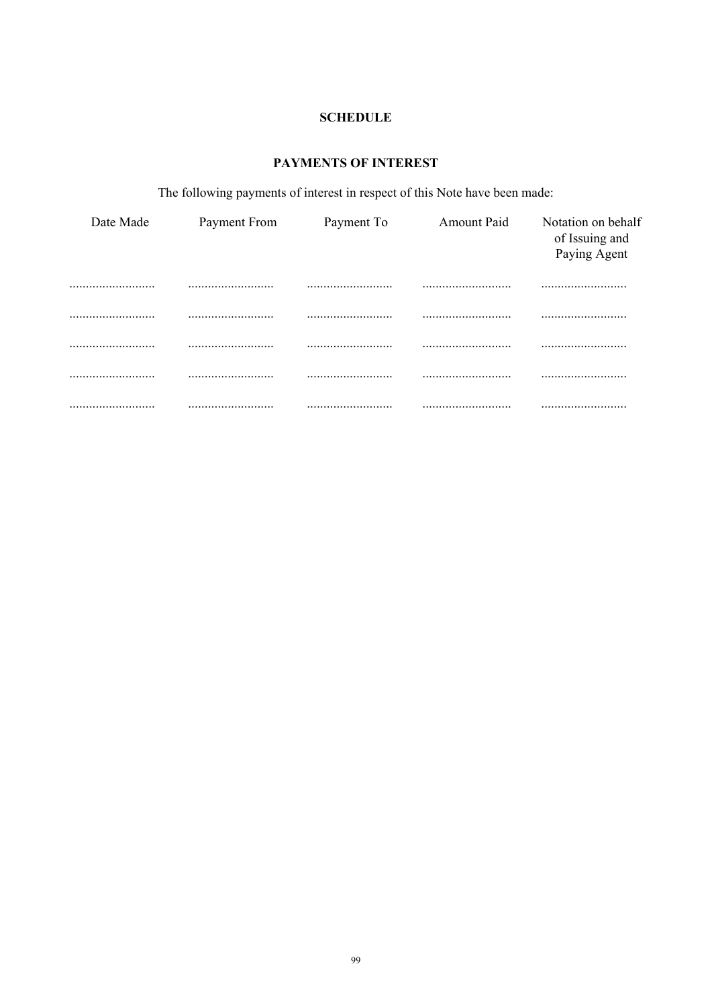## **SCHEDULE**

# PAYMENTS OF INTEREST

The following payments of interest in respect of this Note have been made:

| Date Made | Payment From | Payment To | Amount Paid | Notation on behalf<br>of Issuing and<br>Paying Agent |
|-----------|--------------|------------|-------------|------------------------------------------------------|
|           |              |            |             |                                                      |
|           |              |            |             |                                                      |
|           |              |            |             |                                                      |
|           |              |            |             |                                                      |
|           |              |            |             |                                                      |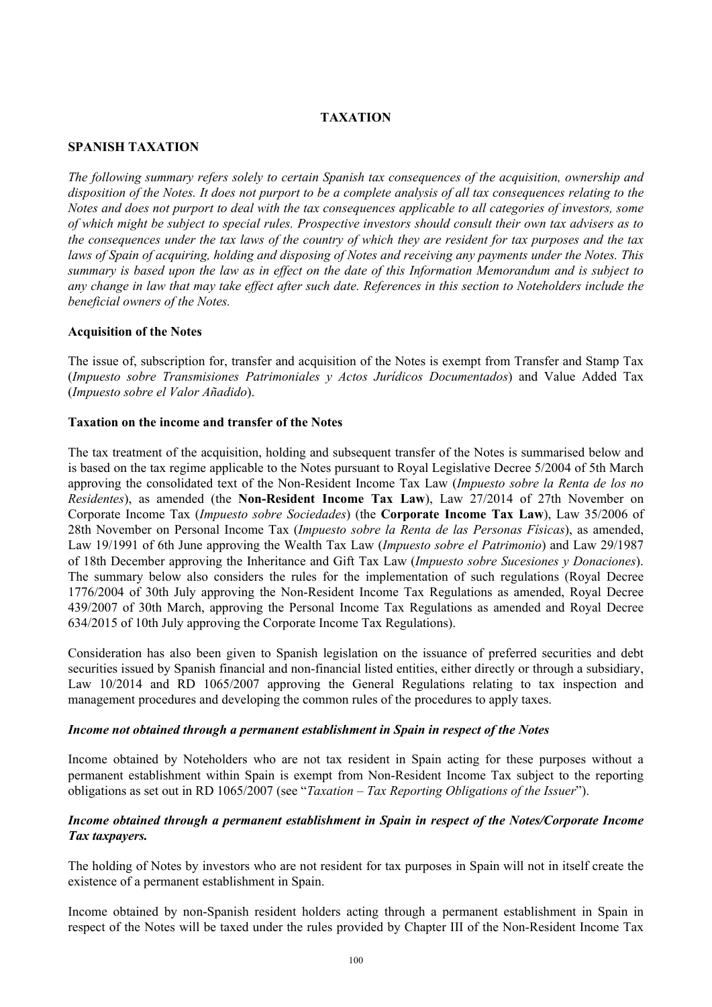### **TAXATION**

### **SPANISH TAXATION**

*The following summary refers solely to certain Spanish tax consequences of the acquisition, ownership and disposition of the Notes. It does not purport to be a complete analysis of all tax consequences relating to the Notes and does not purport to deal with the tax consequences applicable to all categories of investors, some of which might be subject to special rules. Prospective investors should consult their own tax advisers as to the consequences under the tax laws of the country of which they are resident for tax purposes and the tax laws of Spain of acquiring, holding and disposing of Notes and receiving any payments under the Notes. This summary is based upon the law as in effect on the date of this Information Memorandum and is subject to any change in law that may take effect after such date. References in this section to Noteholders include the beneficial owners of the Notes.*

### **Acquisition of the Notes**

The issue of, subscription for, transfer and acquisition of the Notes is exempt from Transfer and Stamp Tax (*Impuesto sobre Transmisiones Patrimoniales y Actos Jurídicos Documentados*) and Value Added Tax (*Impuesto sobre el Valor Añadido*).

### **Taxation on the income and transfer of the Notes**

The tax treatment of the acquisition, holding and subsequent transfer of the Notes is summarised below and is based on the tax regime applicable to the Notes pursuant to Royal Legislative Decree 5/2004 of 5th March approving the consolidated text of the Non-Resident Income Tax Law (*Impuesto sobre la Renta de los no Residentes*), as amended (the **Non-Resident Income Tax Law**), Law 27/2014 of 27th November on Corporate Income Tax (*Impuesto sobre Sociedades*) (the **Corporate Income Tax Law**), Law 35/2006 of 28th November on Personal Income Tax (*Impuesto sobre la Renta de las Personas Físicas*), as amended, Law 19/1991 of 6th June approving the Wealth Tax Law (*Impuesto sobre el Patrimonio*) and Law 29/1987 of 18th December approving the Inheritance and Gift Tax Law (*Impuesto sobre Sucesiones y Donaciones*). The summary below also considers the rules for the implementation of such regulations (Royal Decree 1776/2004 of 30th July approving the Non-Resident Income Tax Regulations as amended, Royal Decree 439/2007 of 30th March, approving the Personal Income Tax Regulations as amended and Royal Decree 634/2015 of 10th July approving the Corporate Income Tax Regulations).

Consideration has also been given to Spanish legislation on the issuance of preferred securities and debt securities issued by Spanish financial and non-financial listed entities, either directly or through a subsidiary, Law 10/2014 and RD 1065/2007 approving the General Regulations relating to tax inspection and management procedures and developing the common rules of the procedures to apply taxes.

### *Income not obtained through a permanent establishment in Spain in respect of the Notes*

Income obtained by Noteholders who are not tax resident in Spain acting for these purposes without a permanent establishment within Spain is exempt from Non-Resident Income Tax subject to the reporting obligations as set out in RD 1065/2007 (see "*Taxation – Tax Reporting Obligations of the Issuer*").

### *Income obtained through a permanent establishment in Spain in respect of the Notes/Corporate Income Tax taxpayers.*

The holding of Notes by investors who are not resident for tax purposes in Spain will not in itself create the existence of a permanent establishment in Spain.

Income obtained by non-Spanish resident holders acting through a permanent establishment in Spain in respect of the Notes will be taxed under the rules provided by Chapter III of the Non-Resident Income Tax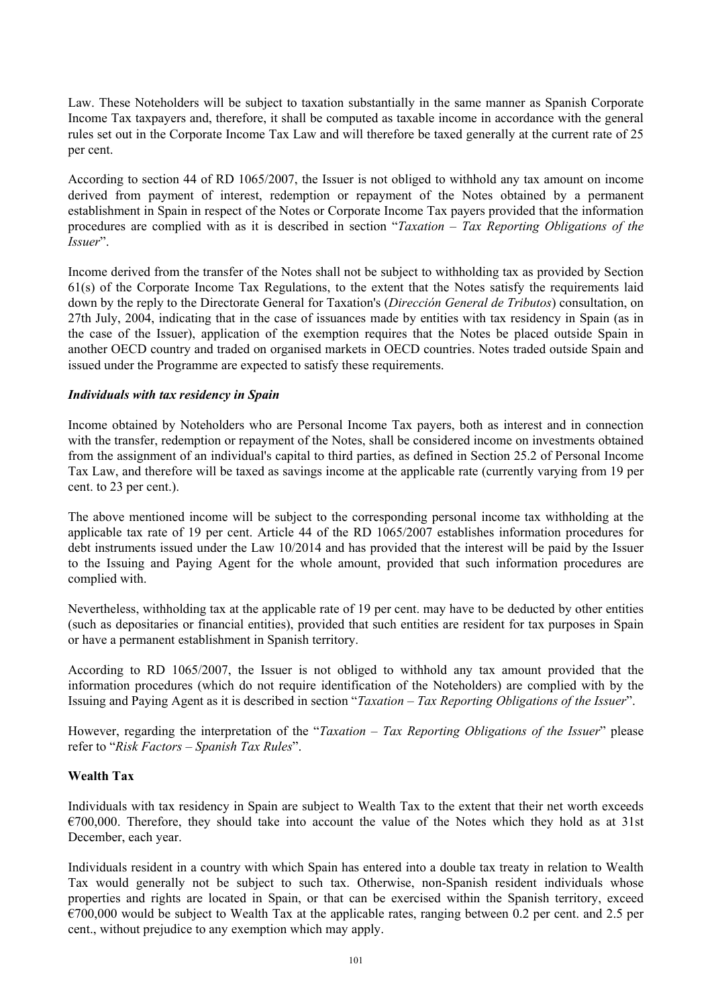Law. These Noteholders will be subject to taxation substantially in the same manner as Spanish Corporate Income Tax taxpayers and, therefore, it shall be computed as taxable income in accordance with the general rules set out in the Corporate Income Tax Law and will therefore be taxed generally at the current rate of 25 per cent.

According to section 44 of RD 1065/2007, the Issuer is not obliged to withhold any tax amount on income derived from payment of interest, redemption or repayment of the Notes obtained by a permanent establishment in Spain in respect of the Notes or Corporate Income Tax payers provided that the information procedures are complied with as it is described in section "*Taxation – Tax Reporting Obligations of the Issuer*".

Income derived from the transfer of the Notes shall not be subject to withholding tax as provided by Section 61(s) of the Corporate Income Tax Regulations, to the extent that the Notes satisfy the requirements laid down by the reply to the Directorate General for Taxation's (*Dirección General de Tributos*) consultation, on 27th July, 2004, indicating that in the case of issuances made by entities with tax residency in Spain (as in the case of the Issuer), application of the exemption requires that the Notes be placed outside Spain in another OECD country and traded on organised markets in OECD countries. Notes traded outside Spain and issued under the Programme are expected to satisfy these requirements.

### *Individuals with tax residency in Spain*

Income obtained by Noteholders who are Personal Income Tax payers, both as interest and in connection with the transfer, redemption or repayment of the Notes, shall be considered income on investments obtained from the assignment of an individual's capital to third parties, as defined in Section 25.2 of Personal Income Tax Law, and therefore will be taxed as savings income at the applicable rate (currently varying from 19 per cent. to 23 per cent.).

The above mentioned income will be subject to the corresponding personal income tax withholding at the applicable tax rate of 19 per cent. Article 44 of the RD 1065/2007 establishes information procedures for debt instruments issued under the Law 10/2014 and has provided that the interest will be paid by the Issuer to the Issuing and Paying Agent for the whole amount, provided that such information procedures are complied with.

Nevertheless, withholding tax at the applicable rate of 19 per cent. may have to be deducted by other entities (such as depositaries or financial entities), provided that such entities are resident for tax purposes in Spain or have a permanent establishment in Spanish territory.

According to RD 1065/2007, the Issuer is not obliged to withhold any tax amount provided that the information procedures (which do not require identification of the Noteholders) are complied with by the Issuing and Paying Agent as it is described in section "*Taxation – Tax Reporting Obligations of the Issuer*".

However, regarding the interpretation of the "*Taxation – Tax Reporting Obligations of the Issuer*" please refer to "*Risk Factors – Spanish Tax Rules*".

### **Wealth Tax**

Individuals with tax residency in Spain are subject to Wealth Tax to the extent that their net worth exceeds  $€700,000$ . Therefore, they should take into account the value of the Notes which they hold as at 31st December, each year.

Individuals resident in a country with which Spain has entered into a double tax treaty in relation to Wealth Tax would generally not be subject to such tax. Otherwise, non-Spanish resident individuals whose properties and rights are located in Spain, or that can be exercised within the Spanish territory, exceed  $\epsilon$ 700,000 would be subject to Wealth Tax at the applicable rates, ranging between 0.2 per cent. and 2.5 per cent., without prejudice to any exemption which may apply.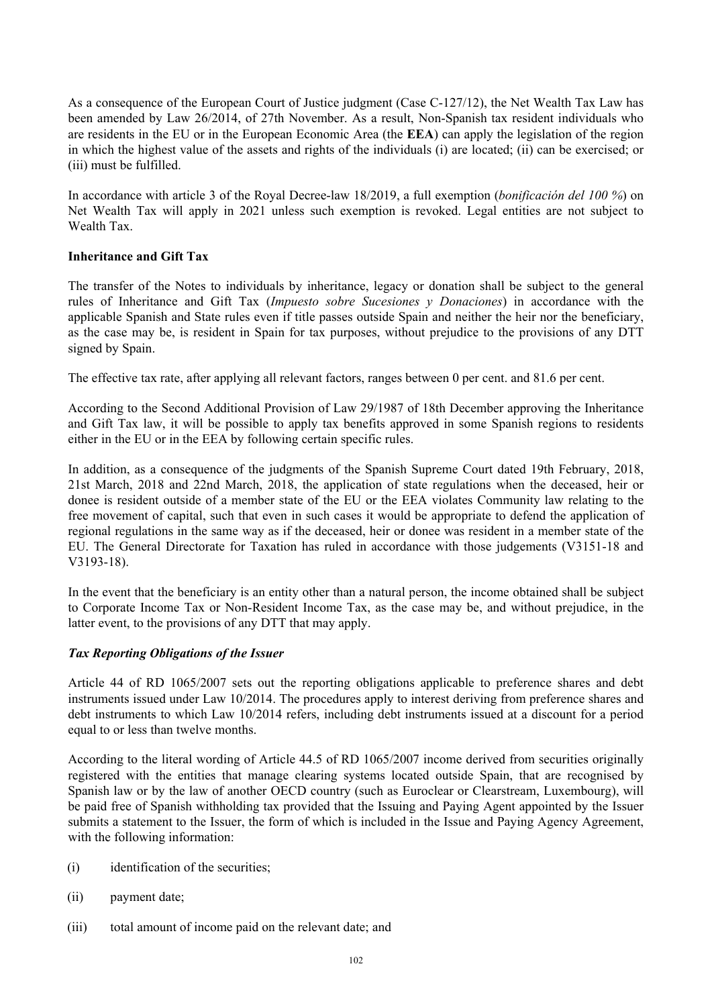As a consequence of the European Court of Justice judgment (Case C-127/12), the Net Wealth Tax Law has been amended by Law 26/2014, of 27th November. As a result, Non-Spanish tax resident individuals who are residents in the EU or in the European Economic Area (the **EEA**) can apply the legislation of the region in which the highest value of the assets and rights of the individuals (i) are located; (ii) can be exercised; or (iii) must be fulfilled.

In accordance with article 3 of the Royal Decree-law 18/2019, a full exemption (*bonificación del 100 %*) on Net Wealth Tax will apply in 2021 unless such exemption is revoked. Legal entities are not subject to Wealth Tax.

### **Inheritance and Gift Tax**

The transfer of the Notes to individuals by inheritance, legacy or donation shall be subject to the general rules of Inheritance and Gift Tax (*Impuesto sobre Sucesiones y Donaciones*) in accordance with the applicable Spanish and State rules even if title passes outside Spain and neither the heir nor the beneficiary, as the case may be, is resident in Spain for tax purposes, without prejudice to the provisions of any DTT signed by Spain.

The effective tax rate, after applying all relevant factors, ranges between 0 per cent. and 81.6 per cent.

According to the Second Additional Provision of Law 29/1987 of 18th December approving the Inheritance and Gift Tax law, it will be possible to apply tax benefits approved in some Spanish regions to residents either in the EU or in the EEA by following certain specific rules.

In addition, as a consequence of the judgments of the Spanish Supreme Court dated 19th February, 2018, 21st March, 2018 and 22nd March, 2018, the application of state regulations when the deceased, heir or donee is resident outside of a member state of the EU or the EEA violates Community law relating to the free movement of capital, such that even in such cases it would be appropriate to defend the application of regional regulations in the same way as if the deceased, heir or donee was resident in a member state of the EU. The General Directorate for Taxation has ruled in accordance with those judgements (V3151-18 and V3193-18).

In the event that the beneficiary is an entity other than a natural person, the income obtained shall be subject to Corporate Income Tax or Non-Resident Income Tax, as the case may be, and without prejudice, in the latter event, to the provisions of any DTT that may apply.

## *Tax Reporting Obligations of the Issuer*

Article 44 of RD 1065/2007 sets out the reporting obligations applicable to preference shares and debt instruments issued under Law 10/2014. The procedures apply to interest deriving from preference shares and debt instruments to which Law 10/2014 refers, including debt instruments issued at a discount for a period equal to or less than twelve months.

According to the literal wording of Article 44.5 of RD 1065/2007 income derived from securities originally registered with the entities that manage clearing systems located outside Spain, that are recognised by Spanish law or by the law of another OECD country (such as Euroclear or Clearstream, Luxembourg), will be paid free of Spanish withholding tax provided that the Issuing and Paying Agent appointed by the Issuer submits a statement to the Issuer, the form of which is included in the Issue and Paying Agency Agreement, with the following information:

- (i) identification of the securities;
- (ii) payment date;
- (iii) total amount of income paid on the relevant date; and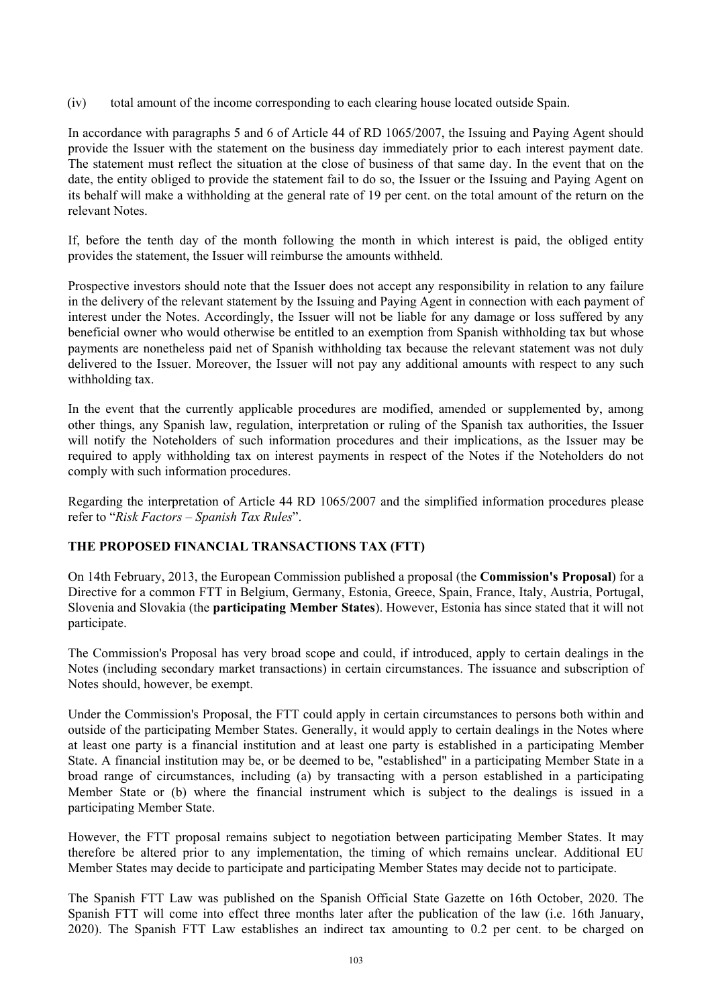(iv) total amount of the income corresponding to each clearing house located outside Spain.

In accordance with paragraphs 5 and 6 of Article 44 of RD 1065/2007, the Issuing and Paying Agent should provide the Issuer with the statement on the business day immediately prior to each interest payment date. The statement must reflect the situation at the close of business of that same day. In the event that on the date, the entity obliged to provide the statement fail to do so, the Issuer or the Issuing and Paying Agent on its behalf will make a withholding at the general rate of 19 per cent. on the total amount of the return on the relevant Notes.

If, before the tenth day of the month following the month in which interest is paid, the obliged entity provides the statement, the Issuer will reimburse the amounts withheld.

Prospective investors should note that the Issuer does not accept any responsibility in relation to any failure in the delivery of the relevant statement by the Issuing and Paying Agent in connection with each payment of interest under the Notes. Accordingly, the Issuer will not be liable for any damage or loss suffered by any beneficial owner who would otherwise be entitled to an exemption from Spanish withholding tax but whose payments are nonetheless paid net of Spanish withholding tax because the relevant statement was not duly delivered to the Issuer. Moreover, the Issuer will not pay any additional amounts with respect to any such withholding tax.

In the event that the currently applicable procedures are modified, amended or supplemented by, among other things, any Spanish law, regulation, interpretation or ruling of the Spanish tax authorities, the Issuer will notify the Noteholders of such information procedures and their implications, as the Issuer may be required to apply withholding tax on interest payments in respect of the Notes if the Noteholders do not comply with such information procedures.

Regarding the interpretation of Article 44 RD 1065/2007 and the simplified information procedures please refer to "*Risk Factors – Spanish Tax Rules*".

## **THE PROPOSED FINANCIAL TRANSACTIONS TAX (FTT)**

On 14th February, 2013, the European Commission published a proposal (the **Commission's Proposal**) for a Directive for a common FTT in Belgium, Germany, Estonia, Greece, Spain, France, Italy, Austria, Portugal, Slovenia and Slovakia (the **participating Member States**). However, Estonia has since stated that it will not participate.

The Commission's Proposal has very broad scope and could, if introduced, apply to certain dealings in the Notes (including secondary market transactions) in certain circumstances. The issuance and subscription of Notes should, however, be exempt.

Under the Commission's Proposal, the FTT could apply in certain circumstances to persons both within and outside of the participating Member States. Generally, it would apply to certain dealings in the Notes where at least one party is a financial institution and at least one party is established in a participating Member State. A financial institution may be, or be deemed to be, "established" in a participating Member State in a broad range of circumstances, including (a) by transacting with a person established in a participating Member State or (b) where the financial instrument which is subject to the dealings is issued in a participating Member State.

However, the FTT proposal remains subject to negotiation between participating Member States. It may therefore be altered prior to any implementation, the timing of which remains unclear. Additional EU Member States may decide to participate and participating Member States may decide not to participate.

The Spanish FTT Law was published on the Spanish Official State Gazette on 16th October, 2020. The Spanish FTT will come into effect three months later after the publication of the law (i.e. 16th January, 2020). The Spanish FTT Law establishes an indirect tax amounting to 0.2 per cent. to be charged on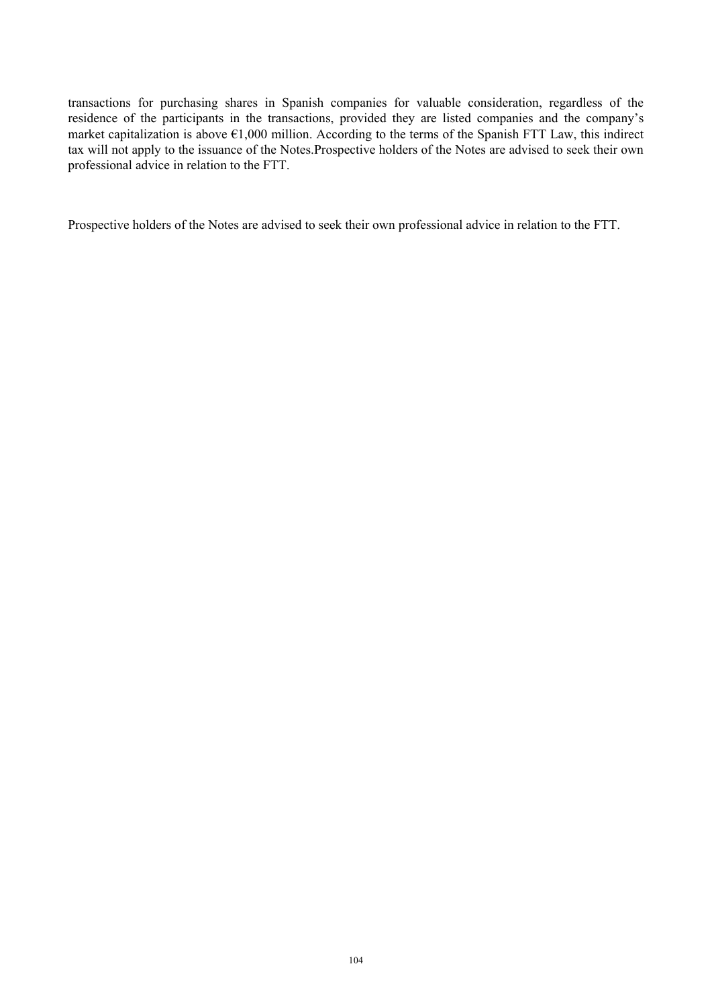transactions for purchasing shares in Spanish companies for valuable consideration, regardless of the residence of the participants in the transactions, provided they are listed companies and the company's market capitalization is above  $\epsilon$ 1,000 million. According to the terms of the Spanish FTT Law, this indirect tax will not apply to the issuance of the Notes.Prospective holders of the Notes are advised to seek their own professional advice in relation to the FTT.

Prospective holders of the Notes are advised to seek their own professional advice in relation to the FTT.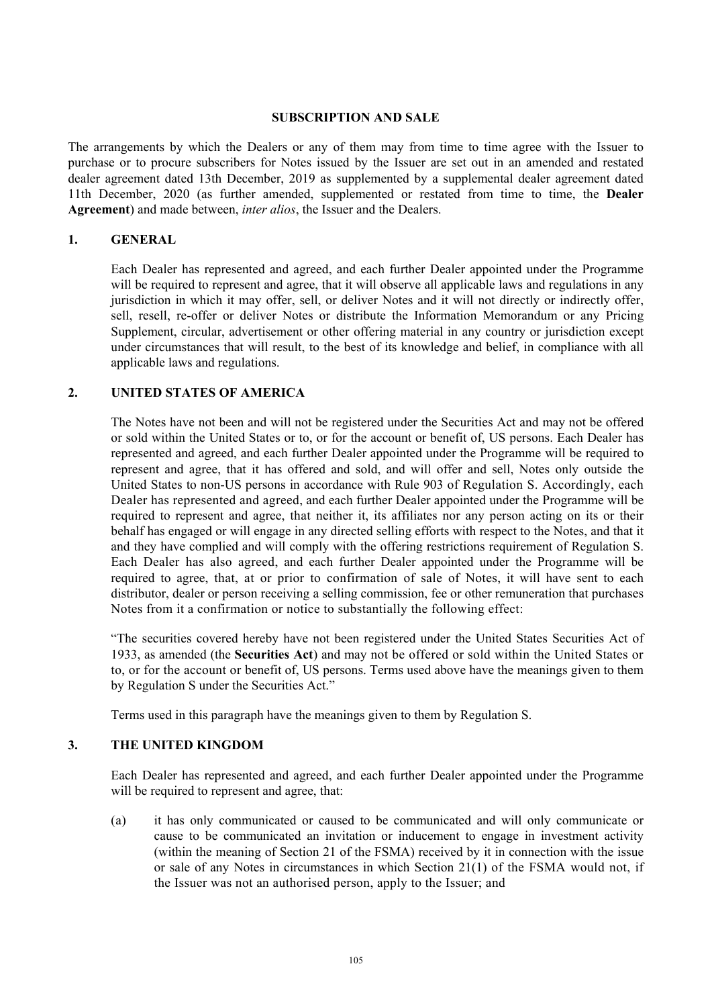#### **SUBSCRIPTION AND SALE**

The arrangements by which the Dealers or any of them may from time to time agree with the Issuer to purchase or to procure subscribers for Notes issued by the Issuer are set out in an amended and restated dealer agreement dated 13th December, 2019 as supplemented by a supplemental dealer agreement dated 11th December, 2020 (as further amended, supplemented or restated from time to time, the **Dealer Agreement**) and made between, *inter alios*, the Issuer and the Dealers.

#### **1. GENERAL**

Each Dealer has represented and agreed, and each further Dealer appointed under the Programme will be required to represent and agree, that it will observe all applicable laws and regulations in any jurisdiction in which it may offer, sell, or deliver Notes and it will not directly or indirectly offer, sell, resell, re-offer or deliver Notes or distribute the Information Memorandum or any Pricing Supplement, circular, advertisement or other offering material in any country or jurisdiction except under circumstances that will result, to the best of its knowledge and belief, in compliance with all applicable laws and regulations.

### **2. UNITED STATES OF AMERICA**

The Notes have not been and will not be registered under the Securities Act and may not be offered or sold within the United States or to, or for the account or benefit of, US persons. Each Dealer has represented and agreed, and each further Dealer appointed under the Programme will be required to represent and agree, that it has offered and sold, and will offer and sell, Notes only outside the United States to non-US persons in accordance with Rule 903 of Regulation S. Accordingly, each Dealer has represented and agreed, and each further Dealer appointed under the Programme will be required to represent and agree, that neither it, its affiliates nor any person acting on its or their behalf has engaged or will engage in any directed selling efforts with respect to the Notes, and that it and they have complied and will comply with the offering restrictions requirement of Regulation S. Each Dealer has also agreed, and each further Dealer appointed under the Programme will be required to agree, that, at or prior to confirmation of sale of Notes, it will have sent to each distributor, dealer or person receiving a selling commission, fee or other remuneration that purchases Notes from it a confirmation or notice to substantially the following effect:

"The securities covered hereby have not been registered under the United States Securities Act of 1933, as amended (the **Securities Act**) and may not be offered or sold within the United States or to, or for the account or benefit of, US persons. Terms used above have the meanings given to them by Regulation S under the Securities Act."

Terms used in this paragraph have the meanings given to them by Regulation S.

### **3. THE UNITED KINGDOM**

Each Dealer has represented and agreed, and each further Dealer appointed under the Programme will be required to represent and agree, that:

(a) it has only communicated or caused to be communicated and will only communicate or cause to be communicated an invitation or inducement to engage in investment activity (within the meaning of Section 21 of the FSMA) received by it in connection with the issue or sale of any Notes in circumstances in which Section 21(1) of the FSMA would not, if the Issuer was not an authorised person, apply to the Issuer; and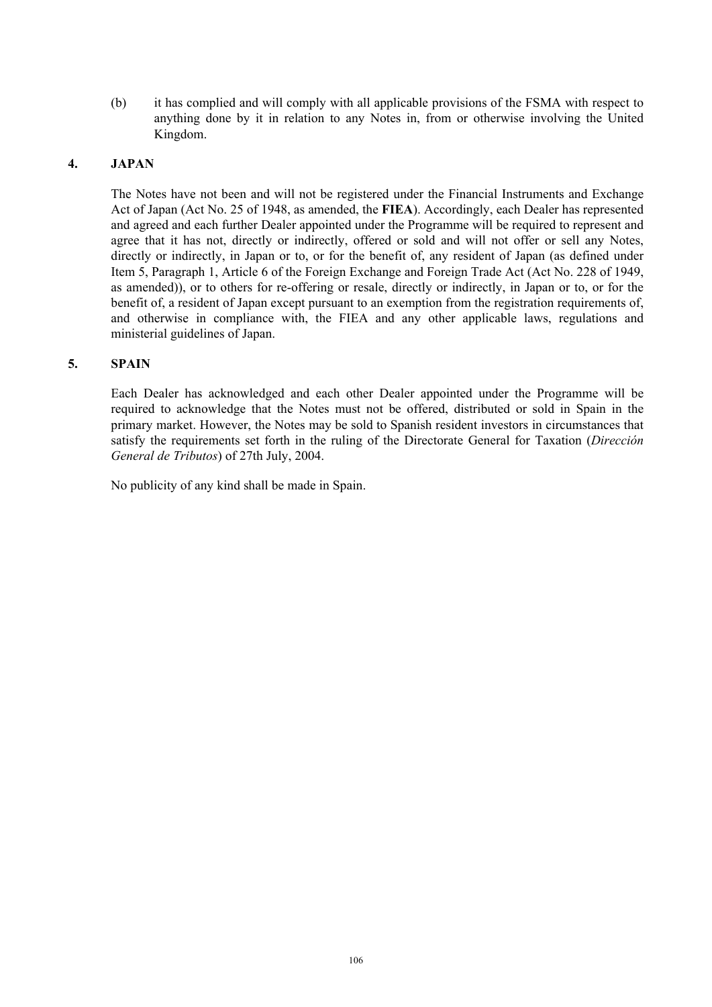(b) it has complied and will comply with all applicable provisions of the FSMA with respect to anything done by it in relation to any Notes in, from or otherwise involving the United Kingdom.

### **4. JAPAN**

The Notes have not been and will not be registered under the Financial Instruments and Exchange Act of Japan (Act No. 25 of 1948, as amended, the **FIEA**). Accordingly, each Dealer has represented and agreed and each further Dealer appointed under the Programme will be required to represent and agree that it has not, directly or indirectly, offered or sold and will not offer or sell any Notes, directly or indirectly, in Japan or to, or for the benefit of, any resident of Japan (as defined under Item 5, Paragraph 1, Article 6 of the Foreign Exchange and Foreign Trade Act (Act No. 228 of 1949, as amended)), or to others for re-offering or resale, directly or indirectly, in Japan or to, or for the benefit of, a resident of Japan except pursuant to an exemption from the registration requirements of, and otherwise in compliance with, the FIEA and any other applicable laws, regulations and ministerial guidelines of Japan.

### **5. SPAIN**

Each Dealer has acknowledged and each other Dealer appointed under the Programme will be required to acknowledge that the Notes must not be offered, distributed or sold in Spain in the primary market. However, the Notes may be sold to Spanish resident investors in circumstances that satisfy the requirements set forth in the ruling of the Directorate General for Taxation (*Dirección General de Tributos*) of 27th July, 2004.

No publicity of any kind shall be made in Spain.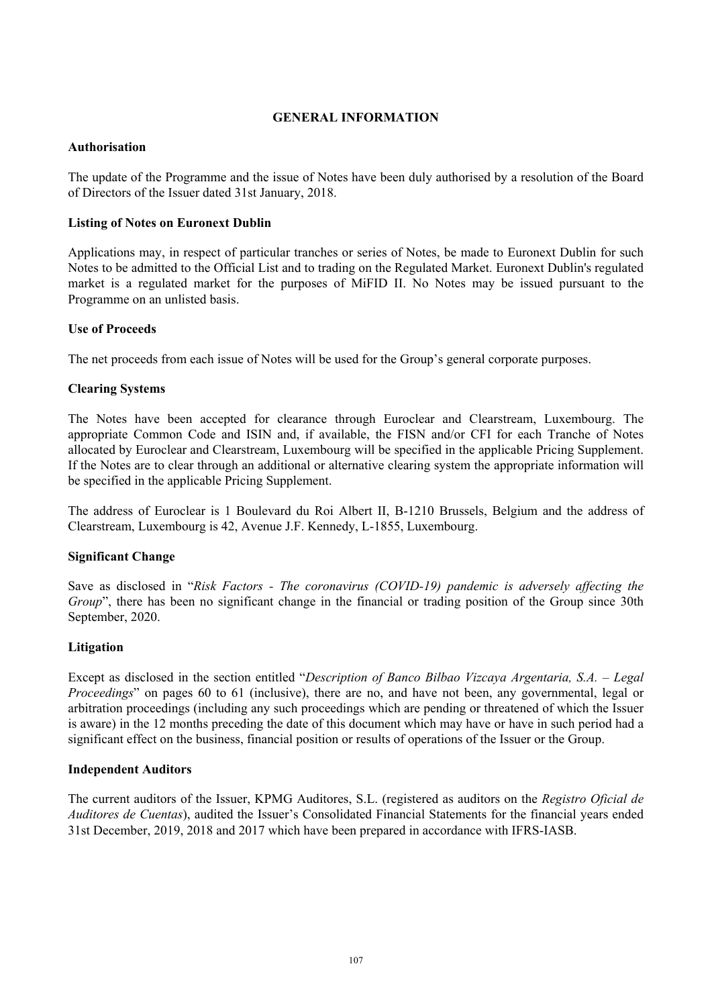### **GENERAL INFORMATION**

### **Authorisation**

The update of the Programme and the issue of Notes have been duly authorised by a resolution of the Board of Directors of the Issuer dated 31st January, 2018.

### **Listing of Notes on Euronext Dublin**

Applications may, in respect of particular tranches or series of Notes, be made to Euronext Dublin for such Notes to be admitted to the Official List and to trading on the Regulated Market. Euronext Dublin's regulated market is a regulated market for the purposes of MiFID II. No Notes may be issued pursuant to the Programme on an unlisted basis.

### **Use of Proceeds**

The net proceeds from each issue of Notes will be used for the Group's general corporate purposes.

### **Clearing Systems**

The Notes have been accepted for clearance through Euroclear and Clearstream, Luxembourg. The appropriate Common Code and ISIN and, if available, the FISN and/or CFI for each Tranche of Notes allocated by Euroclear and Clearstream, Luxembourg will be specified in the applicable Pricing Supplement. If the Notes are to clear through an additional or alternative clearing system the appropriate information will be specified in the applicable Pricing Supplement.

The address of Euroclear is 1 Boulevard du Roi Albert II, B-1210 Brussels, Belgium and the address of Clearstream, Luxembourg is 42, Avenue J.F. Kennedy, L-1855, Luxembourg.

### **Significant Change**

Save as disclosed in "*Risk Factors - The coronavirus (COVID-19) pandemic is adversely affecting the Group*", there has been no significant change in the financial or trading position of the Group since 30th September, 2020.

### **Litigation**

Except as disclosed in the section entitled "*Description of Banco Bilbao Vizcaya Argentaria, S.A. – Legal Proceedings*" on pages 60 to 61 (inclusive), there are no, and have not been, any governmental, legal or arbitration proceedings (including any such proceedings which are pending or threatened of which the Issuer is aware) in the 12 months preceding the date of this document which may have or have in such period had a significant effect on the business, financial position or results of operations of the Issuer or the Group.

### **Independent Auditors**

The current auditors of the Issuer, KPMG Auditores, S.L. (registered as auditors on the *Registro Oficial de Auditores de Cuentas*), audited the Issuer's Consolidated Financial Statements for the financial years ended 31st December, 2019, 2018 and 2017 which have been prepared in accordance with IFRS-IASB.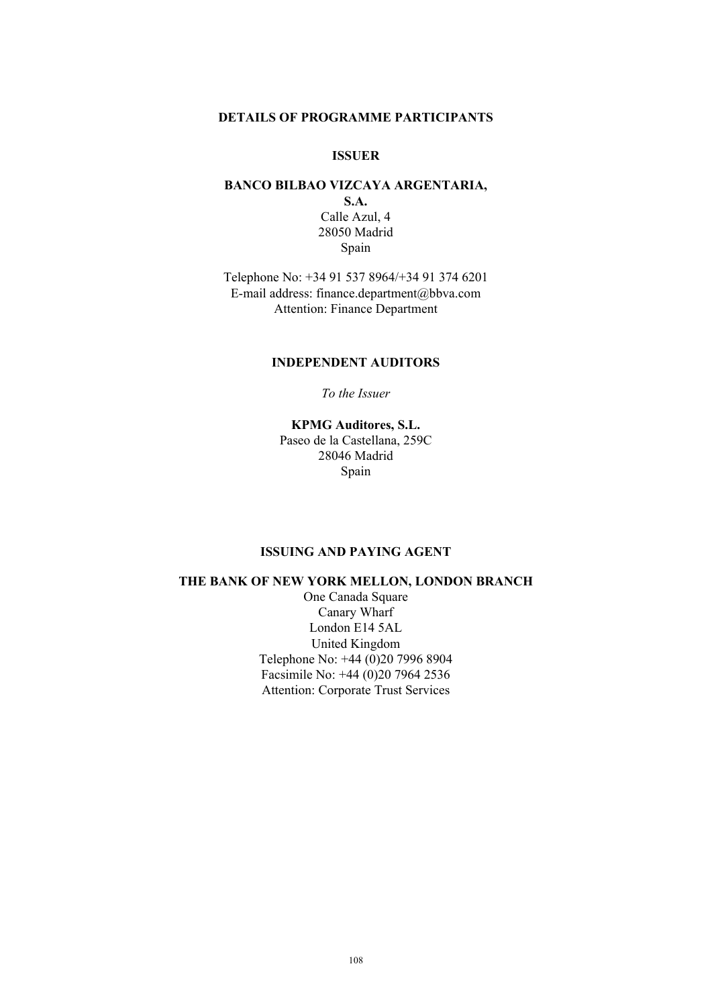#### **DETAILS OF PROGRAMME PARTICIPANTS**

### **ISSUER**

#### **BANCO BILBAO VIZCAYA ARGENTARIA, S.A.**

Calle Azul, 4 28050 Madrid Spain

Telephone No: +34 91 537 8964/+34 91 374 6201 E-mail address: finance.department@bbva.com Attention: Finance Department

### **INDEPENDENT AUDITORS**

*To the Issuer* 

**KPMG Auditores, S.L.**  Paseo de la Castellana, 259C 28046 Madrid Spain

#### **ISSUING AND PAYING AGENT**

### **THE BANK OF NEW YORK MELLON, LONDON BRANCH**

One Canada Square Canary Wharf London E14 5AL United Kingdom Telephone No: +44 (0)20 7996 8904 Facsimile No: +44 (0)20 7964 2536 Attention: Corporate Trust Services